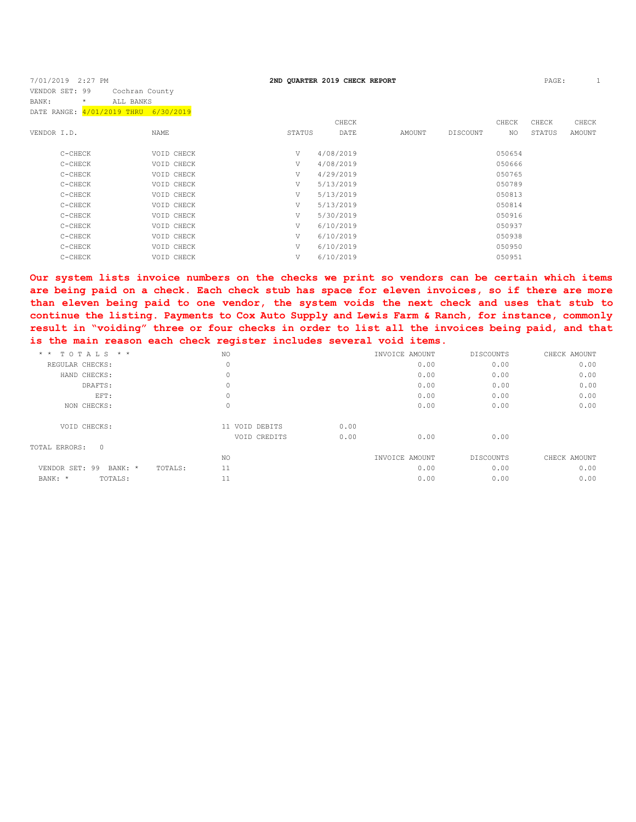| 7/01/2019 2:27 PM                    |                |        | 2ND QUARTER 2019 CHECK REPORT |        |          |        | PAGE:  |        |
|--------------------------------------|----------------|--------|-------------------------------|--------|----------|--------|--------|--------|
| VENDOR SET: 99                       | Cochran County |        |                               |        |          |        |        |        |
| $\star$<br>BANK:                     | ALL BANKS      |        |                               |        |          |        |        |        |
| DATE RANGE: 4/01/2019 THRU 6/30/2019 |                |        |                               |        |          |        |        |        |
|                                      |                |        | CHECK                         |        |          | CHECK  | CHECK  | CHECK  |
| VENDOR I.D.                          | NAME           | STATUS | DATE                          | AMOUNT | DISCOUNT | NO     | STATUS | AMOUNT |
|                                      |                |        |                               |        |          |        |        |        |
| C-CHECK                              | VOID CHECK     | V      | 4/08/2019                     |        |          | 050654 |        |        |
| C-CHECK                              | VOID CHECK     | V      | 4/08/2019                     |        |          | 050666 |        |        |
| C-CHECK                              | VOID CHECK     | V      | 4/29/2019                     |        |          | 050765 |        |        |
| C-CHECK                              | VOID CHECK     | V      | 5/13/2019                     |        |          | 050789 |        |        |
| C-CHECK                              | VOID CHECK     | V      | 5/13/2019                     |        |          | 050813 |        |        |
| C-CHECK                              | VOID CHECK     | V      | 5/13/2019                     |        |          | 050814 |        |        |
| C-CHECK                              | VOID CHECK     | V      | 5/30/2019                     |        |          | 050916 |        |        |
| C-CHECK                              | VOID CHECK     | V      | 6/10/2019                     |        |          | 050937 |        |        |
| C-CHECK                              | VOID CHECK     | V      | 6/10/2019                     |        |          | 050938 |        |        |
| C-CHECK                              | VOID CHECK     | V      | 6/10/2019                     |        |          | 050950 |        |        |
| C-CHECK                              | VOID CHECK     | V      | 6/10/2019                     |        |          | 050951 |        |        |
|                                      |                |        |                               |        |          |        |        |        |

**Our system lists invoice numbers on the checks we print so vendors can be certain which items are being paid on a check. Each check stub has space for eleven invoices, so if there are more than eleven being paid to one vendor, the system voids the next check and uses that stub to continue the listing. Payments to Cox Auto Supply and Lewis Farm & Ranch, for instance, commonly result in "voiding" three or four checks in order to list all the invoices being paid, and that is the main reason each check register includes several void items.**

| $*$ * TOTALS * *                  | NO.            |      | INVOICE AMOUNT | DISCOUNTS | CHECK AMOUNT |
|-----------------------------------|----------------|------|----------------|-----------|--------------|
| REGULAR CHECKS:                   | $\circ$        |      | 0.00           | 0.00      | 0.00         |
| HAND CHECKS:                      | $\mathbb O$    |      | 0.00           | 0.00      | 0.00         |
| DRAFTS:                           | 0              |      | 0.00           | 0.00      | 0.00         |
| EFT:                              | $\mathbb O$    |      | 0.00           | 0.00      | 0.00         |
| NON CHECKS:                       | $\mathbb O$    |      | 0.00           | 0.00      | 0.00         |
| VOID CHECKS:                      | 11 VOID DEBITS | 0.00 |                |           |              |
|                                   | VOID CREDITS   | 0.00 | 0.00           | 0.00      |              |
| TOTAL ERRORS:<br>$\overline{0}$   |                |      |                |           |              |
|                                   | NO             |      | INVOICE AMOUNT | DISCOUNTS | CHECK AMOUNT |
| VENDOR SET: 99 BANK: *<br>TOTALS: | 11             |      | 0.00           | 0.00      | 0.00         |
| BANK: *<br>TOTALS:                | 11             |      | 0.00           | 0.00      | 0.00         |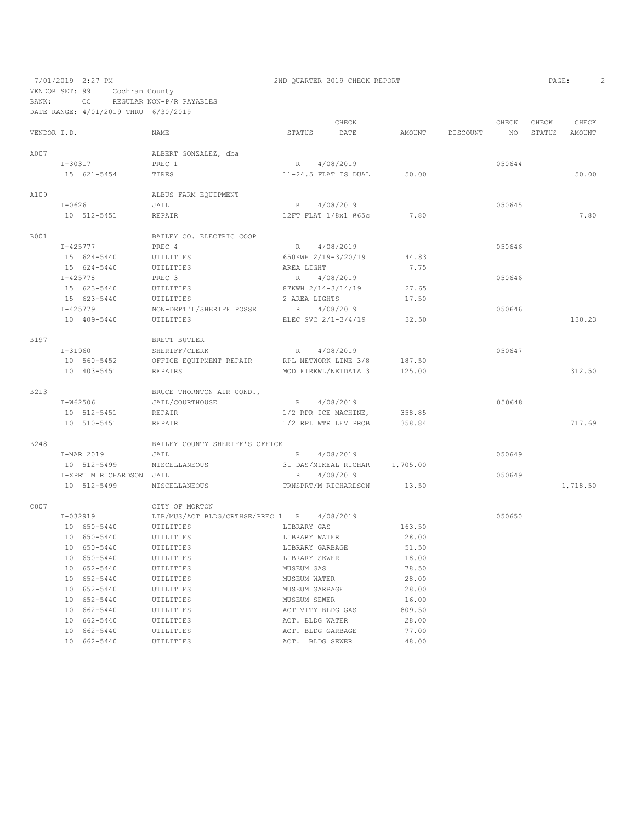7/01/2019 2:27 PM 2ND QUARTER 2019 CHECK REPORT VENDOR SET: 99 Cochran County BANK: CC REGULAR NON-P/R PAYABLES

|                  |             | DATE RANGE: 4/01/2019 THRU 6/30/2019 |                                  |                   |                       |          |          |        |        |          |
|------------------|-------------|--------------------------------------|----------------------------------|-------------------|-----------------------|----------|----------|--------|--------|----------|
|                  |             |                                      |                                  |                   | CHECK                 |          |          | CHECK  | CHECK  | CHECK    |
| VENDOR I.D.      |             |                                      | <b>NAME</b>                      | STATUS            | DATE                  | AMOUNT   | DISCOUNT | NO     | STATUS | AMOUNT   |
| A007             |             |                                      | ALBERT GONZALEZ, dba             |                   |                       |          |          |        |        |          |
|                  | $I - 30317$ |                                      | PREC 1                           | R                 | 4/08/2019             |          |          | 050644 |        |          |
|                  |             | 15 621-5454                          | TIRES                            |                   | 11-24.5 FLAT IS DUAL  | 50.00    |          |        |        | 50.00    |
| A109             |             |                                      | ALBUS FARM EQUIPMENT             |                   |                       |          |          |        |        |          |
|                  | $I-0626$    |                                      | JAIL                             | R                 | 4/08/2019             |          |          | 050645 |        |          |
|                  |             | 10 512-5451                          | REPAIR                           |                   | 12FT FLAT 1/8x1 065c  | 7.80     |          |        |        | 7.80     |
| B001             |             |                                      | BAILEY CO. ELECTRIC COOP         |                   |                       |          |          |        |        |          |
|                  |             | $I - 425777$                         | PREC 4                           | R                 | 4/08/2019             |          |          | 050646 |        |          |
|                  |             | 15 624-5440                          | UTILITIES                        |                   | 650KWH 2/19-3/20/19   | 44.83    |          |        |        |          |
|                  |             | 15 624-5440                          | UTILITIES                        | AREA LIGHT        |                       | 7.75     |          |        |        |          |
|                  |             | $I - 425778$                         | PREC 3                           | R                 | 4/08/2019             |          |          | 050646 |        |          |
|                  |             | 15 623-5440                          | UTILITIES                        |                   | 87KWH 2/14-3/14/19    | 27.65    |          |        |        |          |
|                  |             | 15 623-5440                          | UTILITIES                        | 2 AREA LIGHTS     |                       | 17.50    |          |        |        |          |
|                  |             | $I - 425779$                         | NON-DEPT'L/SHERIFF POSSE         | R                 | 4/08/2019             |          |          | 050646 |        |          |
|                  |             | 10 409-5440                          | UTILITIES                        |                   | ELEC SVC $2/1-3/4/19$ | 32.50    |          |        |        | 130.23   |
|                  |             |                                      |                                  |                   |                       |          |          |        |        |          |
| B197             |             |                                      | BRETT BUTLER                     |                   |                       |          |          |        |        |          |
|                  |             | $I - 31960$                          | SHERIFF/CLERK                    |                   | R 4/08/2019           |          |          | 050647 |        |          |
|                  |             | 10 560-5452                          | OFFICE EQUIPMENT REPAIR          |                   | RPL NETWORK LINE 3/8  | 187.50   |          |        |        |          |
|                  |             | 10 403-5451                          | <b>REPAIRS</b>                   |                   | MOD FIREWL/NETDATA 3  | 125.00   |          |        |        | 312.50   |
| <b>B213</b>      |             |                                      | BRUCE THORNTON AIR COND.,        |                   |                       |          |          |        |        |          |
|                  |             | $I-W62506$                           | JAIL/COURTHOUSE                  | R                 | 4/08/2019             |          |          | 050648 |        |          |
|                  |             | 10 512-5451                          | REPAIR                           |                   | 1/2 RPR ICE MACHINE,  | 358.85   |          |        |        |          |
|                  |             | 10 510-5451                          | REPAIR                           |                   | 1/2 RPL WTR LEV PROB  | 358.84   |          |        |        | 717.69   |
| B <sub>248</sub> |             |                                      | BAILEY COUNTY SHERIFF'S OFFICE   |                   |                       |          |          |        |        |          |
|                  |             | I-MAR 2019                           | JAIL                             |                   | R 4/08/2019           |          |          | 050649 |        |          |
|                  |             | 10 512-5499                          | MISCELLANEOUS                    |                   | 31 DAS/MIKEAL RICHAR  | 1,705.00 |          |        |        |          |
|                  |             | I-XPRT M RICHARDSON JAIL             |                                  | R                 | 4/08/2019             |          |          | 050649 |        |          |
|                  |             | 10 512-5499                          | MISCELLANEOUS                    |                   | TRNSPRT/M RICHARDSON  | 13.50    |          |        |        | 1,718.50 |
| C007             |             |                                      | CITY OF MORTON                   |                   |                       |          |          |        |        |          |
|                  |             | $I-032919$                           | LIB/MUS/ACT BLDG/CRTHSE/PREC 1 R |                   | 4/08/2019             |          |          | 050650 |        |          |
|                  |             | 10 650-5440                          | UTILITIES                        | LIBRARY GAS       |                       | 163.50   |          |        |        |          |
|                  |             | 10 650-5440                          | UTILITIES                        | LIBRARY WATER     |                       | 28.00    |          |        |        |          |
|                  |             | 10 650-5440                          | UTILITIES                        | LIBRARY GARBAGE   |                       | 51.50    |          |        |        |          |
|                  |             | 10 650-5440                          | UTILITIES                        | LIBRARY SEWER     |                       | 18.00    |          |        |        |          |
|                  |             | 10 652-5440                          | UTILITIES                        | MUSEUM GAS        |                       | 78.50    |          |        |        |          |
|                  |             | 10 652-5440                          | UTILITIES                        | MUSEUM WATER      |                       | 28.00    |          |        |        |          |
|                  |             | 10 652-5440                          | UTILITIES                        | MUSEUM GARBAGE    |                       | 28.00    |          |        |        |          |
|                  |             | 10 652-5440                          | UTILITIES                        | MUSEUM SEWER      |                       | 16.00    |          |        |        |          |
|                  |             | 10 662-5440                          |                                  | ACTIVITY BLDG GAS |                       | 809.50   |          |        |        |          |
|                  |             | 10 662-5440                          | UTILITIES                        | ACT. BLDG WATER   |                       | 28.00    |          |        |        |          |
|                  |             | 10 662-5440                          | UTILITIES                        | ACT. BLDG GARBAGE |                       | 77.00    |          |        |        |          |
|                  |             |                                      | UTILITIES                        |                   |                       |          |          |        |        |          |

10 662-5440 UTILITIES ACT. BLDG SEWER 48.00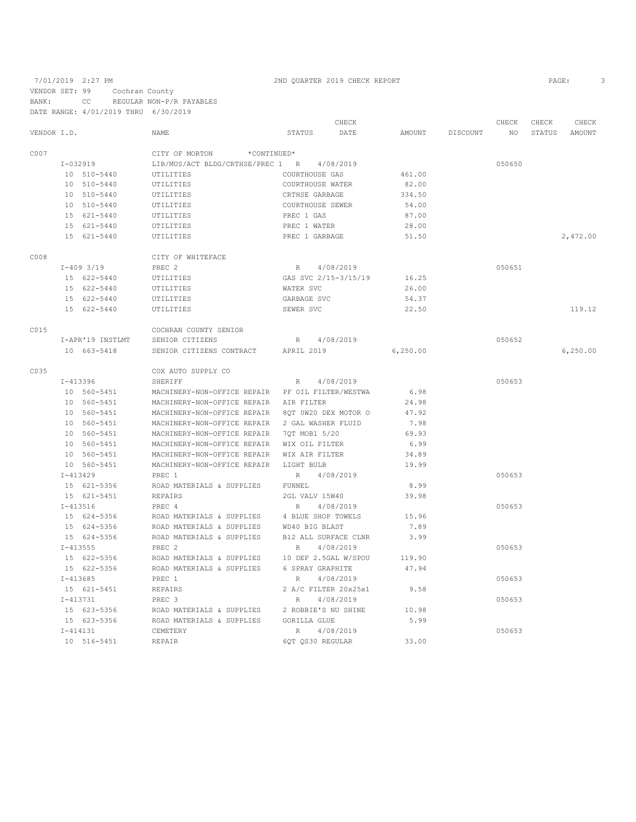7/01/2019 2:27 PM 2ND QUARTER 2019 CHECK REPORT

VENDOR SET: 99 Cochran County BANK: CC REGULAR NON-P/R PAYABLES DATE RANGE: 4/01/2019 THRU 6/30/2019

|             |              |                  |                                                  |                      | CHECK     |          |          | CHECK  | CHECK  | CHECK    |
|-------------|--------------|------------------|--------------------------------------------------|----------------------|-----------|----------|----------|--------|--------|----------|
| VENDOR I.D. |              |                  | <b>NAME</b>                                      | <b>STATUS</b>        | DATE      | AMOUNT   | DISCOUNT | NO.    | STATUS | AMOUNT   |
| C007        |              |                  | CITY OF MORTON<br>*CONTINUED*                    |                      |           |          |          |        |        |          |
|             |              | I-032919         | LIB/MUS/ACT BLDG/CRTHSE/PREC 1 R                 |                      | 4/08/2019 |          |          | 050650 |        |          |
|             |              | 10 510-5440      | UTILITIES                                        | COURTHOUSE GAS       |           | 461.00   |          |        |        |          |
|             |              | 10 510-5440      | UTILITIES                                        | COURTHOUSE WATER     |           | 82.00    |          |        |        |          |
|             |              | 10 510-5440      | UTILITIES                                        | CRTHSE GARBAGE       |           | 334.50   |          |        |        |          |
|             |              | 10 510-5440      | UTILITIES                                        | COURTHOUSE SEWER     |           | 54.00    |          |        |        |          |
|             |              | 15 621-5440      | UTILITIES                                        | PREC 1 GAS           |           | 87.00    |          |        |        |          |
|             |              | 15 621-5440      | UTILITIES                                        | PREC 1 WATER         |           | 28.00    |          |        |        |          |
|             |              | 15 621-5440      | UTILITIES                                        | PREC 1 GARBAGE       |           | 51.50    |          |        |        | 2,472.00 |
| C008        |              |                  | CITY OF WHITEFACE                                |                      |           |          |          |        |        |          |
|             |              | $I-409$ 3/19     | PREC 2                                           | R                    | 4/08/2019 |          |          | 050651 |        |          |
|             |              | 15 622-5440      | UTILITIES                                        | GAS SVC 2/15-3/15/19 |           | 16.25    |          |        |        |          |
|             |              | 15 622-5440      | UTILITIES                                        | WATER SVC            |           | 26.00    |          |        |        |          |
|             |              | 15 622-5440      | UTILITIES                                        | GARBAGE SVC          |           | 54.37    |          |        |        |          |
|             |              | 15 622-5440      | UTILITIES                                        | SEWER SVC            |           | 22.50    |          |        |        | 119.12   |
| C015        |              |                  | COCHRAN COUNTY SENIOR                            |                      |           |          |          |        |        |          |
|             |              |                  |                                                  |                      |           |          |          |        |        |          |
|             |              | I-APR'19 INSTLMT | SENIOR CITIZENS                                  | $R_{\perp}$          | 4/08/2019 |          |          | 050652 |        |          |
|             |              | 10 663-5418      | SENIOR CITIZENS CONTRACT                         | APRIL 2019           |           | 6,250.00 |          |        |        | 6,250.00 |
| C035        |              |                  | COX AUTO SUPPLY CO                               |                      |           |          |          |        |        |          |
|             |              | $I-413396$       | SHERIFF                                          | R                    | 4/08/2019 |          |          | 050653 |        |          |
|             |              | 10 560-5451      | MACHINERY-NON-OFFICE REPAIR PF OIL FILTER/WESTWA |                      |           | 6.98     |          |        |        |          |
|             |              | 10 560-5451      | MACHINERY-NON-OFFICE REPAIR                      | AIR FILTER           |           | 24.98    |          |        |        |          |
|             |              | 10 560-5451      | MACHINERY-NON-OFFICE REPAIR                      | 80T 0W20 DEX MOTOR O |           | 47.92    |          |        |        |          |
|             |              | 10 560-5451      | MACHINERY-NON-OFFICE REPAIR                      | 2 GAL WASHER FLUID   |           | 7.98     |          |        |        |          |
|             |              | 10 560-5451      | MACHINERY-NON-OFFICE REPAIR                      | 70T MOB1 5/20        |           | 69.93    |          |        |        |          |
|             |              | 10 560-5451      | MACHINERY-NON-OFFICE REPAIR                      | WIX OIL FILTER       |           | 6.99     |          |        |        |          |
|             |              | 10 560-5451      | MACHINERY-NON-OFFICE REPAIR                      | WIX AIR FILTER       |           | 34.89    |          |        |        |          |
|             |              | 10 560-5451      | MACHINERY-NON-OFFICE REPAIR                      | LIGHT BULB           |           | 19.99    |          |        |        |          |
|             | $I - 413429$ |                  | PREC 1                                           | R                    | 4/08/2019 |          |          | 050653 |        |          |
|             |              | 15 621-5356      | ROAD MATERIALS & SUPPLIES                        | FUNNEL               |           | 8.99     |          |        |        |          |
|             |              | 15 621-5451      | REPAIRS                                          | 2GL VALV 15W40       |           | 39.98    |          |        |        |          |
|             | $I - 413516$ |                  | PREC 4                                           | R                    | 4/08/2019 |          |          | 050653 |        |          |
|             |              | 15 624-5356      | ROAD MATERIALS & SUPPLIES                        | 4 BLUE SHOP TOWELS   |           | 15.96    |          |        |        |          |
|             |              | 15 624-5356      | ROAD MATERIALS & SUPPLIES                        | WD40 BIG BLAST       |           | 7.89     |          |        |        |          |
|             |              | 15 624-5356      | ROAD MATERIALS & SUPPLIES                        | B12 ALL SURFACE CLNR |           | 3.99     |          |        |        |          |
|             | $I - 413555$ |                  | PREC 2                                           | $\, {\mathbb R}$     | 4/08/2019 |          |          | 050653 |        |          |
|             |              | 15 622-5356      | ROAD MATERIALS & SUPPLIES                        | 10 DEF 2.5GAL W/SPOU |           | 119.90   |          |        |        |          |
|             |              | 15 622-5356      | ROAD MATERIALS & SUPPLIES                        | 6 SPRAY GRAPHITE     |           | 47.94    |          |        |        |          |
|             | $I - 413685$ |                  | PREC 1                                           | R.                   | 4/08/2019 |          |          | 050653 |        |          |
|             |              | 15 621-5451      | REPAIRS                                          | 2 A/C FILTER 20x25x1 |           | 9.58     |          |        |        |          |
|             | $I-413731$   |                  | PREC 3                                           | R                    | 4/08/2019 |          |          | 050653 |        |          |
|             |              | 15 623-5356      | ROAD MATERIALS & SUPPLIES                        | 2 ROBBIE'S NU SHINE  |           | 10.98    |          |        |        |          |
|             |              | 15 623-5356      | ROAD MATERIALS & SUPPLIES                        | GORILLA GLUE         |           | 5.99     |          |        |        |          |
|             |              | $I - 414131$     | CEMETERY                                         | R                    | 4/08/2019 |          |          | 050653 |        |          |
|             |              | 10 516-5451      | <b>REPAIR</b>                                    | 6QT QS30 REGULAR     |           | 33.00    |          |        |        |          |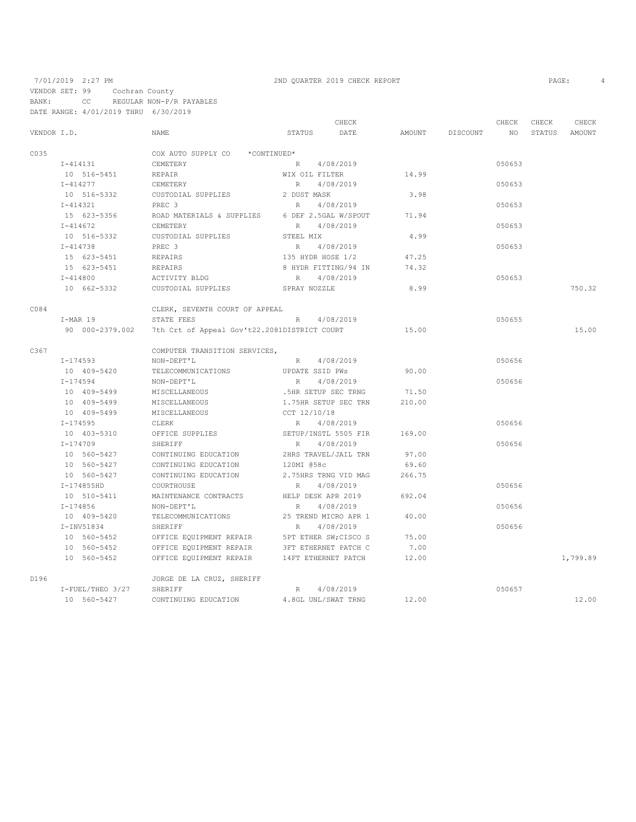VENDOR SET: 99 Cochran County

BANK: CC REGULAR NON-P/R PAYABLES DATE RANGE: 4/01/2019 THRU 6/30/2019

|             |                  |                                                |                       | CHECK                |        |          | CHECK  | CHECK  | CHECK    |
|-------------|------------------|------------------------------------------------|-----------------------|----------------------|--------|----------|--------|--------|----------|
| VENDOR I.D. |                  | NAME                                           | STATUS                | DATE                 | AMOUNT | DISCOUNT | NO.    | STATUS | AMOUNT   |
| C035        |                  | COX AUTO SUPPLY CO *CONTINUED*                 |                       |                      |        |          |        |        |          |
|             | I-414131         | CEMETERY                                       | R                     | 4/08/2019            |        |          | 050653 |        |          |
|             | 10 516-5451      | REPAIR                                         | WIX OIL FILTER        |                      | 14.99  |          |        |        |          |
|             | $I - 414277$     | CEMETERY                                       | R                     | 4/08/2019            |        |          | 050653 |        |          |
|             | 10 516-5332      | CUSTODIAL SUPPLIES                             | 2 DUST MASK           |                      | 3.98   |          |        |        |          |
|             | I-414321         | PREC 3                                         | $R_{\odot}$           | 4/08/2019            |        |          | 050653 |        |          |
|             | 15 623-5356      | ROAD MATERIALS & SUPPLIES 6 DEF 2.5GAL W/SPOUT |                       |                      | 71.94  |          |        |        |          |
|             | $I - 414672$     | CEMETERY                                       | R                     | 4/08/2019            |        |          | 050653 |        |          |
|             | 10 516-5332      | CUSTODIAL SUPPLIES                             | STEEL MIX             |                      | 4.99   |          |        |        |          |
|             | $I - 414738$     | PREC 3                                         | R                     | 4/08/2019            |        |          | 050653 |        |          |
|             | 15 623-5451      | REPAIRS                                        | 135 HYDR HOSE 1/2     |                      | 47.25  |          |        |        |          |
|             | 15 623-5451      | REPAIRS                                        |                       | 8 HYDR FITTING/94 IN | 74.32  |          |        |        |          |
|             | $I - 414800$     | ACTIVITY BLDG                                  | R                     | 4/08/2019            |        |          | 050653 |        |          |
|             | 10 662-5332      | CUSTODIAL SUPPLIES                             | SPRAY NOZZLE          |                      | 8.99   |          |        |        | 750.32   |
| C084        |                  | CLERK, SEVENTH COURT OF APPEAL                 |                       |                      |        |          |        |        |          |
|             | I-MAR 19         | STATE FEES                                     | R                     | 4/08/2019            |        |          | 050655 |        |          |
|             | 90 000-2379.002  | 7th Crt of Appeal Gov't22.2081DISTRICT COURT   |                       |                      | 15.00  |          |        |        | 15.00    |
| C367        |                  | COMPUTER TRANSITION SERVICES,                  |                       |                      |        |          |        |        |          |
|             | I-174593         | NON-DEPT'L                                     | R                     | 4/08/2019            |        |          | 050656 |        |          |
|             | 10 409-5420      | TELECOMMUNICATIONS                             | UPDATE SSID PWS       |                      | 90.00  |          |        |        |          |
|             | $I - 174594$     | NON-DEPT'L                                     | R                     | 4/08/2019            |        |          | 050656 |        |          |
|             | 10 409-5499      | MISCELLANEOUS                                  | .5HR SETUP SEC TRNG   |                      | 71.50  |          |        |        |          |
|             | 10 409-5499      | MISCELLANEOUS                                  |                       | 1.75HR SETUP SEC TRN | 210.00 |          |        |        |          |
|             | 10 409-5499      | MISCELLANEOUS                                  | CCT 12/10/18          |                      |        |          |        |        |          |
|             | $I - 174595$     | CLERK                                          | R                     | 4/08/2019            |        |          | 050656 |        |          |
|             | 10 403-5310      | OFFICE SUPPLIES                                | SETUP/INSTL 5505 FIR  |                      | 169.00 |          |        |        |          |
|             | $I - 174709$     | SHERIFF                                        | R                     | 4/08/2019            |        |          | 050656 |        |          |
|             | 10 560-5427      | CONTINUING EDUCATION                           |                       | 2HRS TRAVEL/JAIL TRN | 97.00  |          |        |        |          |
|             | 10 560-5427      | CONTINUING EDUCATION                           | 120MI 058c            |                      | 69.60  |          |        |        |          |
|             | 10 560-5427      | CONTINUING EDUCATION                           |                       | 2.75HRS TRNG VID MAG | 266.75 |          |        |        |          |
|             | I-174855HD       | COURTHOUSE                                     | R                     | 4/08/2019            |        |          | 050656 |        |          |
|             | 10 510-5411      | MAINTENANCE CONTRACTS                          | HELP DESK APR 2019    |                      | 692.04 |          |        |        |          |
|             | I-174856         | NON-DEPT'L                                     | R                     | 4/08/2019            |        |          | 050656 |        |          |
|             | 10 409-5420      | TELECOMMUNICATIONS                             |                       | 25 TREND MICRO APR 1 | 40.00  |          |        |        |          |
|             | $I-INV51834$     | SHERIFF                                        | R                     | 4/08/2019            |        |          | 050656 |        |          |
|             | 10 560-5452      | OFFICE EQUIPMENT REPAIR                        | 5PT ETHER SW; CISCO S |                      | 75.00  |          |        |        |          |
|             | 10 560-5452      | OFFICE EQUIPMENT REPAIR                        | 3FT ETHERNET PATCH C  |                      | 7.00   |          |        |        |          |
|             | 10 560-5452      | OFFICE EQUIPMENT REPAIR 14FT ETHERNET PATCH    |                       |                      | 12.00  |          |        |        | 1,799.89 |
| D196        |                  | JORGE DE LA CRUZ, SHERIFF                      |                       |                      |        |          |        |        |          |
|             | I-FUEL/THEO 3/27 | SHERIFF                                        | R                     | 4/08/2019            |        |          | 050657 |        |          |
|             | 10 560-5427      | CONTINUING EDUCATION                           | 4.8GL UNL/SWAT TRNG   |                      | 12.00  |          |        |        | 12.00    |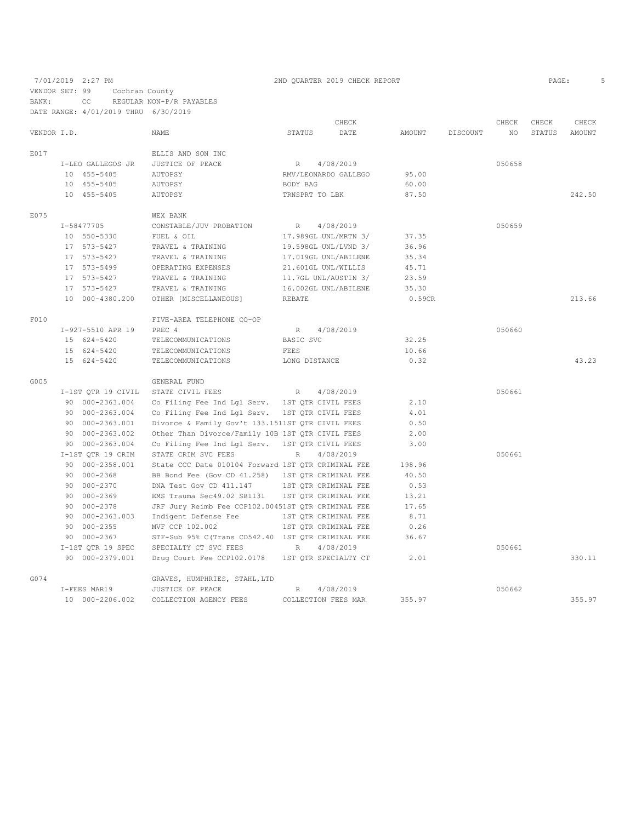7/01/2019 2:27 PM 2ND QUARTER 2019 CHECK REPORT VENDOR SET: 99 Cochran County BANK: CC REGULAR NON-P/R PAYABLES

|             | DATE RANGE: 4/01/2019 THRU 6/30/2019 |                                                    |                    |                      |        |          |        |        |               |
|-------------|--------------------------------------|----------------------------------------------------|--------------------|----------------------|--------|----------|--------|--------|---------------|
|             |                                      |                                                    |                    | CHECK                |        |          | CHECK  | CHECK  | CHECK         |
| VENDOR I.D. |                                      | <b>NAME</b>                                        | STATUS             | DATE                 | AMOUNT | DISCOUNT | NO.    | STATUS | <b>AMOUNT</b> |
| E017        |                                      | ELLIS AND SON INC                                  |                    |                      |        |          |        |        |               |
|             | I-LEO GALLEGOS JR                    | JUSTICE OF PEACE                                   | R                  | 4/08/2019            |        |          | 050658 |        |               |
|             | 10 455-5405                          | AUTOPSY                                            |                    | RMV/LEONARDO GALLEGO | 95.00  |          |        |        |               |
|             | 10 455-5405                          | AUTOPSY                                            | BODY BAG           |                      | 60.00  |          |        |        |               |
|             | 10 455-5405                          | AUTOPSY                                            | TRNSPRT TO LBK     |                      | 87.50  |          |        |        | 242.50        |
| E075        |                                      | <b>WEX BANK</b>                                    |                    |                      |        |          |        |        |               |
|             | I-58477705                           | CONSTABLE/JUV PROBATION                            | R                  | 4/08/2019            |        |          | 050659 |        |               |
|             | 10 550-5330                          | FUEL & OIL                                         |                    | 17.989GL UNL/MRTN 3/ | 37.35  |          |        |        |               |
|             | 17 573-5427                          | TRAVEL & TRAINING                                  |                    | 19.598GL UNL/LVND 3/ | 36.96  |          |        |        |               |
|             | 17 573-5427                          | TRAVEL & TRAINING                                  |                    | 17.019GL UNL/ABILENE | 35.34  |          |        |        |               |
|             | 17 573-5499                          | OPERATING EXPENSES                                 |                    | 21.601GL UNL/WILLIS  | 45.71  |          |        |        |               |
|             | 17 573-5427                          | TRAVEL & TRAINING                                  |                    | 11.7GL UNL/AUSTIN 3/ | 23.59  |          |        |        |               |
|             | 17 573-5427                          | TRAVEL & TRAINING                                  |                    | 16.002GL UNL/ABILENE | 35.30  |          |        |        |               |
|             | 10 000-4380.200                      | OTHER [MISCELLANEOUS]                              | <b>REBATE</b>      |                      | 0.59CR |          |        |        | 213.66        |
| F010        |                                      | FIVE-AREA TELEPHONE CO-OP                          |                    |                      |        |          |        |        |               |
|             | I-927-5510 APR 19                    | PREC 4                                             | R                  | 4/08/2019            |        |          | 050660 |        |               |
|             | 15 624-5420                          | TELECOMMUNICATIONS                                 | BASIC SVC          |                      | 32.25  |          |        |        |               |
|             | 15 624-5420                          | TELECOMMUNICATIONS                                 | <b>FEES</b>        |                      | 10.66  |          |        |        |               |
|             | 15 624-5420                          | TELECOMMUNICATIONS                                 | LONG DISTANCE      |                      | 0.32   |          |        |        | 43.23         |
| G005        |                                      | GENERAL FUND                                       |                    |                      |        |          |        |        |               |
|             | I-1ST QTR 19 CIVIL                   | STATE CIVIL FEES                                   | R                  | 4/08/2019            |        |          | 050661 |        |               |
|             | 90 000-2363.004                      | Co Filing Fee Ind Lgl Serv. 1ST QTR CIVIL FEES     |                    |                      | 2.10   |          |        |        |               |
|             | 90 000-2363.004                      | Co Filing Fee Ind Lgl Serv. 1ST QTR CIVIL FEES     |                    |                      | 4.01   |          |        |        |               |
|             | 90 000-2363.001                      | Divorce & Family Gov't 133.1511ST QTR CIVIL FEES   |                    |                      | 0.50   |          |        |        |               |
|             | 90 000-2363.002                      | Other Than Divorce/Family 10B 1ST QTR CIVIL FEES   |                    |                      | 2.00   |          |        |        |               |
|             | 90 000-2363.004                      | Co Filing Fee Ind Lgl Serv.                        | 1ST QTR CIVIL FEES |                      | 3.00   |          |        |        |               |
|             | I-1ST QTR 19 CRIM                    | STATE CRIM SVC FEES                                | R                  | 4/08/2019            |        |          | 050661 |        |               |
|             | 90 000-2358.001                      | State CCC Date 010104 Forward 1ST QTR CRIMINAL FEE |                    |                      | 198.96 |          |        |        |               |
|             | 90 000-2368                          | BB Bond Fee (Gov CD 41.258)                        |                    | 1ST OTR CRIMINAL FEE | 40.50  |          |        |        |               |
|             | 90 000-2370                          | DNA Test Gov CD 411.147                            |                    | 1ST QTR CRIMINAL FEE | 0.53   |          |        |        |               |
|             | 90 000-2369                          | EMS Trauma Sec49.02 SB1131 1ST QTR CRIMINAL FEE    |                    |                      | 13.21  |          |        |        |               |
|             | 90 000-2378                          | JRF Jury Reimb Fee CCP102.00451ST QTR CRIMINAL FEE |                    |                      | 17.65  |          |        |        |               |
|             | 90 000-2363.003                      | Indigent Defense Fee                               |                    | 1ST OTR CRIMINAL FEE | 8.71   |          |        |        |               |
|             | 90 000-2355                          | MVF CCP 102.002                                    |                    | 1ST QTR CRIMINAL FEE | 0.26   |          |        |        |               |
|             | 90 000-2367                          | STF-Sub 95% C(Trans CD542.40 1ST QTR CRIMINAL FEE  |                    |                      | 36.67  |          |        |        |               |
|             | I-1ST QTR 19 SPEC                    | SPECIALTY CT SVC FEES                              | R                  | 4/08/2019            |        |          | 050661 |        |               |
|             | 90 000-2379.001                      | Drug Court Fee CCP102.0178 1ST QTR SPECIALTY CT    |                    |                      | 2.01   |          |        |        | 330.11        |
| G074        |                                      | GRAVES, HUMPHRIES, STAHL, LTD                      |                    |                      |        |          |        |        |               |
|             | I-FEES MAR19                         | JUSTICE OF PEACE                                   | R                  | 4/08/2019            |        |          | 050662 |        |               |
|             | 10 000-2206.002                      | COLLECTION AGENCY FEES                             |                    | COLLECTION FEES MAR  | 355.97 |          |        |        | 355.97        |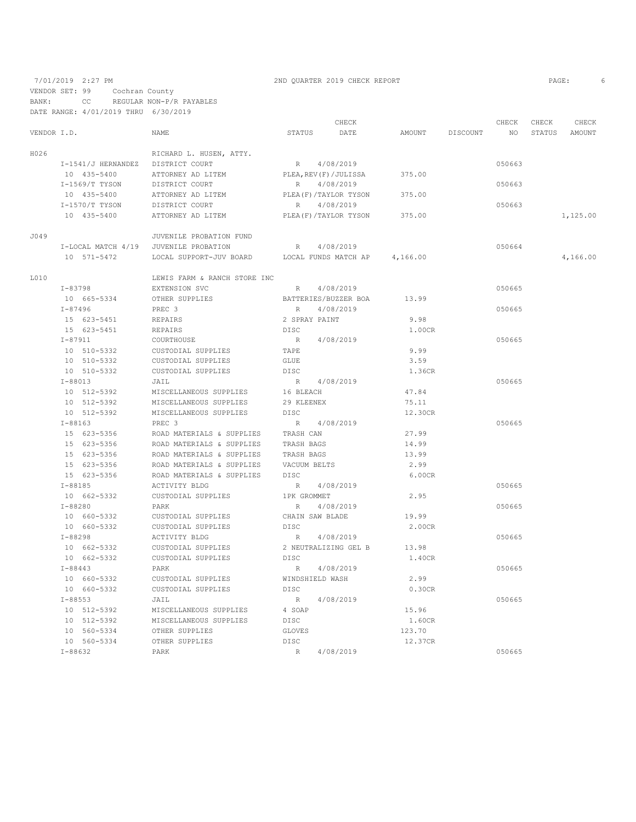7/01/2019 2:27 PM 2ND QUARTER 2019 CHECK REPORT PAGE: 6

VENDOR SET: 99 Cochran County BANK: CC REGULAR NON-P/R PAYABLES

DATE RANGE: 4/01/2019 THRU 6/30/2019

| STATUS<br>AMOUNT<br>1,125.00<br>4,166.00 |
|------------------------------------------|
|                                          |
|                                          |
|                                          |
|                                          |
|                                          |
|                                          |
|                                          |
|                                          |
|                                          |
|                                          |
|                                          |
|                                          |
|                                          |
|                                          |
|                                          |
|                                          |
|                                          |
|                                          |
|                                          |
|                                          |
|                                          |
|                                          |
|                                          |
|                                          |
|                                          |
|                                          |
|                                          |
|                                          |
|                                          |
|                                          |
|                                          |
|                                          |
|                                          |
|                                          |
|                                          |
|                                          |
|                                          |
|                                          |
|                                          |
|                                          |
|                                          |
|                                          |
|                                          |
|                                          |
|                                          |
|                                          |
|                                          |
|                                          |
|                                          |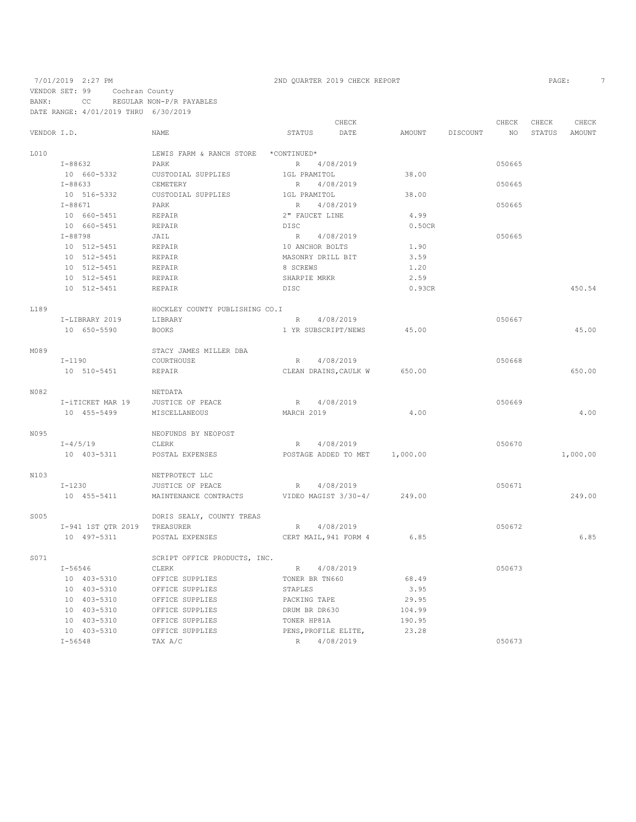# 7/01/2019 2:27 PM 2ND QUARTER 2019 CHECK REPORT

VENDOR SET: 99 Cochran County BANK: CC REGULAR NON-P/R PAYABLES

DATE RANGE: 4/01/2019 THRU 6/30/2019

|             |                              |                                                   |                       | CHECK                         |                 | CHECK           | CHECK         | CHECK    |
|-------------|------------------------------|---------------------------------------------------|-----------------------|-------------------------------|-----------------|-----------------|---------------|----------|
| VENDOR I.D. |                              | NAME                                              | STATUS                | DATE                          | AMOUNT DISCOUNT | NO <sub>1</sub> | STATUS AMOUNT |          |
| L010        |                              | LEWIS FARM & RANCH STORE *CONTINUED*              |                       |                               |                 |                 |               |          |
|             | I-88632                      | PARK                                              | R 4/08/2019           |                               |                 | 050665          |               |          |
|             | 10 660-5332                  | CUSTODIAL SUPPLIES                                | 1GL PRAMITOL          |                               | 38.00           |                 |               |          |
|             | $I - 88633$                  | CEMETERY                                          | R                     | 4/08/2019                     |                 | 050665          |               |          |
|             | 10 516-5332                  | CUSTODIAL SUPPLIES                                | 1GL PRAMITOL          |                               | 38.00           |                 |               |          |
|             | $I - 88671$                  | PARK                                              | R                     | 4/08/2019                     |                 | 050665          |               |          |
|             | 10 660-5451                  | REPAIR                                            | 2" FAUCET LINE        |                               | 4.99            |                 |               |          |
|             | 10 660-5451                  | REPAIR                                            | DISC                  |                               | 0.50CR          |                 |               |          |
|             | $I - 88798$                  | JAIL                                              | R 4/08/2019           |                               |                 | 050665          |               |          |
|             | 10 512-5451                  | REPAIR                                            | 10 ANCHOR BOLTS       |                               | 1.90            |                 |               |          |
|             | 10 512-5451                  | REPAIR                                            | MASONRY DRILL BIT     |                               | 3.59            |                 |               |          |
|             | 10 512-5451                  | REPAIR                                            | 8 SCREWS              |                               | 1,20            |                 |               |          |
|             | 10 512-5451                  | REPAIR                                            | SHARPIE MRKR          |                               | 2.59            |                 |               |          |
|             | 10 512-5451                  | REPAIR                                            | DISC                  |                               | 0.93CR          |                 |               | 450.54   |
| L189        |                              | HOCKLEY COUNTY PUBLISHING CO.I                    |                       |                               |                 |                 |               |          |
|             | I-LIBRARY 2019               | LIBRARY                                           |                       | R 4/08/2019                   |                 | 050667          |               |          |
|             | 10 650-5590                  | <b>BOOKS</b>                                      |                       | 1 YR SUBSCRIPT/NEWS           | 45.00           |                 |               | 45.00    |
| M089        |                              | STACY JAMES MILLER DBA                            |                       |                               |                 |                 |               |          |
|             | $I-1190$                     | COURTHOUSE                                        | R 4/08/2019           |                               |                 | 050668          |               |          |
|             | 10 510-5451                  | REPAIR                                            |                       | CLEAN DRAINS, CAULK W         | 650.00          |                 |               | 650.00   |
| N082        |                              | NETDATA                                           |                       |                               |                 |                 |               |          |
|             | I-iTICKET MAR 19             | JUSTICE OF PEACE                                  | R 4/08/2019           |                               |                 | 050669          |               |          |
|             | 10 455-5499                  | MISCELLANEOUS                                     | MARCH 2019            |                               | 4.00            |                 |               | 4.00     |
| N095        |                              | NEOFUNDS BY NEOPOST                               |                       |                               |                 |                 |               |          |
|             | $I - 4/5/19$                 | CLERK                                             | R 4/08/2019           |                               |                 | 050670          |               |          |
|             | 10 403-5311                  | POSTAL EXPENSES                                   |                       | POSTAGE ADDED TO MET 1,000.00 |                 |                 |               | 1,000.00 |
| N103        |                              | NETPROTECT LLC                                    |                       |                               |                 |                 |               |          |
|             | $I-1230$                     | JUSTICE OF PEACE                                  | R 4/08/2019           |                               |                 | 050671          |               |          |
|             | 10 455-5411                  | MAINTENANCE CONTRACTS VIDEO MAGIST 3/30-4/ 249.00 |                       |                               |                 |                 |               | 249.00   |
| S005        |                              | DORIS SEALY, COUNTY TREAS                         |                       |                               |                 |                 |               |          |
|             | I-941 1ST OTR 2019 TREASURER |                                                   | R 4/08/2019           |                               |                 | 050672          |               |          |
|             | 10 497-5311                  | POSTAL EXPENSES                                   | CERT MAIL, 941 FORM 4 |                               | 6.85            |                 |               | 6.85     |
| S071        |                              | SCRIPT OFFICE PRODUCTS, INC.                      |                       |                               |                 |                 |               |          |
|             | $I - 56546$                  | CLERK                                             | R 4/08/2019           |                               |                 | 050673          |               |          |
|             | 10 403-5310                  | OFFICE SUPPLIES                                   | TONER BR TN660        |                               | 68.49           |                 |               |          |
|             | 10 403-5310                  | OFFICE SUPPLIES                                   | STAPLES               |                               | 3.95            |                 |               |          |
|             | 10 403-5310                  | OFFICE SUPPLIES                                   | PACKING TAPE          |                               | 29.95           |                 |               |          |
|             | 10 403-5310                  | OFFICE SUPPLIES                                   | DRUM BR DR630         |                               | 104.99          |                 |               |          |
|             | 10 403-5310                  | OFFICE SUPPLIES                                   | TONER HP81A           |                               | 190.95          |                 |               |          |
|             | 10 403-5310                  | OFFICE SUPPLIES                                   | PENS, PROFILE ELITE,  |                               | 23.28           |                 |               |          |
|             | $I - 56548$                  | TAX A/C                                           | R 4/08/2019           |                               |                 | 050673          |               |          |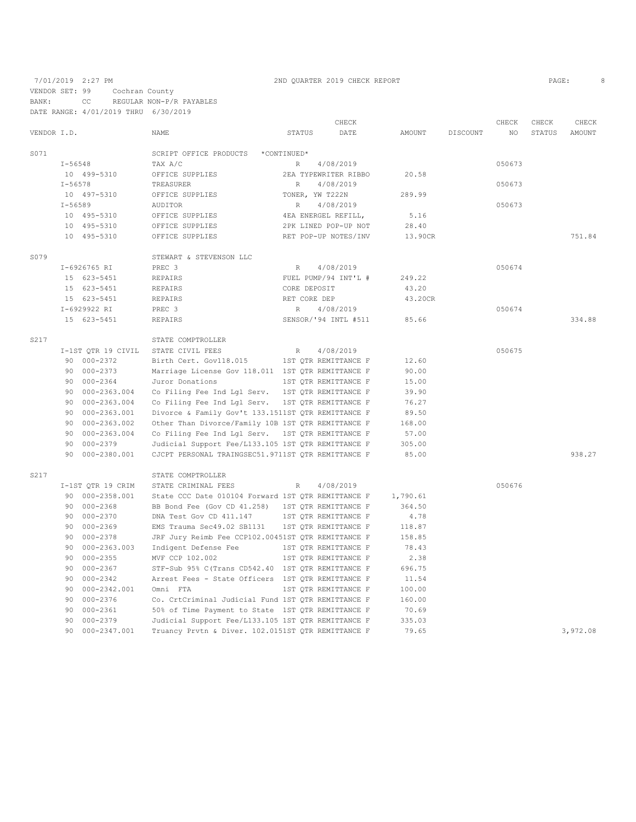7/01/2019 2:27 PM 2ND QUARTER 2019 CHECK REPORT

VENDOR SET: 99 Cochran County

BANK: CC REGULAR NON-P/R PAYABLES DATE RANGE: 4/01/2019 THRU 6/30/2019

|             |                    |                                                    |                      | CHECK                |          |          | CHECK       | CHECK  | CHECK    |
|-------------|--------------------|----------------------------------------------------|----------------------|----------------------|----------|----------|-------------|--------|----------|
| VENDOR I.D. |                    | NAME                                               | STATUS               | DATE                 | AMOUNT   | DISCOUNT | $_{\rm NO}$ | STATUS | AMOUNT   |
| S071        |                    | SCRIPT OFFICE PRODUCTS                             | *CONTINUED*          |                      |          |          |             |        |          |
|             | $I - 56548$        | TAX A/C                                            | R                    | 4/08/2019            |          |          | 050673      |        |          |
|             | 10 499-5310        | OFFICE SUPPLIES                                    | 2EA TYPEWRITER RIBBO |                      | 20.58    |          |             |        |          |
|             | $I - 56578$        | TREASURER                                          | R                    | 4/08/2019            |          |          | 050673      |        |          |
|             | 10 497-5310        | OFFICE SUPPLIES                                    | TONER, YW T222N      |                      | 289.99   |          |             |        |          |
|             | $I - 56589$        | AUDITOR                                            | R                    | 4/08/2019            |          |          | 050673      |        |          |
|             | 10 495-5310        | OFFICE SUPPLIES                                    | 4EA ENERGEL REFILL,  |                      | 5.16     |          |             |        |          |
|             | 10 495-5310        | OFFICE SUPPLIES                                    | 2PK LINED POP-UP NOT |                      | 28.40    |          |             |        |          |
|             | 10 495-5310        | OFFICE SUPPLIES                                    | RET POP-UP NOTES/INV |                      | 13.90CR  |          |             |        | 751.84   |
| S079        |                    | STEWART & STEVENSON LLC                            |                      |                      |          |          |             |        |          |
|             | I-6926765 RI       | PREC 3                                             | $R_{\rm}$            | 4/08/2019            |          |          | 050674      |        |          |
|             | 15 623-5451        | REPAIRS                                            | FUEL PUMP/94 INT'L # |                      | 249.22   |          |             |        |          |
|             | 15 623-5451        | REPAIRS                                            | CORE DEPOSIT         |                      | 43.20    |          |             |        |          |
|             | 15 623-5451        | REPAIRS                                            | RET CORE DEP         |                      | 43.20CR  |          |             |        |          |
|             | I-6929922 RI       | PREC 3                                             | $R_{\parallel}$      | 4/08/2019            |          |          | 050674      |        |          |
|             | 15 623-5451        | REPAIRS                                            |                      | SENSOR/'94 INTL #511 | 85.66    |          |             |        | 334.88   |
| S217        |                    | STATE COMPTROLLER                                  |                      |                      |          |          |             |        |          |
|             | I-1ST QTR 19 CIVIL | STATE CIVIL FEES                                   | $R_{\rm}$            | 4/08/2019            |          |          | 050675      |        |          |
|             | 90 000-2372        | Birth Cert. Gov118.015                             | 1ST QTR REMITTANCE F |                      | 12.60    |          |             |        |          |
|             | 90 000-2373        | Marriage License Gov 118.011 1ST QTR REMITTANCE F  |                      |                      | 90.00    |          |             |        |          |
|             | 90 000-2364        | Juror Donations                                    | 1ST QTR REMITTANCE F |                      | 15.00    |          |             |        |          |
|             | 90 000-2363.004    | Co Filing Fee Ind Lgl Serv. 1ST QTR REMITTANCE F   |                      |                      | 39.90    |          |             |        |          |
|             | 90 000-2363.004    | Co Filing Fee Ind Lgl Serv. 1ST QTR REMITTANCE F   |                      |                      | 76.27    |          |             |        |          |
|             | 90 000-2363.001    | Divorce & Family Gov't 133.1511ST QTR REMITTANCE F |                      |                      | 89.50    |          |             |        |          |
|             | 000-2363.002<br>90 | Other Than Divorce/Family 10B 1ST QTR REMITTANCE F |                      |                      | 168.00   |          |             |        |          |
|             | 000-2363.004<br>90 | Co Filing Fee Ind Lgl Serv. 1ST QTR REMITTANCE F   |                      |                      | 57.00    |          |             |        |          |
|             | 000-2379<br>90     | Judicial Support Fee/L133.105 1ST QTR REMITTANCE F |                      |                      | 305.00   |          |             |        |          |
|             | 90<br>000-2380.001 | CJCPT PERSONAL TRAINGSEC51.9711ST QTR REMITTANCE F |                      |                      | 85.00    |          |             |        | 938.27   |
| S217        |                    | STATE COMPTROLLER                                  |                      |                      |          |          |             |        |          |
|             | I-1ST QTR 19 CRIM  | STATE CRIMINAL FEES                                | $\mathbb R$          | 4/08/2019            |          |          | 050676      |        |          |
|             | 90 000-2358.001    | State CCC Date 010104 Forward 1ST QTR REMITTANCE F |                      |                      | 1,790.61 |          |             |        |          |
|             | 90 000-2368        | BB Bond Fee (Gov CD 41.258)                        | 1ST QTR REMITTANCE F |                      | 364.50   |          |             |        |          |
|             | 90 000-2370        | DNA Test Gov CD 411.147                            | 1ST QTR REMITTANCE F |                      | 4.78     |          |             |        |          |
|             | 000-2369<br>90     | EMS Trauma Sec49.02 SB1131                         | 1ST QTR REMITTANCE F |                      | 118.87   |          |             |        |          |
|             | 000-2378<br>90     | JRF Jury Reimb Fee CCP102.00451ST QTR REMITTANCE F |                      |                      | 158.85   |          |             |        |          |
|             | 90<br>000-2363.003 | Indigent Defense Fee                               | 1ST QTR REMITTANCE F |                      | 78.43    |          |             |        |          |
|             | 90<br>$000 - 2355$ | MVF CCP 102.002                                    | 1ST QTR REMITTANCE F |                      | 2.38     |          |             |        |          |
|             | 000-2367<br>90     | STF-Sub 95% C(Trans CD542.40 1ST QTR REMITTANCE F  |                      |                      | 696.75   |          |             |        |          |
|             | 90<br>000-2342     | Arrest Fees - State Officers 1ST QTR REMITTANCE F  |                      |                      | 11.54    |          |             |        |          |
|             | 90<br>000-2342.001 | Omni FTA                                           | 1ST QTR REMITTANCE F |                      | 100.00   |          |             |        |          |
|             | 90<br>000-2376     | Co. CrtCriminal Judicial Fund 1ST QTR REMITTANCE F |                      |                      | 160.00   |          |             |        |          |
|             | 90<br>$000 - 2361$ | 50% of Time Payment to State 1ST QTR REMITTANCE F  |                      |                      | 70.69    |          |             |        |          |
|             | 90<br>$000 - 2379$ | Judicial Support Fee/L133.105 1ST QTR REMITTANCE F |                      |                      | 335.03   |          |             |        |          |
|             | 90<br>000-2347.001 | Truancy Prvtn & Diver. 102.0151ST QTR REMITTANCE F |                      |                      | 79.65    |          |             |        | 3,972.08 |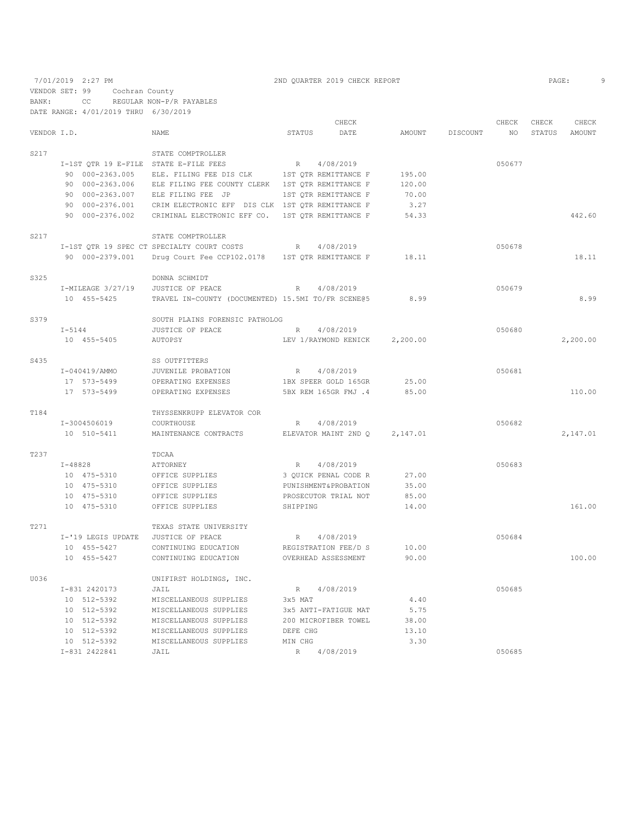7/01/2019 2:27 PM 2ND QUARTER 2019 CHECK REPORT VENDOR SET: 99 Cochran County BANK: CC REGULAR NON-P/R PAYABLES DATE RANGE: 4/01/2019 THRU 6/30/2019

| VENDOR I.D. |             |                                    | <b>NAME</b>                                                                     | STATUS    | CHECK<br>DATE          | AMOUNT        | DISCOUNT | CHECK<br>NO. | CHECK<br>STATUS | CHECK<br>AMOUNT |
|-------------|-------------|------------------------------------|---------------------------------------------------------------------------------|-----------|------------------------|---------------|----------|--------------|-----------------|-----------------|
|             |             |                                    |                                                                                 |           |                        |               |          |              |                 |                 |
| S217        |             |                                    | STATE COMPTROLLER                                                               | R         | 4/08/2019              |               |          | 050677       |                 |                 |
|             |             | 90 000-2363.005                    | I-1ST QTR 19 E-FILE STATE E-FILE FEES<br>ELE. FILING FEE DIS CLK                |           | 1ST QTR REMITTANCE F   | 195.00        |          |              |                 |                 |
|             |             |                                    |                                                                                 |           |                        |               |          |              |                 |                 |
|             |             | 90 000-2363.006                    | ELE FILING FEE COUNTY CLERK 1ST QTR REMITTANCE F                                |           |                        | 120.00        |          |              |                 |                 |
|             |             | 90 000-2363.007                    | ELE FILING FEE JP                                                               |           | 1ST QTR REMITTANCE F   | 70.00         |          |              |                 |                 |
|             |             | 90 000-2376.001<br>90 000-2376.002 | CRIM ELECTRONIC EFF DIS CLK 1ST QTR REMITTANCE F<br>CRIMINAL ELECTRONIC EFF CO. |           | 1ST QTR REMITTANCE F   | 3.27<br>54.33 |          |              |                 | 442.60          |
|             |             |                                    |                                                                                 |           |                        |               |          |              |                 |                 |
| S217        |             |                                    | STATE COMPTROLLER                                                               |           |                        |               |          |              |                 |                 |
|             |             |                                    | I-1ST QTR 19 SPEC CT SPECIALTY COURT COSTS                                      | R         | 4/08/2019              |               |          | 050678       |                 |                 |
|             |             | 90 000-2379.001                    | Drug Court Fee CCP102.0178 1ST QTR REMITTANCE F                                 |           |                        | 18.11         |          |              |                 | 18.11           |
| S325        |             |                                    | DONNA SCHMIDT                                                                   |           |                        |               |          |              |                 |                 |
|             |             | I-MILEAGE 3/27/19                  | JUSTICE OF PEACE                                                                | R         | 4/08/2019              |               |          | 050679       |                 |                 |
|             |             | 10 455-5425                        | TRAVEL IN-COUNTY (DOCUMENTED) 15.5MI TO/FR SCENE@5                              |           |                        | 8.99          |          |              |                 | 8.99            |
| S379        |             |                                    | SOUTH PLAINS FORENSIC PATHOLOG                                                  |           |                        |               |          |              |                 |                 |
|             | $I - 5144$  |                                    | JUSTICE OF PEACE                                                                | R         | 4/08/2019              |               |          | 050680       |                 |                 |
|             |             | 10 455-5405                        | AUTOPSY                                                                         |           | LEV 1/RAYMOND KENICK   | 2,200.00      |          |              |                 | 2,200.00        |
| S435        |             |                                    | SS OUTFITTERS                                                                   |           |                        |               |          |              |                 |                 |
|             |             | I-040419/AMMO                      | JUVENILE PROBATION                                                              | R         | 4/08/2019              |               |          | 050681       |                 |                 |
|             |             | 17 573-5499                        | OPERATING EXPENSES                                                              |           | 1BX SPEER GOLD 165GR   | 25.00         |          |              |                 |                 |
|             |             | 17 573-5499                        | OPERATING EXPENSES                                                              |           | 5BX REM 165GR FMJ .4   | 85.00         |          |              |                 | 110.00          |
| T184        |             |                                    | THYSSENKRUPP ELEVATOR COR                                                       |           |                        |               |          |              |                 |                 |
|             |             | I-3004506019                       | COURTHOUSE                                                                      | R         | 4/08/2019              |               |          | 050682       |                 |                 |
|             |             | 10 510-5411                        | MAINTENANCE CONTRACTS                                                           |           | ELEVATOR MAINT 2ND Q   | 2,147.01      |          |              |                 | 2,147.01        |
| T237        |             |                                    | TDCAA                                                                           |           |                        |               |          |              |                 |                 |
|             | $I - 48828$ |                                    | <b>ATTORNEY</b>                                                                 | $R_{\rm}$ | 4/08/2019              |               |          | 050683       |                 |                 |
|             |             | 10 475-5310                        | OFFICE SUPPLIES                                                                 |           | 3 QUICK PENAL CODE R   | 27.00         |          |              |                 |                 |
|             |             | 10 475-5310                        | OFFICE SUPPLIES                                                                 |           | PUNISHMENT & PROBATION | 35.00         |          |              |                 |                 |
|             |             | 10 475-5310                        | OFFICE SUPPLIES                                                                 |           | PROSECUTOR TRIAL NOT   | 85.00         |          |              |                 |                 |
|             |             | 10 475-5310                        | OFFICE SUPPLIES                                                                 | SHIPPING  |                        | 14.00         |          |              |                 | 161.00          |
| T271        |             |                                    | TEXAS STATE UNIVERSITY                                                          |           |                        |               |          |              |                 |                 |
|             |             | I-'19 LEGIS UPDATE                 | JUSTICE OF PEACE                                                                | R         | 4/08/2019              |               |          | 050684       |                 |                 |
|             |             | 10 455-5427                        | CONTINUING EDUCATION                                                            |           | REGISTRATION FEE/D S   | 10.00         |          |              |                 |                 |
|             |             | 10 455-5427                        | CONTINUING EDUCATION                                                            |           | OVERHEAD ASSESSMENT    | 90.00         |          |              |                 | 100.00          |
| U036        |             |                                    | UNIFIRST HOLDINGS, INC.                                                         |           |                        |               |          |              |                 |                 |
|             |             | I-831 2420173                      | JAIL                                                                            | R         | 4/08/2019              |               |          | 050685       |                 |                 |
|             |             | 10 512-5392                        | MISCELLANEOUS SUPPLIES                                                          | 3x5 MAT   |                        | 4.40          |          |              |                 |                 |
|             |             | 10 512-5392                        | MISCELLANEOUS SUPPLIES                                                          |           | 3x5 ANTI-FATIGUE MAT   | 5.75          |          |              |                 |                 |
|             |             | 10 512-5392                        | MISCELLANEOUS SUPPLIES                                                          |           | 200 MICROFIBER TOWEL   | 38.00         |          |              |                 |                 |
|             |             | 10 512-5392                        | MISCELLANEOUS SUPPLIES                                                          | DEFE CHG  |                        | 13.10         |          |              |                 |                 |
|             |             | 10 512-5392                        | MISCELLANEOUS SUPPLIES                                                          | MIN CHG   |                        | 3.30          |          |              |                 |                 |
|             |             |                                    |                                                                                 |           |                        |               |          |              |                 |                 |

I-831 2422841 JAIL R 4/08/2019 050685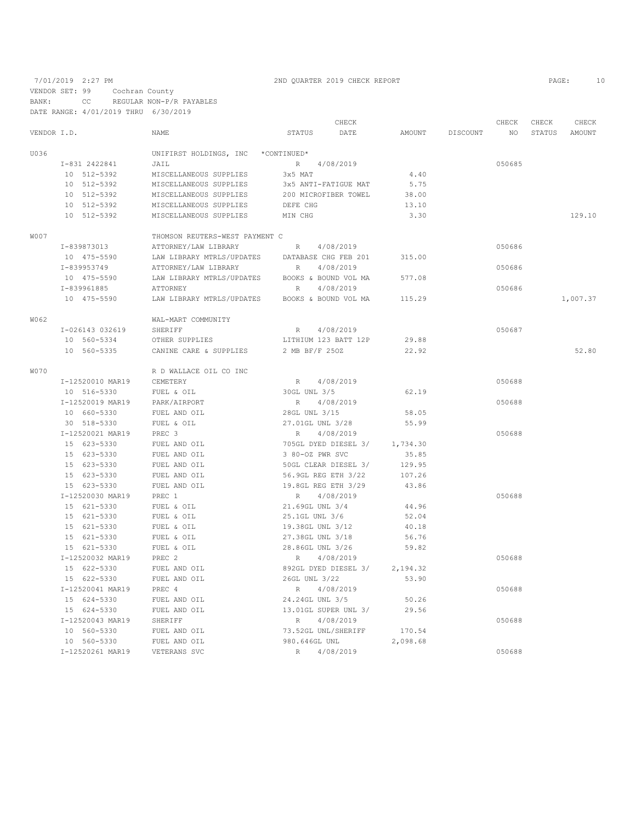# 7/01/2019 2:27 PM 2ND QUARTER 2019 CHECK REPORT PAGE: 10

VENDOR SET: 99 Cochran County

BANK: CC REGULAR NON-P/R PAYABLES

DATE RANGE: 4/01/2019 THRU 6/30/2019

|             |                  |                                |                      | CHECK     |               |          | CHECK  | CHECK  | CHECK    |
|-------------|------------------|--------------------------------|----------------------|-----------|---------------|----------|--------|--------|----------|
| VENDOR I.D. |                  | NAME                           | STATUS               | DATE      | <b>AMOUNT</b> | DISCOUNT | NO     | STATUS | AMOUNT   |
| U036        |                  | UNIFIRST HOLDINGS, INC         | *CONTINUED*          |           |               |          |        |        |          |
|             | I-831 2422841    | JAIL                           | R                    | 4/08/2019 |               |          | 050685 |        |          |
|             | 10 512-5392      | MISCELLANEOUS SUPPLIES         | 3x5 MAT              |           | 4.40          |          |        |        |          |
|             | 10 512-5392      | MISCELLANEOUS SUPPLIES         | 3x5 ANTI-FATIGUE MAT |           | 5.75          |          |        |        |          |
|             | 10 512-5392      | MISCELLANEOUS SUPPLIES         | 200 MICROFIBER TOWEL |           | 38.00         |          |        |        |          |
|             | 10 512-5392      | MISCELLANEOUS SUPPLIES         | DEFE CHG             |           | 13.10         |          |        |        |          |
|             | 10 512-5392      | MISCELLANEOUS SUPPLIES         | MIN CHG              |           | 3.30          |          |        |        | 129.10   |
| W007        |                  | THOMSON REUTERS-WEST PAYMENT C |                      |           |               |          |        |        |          |
|             | I-839873013      | ATTORNEY/LAW LIBRARY           | R                    | 4/08/2019 |               |          | 050686 |        |          |
|             | 10 475-5590      | LAW LIBRARY MTRLS/UPDATES      | DATABASE CHG FEB 201 |           | 315.00        |          |        |        |          |
|             | I-839953749      | ATTORNEY/LAW LIBRARY           | R                    | 4/08/2019 |               |          | 050686 |        |          |
|             | 10 475-5590      | LAW LIBRARY MTRLS/UPDATES      | BOOKS & BOUND VOL MA |           | 577.08        |          |        |        |          |
|             | I-839961885      | <b>ATTORNEY</b>                | R                    | 4/08/2019 |               |          | 050686 |        |          |
|             | 10 475-5590      | LAW LIBRARY MTRLS/UPDATES      | BOOKS & BOUND VOL MA |           | 115.29        |          |        |        | 1,007.37 |
| W062        |                  | WAL-MART COMMUNITY             |                      |           |               |          |        |        |          |
|             | I-026143 032619  | SHERIFF                        | R                    | 4/08/2019 |               |          | 050687 |        |          |
|             | 10 560-5334      | OTHER SUPPLIES                 | LITHIUM 123 BATT 12P |           | 29.88         |          |        |        |          |
|             | 10 560-5335      | CANINE CARE & SUPPLIES         | 2 MB BF/F 250Z       |           | 22.92         |          |        |        | 52.80    |
| W070        |                  | R D WALLACE OIL CO INC         |                      |           |               |          |        |        |          |
|             | I-12520010 MAR19 | CEMETERY                       | R 4/08/2019          |           |               |          | 050688 |        |          |
|             | 10 516-5330      | FUEL & OIL                     | 30GL UNL 3/5         |           | 62.19         |          |        |        |          |
|             | I-12520019 MAR19 | PARK/AIRPORT                   | R                    | 4/08/2019 |               |          | 050688 |        |          |
|             | 10 660-5330      | FUEL AND OIL                   | 28GL UNL 3/15        |           | 58.05         |          |        |        |          |
|             | 30 518-5330      | FUEL & OIL                     | 27.01GL UNL 3/28     |           | 55.99         |          |        |        |          |
|             | I-12520021 MAR19 | PREC 3                         | R                    | 4/08/2019 |               |          | 050688 |        |          |
|             | 15 623-5330      | FUEL AND OIL                   | 705GL DYED DIESEL 3/ |           | 1,734.30      |          |        |        |          |
|             | 15 623-5330      | FUEL AND OIL                   | 3 80-OZ PWR SVC      |           | 35.85         |          |        |        |          |
|             | 15 623-5330      | FUEL AND OIL                   | 50GL CLEAR DIESEL 3/ |           | 129.95        |          |        |        |          |
|             | 15 623-5330      | FUEL AND OIL                   | 56.9GL REG ETH 3/22  |           | 107.26        |          |        |        |          |
|             | 15 623-5330      | FUEL AND OIL                   | 19.8GL REG ETH 3/29  |           | 43.86         |          |        |        |          |
|             | I-12520030 MAR19 | PREC 1                         | R                    | 4/08/2019 |               |          | 050688 |        |          |
|             | 15 621-5330      | FUEL & OIL                     | 21.69GL UNL 3/4      |           | 44.96         |          |        |        |          |
|             | 15 621-5330      | FUEL & OIL                     | 25.1GL UNL 3/6       |           | 52.04         |          |        |        |          |
|             | 15 621-5330      | FUEL & OIL                     | 19.38GL UNL 3/12     |           | 40.18         |          |        |        |          |
|             | 15 621-5330      | FUEL & OIL                     | 27.38GL UNL 3/18     |           | 56.76         |          |        |        |          |
|             | 15 621-5330      | FUEL & OIL                     | 28.86GL UNL 3/26     |           | 59.82         |          |        |        |          |
|             | I-12520032 MAR19 | PREC <sub>2</sub>              | R                    | 4/08/2019 |               |          | 050688 |        |          |
|             | 15 622-5330      | FUEL AND OIL                   | 892GL DYED DIESEL 3/ |           | 2,194.32      |          |        |        |          |
|             | 15 622-5330      | FUEL AND OIL                   | 26GL UNL 3/22        |           | 53.90         |          |        |        |          |
|             | I-12520041 MAR19 | PREC 4                         | R                    | 4/08/2019 |               |          | 050688 |        |          |
|             | 15 624-5330      | FUEL AND OIL                   | 24.24GL UNL 3/5      |           | 50.26         |          |        |        |          |
|             | 15 624-5330      | FUEL AND OIL                   | 13.01GL SUPER UNL 3/ |           | 29.56         |          |        |        |          |
|             | I-12520043 MAR19 | SHERIFF                        | R                    | 4/08/2019 |               |          | 050688 |        |          |
|             | 10 560-5330      | FUEL AND OIL                   | 73.52GL UNL/SHERIFF  |           | 170.54        |          |        |        |          |
|             |                  |                                |                      |           |               |          |        |        |          |

10 560-5330 FUEL AND OIL 980.646GL UNL 2,098.68

I-12520261 MAR19 VETERANS SVC R 4/08/2019 050688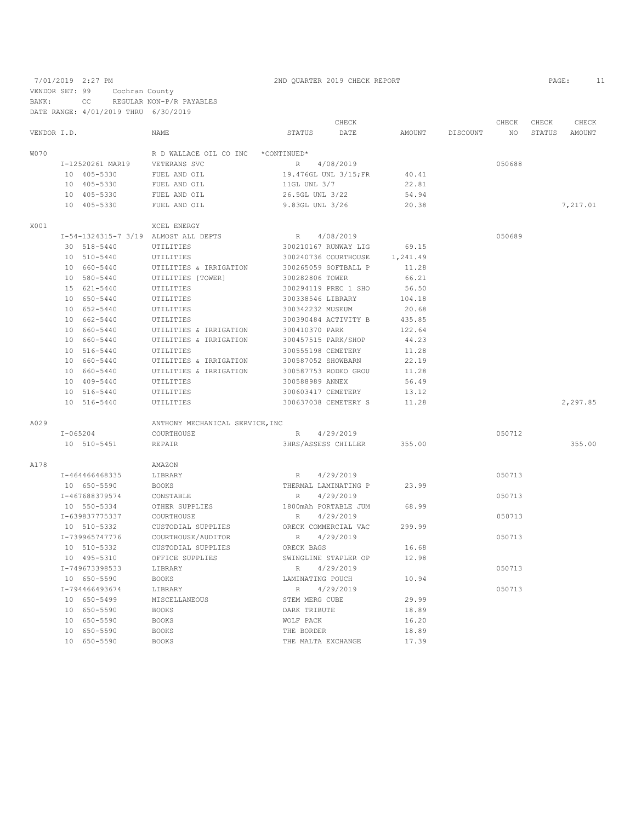7/01/2019 2:27 PM 2ND QUARTER 2019 CHECK REPORT PAGE: 11 VENDOR SET: 99 Cochran County BANK: CC REGULAR NON-P/R PAYABLES DATE RANGE: 4/01/2019 THRU 6/30/2019

|             |                                      |                                 | CHECK                      |          |          | CHECK  | CHECK  | CHECK    |
|-------------|--------------------------------------|---------------------------------|----------------------------|----------|----------|--------|--------|----------|
| VENDOR I.D. |                                      | <b>NAME</b>                     | <b>STATUS</b><br>DATE      | AMOUNT   | DISCOUNT | NO.    | STATUS | AMOUNT   |
| W070        |                                      | R D WALLACE OIL CO INC          | *CONTINUED*                |          |          |        |        |          |
|             | I-12520261 MAR19                     | VETERANS SVC                    | R 4/08/2019                |          |          | 050688 |        |          |
|             | 10 405-5330                          | FUEL AND OIL                    | 19.476GL UNL 3/15; FR      | 40.41    |          |        |        |          |
|             | 10 405-5330                          | FUEL AND OIL                    | 11GL UNL 3/7               | 22.81    |          |        |        |          |
|             | 10 405-5330                          | FUEL AND OIL                    | 26.5GL UNL 3/22            | 54.94    |          |        |        |          |
|             | 10 405-5330                          | FUEL AND OIL                    | 9.83GL UNL 3/26            | 20.38    |          |        |        | 7,217.01 |
| X001        |                                      | XCEL ENERGY                     |                            |          |          |        |        |          |
|             | I-54-1324315-7 3/19 ALMOST ALL DEPTS |                                 | 4/08/2019<br>R             |          |          | 050689 |        |          |
|             | 30 518-5440                          | UTILITIES                       | 300210167 RUNWAY LIG       | 69.15    |          |        |        |          |
|             | 10 510-5440                          | UTILITIES                       | 300240736 COURTHOUSE       | 1,241.49 |          |        |        |          |
|             | 10 660-5440                          | UTILITIES & IRRIGATION          | 300265059 SOFTBALL P       | 11.28    |          |        |        |          |
|             | 10 580-5440                          | UTILITIES [TOWER]               | 300282806 TOWER            | 66.21    |          |        |        |          |
|             | 15 621-5440                          | UTILITIES                       | 300294119 PREC 1 SHO       | 56.50    |          |        |        |          |
|             | 10 650-5440                          | UTILITIES                       | 300338546 LIBRARY          | 104.18   |          |        |        |          |
|             | 10 652-5440                          | UTILITIES                       | 300342232 MUSEUM           | 20.68    |          |        |        |          |
|             | 10 662-5440                          | UTILITIES                       | 300390484 ACTIVITY B       | 435.85   |          |        |        |          |
|             | 10 660-5440                          | UTILITIES & IRRIGATION          | 300410370 PARK             | 122.64   |          |        |        |          |
|             | 10 660-5440                          | UTILITIES & IRRIGATION          | 300457515 PARK/SHOP        | 44.23    |          |        |        |          |
|             | 10 516-5440                          | UTILITIES                       | 300555198 CEMETERY         | 11.28    |          |        |        |          |
|             | 10 660-5440                          | UTILITIES & IRRIGATION          | 300587052 SHOWBARN         | 22.19    |          |        |        |          |
|             | 10 660-5440                          | UTILITIES & IRRIGATION          | 300587753 RODEO GROU       | 11.28    |          |        |        |          |
|             | 10 409-5440                          | UTILITIES                       | 300588989 ANNEX            | 56.49    |          |        |        |          |
|             | 10 516-5440                          | UTILITIES                       | 300603417 CEMETERY         | 13.12    |          |        |        |          |
|             | 10 516-5440                          | UTILITIES                       | 300637038 CEMETERY S       | 11.28    |          |        |        | 2,297.85 |
| A029        |                                      | ANTHONY MECHANICAL SERVICE, INC |                            |          |          |        |        |          |
|             | $I - 065204$                         | COURTHOUSE                      | 4/29/2019<br>R             |          |          | 050712 |        |          |
|             | 10 510-5451                          | <b>REPAIR</b>                   | <b>3HRS/ASSESS CHILLER</b> | 355.00   |          |        |        | 355.00   |
| A178        |                                      | AMAZON                          |                            |          |          |        |        |          |
|             | I-464466468335                       | LIBRARY                         | 4/29/2019<br>R             |          |          | 050713 |        |          |
|             | 10 650-5590                          | <b>BOOKS</b>                    | THERMAL LAMINATING P       | 23.99    |          |        |        |          |
|             | I-467688379574                       | CONSTABLE                       | 4/29/2019<br>R             |          |          | 050713 |        |          |
|             | 10 550-5334                          | OTHER SUPPLIES                  | 1800mAh PORTABLE JUM       | 68.99    |          |        |        |          |
|             | I-639837775337                       | COURTHOUSE                      | 4/29/2019<br>R             |          |          | 050713 |        |          |
|             | 10 510-5332                          | CUSTODIAL SUPPLIES              | ORECK COMMERCIAL VAC       | 299.99   |          |        |        |          |
|             | I-739965747776                       | COURTHOUSE/AUDITOR              | 4/29/2019<br>R             |          |          | 050713 |        |          |
|             | 10 510-5332                          | CUSTODIAL SUPPLIES              | ORECK BAGS                 | 16.68    |          |        |        |          |
|             | 10 495-5310                          | OFFICE SUPPLIES                 | SWINGLINE STAPLER OP       | 12.98    |          |        |        |          |
|             | I-749673398533                       | LIBRARY                         | 4/29/2019<br>R             |          |          | 050713 |        |          |
|             | 10 650-5590                          | <b>BOOKS</b>                    | LAMINATING POUCH           | 10.94    |          |        |        |          |
|             | I-794466493674                       | LIBRARY                         | 4/29/2019<br>R             |          |          | 050713 |        |          |
|             | 10 650-5499                          | MISCELLANEOUS                   | STEM MERG CUBE             | 29.99    |          |        |        |          |
|             | 10 650-5590                          | <b>BOOKS</b>                    | DARK TRIBUTE               | 18.89    |          |        |        |          |
|             | 10 650-5590                          | <b>BOOKS</b>                    | WOLF PACK                  | 16.20    |          |        |        |          |
|             | 10 650-5590                          | <b>BOOKS</b>                    | THE BORDER                 | 18.89    |          |        |        |          |
|             |                                      |                                 |                            |          |          |        |        |          |

10 650-5590 BOOKS THE MALTA EXCHANGE 17.39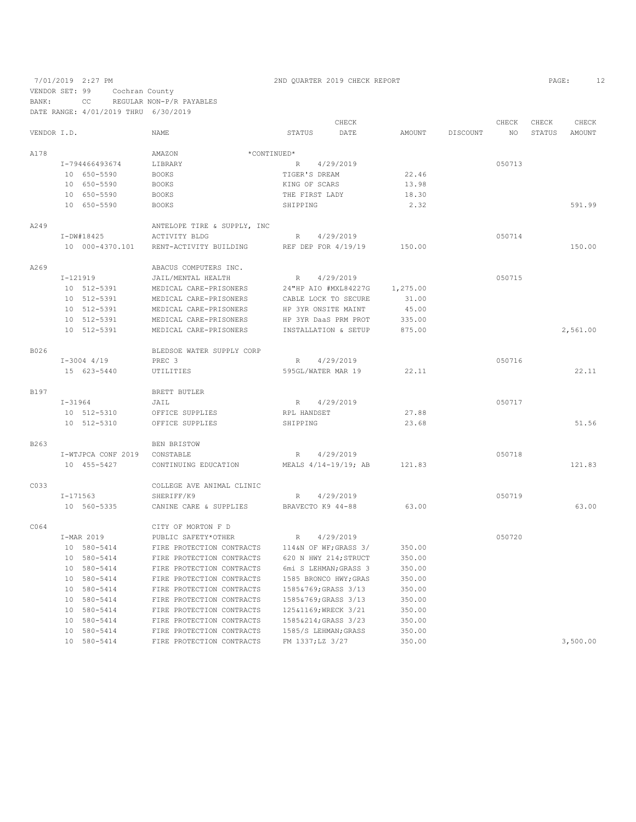7/01/2019 2:27 PM 2ND QUARTER 2019 CHECK REPORT PAGE: 12 VENDOR SET: 99 Cochran County

BANK: CC REGULAR NON-P/R PAYABLES

DATE RANGE: 4/01/2019 THRU 6/30/2019 CHECK CHECK CHECK CHECK CHECK CHECK CHECK CHECK CHECK CHECK CHECK CHECK CHECK CHECK CHECK CHECK CHECK CHECK CHECK CHECK CHECK CHECK CHECK CHECK CHECK CHECK CHECK CHECK CHECK CHECK CHECK SOLONE STATUS AMOUNT NAME STATUS DATE AMOUNT DISCOUNT  $\begin{array}{cccc}\texttt{AMAZON} & \begin{array}{c}\texttt{AMAZON} \\ \texttt{+CONTINUED*}\end{array}\end{array} & \begin{array}{cccc}\texttt{AMAZON} \\ \texttt{LIBRARY} \end{array} & \begin{array}{cccc}\texttt{+CONTINUED*} \\ \texttt{R} \end{array} \end{array}$ I-794466493674 LIBRARY R 4/29/2019 R 4/29/2019 22.46 050713 10 650-5590 BOOKS TIGER'S DREAM 22.46 10 650-5590 BOOKS KING OF SCARS 13.98 10 650-5590 BOOKS THE FIRST LADY 18.30<br>10 650-5590 BOOKS SHIPPING 2.32 10 650-5590 BOOKS SHIPPING 2.32 591.99 A249 ANTELOPE TIRE & SUPPLY, INC <br>I-DW#18425 ACTIVITY BLDG I-DW#18425 ACTIVITY BLDG R 4/29/2019 050714 10 000-4370.101 RENT-ACTIVITY BUILDING REF DEP FOR 4/19/19 150.00 150.00 A269 ABACUS COMPUTERS INC.<br>
I-121919 JAIL/MENTAL HEALTH I-121919 JAIL/MENTAL HEALTH R 4/29/2019 050715 10 512-5391 MEDICAL CARE-PRISONERS 24"HP AIO #MXL84227G 1,275.00 10 512-5391 MEDICAL CARE-PRISONERS CABLE LOCK TO SECURE 31.00 10 512-5391 MEDICAL CARE-PRISONERS HP 3YR ONSITE MAINT 45.00 10 512-5391 MEDICAL CARE-PRISONERS HP 3YR DaaS PRM PROT 335.00 10 512-5391 MEDICAL CARE-PRISONERS INSTALLATION & SETUP 875.00 2,561.00 B026 BLEDSOE WATER SUPPLY CORP I-3004 4/19 PREC 3 R 4/29/2019 050716 15 623.11 622.11 22.11 22.11 22.11 B197 BRETT BUTLER <br>I-31964 JAIL I-31964 JAIL JAIL R 4/29/2019<br>10 512-5310 OFFICE SUPPLIES RPL HANDSET 27.88 10 512-5310 OFFICE SUPPLIES RPL HANDSET 27.88<br>10 512-5310 OFFICE SUPPLIES SHIPPING 23.68 10 512-5310 OFFICE SUPPLIES SHIPPING 23.68 51.56 B263 BEN BRISTOW I-WTJPCA CONF 2019 CONSTABLE R 4/29/2019 050718 10 455-5427 CONTINUING EDUCATION MEALS 4/14-19/19; AB 121.83 121.83 C033 COLLEGE AVE ANIMAL CLINIC<br>I-171563 SHERIFF/K9 R 4/29/2019 63.00 050719 10 560-5335 CANINE CARE & SUPPLIES BRAVECTO K9 44-88 63.00 63.00 CO64 CITY OF MORTON F D<br>T-MAR 2019 PUBLIC SAFETY\*OTHER I-MAR 2019 PUBLIC SAFETY\*OTHER R 4/29/2019 050720 10 580-5414 FIRE PROTECTION CONTRACTS 114&N OF WF;GRASS 3/<br>10 580-5414 FIRE PROTECTION CONTRACTS 620 N HWY 214;STRUCT 10 580-5414 FIRE PROTECTION CONTRACTS 620 N HWY 214; STRUCT 350.00<br>10 580-5414 FIRE PROTECTION CONTRACTS 6mi S LEHMAN: GRASS 3 350.00 10 580-5414 FIRE PROTECTION CONTRACTS 6mi S LEHMAN; GRASS 3 350.00<br>10 580-5414 FIRE PROTECTION CONTRACTS 1585 BRONCO HWY; GRAS 350.00 10 580-5414 FIRE PROTECTION CONTRACTS 1585 BRONCO HWY;GRAS 10 580-5414 FIRE PROTECTION CONTRACTS 1585&769;GRASS 3/13 FIRE PROTECTION CONTRACTS 1585&769;GRASS 3/13 350.00<br>FIRE PROTECTION CONTRACTS 1585&769;GRASS 3/13 350.00 10 580-5414 FIRE PROTECTION CONTRACTS 1585&769;GRASS 3/13 350.00 10 580-5414 FIRE PROTECTION CONTRACTS 125&1169;WRECK 3/21 350.00 10 580-5414 FIRE PROTECTION CONTRACTS 1585&214;GRASS 3/23<br>10 580-5414 FIRE PROTECTION CONTRACTS 1585/S LEHMAN;GRASS 10 580-5414 FIRE PROTECTION CONTRACTS 1585/S LEHMAN; GRASS 350.00<br>10 580-5414 FIRE PROTECTION CONTRACTS FM 1337; LZ 3/27 350.00 FIRE PROTECTION CONTRACTS FM 1337;LZ 3/27 350.00 350.00 3,500.00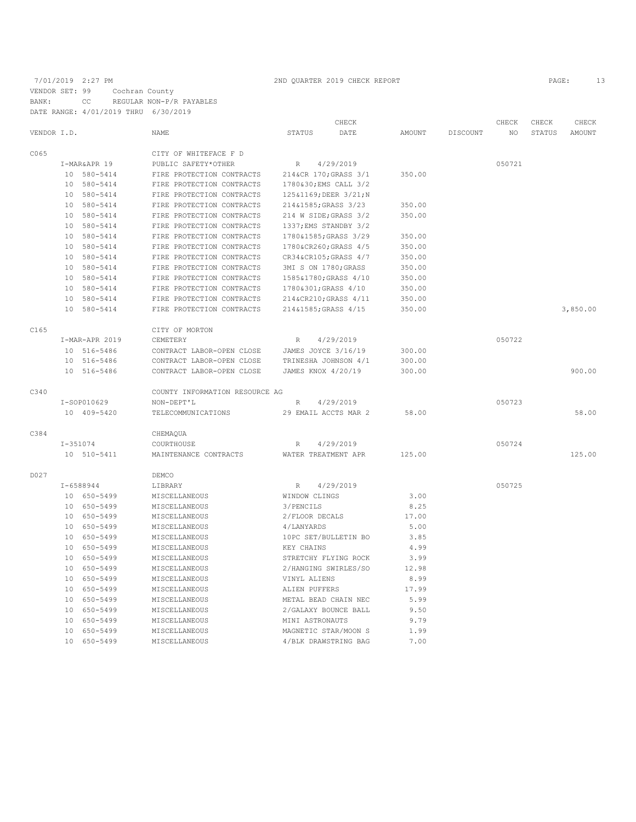7/01/2019 2:27 PM 2ND QUARTER 2019 CHECK REPORT 2019 CHECK REPORT VENDOR SET: 99 Cochran County BANK: CC REGULAR NON-P/R PAYABLES DATE RANGE: 4/01/2019 THRU 6/30/2019

|             |            |                |                                |                        | CHECK     |        |          | CHECK  | CHECK         | CHECK         |
|-------------|------------|----------------|--------------------------------|------------------------|-----------|--------|----------|--------|---------------|---------------|
| VENDOR I.D. |            |                | <b>NAME</b>                    | <b>STATUS</b>          | DATE      | AMOUNT | DISCOUNT | NO     | <b>STATUS</b> | <b>AMOUNT</b> |
| C065        |            |                | CITY OF WHITEFACE F D          |                        |           |        |          |        |               |               |
|             |            | I-MAR&APR 19   | PUBLIC SAFETY*OTHER            | R                      | 4/29/2019 |        |          | 050721 |               |               |
|             |            | 10 580-5414    | FIRE PROTECTION CONTRACTS      | 214&CR 170; GRASS 3/1  |           | 350.00 |          |        |               |               |
|             |            | 10 580-5414    | FIRE PROTECTION CONTRACTS      | 1780&30; EMS CALL 3/2  |           |        |          |        |               |               |
|             |            | 10 580-5414    | FIRE PROTECTION CONTRACTS      | 125&1169; DEER 3/21; N |           |        |          |        |               |               |
|             |            | 10 580-5414    | FIRE PROTECTION CONTRACTS      | 214&1585; GRASS 3/23   |           | 350.00 |          |        |               |               |
|             |            | 10 580-5414    | FIRE PROTECTION CONTRACTS      | 214 W SIDE; GRASS 3/2  |           | 350.00 |          |        |               |               |
|             |            | 10 580-5414    | FIRE PROTECTION CONTRACTS      | 1337; EMS STANDBY 3/2  |           |        |          |        |               |               |
|             |            | 10 580-5414    | FIRE PROTECTION CONTRACTS      | 1780&1585; GRASS 3/29  |           | 350.00 |          |        |               |               |
|             |            | 10 580-5414    | FIRE PROTECTION CONTRACTS      | 1780&CR260 GRASS 4/5   |           | 350.00 |          |        |               |               |
|             |            | 10 580-5414    | FIRE PROTECTION CONTRACTS      | CR34&CR105 GRASS 4/7   |           | 350.00 |          |        |               |               |
|             |            | 10 580-5414    | FIRE PROTECTION CONTRACTS      | 3MI S ON 1780; GRASS   |           | 350.00 |          |        |               |               |
|             |            | 10 580-5414    | FIRE PROTECTION CONTRACTS      | 1585&1780; GRASS 4/10  |           | 350.00 |          |        |               |               |
|             |            | 10 580-5414    | FIRE PROTECTION CONTRACTS      | 1780&301; GRASS 4/10   |           | 350.00 |          |        |               |               |
|             |            | 10 580-5414    | FIRE PROTECTION CONTRACTS      | 214&CR210 GRASS 4/11   |           | 350.00 |          |        |               |               |
|             |            | 10 580-5414    | FIRE PROTECTION CONTRACTS      | 214&1585; GRASS 4/15   |           | 350.00 |          |        |               | 3,850.00      |
| C165        |            |                | CITY OF MORTON                 |                        |           |        |          |        |               |               |
|             |            | I-MAR-APR 2019 | CEMETERY                       | $\mathbb R$            | 4/29/2019 |        |          | 050722 |               |               |
|             |            | 10 516-5486    | CONTRACT LABOR-OPEN CLOSE      | JAMES JOYCE 3/16/19    |           | 300.00 |          |        |               |               |
|             |            | 10 516-5486    | CONTRACT LABOR-OPEN CLOSE      | TRINESHA JOHNSON 4/1   |           | 300.00 |          |        |               |               |
|             |            | 10 516-5486    | CONTRACT LABOR-OPEN CLOSE      | JAMES KNOX 4/20/19     |           | 300.00 |          |        |               | 900.00        |
| C340        |            |                | COUNTY INFORMATION RESOURCE AG |                        |           |        |          |        |               |               |
|             |            | I-SOP010629    | NON-DEPT'L                     | R                      | 4/29/2019 |        |          | 050723 |               |               |
|             |            | 10 409-5420    | TELECOMMUNICATIONS             | 29 EMAIL ACCTS MAR 2   |           | 58.00  |          |        |               | 58.00         |
| C384        |            |                | CHEMAQUA                       |                        |           |        |          |        |               |               |
|             | $I-351074$ |                | COURTHOUSE                     | R                      | 4/29/2019 |        |          | 050724 |               |               |
|             |            | 10 510-5411    | MAINTENANCE CONTRACTS          | WATER TREATMENT APR    |           | 125.00 |          |        |               | 125.00        |
| D027        |            |                | DEMCO                          |                        |           |        |          |        |               |               |
|             |            | $I-6588944$    | LIBRARY                        | $R_{\perp}$            | 4/29/2019 |        |          | 050725 |               |               |
|             |            | 10 650-5499    | MISCELLANEOUS                  | WINDOW CLINGS          |           | 3.00   |          |        |               |               |
|             |            | 10 650-5499    | MISCELLANEOUS                  | 3/PENCILS              |           | 8.25   |          |        |               |               |
|             |            | 10 650-5499    | MISCELLANEOUS                  | 2/FLOOR DECALS         |           | 17.00  |          |        |               |               |
|             |            | 10 650-5499    | MISCELLANEOUS                  | 4/LANYARDS             |           | 5.00   |          |        |               |               |
|             |            | 10 650-5499    | MISCELLANEOUS                  | 10PC SET/BULLETIN BO   |           | 3.85   |          |        |               |               |
|             |            | 10 650-5499    | MISCELLANEOUS                  | KEY CHAINS             |           | 4.99   |          |        |               |               |
|             |            | 10 650-5499    | MISCELLANEOUS                  | STRETCHY FLYING ROCK   |           | 3.99   |          |        |               |               |
|             |            | 10 650-5499    | MISCELLANEOUS                  | 2/HANGING SWIRLES/SO   |           | 12.98  |          |        |               |               |
|             |            | 10 650-5499    | MISCELLANEOUS                  | VINYL ALIENS           |           | 8.99   |          |        |               |               |
|             |            | 10 650-5499    | MISCELLANEOUS                  | ALIEN PUFFERS          |           | 17.99  |          |        |               |               |
|             |            | 10 650-5499    | MISCELLANEOUS                  | METAL BEAD CHAIN NEC   |           | 5.99   |          |        |               |               |
|             |            | 10 650-5499    | MISCELLANEOUS                  | 2/GALAXY BOUNCE BALL   |           | 9.50   |          |        |               |               |
|             |            | 10 650-5499    | MISCELLANEOUS                  | MINI ASTRONAUTS        |           | 9.79   |          |        |               |               |
|             |            | 10 650-5499    | MISCELLANEOUS                  | MAGNETIC STAR/MOON S   |           | 1.99   |          |        |               |               |

10 650-5499 MISCELLANEOUS 4/BLK DRAWSTRING BAG 7.00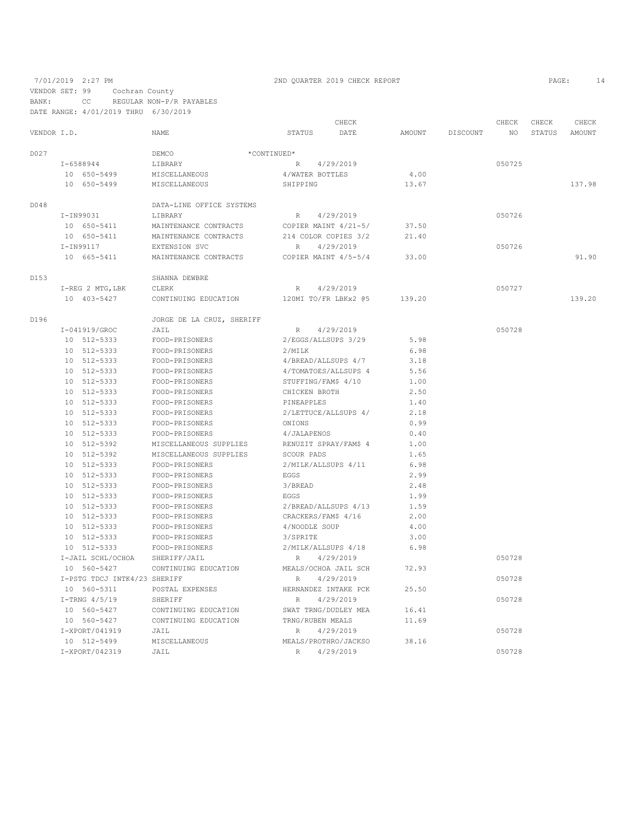VENDOR SET: 99 Cochran County

BANK: CC REGULAR NON-P/R PAYABLES

DATE RANGE: 4/01/2019 THRU 6/30/2019

|             |                              |                                                |                                              | CHECK     |        |          | CHECK  | CHECK  | CHECK  |
|-------------|------------------------------|------------------------------------------------|----------------------------------------------|-----------|--------|----------|--------|--------|--------|
| VENDOR I.D. |                              | NAME                                           | <b>STATUS</b>                                | DATE      | AMOUNT | DISCOUNT | NO.    | STATUS | AMOUNT |
| D027        |                              | DEMCO                                          | *CONTINUED*                                  |           |        |          |        |        |        |
|             | $I-6588944$                  | LIBRARY                                        | R                                            | 4/29/2019 |        |          | 050725 |        |        |
|             | 10 650-5499                  | MISCELLANEOUS                                  | 4/WATER BOTTLES                              |           | 4.00   |          |        |        |        |
|             | 10 650-5499                  | MISCELLANEOUS                                  | SHIPPING                                     |           | 13.67  |          |        |        | 137.98 |
|             |                              |                                                |                                              |           |        |          |        |        |        |
| D048        | I-IN99031                    | DATA-LINE OFFICE SYSTEMS                       |                                              | 4/29/2019 |        |          | 050726 |        |        |
|             |                              | LIBRARY                                        | R.                                           |           | 37.50  |          |        |        |        |
|             | 10 650-5411<br>10 650-5411   | MAINTENANCE CONTRACTS<br>MAINTENANCE CONTRACTS | COPIER MAINT 4/21-5/<br>214 COLOR COPIES 3/2 |           | 21.40  |          |        |        |        |
|             | I-IN99117                    | EXTENSION SVC                                  | R                                            | 4/29/2019 |        |          | 050726 |        |        |
|             | 10 665-5411                  | MAINTENANCE CONTRACTS                          | COPIER MAINT 4/5-5/4                         |           | 33.00  |          |        |        | 91.90  |
|             |                              |                                                |                                              |           |        |          |        |        |        |
| D153        |                              | SHANNA DEWBRE                                  |                                              |           |        |          |        |        |        |
|             | I-REG 2 MTG, LBK             | CLERK                                          | R                                            | 4/29/2019 |        |          | 050727 |        |        |
|             | 10 403-5427                  | CONTINUING EDUCATION                           | 120MI TO/FR LBKx2 @5                         |           | 139.20 |          |        |        | 139.20 |
| D196        |                              | JORGE DE LA CRUZ, SHERIFF                      |                                              |           |        |          |        |        |        |
|             | I-041919/GROC                | JAIL                                           | R                                            | 4/29/2019 |        |          | 050728 |        |        |
|             | 10 512-5333                  | FOOD-PRISONERS                                 | 2/EGGS/ALLSUPS 3/29                          |           | 5.98   |          |        |        |        |
|             | 10 512-5333                  | FOOD-PRISONERS                                 | 2/MILK                                       |           | 6.98   |          |        |        |        |
|             | 10 512-5333                  | FOOD-PRISONERS                                 | 4/BREAD/ALLSUPS 4/7                          |           | 3.18   |          |        |        |        |
|             | 10 512-5333                  | FOOD-PRISONERS                                 | 4/TOMATOES/ALLSUPS 4                         |           | 5.56   |          |        |        |        |
|             | 10 512-5333                  | FOOD-PRISONERS                                 | STUFFING/FAM\$ 4/10                          |           | 1.00   |          |        |        |        |
|             | 10 512-5333                  | FOOD-PRISONERS                                 | CHICKEN BROTH                                |           | 2.50   |          |        |        |        |
|             | 10 512-5333                  | FOOD-PRISONERS                                 | PINEAPPLES                                   |           | 1.40   |          |        |        |        |
|             | 10 512-5333                  | FOOD-PRISONERS                                 | 2/LETTUCE/ALLSUPS 4/                         |           | 2.18   |          |        |        |        |
|             | 10 512-5333                  | FOOD-PRISONERS                                 | ONIONS                                       |           | 0.99   |          |        |        |        |
|             | 10 512-5333                  | FOOD-PRISONERS                                 | 4/JALAPENOS                                  |           | 0.40   |          |        |        |        |
|             | 10 512-5392                  | MISCELLANEOUS SUPPLIES                         | RENUZIT SPRAY/FAM\$ 4                        |           | 1.00   |          |        |        |        |
|             | 10 512-5392                  | MISCELLANEOUS SUPPLIES                         | SCOUR PADS                                   |           | 1.65   |          |        |        |        |
|             | 10 512-5333                  | FOOD-PRISONERS                                 | 2/MILK/ALLSUPS 4/11                          |           | 6.98   |          |        |        |        |
|             | 10 512-5333                  | FOOD-PRISONERS                                 | EGGS                                         |           | 2.99   |          |        |        |        |
|             | 10 512-5333                  | FOOD-PRISONERS                                 | 3/BREAD                                      |           | 2.48   |          |        |        |        |
|             | 10 512-5333                  | FOOD-PRISONERS                                 | EGGS                                         |           | 1.99   |          |        |        |        |
|             | 10 512-5333                  | FOOD-PRISONERS                                 | 2/BREAD/ALLSUPS 4/13                         |           | 1.59   |          |        |        |        |
|             | 10 512-5333                  | FOOD-PRISONERS                                 | CRACKERS/FAM\$ 4/16                          |           | 2.00   |          |        |        |        |
|             | 10 512-5333                  | FOOD-PRISONERS                                 | 4/NOODLE SOUP                                |           | 4.00   |          |        |        |        |
|             | 10 512-5333                  | FOOD-PRISONERS                                 | 3/SPRITE                                     |           | 3.00   |          |        |        |        |
|             | 10 512-5333                  | FOOD-PRISONERS                                 | 2/MILK/ALLSUPS 4/18                          |           | 6.98   |          |        |        |        |
|             | I-JAIL SCHL/OCHOA            | SHERIFF/JAIL                                   | R                                            | 4/29/2019 |        |          | 050728 |        |        |
|             | 10 560-5427                  | CONTINUING EDUCATION                           | MEALS/OCHOA JAIL SCH                         |           | 72.93  |          |        |        |        |
|             | I-PSTG TDCJ INTK4/23 SHERIFF |                                                | R                                            | 4/29/2019 |        |          | 050728 |        |        |
|             | 10 560-5311                  | POSTAL EXPENSES                                | HERNANDEZ INTAKE PCK                         |           | 25.50  |          |        |        |        |
|             | $I-TRNG$ 4/5/19              | SHERIFF                                        | R                                            | 4/29/2019 |        |          | 050728 |        |        |
|             | 10 560-5427                  | CONTINUING EDUCATION                           | SWAT TRNG/DUDLEY MEA                         |           | 16.41  |          |        |        |        |
|             | 10 560-5427                  | CONTINUING EDUCATION                           | TRNG/RUBEN MEALS                             |           | 11.69  |          |        |        |        |
|             | I-XPORT/041919               | JAIL                                           | R                                            | 4/29/2019 |        |          | 050728 |        |        |
|             | 10 512-5499                  | MISCELLANEOUS                                  | MEALS/PROTHRO/JACKSO                         |           | 38.16  |          |        |        |        |
|             | I-XPORT/042319               | JAIL                                           | R                                            | 4/29/2019 |        |          | 050728 |        |        |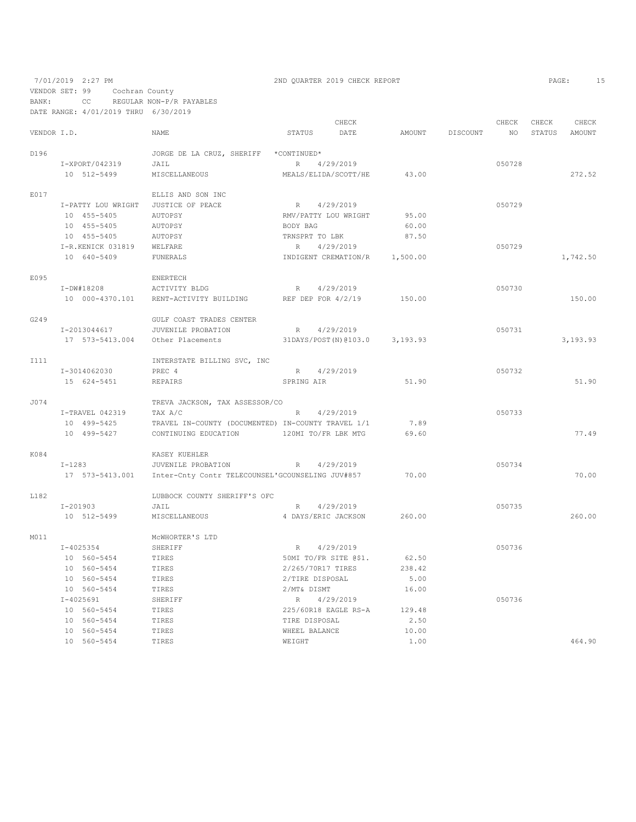7/01/2019 2:27 PM 2ND QUARTER 2019 CHECK REPORT PAGE: 15 VENDOR SET: 99 Cochran County BANK: CC REGULAR NON-P/R PAYABLES

DATE RANGE: 4/01/2019 THRU 6/30/2019 CHECK CHECK CHECK CHECK CHECK CHECK CHECK CHECK CHECK CHECK CHECK CHECK CHECK CHECK CHECK CHECK CHECK CHECK CHECK CHECK CHECK CHECK AMOUNT NO STATUS AMOUNT VENDOR I.D. NAME STATUS DATE AMOUNT DISCOUNT NO STATUS AMOUNT D196 JORGE DE LA CRUZ, SHERIFF \*CONTINUED\* I-XPORT/042319 JAIL R 4/29/2019 050728 10 512-5499 MISCELLANEOUS MEALS/ELIDA/SCOTT/HE 43.00 272.52 E017 ELLIS AND SON INC I-PATTY LOU WRIGHT JUSTICE OF PEACE  $R = 4/29/2019$  95.00 050729<br>10 455-5405 AUTOPSY 1.00 RMV/PATTY LOU WRIGHT 95.00 10 455-5405 AUTOPSY RMV/PATTY LOU WRIGHT 95.00 10 455-5405 AUTOPSY BODY BAG 60.00 10 455-5405 AUTOPSY TRNSPRT TO LBK 87.50 I-R.KENICK 031819 WELFARE R 4/29/2019<br>10 640–5409 FINERALS TNDIGENT CREMATION/R 1.500.00 10 640-5409 FUNERALS INDIGENT CREMATION/R 1,500.00 1,742.50 E095 ENERTECH<br>I-DW#18208 ACTIVITY BLDG I-DW#18208 ACTIVITY BLDG R 4/29/2019 050730 10 000-4370.101 RENT-ACTIVITY BUILDING REF DEP FOR 4/2/19 150.00 150.00 G249 GULF COAST TRADES CENTER<br>
I-2013044617 JUVENILE PROBATION JUVENILE PROBATION R 4/29/2019<br>
Other Placements 31DAYS/POST(N)@103.0 3,193.93 17 573-5413.004 Other Placements 31DAYS/POST(N)@103.0 3,193.93 3,193.93 INTERSTATE BILLING SVC, INC<br>
T-3014062030<br>
PREC 4 PREC 4 R 4/29/2019<br>
REPAIRS SPRING AIR 51.90 15 624-5451 REPAIRS SPRING AIR 51.90 51.90 J074 TREVA JACKSON, TAX ASSESSOR/CO I-TRAVEL 042319 TAX A/C R 4/29/2019 050733 10 499-5425 TRAVEL IN-COUNTY (DOCUMENTED) IN-COUNTY TRAVEL 1/1 7.89 10 499-5427 CONTINUING EDUCATION 120MI TO/FR LBK MTG 69.60 77.49 K084 KASEY KUEHLER I-1283 JUVENILE PROBATION R 4/29/2019 050734 17 573-5413.001 Inter-Cnty Contr TELECOUNSEL'GCOUNSELING JUV#857 70.00 70.00 L182 LUBBOCK COUNTY SHERIFF'S OFC I-201903 JAIL JAIL JANEOUS R 4/29/2019<br>10 512-5499 MISCELLANEOUS 4 DAYS/ERIC JACKSON 260.00 10 512-5499 MISCELLANEOUS 4 DAYS/ERIC JACKSON 260.00 260.00 MCWHORTER'S LTD<br>
I-4025354<br>
SHERIFF I-4025354 SHERIFF SHERIFF R 4/29/2019 R 5/0736 10 560-5454 TIRES 50MI TO/FR SITE @\$1. 62.50 10 560-5454 TIRES 2/265/70R17 TIRES 238.42 10 560-5454 TIRES 2/TIRE DISPOSAL 5.00 10 560-5454 TIRES 2/MT& DISMT 16.00 1-4025691 SHERIFF SHERIFF R 4/29/2019<br>10 560-5454 TIRES 225/60R18 EAGLE RS-A 129.48 10 560-5454 TIRES 225/60R18 EAGLE RS-A 129.48<br>10 560-5454 TIRES TIRES TIRE DISPOSAL 2.50 10 560-5454 TIRES TIRE DISPOSAL 2.50<br>10 560-5454 TIRES WHEEL BALANCE 10.00 10 560-5454 TIRES WHEEL BALANCE 10.00 10 560-5454 TIRES WEIGHT 1.00 1610-051464.90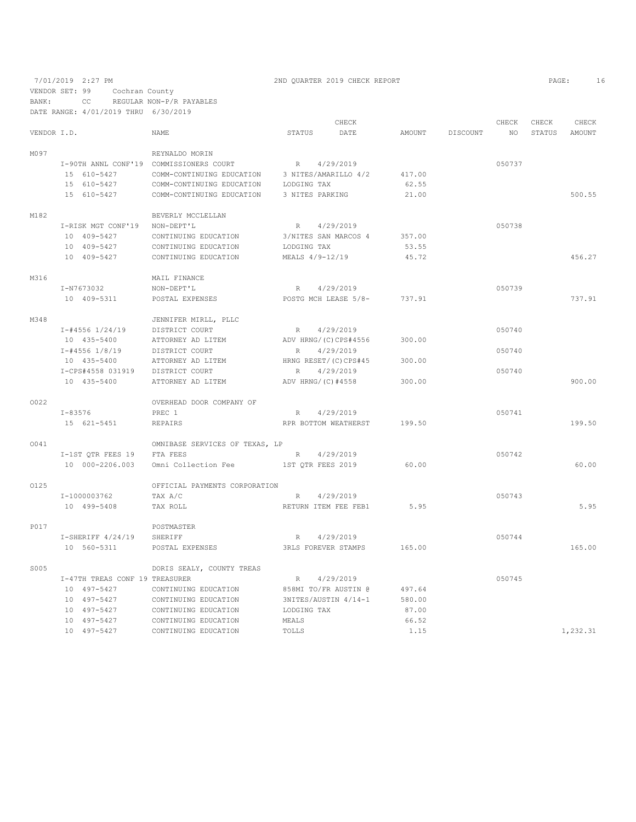# 7/01/2019 2:27 PM 2ND QUARTER 2019 CHECK REPORT 2019 CHECK REPORT

VENDOR SET: 99 Cochran County

BANK: CC REGULAR NON-P/R PAYABLES DATE RANGE: 4/01/2019 THRU 6/30/2019

|             |                                  |                                                                                                                                                                                                                                                                      |                      | CHECK                       |        |                 | CHECK           | CHECK  | CHECK    |
|-------------|----------------------------------|----------------------------------------------------------------------------------------------------------------------------------------------------------------------------------------------------------------------------------------------------------------------|----------------------|-----------------------------|--------|-----------------|-----------------|--------|----------|
| VENDOR I.D. |                                  | NAME                                                                                                                                                                                                                                                                 | STATUS               | DATE                        |        | AMOUNT DISCOUNT | NO <sub>1</sub> | STATUS | AMOUNT   |
| M097        |                                  | REYNALDO MORIN                                                                                                                                                                                                                                                       |                      |                             |        |                 |                 |        |          |
|             |                                  |                                                                                                                                                                                                                                                                      |                      |                             |        |                 | 050737          |        |          |
|             |                                  | $\begin{tabular}{lllllllllll} \texttt{I-90TH} & \texttt{ANNL} & \texttt{CONF19} & \texttt{COMMISSIONERS} & \texttt{COURT} & & & \texttt{R} & 4/29/2019 \\ & 15 & 610-5427 & \texttt{COMM-CONTINUING EDUCATION} & 3 & \texttt{NITES/AMARILLO} & 4/2 \\ \end{tabular}$ |                      |                             | 417.00 |                 |                 |        |          |
|             | 15 610-5427                      | COMM-CONTINUING EDUCATION LODGING TAX                                                                                                                                                                                                                                |                      |                             | 62.55  |                 |                 |        |          |
|             | 15 610-5427                      | COMM-CONTINUING EDUCATION                                                                                                                                                                                                                                            | 3 NITES PARKING      |                             | 21.00  |                 |                 |        | 500.55   |
| M182        |                                  | BEVERLY MCCLELLAN                                                                                                                                                                                                                                                    |                      |                             |        |                 |                 |        |          |
|             | I-RISK MGT CONF'19 NON-DEPT'L    |                                                                                                                                                                                                                                                                      | R 4/29/2019          |                             |        |                 | 050738          |        |          |
|             | 10 409-5427                      | CONTINUING EDUCATION                                                                                                                                                                                                                                                 | 3/NITES SAN MARCOS 4 |                             | 357.00 |                 |                 |        |          |
|             | 10 409-5427                      | CONTINUING EDUCATION                                                                                                                                                                                                                                                 | LODGING TAX          |                             | 53.55  |                 |                 |        |          |
|             | 10 409-5427                      | CONTINUING EDUCATION                                                                                                                                                                                                                                                 | MEALS 4/9-12/19      |                             | 45.72  |                 |                 |        | 456.27   |
|             |                                  |                                                                                                                                                                                                                                                                      |                      |                             |        |                 |                 |        |          |
| M316        |                                  | MAIL FINANCE                                                                                                                                                                                                                                                         |                      |                             |        |                 |                 |        |          |
|             | I-N7673032                       | NON-DEPT'L                                                                                                                                                                                                                                                           | R 4/29/2019          |                             |        |                 | 050739          |        |          |
|             | 10 409-5311                      | POSTAL EXPENSES                                                                                                                                                                                                                                                      |                      | POSTG MCH LEASE 5/8- 737.91 |        |                 |                 |        | 737.91   |
| M348        |                                  | JENNIFER MIRLL, PLLC                                                                                                                                                                                                                                                 |                      |                             |        |                 |                 |        |          |
|             | I-#4556 1/24/19                  | DISTRICT COURT                                                                                                                                                                                                                                                       | R 4/29/2019          |                             |        |                 | 050740          |        |          |
|             | 10 435-5400                      | ATTORNEY AD LITEM                                                                                                                                                                                                                                                    | ADV HRNG/(C)CPS#4556 |                             | 300.00 |                 |                 |        |          |
|             | I-#4556 1/8/19                   | DISTRICT COURT                                                                                                                                                                                                                                                       | R 4/29/2019          |                             |        |                 | 050740          |        |          |
|             | 10 435-5400                      | ATTORNEY AD LITEM                                                                                                                                                                                                                                                    |                      | HRNG RESET/(C)CPS#45        | 300.00 |                 |                 |        |          |
|             | I-CPS#4558 031919 DISTRICT COURT |                                                                                                                                                                                                                                                                      | R 4/29/2019          |                             |        |                 | 050740          |        |          |
|             | 10 435-5400                      | ATTORNEY AD LITEM                                                                                                                                                                                                                                                    | ADV HRNG/(C)#4558    |                             | 300.00 |                 |                 |        | 900.00   |
| 0022        |                                  | OVERHEAD DOOR COMPANY OF                                                                                                                                                                                                                                             |                      |                             |        |                 |                 |        |          |
|             | $I - 83576$                      | PREC 1                                                                                                                                                                                                                                                               | R 4/29/2019          |                             |        |                 | 050741          |        |          |
|             | 15 621-5451                      | REPAIRS                                                                                                                                                                                                                                                              |                      | RPR BOTTOM WEATHERST 199.50 |        |                 |                 |        | 199.50   |
| 0041        |                                  | OMNIBASE SERVICES OF TEXAS, LP                                                                                                                                                                                                                                       |                      |                             |        |                 |                 |        |          |
|             | I-1ST QTR FEES 19 FTA FEES       |                                                                                                                                                                                                                                                                      | R 4/29/2019          |                             |        |                 | 050742          |        |          |
|             |                                  | 10 000-2206.003 Omni Collection Fee 3T QTR FEES 2019                                                                                                                                                                                                                 |                      |                             | 60.00  |                 |                 |        | 60.00    |
|             |                                  |                                                                                                                                                                                                                                                                      |                      |                             |        |                 |                 |        |          |
| 0125        |                                  | OFFICIAL PAYMENTS CORPORATION                                                                                                                                                                                                                                        |                      |                             |        |                 |                 |        |          |
|             | I-1000003762                     | TAX A/C                                                                                                                                                                                                                                                              | R 4/29/2019          |                             |        |                 | 050743          |        |          |
|             | 10 499-5408                      | TAX ROLL                                                                                                                                                                                                                                                             |                      | RETURN ITEM FEE FEB1        | 5.95   |                 |                 |        | 5.95     |
| P017        |                                  | POSTMASTER                                                                                                                                                                                                                                                           |                      |                             |        |                 |                 |        |          |
|             | I-SHERIFF 4/24/19                | SHERIFF                                                                                                                                                                                                                                                              | R 4/29/2019          |                             |        |                 | 050744          |        |          |
|             | 10 560-5311                      | POSTAL EXPENSES                                                                                                                                                                                                                                                      | 3RLS FOREVER STAMPS  |                             | 165.00 |                 |                 |        | 165.00   |
| S005        |                                  | DORIS SEALY, COUNTY TREAS                                                                                                                                                                                                                                            |                      |                             |        |                 |                 |        |          |
|             | I-47TH TREAS CONF 19 TREASURER   |                                                                                                                                                                                                                                                                      | R 4/29/2019          |                             |        |                 | 050745          |        |          |
|             | 10 497-5427                      | CONTINUING EDUCATION                                                                                                                                                                                                                                                 | 858MI TO/FR AUSTIN @ |                             | 497.64 |                 |                 |        |          |
|             | 10 497-5427                      | CONTINUING EDUCATION                                                                                                                                                                                                                                                 | 3NITES/AUSTIN 4/14-1 |                             | 580.00 |                 |                 |        |          |
|             | 10 497-5427                      | CONTINUING EDUCATION                                                                                                                                                                                                                                                 | LODGING TAX          |                             | 87.00  |                 |                 |        |          |
|             | 10 497-5427                      | CONTINUING EDUCATION                                                                                                                                                                                                                                                 | MEALS                |                             | 66.52  |                 |                 |        |          |
|             | 10 497-5427                      | CONTINUING EDUCATION                                                                                                                                                                                                                                                 | TOLLS                |                             | 1.15   |                 |                 |        | 1,232.31 |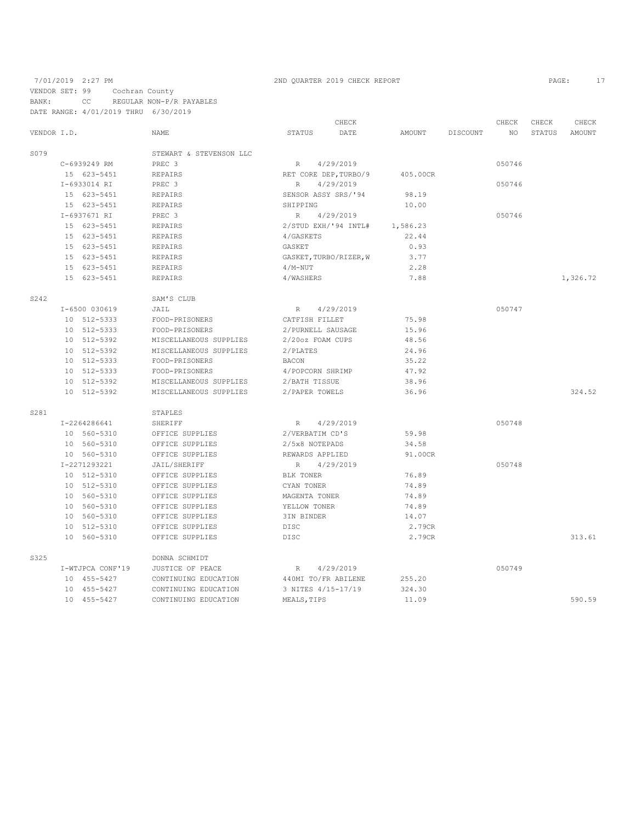### 7/01/2019 2:27 PM 2ND QUARTER 2019 CHECK REPORT 2019 CHECK REPORT VENDOR SET: 99 Cochran County BANK: CC REGULAR NON-P/R PAYABLES DATE RANGE: 4/01/2019 THRU 6/30/2019

|             |                  |                         |                     | CHECK                  |          |          | CHECK  | CHECK  | CHECK    |
|-------------|------------------|-------------------------|---------------------|------------------------|----------|----------|--------|--------|----------|
| VENDOR I.D. |                  | <b>NAME</b>             | STATUS              | DATE                   | AMOUNT   | DISCOUNT | NO.    | STATUS | AMOUNT   |
| S079        |                  | STEWART & STEVENSON LLC |                     |                        |          |          |        |        |          |
|             | C-6939249 RM     | PREC 3                  | R                   | 4/29/2019              |          |          | 050746 |        |          |
|             | 15 623-5451      | <b>REPAIRS</b>          |                     | RET CORE DEP, TURBO/9  | 405.00CR |          |        |        |          |
|             | I-6933014 RI     | PREC <sub>3</sub>       | R                   | 4/29/2019              |          |          | 050746 |        |          |
|             | 15 623-5451      | REPAIRS                 | SENSOR ASSY SRS/'94 |                        | 98.19    |          |        |        |          |
|             | 15 623-5451      | <b>REPAIRS</b>          | SHIPPING            |                        | 10.00    |          |        |        |          |
|             | I-6937671 RI     | PREC 3                  | R                   | 4/29/2019              |          |          | 050746 |        |          |
|             | 15 623-5451      | <b>REPAIRS</b>          |                     | 2/STUD EXH/'94 INTL#   | 1,586.23 |          |        |        |          |
|             | 15 623-5451      | REPAIRS                 | 4/GASKETS           |                        | 22.44    |          |        |        |          |
|             | 15 623-5451      | <b>REPAIRS</b>          | GASKET              |                        | 0.93     |          |        |        |          |
|             | 15 623-5451      | <b>REPAIRS</b>          |                     | GASKET, TURBO/RIZER, W | 3.77     |          |        |        |          |
|             | 15 623-5451      | REPAIRS                 | $4/M-NUT$           |                        | 2.28     |          |        |        |          |
|             | 15 623-5451      | <b>REPAIRS</b>          | 4/WASHERS           |                        | 7.88     |          |        |        | 1,326.72 |
| S242        |                  | SAM'S CLUB              |                     |                        |          |          |        |        |          |
|             | I-6500 030619    | JAIL                    | R                   | 4/29/2019              |          |          | 050747 |        |          |
|             | 10 512-5333      | FOOD-PRISONERS          | CATFISH FILLET      |                        | 75.98    |          |        |        |          |
|             | 10 512-5333      | FOOD-PRISONERS          | 2/PURNELL SAUSAGE   |                        | 15.96    |          |        |        |          |
|             | 10 512-5392      | MISCELLANEOUS SUPPLIES  | 2/20oz FOAM CUPS    |                        | 48.56    |          |        |        |          |
|             | 10 512-5392      | MISCELLANEOUS SUPPLIES  | 2/PLATES            |                        | 24.96    |          |        |        |          |
|             | 10 512-5333      | FOOD-PRISONERS          | <b>BACON</b>        |                        | 35.22    |          |        |        |          |
|             | 10 512-5333      | FOOD-PRISONERS          | 4/POPCORN SHRIMP    |                        | 47.92    |          |        |        |          |
|             | 10 512-5392      | MISCELLANEOUS SUPPLIES  | 2/BATH TISSUE       |                        | 38.96    |          |        |        |          |
|             | 10 512-5392      | MISCELLANEOUS SUPPLIES  | 2/PAPER TOWELS      |                        | 36.96    |          |        |        | 324.52   |
| S281        |                  | STAPLES                 |                     |                        |          |          |        |        |          |
|             | I-2264286641     | SHERIFF                 | R                   | 4/29/2019              |          |          | 050748 |        |          |
|             | 10 560-5310      | OFFICE SUPPLIES         | 2/VERBATIM CD'S     |                        | 59.98    |          |        |        |          |
|             | 10 560-5310      | OFFICE SUPPLIES         | 2/5x8 NOTEPADS      |                        | 34.58    |          |        |        |          |
|             | 10 560-5310      | OFFICE SUPPLIES         | REWARDS APPLIED     |                        | 91.00CR  |          |        |        |          |
|             | I-2271293221     | JAIL/SHERIFF            | $\mathbb R$         | 4/29/2019              |          |          | 050748 |        |          |
|             | 10 512-5310      | OFFICE SUPPLIES         | BLK TONER           |                        | 76.89    |          |        |        |          |
|             | 10 512-5310      | OFFICE SUPPLIES         | CYAN TONER          |                        | 74.89    |          |        |        |          |
|             | 10 560-5310      | OFFICE SUPPLIES         | MAGENTA TONER       |                        | 74.89    |          |        |        |          |
|             | 10 560-5310      | OFFICE SUPPLIES         | YELLOW TONER        |                        | 74.89    |          |        |        |          |
|             | 10 560-5310      | OFFICE SUPPLIES         | 3IN BINDER          |                        | 14.07    |          |        |        |          |
|             | 10 512-5310      | OFFICE SUPPLIES         | <b>DISC</b>         |                        | 2.79CR   |          |        |        |          |
|             | 10 560-5310      | OFFICE SUPPLIES         | <b>DISC</b>         |                        | 2.79CR   |          |        |        | 313.61   |
| S325        |                  | DONNA SCHMIDT           |                     |                        |          |          |        |        |          |
|             | I-WTJPCA CONF'19 | JUSTICE OF PEACE        | $\mathbb R$         | 4/29/2019              |          |          | 050749 |        |          |
|             | 10 455-5427      | CONTINUING EDUCATION    | 440MI TO/FR ABILENE |                        | 255.20   |          |        |        |          |
|             | 10 455-5427      | CONTINUING EDUCATION    | 3 NITES 4/15-17/19  |                        | 324.30   |          |        |        |          |
|             | 10 455-5427      | CONTINUING EDUCATION    | MEALS, TIPS         |                        | 11.09    |          |        |        | 590.59   |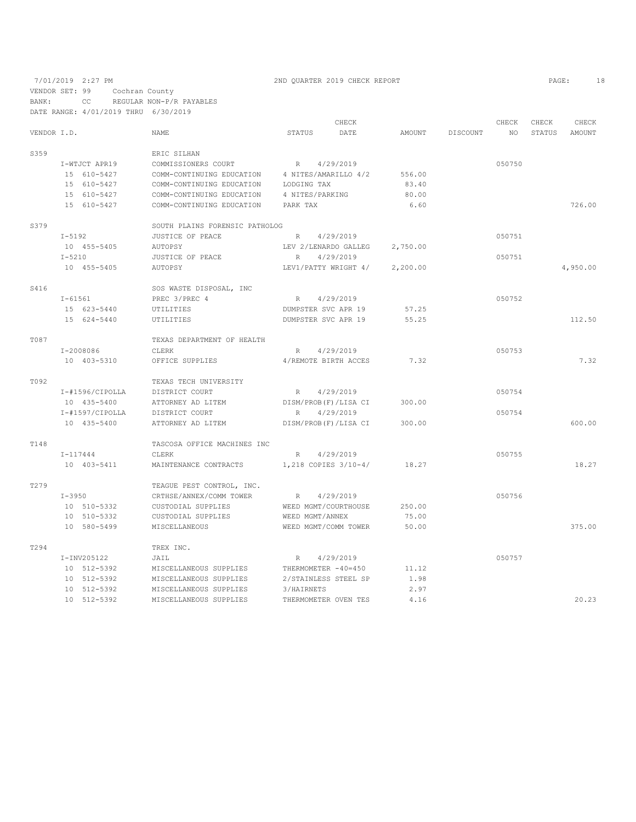## 7/01/2019 2:27 PM 2ND QUARTER 2019 CHECK REPORT PAGE: 18

VENDOR SET: 99 Cochran County

T294 TREX INC.

BANK: CC REGULAR NON-P/R PAYABLES DATE RANGE: 4/01/2019 THRU 6/30/2019

|                 |                             |        | CHECK                                      |                                                                                                                                                                                                                                                                                                                                                                                                                    |                                                                                                                            | CHECK  | CHECK       | CHECK    |
|-----------------|-----------------------------|--------|--------------------------------------------|--------------------------------------------------------------------------------------------------------------------------------------------------------------------------------------------------------------------------------------------------------------------------------------------------------------------------------------------------------------------------------------------------------------------|----------------------------------------------------------------------------------------------------------------------------|--------|-------------|----------|
| VENDOR I.D.     | NAME                        | STATUS |                                            | AMOUNT                                                                                                                                                                                                                                                                                                                                                                                                             |                                                                                                                            |        | STATUS      | AMOUNT   |
|                 | ERIC SILHAN                 |        |                                            |                                                                                                                                                                                                                                                                                                                                                                                                                    |                                                                                                                            |        |             |          |
| I-WTJCT APR19   | COMMISSIONERS COURT         |        |                                            |                                                                                                                                                                                                                                                                                                                                                                                                                    |                                                                                                                            | 050750 |             |          |
| 15 610-5427     |                             |        |                                            |                                                                                                                                                                                                                                                                                                                                                                                                                    |                                                                                                                            |        |             |          |
| 15 610-5427     | COMM-CONTINUING EDUCATION   |        |                                            | 83.40                                                                                                                                                                                                                                                                                                                                                                                                              |                                                                                                                            |        |             |          |
| 15 610-5427     | COMM-CONTINUING EDUCATION   |        |                                            | 80.00                                                                                                                                                                                                                                                                                                                                                                                                              |                                                                                                                            |        |             |          |
| 15 610-5427     | COMM-CONTINUING EDUCATION   |        |                                            | 6.60                                                                                                                                                                                                                                                                                                                                                                                                               |                                                                                                                            |        |             | 726.00   |
|                 |                             |        |                                            |                                                                                                                                                                                                                                                                                                                                                                                                                    |                                                                                                                            |        |             |          |
| I-5192          | JUSTICE OF PEACE            |        |                                            |                                                                                                                                                                                                                                                                                                                                                                                                                    |                                                                                                                            | 050751 |             |          |
| 10 455-5405     | AUTOPSY                     |        |                                            | 2,750.00                                                                                                                                                                                                                                                                                                                                                                                                           |                                                                                                                            |        |             |          |
| $I - 5210$      | JUSTICE OF PEACE            |        |                                            |                                                                                                                                                                                                                                                                                                                                                                                                                    |                                                                                                                            | 050751 |             |          |
| 10 455-5405     | AUTOPSY                     |        |                                            | 2,200.00                                                                                                                                                                                                                                                                                                                                                                                                           |                                                                                                                            |        |             | 4,950.00 |
|                 | SOS WASTE DISPOSAL, INC     |        |                                            |                                                                                                                                                                                                                                                                                                                                                                                                                    |                                                                                                                            |        |             |          |
| I-61561         | PREC 3/PREC 4               |        |                                            |                                                                                                                                                                                                                                                                                                                                                                                                                    |                                                                                                                            | 050752 |             |          |
| 15 623-5440     | UTILITIES                   |        |                                            | 57.25                                                                                                                                                                                                                                                                                                                                                                                                              |                                                                                                                            |        |             |          |
| 15 624-5440     | UTILITIES                   |        |                                            | 55.25                                                                                                                                                                                                                                                                                                                                                                                                              |                                                                                                                            |        |             | 112.50   |
|                 | TEXAS DEPARTMENT OF HEALTH  |        |                                            |                                                                                                                                                                                                                                                                                                                                                                                                                    |                                                                                                                            |        |             |          |
| I-2008086       | CLERK                       | R      |                                            |                                                                                                                                                                                                                                                                                                                                                                                                                    |                                                                                                                            | 050753 |             |          |
| 10 403-5310     | OFFICE SUPPLIES             |        |                                            | 7.32                                                                                                                                                                                                                                                                                                                                                                                                               |                                                                                                                            |        |             | 7.32     |
|                 | TEXAS TECH UNIVERSITY       |        |                                            |                                                                                                                                                                                                                                                                                                                                                                                                                    |                                                                                                                            |        |             |          |
| I-#1596/CIPOLLA | DISTRICT COURT              |        |                                            |                                                                                                                                                                                                                                                                                                                                                                                                                    |                                                                                                                            | 050754 |             |          |
| 10 435-5400     | ATTORNEY AD LITEM           |        |                                            | 300.00                                                                                                                                                                                                                                                                                                                                                                                                             |                                                                                                                            |        |             |          |
| I-#1597/CIPOLLA | DISTRICT COURT              | R      |                                            |                                                                                                                                                                                                                                                                                                                                                                                                                    |                                                                                                                            | 050754 |             |          |
| 10 435-5400     | ATTORNEY AD LITEM           |        |                                            | 300.00                                                                                                                                                                                                                                                                                                                                                                                                             |                                                                                                                            |        |             | 600.00   |
|                 | TASCOSA OFFICE MACHINES INC |        |                                            |                                                                                                                                                                                                                                                                                                                                                                                                                    |                                                                                                                            |        |             |          |
| $I - 117444$    | CLERK                       |        |                                            |                                                                                                                                                                                                                                                                                                                                                                                                                    |                                                                                                                            | 050755 |             |          |
| 10 403-5411     |                             |        |                                            |                                                                                                                                                                                                                                                                                                                                                                                                                    |                                                                                                                            |        |             | 18.27    |
|                 | TEAGUE PEST CONTROL, INC.   |        |                                            |                                                                                                                                                                                                                                                                                                                                                                                                                    |                                                                                                                            |        |             |          |
| $I-3950$        | CRTHSE/ANNEX/COMM TOWER     | R      |                                            |                                                                                                                                                                                                                                                                                                                                                                                                                    |                                                                                                                            | 050756 |             |          |
| 10 510-5332     | CUSTODIAL SUPPLIES          |        |                                            |                                                                                                                                                                                                                                                                                                                                                                                                                    |                                                                                                                            |        |             |          |
| 10 510-5332     | CUSTODIAL SUPPLIES          |        |                                            | 75.00                                                                                                                                                                                                                                                                                                                                                                                                              |                                                                                                                            |        |             |          |
| 10 580-5499     | MISCELLANEOUS               |        |                                            |                                                                                                                                                                                                                                                                                                                                                                                                                    |                                                                                                                            |        |             | 375.00   |
|                 |                             |        | PARK TAX<br>SOUTH PLAINS FORENSIC PATHOLOG | DATE<br>R 4/29/2019<br>COMM-CONTINUING EDUCATION 4 NITES/AMARILLO 4/2<br>LODGING TAX<br>4 NITES/PARKING<br>R 4/29/2019<br>LEV 2/LENARDO GALLEG<br>R 4/29/2019<br>R 4/29/2019<br>DUMPSTER SVC APR 19<br>DUMPSTER SVC APR 19<br>4/29/2019<br>4/REMOTE BIRTH ACCES<br>R 4/29/2019<br>DISM/PROB(F)/LISA CI<br>4/29/2019<br>DISM/PROB(F)/LISA CI<br>R 4/29/2019<br>4/29/2019<br>WEED MGMT/ANNEX<br>WEED MGMT/COMM TOWER | 556.00<br>LEV1/PATTY WRIGHT 4/<br>MAINTENANCE CONTRACTS 1,218 COPIES 3/10-4/ 18.27<br>WEED MGMT/COURTHOUSE 250.00<br>50.00 |        | DISCOUNT NO |          |

I-INV205122 JAIL R 4/29/2019 050757

10 512-5392 MISCELLANEOUS SUPPLIES THERMOMETER OVEN TES 4.16 20.23

 10 512-5392 MISCELLANEOUS SUPPLIES THERMOMETER -40=450 11.12 10 512-5392 MISCELLANEOUS SUPPLIES 2/STAINLESS STEEL SP 1.98 10 512-5392 MISCELLANEOUS SUPPLIES 3/HAIRNETS 2.97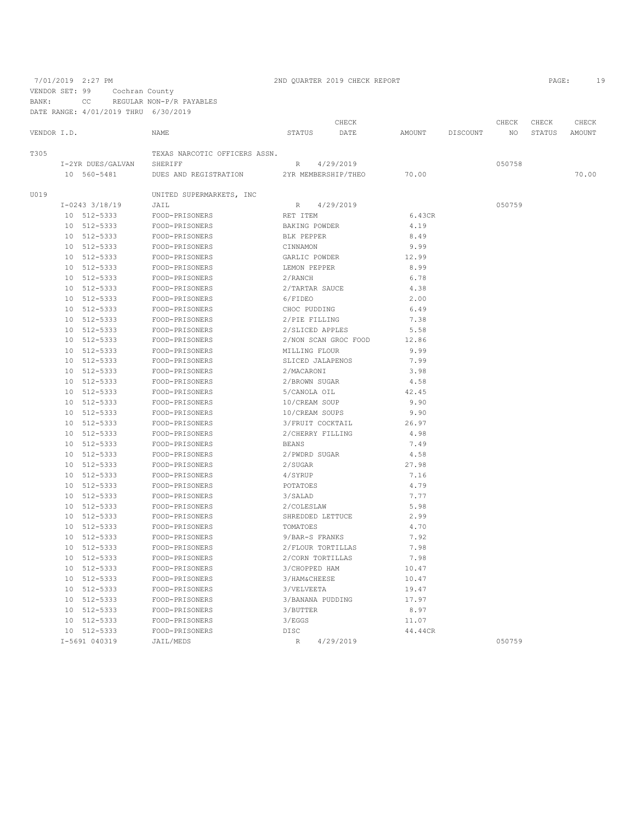VENDOR SET: 99 Cochran County

BANK: CC REGULAR NON-P/R PAYABLES

DATE RANGE: 4/01/2019 THRU 6/30/2019

|             |    |                    |                               |                     | CHECK                |         |          | CHECK  | CHECK  | CHECK  |
|-------------|----|--------------------|-------------------------------|---------------------|----------------------|---------|----------|--------|--------|--------|
| VENDOR I.D. |    |                    | <b>NAME</b>                   | <b>STATUS</b>       | DATE                 | AMOUNT  | DISCOUNT | NO.    | STATUS | AMOUNT |
| T305        |    |                    | TEXAS NARCOTIC OFFICERS ASSN. |                     |                      |         |          |        |        |        |
|             |    | I-2YR DUES/GALVAN  | SHERIFF                       | R                   | 4/29/2019            |         |          | 050758 |        |        |
|             |    | 10 560-5481        | DUES AND REGISTRATION         | 2YR MEMBERSHIP/THEO |                      | 70.00   |          |        |        | 70.00  |
| U019        |    |                    | UNITED SUPERMARKETS, INC      |                     |                      |         |          |        |        |        |
|             |    | $I-0243$ $3/18/19$ | JAIL                          | R                   | 4/29/2019            |         |          | 050759 |        |        |
|             |    | 10 512-5333        | FOOD-PRISONERS                | RET ITEM            |                      | 6.43CR  |          |        |        |        |
|             |    | 10 512-5333        | FOOD-PRISONERS                | BAKING POWDER       |                      | 4.19    |          |        |        |        |
|             |    | 10 512-5333        | FOOD-PRISONERS                | BLK PEPPER          |                      | 8.49    |          |        |        |        |
|             |    | 10 512-5333        | FOOD-PRISONERS                | CINNAMON            |                      | 9.99    |          |        |        |        |
|             |    | 10 512-5333        | FOOD-PRISONERS                | GARLIC POWDER       |                      | 12.99   |          |        |        |        |
|             | 10 | 512-5333           | FOOD-PRISONERS                | LEMON PEPPER        |                      | 8.99    |          |        |        |        |
|             |    | 10 512-5333        | FOOD-PRISONERS                | 2/RANCH             |                      | 6.78    |          |        |        |        |
|             | 10 | 512-5333           | FOOD-PRISONERS                | 2/TARTAR SAUCE      |                      | 4.38    |          |        |        |        |
|             | 10 | 512-5333           | FOOD-PRISONERS                | 6/FIDEO             |                      | 2.00    |          |        |        |        |
|             | 10 | 512-5333           | FOOD-PRISONERS                | CHOC PUDDING        |                      | 6.49    |          |        |        |        |
|             | 10 | 512-5333           | FOOD-PRISONERS                | 2/PIE FILLING       |                      | 7.38    |          |        |        |        |
|             | 10 | 512-5333           | FOOD-PRISONERS                | 2/SLICED APPLES     |                      | 5.58    |          |        |        |        |
|             | 10 | 512-5333           | FOOD-PRISONERS                |                     | 2/NON SCAN GROC FOOD | 12.86   |          |        |        |        |
|             | 10 | 512-5333           | FOOD-PRISONERS                | MILLING FLOUR       |                      | 9.99    |          |        |        |        |
|             | 10 | 512-5333           | FOOD-PRISONERS                | SLICED JALAPENOS    |                      | 7.99    |          |        |        |        |
|             | 10 | 512-5333           | FOOD-PRISONERS                | 2/MACARONI          |                      | 3.98    |          |        |        |        |
|             | 10 | 512-5333           | FOOD-PRISONERS                | 2/BROWN SUGAR       |                      | 4.58    |          |        |        |        |
|             |    | 10 512-5333        | FOOD-PRISONERS                | 5/CANOLA OIL        |                      | 42.45   |          |        |        |        |
|             |    | 10 512-5333        | FOOD-PRISONERS                | 10/CREAM SOUP       |                      | 9.90    |          |        |        |        |
|             |    | 10 512-5333        | FOOD-PRISONERS                | 10/CREAM SOUPS      |                      | 9.90    |          |        |        |        |
|             | 10 | 512-5333           | FOOD-PRISONERS                | 3/FRUIT COCKTAIL    |                      | 26.97   |          |        |        |        |
|             | 10 | 512-5333           | FOOD-PRISONERS                | 2/CHERRY FILLING    |                      | 4.98    |          |        |        |        |
|             | 10 | 512-5333           | FOOD-PRISONERS                | <b>BEANS</b>        |                      | 7.49    |          |        |        |        |
|             | 10 | 512-5333           | FOOD-PRISONERS                | 2/PWDRD SUGAR       |                      | 4.58    |          |        |        |        |
|             | 10 | 512-5333           | FOOD-PRISONERS                | 2/SUGAR             |                      | 27.98   |          |        |        |        |
|             | 10 | 512-5333           | FOOD-PRISONERS                | 4/SYRUP             |                      | 7.16    |          |        |        |        |
|             | 10 | 512-5333           | FOOD-PRISONERS                | POTATOES            |                      | 4.79    |          |        |        |        |
|             | 10 | 512-5333           | FOOD-PRISONERS                | 3/SALAD             |                      | 7.77    |          |        |        |        |
|             | 10 | 512-5333           | FOOD-PRISONERS                | 2/COLESLAW          |                      | 5.98    |          |        |        |        |
|             | 10 | 512-5333           | FOOD-PRISONERS                | SHREDDED LETTUCE    |                      | 2.99    |          |        |        |        |
|             |    | 10 512-5333        | FOOD-PRISONERS                | TOMATOES            |                      | 4.70    |          |        |        |        |
|             |    | 10 512-5333        | FOOD-PRISONERS                | 9/BAR-S FRANKS      |                      | 7.92    |          |        |        |        |
|             |    | 10 512-5333        | FOOD-PRISONERS                | 2/FLOUR TORTILLAS   |                      | 7.98    |          |        |        |        |
|             | 10 | 512-5333           | FOOD-PRISONERS                | 2/CORN TORTILLAS    |                      | 7.98    |          |        |        |        |
|             | 10 | 512-5333           | FOOD-PRISONERS                | 3/CHOPPED HAM       |                      | 10.47   |          |        |        |        |
|             | 10 | 512-5333           | FOOD-PRISONERS                | 3/HAM&CHEESE        |                      | 10.47   |          |        |        |        |
|             | 10 | 512-5333           | FOOD-PRISONERS                | 3/VELVEETA          |                      | 19.47   |          |        |        |        |
|             |    | 10 512-5333        | FOOD-PRISONERS                | 3/BANANA PUDDING    |                      | 17.97   |          |        |        |        |
|             | 10 | 512-5333           | FOOD-PRISONERS                | 3/BUTTER            |                      | 8.97    |          |        |        |        |
|             | 10 | 512-5333           | FOOD-PRISONERS                | 3/EGGS              |                      | 11.07   |          |        |        |        |
|             | 10 | 512-5333           | FOOD-PRISONERS                | DISC                |                      | 44.44CR |          |        |        |        |
|             |    | I-5691 040319      | JAIL/MEDS                     | $\mathbb R$         | 4/29/2019            |         |          | 050759 |        |        |
|             |    |                    |                               |                     |                      |         |          |        |        |        |

7/01/2019 2:27 PM 2ND QUARTER 2019 CHECK REPORT 2019 CHECK REPORT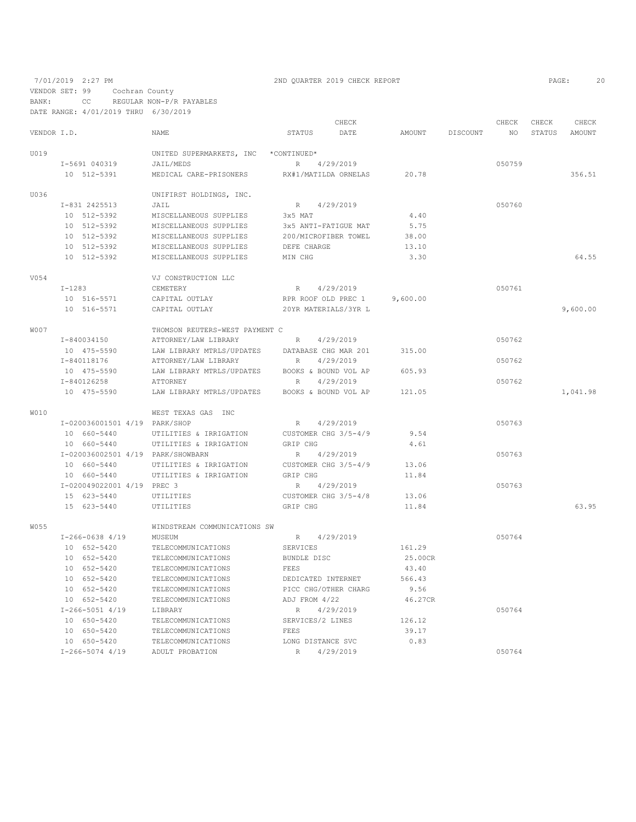7/01/2019 2:27 PM 2ND QUARTER 2019 CHECK REPORT 2019 2:27 PM

VENDOR SET: 99 Cochran County

BANK: CC REGULAR NON-P/R PAYABLES DATE RANGE: 4/01/2019 THRU 6/30/2019

|             |                                   |                                |                      | CHECK     |               |          | CHECK  | CHECK  | CHECK    |
|-------------|-----------------------------------|--------------------------------|----------------------|-----------|---------------|----------|--------|--------|----------|
| VENDOR I.D. |                                   | <b>NAME</b>                    | <b>STATUS</b>        | DATE      | <b>AMOUNT</b> | DISCOUNT | NO.    | STATUS | AMOUNT   |
| U019        |                                   | UNITED SUPERMARKETS, INC       | *CONTINUED*          |           |               |          |        |        |          |
|             | I-5691 040319                     | JAIL/MEDS                      | $R_{\perp}$          | 4/29/2019 |               |          | 050759 |        |          |
|             | 10 512-5391                       | MEDICAL CARE-PRISONERS         | RX#1/MATILDA ORNELAS |           | 20.78         |          |        |        | 356.51   |
| U036        |                                   | UNIFIRST HOLDINGS, INC.        |                      |           |               |          |        |        |          |
|             | I-831 2425513                     | JAIL                           | R                    | 4/29/2019 |               |          | 050760 |        |          |
|             | 10 512-5392                       | MISCELLANEOUS SUPPLIES         | 3x5 MAT              |           | 4.40          |          |        |        |          |
|             | 10 512-5392                       | MISCELLANEOUS SUPPLIES         | 3x5 ANTI-FATIGUE MAT |           | 5.75          |          |        |        |          |
|             | 10 512-5392                       | MISCELLANEOUS SUPPLIES         | 200/MICROFIBER TOWEL |           | 38.00         |          |        |        |          |
|             | 10 512-5392                       | MISCELLANEOUS SUPPLIES         | DEFE CHARGE          |           | 13.10         |          |        |        |          |
|             | 10 512-5392                       | MISCELLANEOUS SUPPLIES         | MIN CHG              |           | 3.30          |          |        |        | 64.55    |
| V054        |                                   | VJ CONSTRUCTION LLC            |                      |           |               |          |        |        |          |
|             | $I-1283$                          | CEMETERY                       | R                    | 4/29/2019 |               |          | 050761 |        |          |
|             | 10 516-5571                       | CAPITAL OUTLAY                 | RPR ROOF OLD PREC 1  |           | 9,600.00      |          |        |        |          |
|             | 10 516-5571                       | CAPITAL OUTLAY                 | 20YR MATERIALS/3YR L |           |               |          |        |        | 9,600.00 |
| <b>W007</b> |                                   | THOMSON REUTERS-WEST PAYMENT C |                      |           |               |          |        |        |          |
|             | I-840034150                       | ATTORNEY/LAW LIBRARY           | R                    | 4/29/2019 |               |          | 050762 |        |          |
|             | 10 475-5590                       | LAW LIBRARY MTRLS/UPDATES      | DATABASE CHG MAR 201 |           | 315.00        |          |        |        |          |
|             | I-840118176                       | ATTORNEY/LAW LIBRARY           | $R_{\odot}$          | 4/29/2019 |               |          | 050762 |        |          |
|             | 10 475-5590                       | LAW LIBRARY MTRLS/UPDATES      | BOOKS & BOUND VOL AP |           | 605.93        |          |        |        |          |
|             | I-840126258                       | ATTORNEY                       | R                    | 4/29/2019 |               |          | 050762 |        |          |
|             | 10 475-5590                       | LAW LIBRARY MTRLS/UPDATES      | BOOKS & BOUND VOL AP |           | 121.05        |          |        |        | 1,041.98 |
| <b>WO10</b> |                                   | WEST TEXAS GAS INC             |                      |           |               |          |        |        |          |
|             | I-020036001501 4/19 PARK/SHOP     |                                | R                    | 4/29/2019 |               |          | 050763 |        |          |
|             | 10 660-5440                       | UTILITIES & IRRIGATION         | CUSTOMER CHG 3/5-4/9 |           | 9.54          |          |        |        |          |
|             | 10 660-5440                       | UTILITIES & IRRIGATION         | GRIP CHG             |           | 4.61          |          |        |        |          |
|             | I-020036002501 4/19 PARK/SHOWBARN |                                | R                    | 4/29/2019 |               |          | 050763 |        |          |
|             | 10 660-5440                       | UTILITIES & IRRIGATION         | CUSTOMER CHG 3/5-4/9 |           | 13.06         |          |        |        |          |
|             | 10 660-5440                       | UTILITIES & IRRIGATION         | GRIP CHG             |           | 11.84         |          |        |        |          |
|             | I-020049022001 4/19 PREC 3        |                                | R                    | 4/29/2019 |               |          | 050763 |        |          |
|             | 15 623-5440                       | UTILITIES                      | CUSTOMER CHG 3/5-4/8 |           | 13.06         |          |        |        |          |
|             | 15 623-5440                       | UTILITIES                      | GRIP CHG             |           | 11.84         |          |        |        | 63.95    |
| W055        |                                   | WINDSTREAM COMMUNICATIONS SW   |                      |           |               |          |        |        |          |
|             | $I-266-0638$ 4/19                 | MUSEUM                         | $R_{\perp}$          | 4/29/2019 |               |          | 050764 |        |          |
|             | 10 652-5420                       | TELECOMMUNICATIONS             | SERVICES             |           | 161.29        |          |        |        |          |
|             | 10 652-5420                       | TELECOMMUNICATIONS             | BUNDLE DISC          |           | 25.00CR       |          |        |        |          |
|             | 10 652-5420                       | TELECOMMUNICATIONS             | FEES                 |           | 43.40         |          |        |        |          |
|             | 10 652-5420                       | TELECOMMUNICATIONS             | DEDICATED INTERNET   |           | 566.43        |          |        |        |          |
|             | 10 652-5420                       | TELECOMMUNICATIONS             | PICC CHG/OTHER CHARG |           | 9.56          |          |        |        |          |
|             | 10 652-5420                       | TELECOMMUNICATIONS             | ADJ FROM 4/22        |           | 46.27CR       |          |        |        |          |
|             | $I-266-5051$ 4/19                 | LIBRARY                        | R                    | 4/29/2019 |               |          | 050764 |        |          |
|             | 10 650-5420                       | TELECOMMUNICATIONS             | SERVICES/2 LINES     |           | 126.12        |          |        |        |          |
|             | 10 650-5420                       | TELECOMMUNICATIONS             | FEES                 |           | 39.17         |          |        |        |          |
|             | 10 650-5420                       | TELECOMMUNICATIONS             | LONG DISTANCE SVC    |           | 0.83          |          | 050764 |        |          |
|             | $I-266-5074$ 4/19                 | ADULT PROBATION                | R                    | 4/29/2019 |               |          |        |        |          |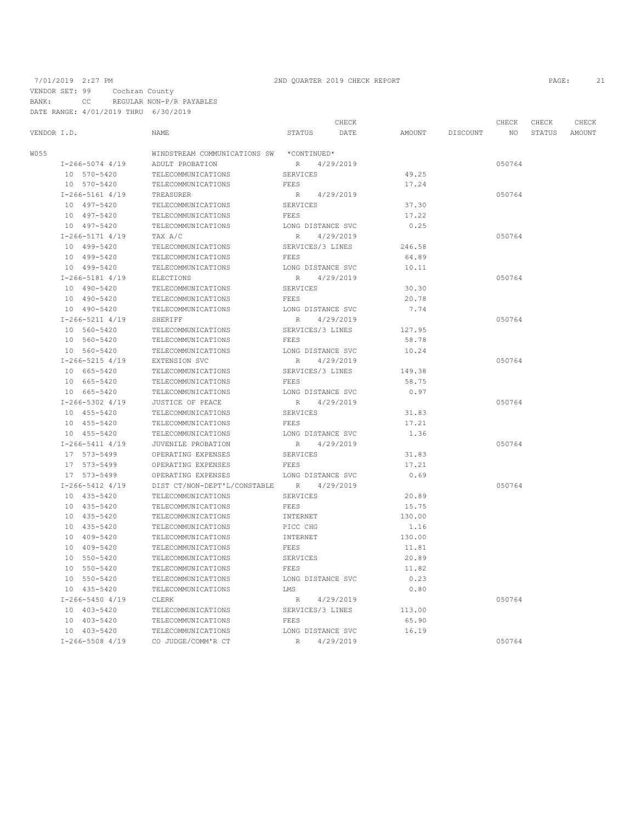VENDOR SET: 99 Cochran County

BANK: CC REGULAR NON-P/R PAYABLES DATE RANGE: 4/01/2019 THRU 6/30/2019

# 7/01/2019 2:27 PM 2ND QUARTER 2019 CHECK REPORT PAGE: 21

| DAID NANGE. B/VI/ZVIJ INNU |                              |                              |        |          |             |                 |                 |
|----------------------------|------------------------------|------------------------------|--------|----------|-------------|-----------------|-----------------|
| VENDOR I.D.                | NAME                         | CHECK<br>STATUS<br>DATE      | AMOUNT | DISCOUNT | CHECK<br>NO | CHECK<br>STATUS | CHECK<br>AMOUNT |
|                            |                              |                              |        |          |             |                 |                 |
| W055                       | WINDSTREAM COMMUNICATIONS SW | *CONTINUED*                  |        |          |             |                 |                 |
| $I - 266 - 5074$ 4/19      | ADULT PROBATION              | 4/29/2019<br>R               |        |          | 050764      |                 |                 |
| 10 570-5420                | TELECOMMUNICATIONS           | SERVICES                     | 49.25  |          |             |                 |                 |
| 10 570-5420                | TELECOMMUNICATIONS           | FEES                         | 17.24  |          |             |                 |                 |
| $I-266-5161$ 4/19          | TREASURER                    | 4/29/2019<br>$R_{\odot}$     |        |          | 050764      |                 |                 |
| 10 497-5420                | TELECOMMUNICATIONS           | <b>SERVICES</b>              | 37.30  |          |             |                 |                 |
| 10 497-5420                | TELECOMMUNICATIONS           | FEES                         | 17.22  |          |             |                 |                 |
| 10 497-5420                | TELECOMMUNICATIONS           | LONG DISTANCE SVC            | 0.25   |          |             |                 |                 |
| I-266-5171 4/19            | TAX A/C                      | 4/29/2019<br>R               |        |          | 050764      |                 |                 |
| 10 499-5420                | TELECOMMUNICATIONS           | SERVICES/3 LINES             | 246.58 |          |             |                 |                 |
| 10 499-5420                | TELECOMMUNICATIONS           | FEES                         | 64.89  |          |             |                 |                 |
| 10 499-5420                | TELECOMMUNICATIONS           | LONG DISTANCE SVC            | 10.11  |          |             |                 |                 |
| $I-266-5181$ 4/19          | <b>ELECTIONS</b>             | R<br>4/29/2019               |        |          | 050764      |                 |                 |
| 10 490-5420                | TELECOMMUNICATIONS           | SERVICES                     | 30.30  |          |             |                 |                 |
| 10 490-5420                | TELECOMMUNICATIONS           | FEES                         | 20.78  |          |             |                 |                 |
| 10 490-5420                | TELECOMMUNICATIONS           | LONG DISTANCE SVC            | 7.74   |          |             |                 |                 |
| $I-266-5211$ 4/19          | SHERIFF                      | R<br>4/29/2019               |        |          | 050764      |                 |                 |
| 10 560-5420                | TELECOMMUNICATIONS           | SERVICES/3 LINES             | 127.95 |          |             |                 |                 |
| 10 560-5420                | TELECOMMUNICATIONS           | FEES                         | 58.78  |          |             |                 |                 |
| 10 560-5420                | TELECOMMUNICATIONS           | LONG DISTANCE SVC            | 10.24  |          |             |                 |                 |
| $I-266-5215$ 4/19          | EXTENSION SVC                | R<br>4/29/2019               |        |          | 050764      |                 |                 |
| 10 665-5420                | TELECOMMUNICATIONS           | SERVICES/3 LINES             | 149.38 |          |             |                 |                 |
| 10 665-5420                | TELECOMMUNICATIONS           | FEES                         | 58.75  |          |             |                 |                 |
| 10 665-5420                | TELECOMMUNICATIONS           | LONG DISTANCE SVC            | 0.97   |          |             |                 |                 |
| $I-266-5302$ 4/19          | JUSTICE OF PEACE             | R<br>4/29/2019               |        |          | 050764      |                 |                 |
| 10 455-5420                | TELECOMMUNICATIONS           | SERVICES                     | 31.83  |          |             |                 |                 |
| 10 455-5420                | TELECOMMUNICATIONS           | FEES                         | 17.21  |          |             |                 |                 |
| 10 455-5420                | TELECOMMUNICATIONS           | LONG DISTANCE SVC            | 1.36   |          |             |                 |                 |
| $I-266-5411$ 4/19          | JUVENILE PROBATION           | $R_{\parallel}$<br>4/29/2019 |        |          | 050764      |                 |                 |
| 17 573-5499                | OPERATING EXPENSES           | SERVICES                     | 31.83  |          |             |                 |                 |
| 17 573-5499                | OPERATING EXPENSES           | FEES                         | 17.21  |          |             |                 |                 |
| 17 573-5499                | OPERATING EXPENSES           | LONG DISTANCE SVC            | 0.69   |          |             |                 |                 |
| $I-266-5412$ 4/19          | DIST CT/NON-DEPT'L/CONSTABLE | R<br>4/29/2019               |        |          | 050764      |                 |                 |
| 10 435-5420                | TELECOMMUNICATIONS           | SERVICES                     | 20.89  |          |             |                 |                 |
| 10 435-5420                | TELECOMMUNICATIONS           | FEES                         | 15.75  |          |             |                 |                 |
| 10 435-5420                | TELECOMMUNICATIONS           | INTERNET                     | 130.00 |          |             |                 |                 |
| 10 435-5420                | TELECOMMUNICATIONS           | PICC CHG                     | 1.16   |          |             |                 |                 |
| 10 409-5420                | TELECOMMUNICATIONS           | INTERNET                     | 130.00 |          |             |                 |                 |
| 10 409-5420                | TELECOMMUNICATIONS           | FEES                         | 11.81  |          |             |                 |                 |
| 10 550-5420                | TELECOMMUNICATIONS           | SERVICES                     | 20.89  |          |             |                 |                 |
| 10 550-5420                | TELECOMMUNICATIONS           | FEES                         | 11.82  |          |             |                 |                 |
| 10 550-5420                | TELECOMMUNICATIONS           | LONG DISTANCE SVC            | 0.23   |          |             |                 |                 |
| 10 435-5420                | TELECOMMUNICATIONS           | LMS                          | 0.80   |          |             |                 |                 |
| $I - 266 - 5450$ 4/19      | CLERK                        | 4/29/2019<br>R               |        |          | 050764      |                 |                 |
| 10 403-5420                | TELECOMMUNICATIONS           | SERVICES/3 LINES             | 113.00 |          |             |                 |                 |
| 10 403-5420                | TELECOMMUNICATIONS           | FEES                         | 65.90  |          |             |                 |                 |
| 10 403-5420                | TELECOMMUNICATIONS           | LONG DISTANCE SVC            | 16.19  |          |             |                 |                 |
| $I-266-5508$ 4/19          | CO JUDGE/COMM'R CT           | R<br>4/29/2019               |        |          | 050764      |                 |                 |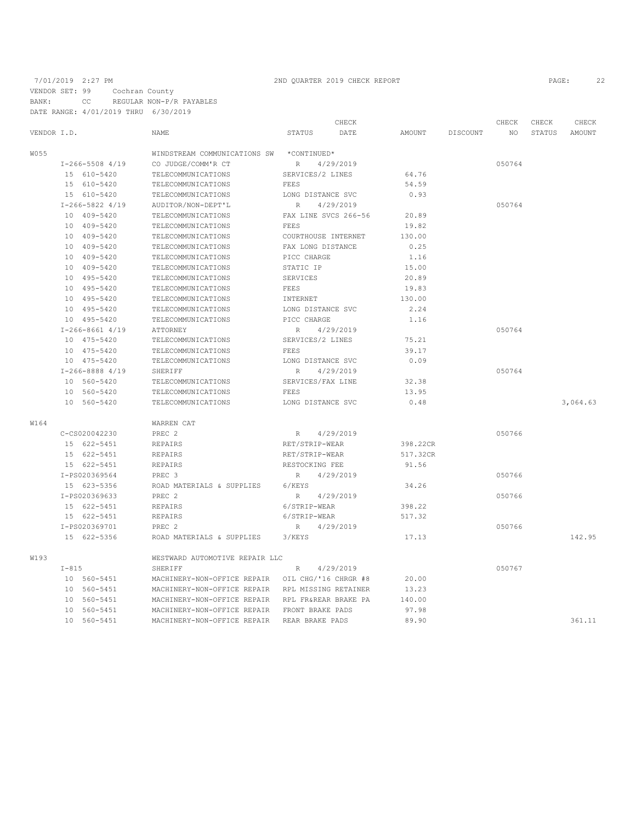### 7/01/2019 2:27 PM 2ND QUARTER 2019 CHECK REPORT PAGE: 22

VENDOR SET: 99 Cochran County BANK: CC REGULAR NON-P/R PAYABLES DATE RANGE: 4/01/2019 THRU 6/30/2019

CHECK CHECK CHECK CHECK CHECK CHECK CHECK CHECK CHECK CHECK CHECK CHECK CHECK CHECK CHECK CHECK CHECK CHECK CHECK CHECK CHECK CHECK CHECK CHECK CHECK CHECK CHECK CHECK CHECK CHECK CHECK CHECK CHECK CHECK CHECK CHECK CHECK VENDOR I.D. NAME STATUS DATE AMOUNT DISCOUNT NO STATUS AMOUNT W055 WINDSTREAM COMMUNICATIONS SW \*CONTINUED\* I-266-5508 4/19 CO JUDGE/COMM'R CT R 4/29/2019 050764 15 610-5420 TELECOMMUNICATIONS SERVICES/2 LINES 64.76<br>15 610-5420 TELECOMMUNICATIONS FEES FEES 54.59 15 610-5420 TELECOMMUNICATIONS<br>15 610-5420 TELECOMMUNICATIONS TELECOMMUNICATIONS LONG DISTANCE SVC 0.93<br>AUDITOR/NON-DEPT'L R 4/29/2019 I-266-5822 4/19 AUDITOR/NON-DEPT'L R 4/29/2019<br>10 409-5420 TELECOMMUNICATIONS FAX LINE SVCS 266-56 20.89 FAX LINE SVCS 266-56 20.89<br>FEES 19.82 10 409-5420 TELECOMMUNICATIONS FEES 19.82 10 409-5420 TELECOMMUNICATIONS COURTHOUSE INTERNET<br>10 409-5420 TELECOMMUNICATIONS FAX LONG DISTANCE TELECOMMUNICATIONS FAX LONG DISTANCE 0.25 10 409-5420 TELECOMMUNICATIONS PICC CHARGE 1.16<br>10 409-5420 TELECOMMUNICATIONS STATIC IP 15.00 10 409-5420 TELECOMMUNICATIONS STATIC IP<br>10 495-5420 TELECOMMUNICATIONS SERVICES TELECOMMUNICATIONS SERVICES 20.89<br>19.83 TELECOMMUNICATIONS PEES PEES 19.83 10 495-5420 TELECOMMUNICATIONS FEES 19.83<br>10 495-5420 TELECOMMUNICATIONS INTERNET 130.00 10 495-5420 TELECOMMUNICATIONS INTERNET 130.00 10 495-5420 TELECOMMUNICATIONS LONG DISTANCE S'<br>10 495-5420 TELECOMMUNICATIONS PICC CHARGE TELECOMMUNICATIONS PICC CHARGE 1.16<br>ATTORNEY R 4/29/2019 I-266-8661 4/19 ATTORNEY R 4/29/2019 050764 10 475-5420 TELECOMMUNICATIONS SERVICES/2 LINES 75.21 10 475-5420 TELECOMMUNICATIONS FEES SOLLY 39.17<br>10 475-5420 TELECOMMUNICATIONS LONG DISTANCE SVC 0.09 10 475-5420 TELECOMMUNICATIONS LONG DISTANCE SVC 0.09 I-266-8888 4/19 SHERIFF R 4/29/2019<br>10 560-5420 TELECOMMUNICATIONS SERVICES/FAX LINE 32.38 10 560-5420 TELECOMMUNICATIONS SERVICES/FAX LINE 32.38<br>10 560-5420 TELECOMMUNICATIONS FEES FRES TELECOMMUNICATIONS 10 560-5420 TELECOMMUNICATIONS LONG DISTANCE SVC 0.48 3,064.63 W164 <br> C-CS020042230 <br> PREC 2 C-CS020042230 PREC 2 R 4/29/2019<br>15 622–5451 REPAIRS RET/STRIP-WEAR 398.22CR RET/STRIP-WEAR 15 622-5451 REPAIRS RET/STRIP-WEAR 517.32CR 15 622–5451 REPAIRS RESTOCKING FEE 91.56<br>
1-PS020369564 PREC 3 R 4/29/2019 I-PS020369564 PREC 3<br>
15 623–5356 ROAD MATERIALS & SUPPLIES 6/KEYS 034.26 15 ROAD MATERIALS & SUPPLIES 6/KEYS<br>14/29/2019 R I-PS020369633 PREC 2 R 4/29/2019<br>15 622-5451 REPAIRS 6/STRIP-WEAR 398.22 15 622-5451 REPAIRS 6/STRIP-WEAR 398.22 15 622–5451 REPAIRS 6/STRIP-WEAR 517.32<br>
1-PS020369701 PREC 2 R 4/29/2019 I-PS020369701 PREC 2 R 4/29/2019<br>15 622-5356 ROAD MATERIALS & SUPPLIES 3/KEYS 17.13 17.13 ROAD MATERIALS & SUPPLIES 3/KEYS 17.13 142.95 W193 WESTWARD AUTOMOTIVE REPAIR LLC I-815 SHERIFF R 4/29/2019 050767 10 560-5451 MACHINERY-NON-OFFICE REPAIR OIL CHG/'16 CHRGR #8 20.00 10 560-5451 MACHINERY-NON-OFFICE REPAIR RPL MISSING RETAINER 13.23 10 560-5451 MACHINERY-NON-OFFICE REPAIR RPL FR&REAR BRAKE PA 140.00 10 560-5451 MACHINERY-NON-OFFICE REPAIR FRONT BRAKE PADS<br>10 560-5451 MACHINERY-NON-OFFICE REPAIR REAR BRAKE PADS 10 560-5451 MACHINERY-NON-OFFICE REPAIR REAR BRAKE PADS 89.90 361.11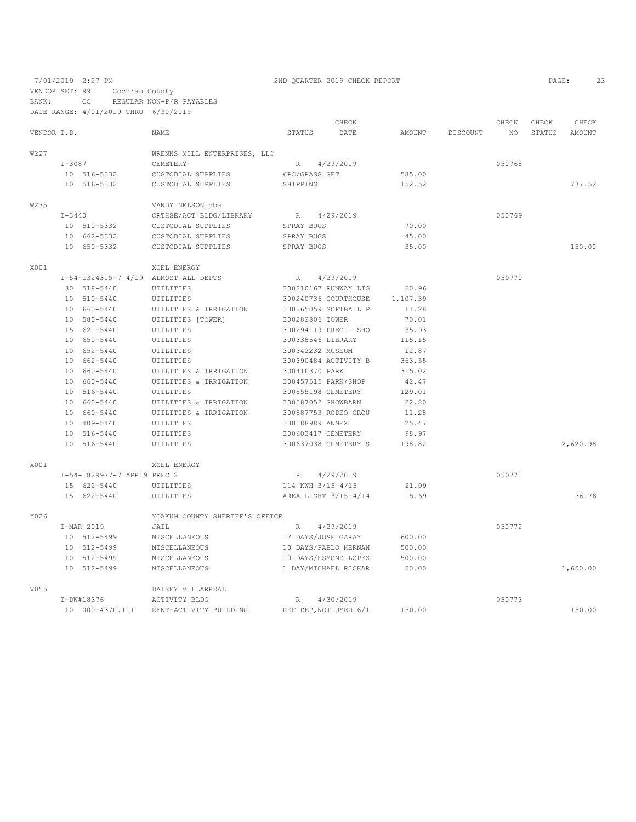7/01/2019 2:27 PM 2ND QUARTER 2019 CHECK REPORT 2019 2:27 PM VENDOR SET: 99 Cochran County BANK: CC REGULAR NON-P/R PAYABLES

|             |            | DATE RANGE: 4/01/2019 THRU 6/30/2019 |                                      |                 |                       |          |                 |        |        |          |
|-------------|------------|--------------------------------------|--------------------------------------|-----------------|-----------------------|----------|-----------------|--------|--------|----------|
|             |            |                                      |                                      |                 | CHECK                 |          |                 | CHECK  | CHECK  | CHECK    |
| VENDOR I.D. |            |                                      | NAME.                                | STATUS          | DATE                  | AMOUNT   | <b>DISCOUNT</b> | NO.    | STATUS | AMOUNT   |
| W227        |            |                                      | WRENNS MILL ENTERPRISES, LLC         |                 |                       |          |                 |        |        |          |
|             | I-3087     |                                      | CEMETERY                             |                 | R 4/29/2019           |          |                 | 050768 |        |          |
|             |            | 10 516-5332                          | CUSTODIAL SUPPLIES                   | 6PC/GRASS SET   |                       | 585.00   |                 |        |        |          |
|             |            | 10 516-5332                          | CUSTODIAL SUPPLIES                   | SHIPPING        |                       | 152.52   |                 |        |        | 737.52   |
| W235        |            |                                      | VANDY NELSON dba                     |                 |                       |          |                 |        |        |          |
|             | $I - 3440$ |                                      | CRTHSE/ACT BLDG/LIBRARY              |                 | R 4/29/2019           |          |                 | 050769 |        |          |
|             |            | 10 510-5332                          | CUSTODIAL SUPPLIES                   | SPRAY BUGS      |                       | 70.00    |                 |        |        |          |
|             |            | 10 662-5332                          | CUSTODIAL SUPPLIES                   | SPRAY BUGS      |                       | 45.00    |                 |        |        |          |
|             |            | 10 650-5332                          | CUSTODIAL SUPPLIES                   | SPRAY BUGS      |                       | 35.00    |                 |        |        | 150.00   |
| X001        |            |                                      | XCEL ENERGY                          |                 |                       |          |                 |        |        |          |
|             |            |                                      | I-54-1324315-7 4/19 ALMOST ALL DEPTS | R               | 4/29/2019             |          |                 | 050770 |        |          |
|             |            | 30 518-5440                          | UTILITIES                            |                 | 300210167 RUNWAY LIG  | 60.96    |                 |        |        |          |
|             |            | 10 510-5440                          | UTILITIES                            |                 | 300240736 COURTHOUSE  | 1,107.39 |                 |        |        |          |
|             |            | 10 660-5440                          | UTILITIES & IRRIGATION               |                 | 300265059 SOFTBALL P  | 11.28    |                 |        |        |          |
|             |            | 10 580-5440                          | UTILITIES [TOWER]                    | 300282806 TOWER |                       | 70.01    |                 |        |        |          |
|             |            | 15 621-5440                          | UTILITIES                            |                 | 300294119 PREC 1 SHO  | 35.93    |                 |        |        |          |
|             |            | 10 650-5440                          | UTILITIES                            |                 | 300338546 LIBRARY     | 115.15   |                 |        |        |          |
|             |            | 10 652-5440                          | UTILITIES                            |                 | 300342232 MUSEUM      | 12.87    |                 |        |        |          |
|             |            | 10 662-5440                          | UTILITIES                            |                 | 300390484 ACTIVITY B  | 363.55   |                 |        |        |          |
|             |            | 10 660-5440                          | UTILITIES & IRRIGATION               | 300410370 PARK  |                       | 315.02   |                 |        |        |          |
|             |            | 10 660-5440                          | UTILITIES & IRRIGATION               |                 | 300457515 PARK/SHOP   | 42.47    |                 |        |        |          |
|             |            | 10 516-5440                          | UTILITIES                            |                 | 300555198 CEMETERY    | 129.01   |                 |        |        |          |
|             |            | 10 660-5440                          | UTILITIES & IRRIGATION               |                 | 300587052 SHOWBARN    | 22.80    |                 |        |        |          |
|             |            | 10 660-5440                          | UTILITIES & IRRIGATION               |                 | 300587753 RODEO GROU  | 11.28    |                 |        |        |          |
|             |            | 10 409-5440                          | UTILITIES                            | 300588989 ANNEX |                       | 25.47    |                 |        |        |          |
|             |            | 10 516-5440                          | UTILITIES                            |                 | 300603417 CEMETERY    | 98.97    |                 |        |        |          |
|             |            | 10 516-5440                          | UTILITIES                            |                 | 300637038 CEMETERY S  | 198.82   |                 |        |        | 2,620.98 |
| X001        |            |                                      | <b>XCEL ENERGY</b>                   |                 |                       |          |                 |        |        |          |
|             |            | I-54-1829977-7 APR19 PREC 2          |                                      |                 | R 4/29/2019           |          |                 | 050771 |        |          |
|             |            | 15 622-5440                          | UTILITIES                            |                 | 114 KWH 3/15-4/15     | 21.09    |                 |        |        |          |
|             |            | 15 622-5440                          | UTILITIES                            |                 | AREA LIGHT 3/15-4/14  | 15.69    |                 |        |        | 36.78    |
| Y026        |            |                                      | YOAKUM COUNTY SHERIFF'S OFFICE       |                 |                       |          |                 |        |        |          |
|             |            | I-MAR 2019                           | JAIL                                 | R               | 4/29/2019             |          |                 | 050772 |        |          |
|             |            | 10 512-5499                          | MISCELLANEOUS                        |                 | 12 DAYS/JOSE GARAY    | 600.00   |                 |        |        |          |
|             |            | 10 512-5499                          | MISCELLANEOUS                        |                 | 10 DAYS/PABLO HERNAN  | 500.00   |                 |        |        |          |
|             |            | 10 512-5499                          | MISCELLANEOUS                        |                 | 10 DAYS/ESMOND LOPEZ  | 500.00   |                 |        |        |          |
|             |            | 10 512-5499                          | MISCELLANEOUS                        |                 | 1 DAY/MICHAEL RICHAR  | 50.00    |                 |        |        | 1,650.00 |
| V055        |            |                                      | DAISEY VILLARREAL                    |                 |                       |          |                 |        |        |          |
|             |            | I-DW#18376                           | ACTIVITY BLDG                        | $R_{\parallel}$ | 4/30/2019             |          |                 | 050773 |        |          |
|             |            | 10 000-4370.101                      | RENT-ACTIVITY BUILDING               |                 | REF DEP, NOT USED 6/1 | 150.00   |                 |        |        | 150.00   |
|             |            |                                      |                                      |                 |                       |          |                 |        |        |          |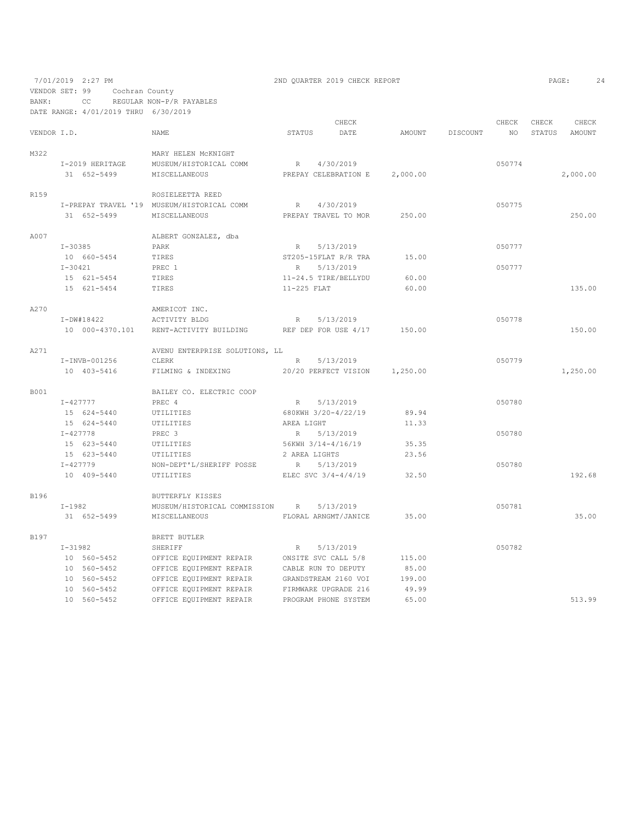7/01/2019 2:27 PM 2ND QUARTER 2019 CHECK REPORT PAGE: 24 VENDOR SET: 99 Cochran County BANK: CC REGULAR NON-P/R PAYABLES

|             |              | DATE RANGE: 4/01/2019 THRU 6/30/2019 |                                            |               |                       |          |          |        |        |          |
|-------------|--------------|--------------------------------------|--------------------------------------------|---------------|-----------------------|----------|----------|--------|--------|----------|
|             |              |                                      |                                            |               | CHECK                 |          |          | CHECK  | CHECK  | CHECK    |
| VENDOR I.D. |              |                                      | NAME.                                      | <b>STATUS</b> | DATE                  | AMOUNT   | DISCOUNT | NO.    | STATUS | AMOUNT   |
| M322        |              |                                      | MARY HELEN MCKNIGHT                        |               |                       |          |          |        |        |          |
|             |              | I-2019 HERITAGE                      | MUSEUM/HISTORICAL COMM                     | R             | 4/30/2019             |          |          | 050774 |        |          |
|             |              | 31 652-5499                          | MISCELLANEOUS                              |               | PREPAY CELEBRATION E  | 2,000.00 |          |        |        | 2,000.00 |
| R159        |              |                                      | ROSIELEETTA REED                           |               |                       |          |          |        |        |          |
|             |              |                                      | I-PREPAY TRAVEL '19 MUSEUM/HISTORICAL COMM | R             | 4/30/2019             |          |          | 050775 |        |          |
|             |              | 31 652-5499                          | MISCELLANEOUS                              |               | PREPAY TRAVEL TO MOR  | 250.00   |          |        |        | 250.00   |
| A007        |              |                                      | ALBERT GONZALEZ, dba                       |               |                       |          |          |        |        |          |
|             | $I - 30385$  |                                      | PARK                                       | R             | 5/13/2019             |          |          | 050777 |        |          |
|             |              | 10 660-5454                          | TIRES                                      |               | ST205-15FLAT R/R TRA  | 15.00    |          |        |        |          |
|             | $I - 30421$  |                                      | PREC <sub>1</sub>                          | R             | 5/13/2019             |          |          | 050777 |        |          |
|             |              | 15 621-5454                          | TIRES                                      |               | 11-24.5 TIRE/BELLYDU  | 60.00    |          |        |        |          |
|             |              | 15 621-5454                          | TIRES                                      | 11-225 FLAT   |                       | 60.00    |          |        |        | 135.00   |
| A270        |              |                                      | AMERICOT INC.                              |               |                       |          |          |        |        |          |
|             |              | $I-DW#18422$                         | ACTIVITY BLDG                              | R             | 5/13/2019             |          |          | 050778 |        |          |
|             |              | 10 000-4370.101                      | RENT-ACTIVITY BUILDING                     |               | REF DEP FOR USE 4/17  | 150.00   |          |        |        | 150.00   |
| A271        |              |                                      | AVENU ENTERPRISE SOLUTIONS, LL             |               |                       |          |          |        |        |          |
|             |              | I-INVB-001256                        | CLERK                                      | R             | 5/13/2019             |          |          | 050779 |        |          |
|             |              | 10 403-5416                          | FILMING & INDEXING                         |               | 20/20 PERFECT VISION  | 1,250.00 |          |        |        | 1,250.00 |
| <b>B001</b> |              |                                      | BAILEY CO. ELECTRIC COOP                   |               |                       |          |          |        |        |          |
|             | $I - 427777$ |                                      | PREC 4                                     | R             | 5/13/2019             |          |          | 050780 |        |          |
|             |              | 15 624-5440                          | UTILITIES                                  |               | 680KWH 3/20-4/22/19   | 89.94    |          |        |        |          |
|             |              | 15 624-5440                          | UTILITIES                                  | AREA LIGHT    |                       | 11.33    |          |        |        |          |
|             | $I - 427778$ |                                      | PREC 3                                     | R             | 5/13/2019             |          |          | 050780 |        |          |
|             |              | 15 623-5440                          | UTILITIES                                  |               | 56KWH 3/14-4/16/19    | 35.35    |          |        |        |          |
|             |              | 15 623-5440                          | UTILITIES                                  | 2 AREA LIGHTS |                       | 23.56    |          |        |        |          |
|             | $I - 427779$ |                                      | NON-DEPT'L/SHERIFF POSSE                   | R             | 5/13/2019             |          |          | 050780 |        |          |
|             |              | 10 409-5440                          | UTILITIES                                  |               | ELEC SVC $3/4-4/4/19$ | 32.50    |          |        |        | 192.68   |
| B196        |              |                                      | BUTTERFLY KISSES                           |               |                       |          |          |        |        |          |
|             | $I-1982$     |                                      | MUSEUM/HISTORICAL COMMISSION               | R             | 5/13/2019             |          |          | 050781 |        |          |
|             |              | 31 652-5499                          | MISCELLANEOUS                              |               | FLORAL ARNGMT/JANICE  | 35.00    |          |        |        | 35.00    |
| B197        |              |                                      | BRETT BUTLER                               |               |                       |          |          |        |        |          |
|             | $I-31982$    |                                      | SHERIFF                                    | R             | 5/13/2019             |          |          | 050782 |        |          |
|             |              | 10 560-5452                          | OFFICE EQUIPMENT REPAIR                    |               | ONSITE SVC CALL 5/8   | 115.00   |          |        |        |          |
|             |              | 10 560-5452                          | OFFICE EQUIPMENT REPAIR                    |               | CABLE RUN TO DEPUTY   | 85.00    |          |        |        |          |
|             |              | 10 560-5452                          | OFFICE EQUIPMENT REPAIR                    |               | GRANDSTREAM 2160 VOI  | 199.00   |          |        |        |          |
|             |              | 10 560-5452                          | OFFICE EQUIPMENT REPAIR                    |               | FIRMWARE UPGRADE 216  | 49.99    |          |        |        |          |
|             |              | 10 560-5452                          | OFFICE EQUIPMENT REPAIR                    |               | PROGRAM PHONE SYSTEM  | 65.00    |          |        |        | 513.99   |
|             |              |                                      |                                            |               |                       |          |          |        |        |          |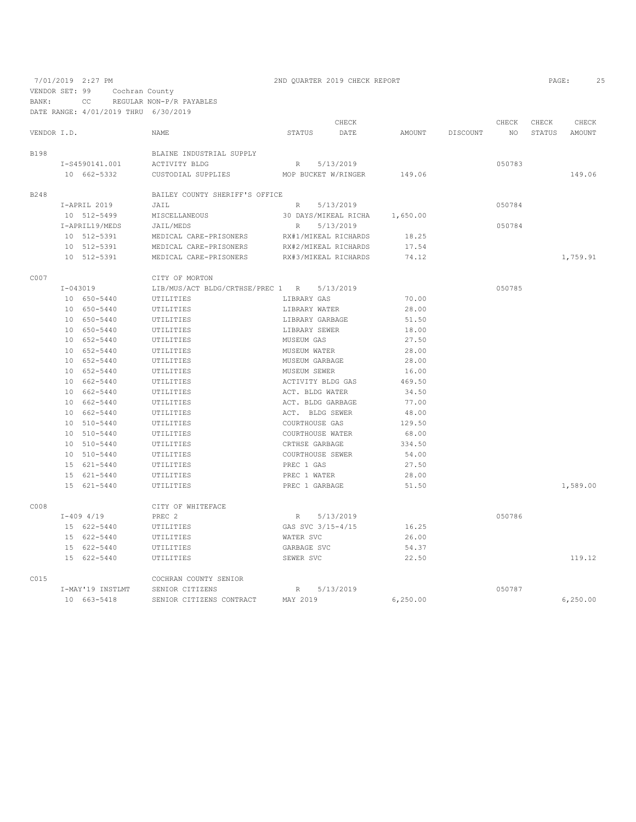VENDOR SET: 99 Cochran County

BANK: CC REGULAR NON-P/R PAYABLES

|             | DATE RANGE: 4/01/2019 THRU 6/30/2019 |                                            |                      |                      |           |          |        |        |          |
|-------------|--------------------------------------|--------------------------------------------|----------------------|----------------------|-----------|----------|--------|--------|----------|
|             |                                      |                                            |                      | CHECK                |           |          | CHECK  | CHECK  | CHECK    |
| VENDOR I.D. |                                      | <b>NAME</b>                                | STATUS               | DATE                 | AMOUNT    | DISCOUNT | NO     | STATUS | AMOUNT   |
| <b>B198</b> |                                      | BLAINE INDUSTRIAL SUPPLY                   |                      |                      |           |          |        |        |          |
|             | I-S4590141.001                       | ACTIVITY BLDG                              | R 5/13/2019          |                      |           |          | 050783 |        |          |
|             | 10 662-5332                          | CUSTODIAL SUPPLIES                         |                      | MOP BUCKET W/RINGER  | 149.06    |          |        |        | 149.06   |
| B248        |                                      | BAILEY COUNTY SHERIFF'S OFFICE             |                      |                      |           |          |        |        |          |
|             | I-APRIL 2019                         | JAIL                                       |                      | R 5/13/2019          |           |          | 050784 |        |          |
|             | 10 512-5499                          | MISCELLANEOUS                              |                      | 30 DAYS/MIKEAL RICHA | 1,650.00  |          |        |        |          |
|             | I-APRIL19/MEDS                       | JAIL/MEDS                                  | R                    | 5/13/2019            |           |          | 050784 |        |          |
|             | 10 512-5391                          | MEDICAL CARE-PRISONERS                     |                      | RX#1/MIKEAL RICHARDS | 18.25     |          |        |        |          |
|             | 10 512-5391                          | MEDICAL CARE-PRISONERS                     |                      | RX#2/MIKEAL RICHARDS | 17.54     |          |        |        |          |
|             | 10 512-5391                          | MEDICAL CARE-PRISONERS                     | RX#3/MIKEAL RICHARDS |                      | 74.12     |          |        |        | 1,759.91 |
| C007        |                                      | CITY OF MORTON                             |                      |                      |           |          |        |        |          |
|             | I-043019                             | LIB/MUS/ACT BLDG/CRTHSE/PREC 1 R 5/13/2019 |                      |                      |           |          | 050785 |        |          |
|             | 10 650-5440                          | UTILITIES                                  | LIBRARY GAS          |                      | 70.00     |          |        |        |          |
|             | 10 650-5440                          | UTILITIES                                  | LIBRARY WATER        |                      | 28.00     |          |        |        |          |
|             | 10 650-5440                          | UTILITIES                                  | LIBRARY GARBAGE      |                      | 51.50     |          |        |        |          |
|             | 10 650-5440                          | UTILITIES                                  | LIBRARY SEWER        |                      | 18.00     |          |        |        |          |
|             | 10 652-5440                          | UTILITIES                                  | MUSEUM GAS           |                      | 27.50     |          |        |        |          |
|             | 10 652-5440                          | UTILITIES                                  | MUSEUM WATER         |                      | 28.00     |          |        |        |          |
|             | 10 652-5440                          | UTILITIES                                  | MUSEUM GARBAGE       |                      | 28.00     |          |        |        |          |
|             | 10 652-5440                          | UTILITIES                                  | MUSEUM SEWER         |                      | 16.00     |          |        |        |          |
|             | 10 662-5440                          | UTILITIES                                  | ACTIVITY BLDG GAS    |                      | 469.50    |          |        |        |          |
|             | 10 662-5440                          | UTILITIES                                  | ACT. BLDG WATER      |                      | 34.50     |          |        |        |          |
|             | 10 662-5440                          | UTILITIES                                  | ACT. BLDG GARBAGE    |                      | 77.00     |          |        |        |          |
|             | 10 662-5440                          | UTILITIES                                  | ACT. BLDG SEWER      |                      | 48.00     |          |        |        |          |
|             | 10 510-5440                          | UTILITIES                                  | COURTHOUSE GAS       |                      | 129.50    |          |        |        |          |
|             | 10 510-5440                          | UTILITIES                                  | COURTHOUSE WATER     |                      | 68.00     |          |        |        |          |
|             | 10 510-5440                          | UTILITIES                                  | CRTHSE GARBAGE       |                      | 334.50    |          |        |        |          |
|             | 10 510-5440                          | UTILITIES                                  | COURTHOUSE SEWER     |                      | 54.00     |          |        |        |          |
|             | 15 621-5440                          | UTILITIES                                  | PREC 1 GAS           |                      | 27.50     |          |        |        |          |
|             | 15 621-5440                          | UTILITIES                                  | PREC 1 WATER         |                      | 28.00     |          |        |        |          |
|             | 15 621-5440                          | UTILITIES                                  | PREC 1 GARBAGE       |                      | 51.50     |          |        |        | 1,589.00 |
| C008        |                                      | CITY OF WHITEFACE                          |                      |                      |           |          |        |        |          |
|             | $I-409$ 4/19                         | PREC <sub>2</sub>                          | R                    | 5/13/2019            |           |          | 050786 |        |          |
|             | 15 622-5440                          | UTILITIES                                  | GAS SVC 3/15-4/15    |                      | 16.25     |          |        |        |          |
|             | 15 622-5440                          | UTILITIES                                  | WATER SVC            |                      | 26.00     |          |        |        |          |
|             | 15 622-5440                          | UTILITIES                                  | GARBAGE SVC          |                      | 54.37     |          |        |        |          |
|             | 15 622-5440                          | UTILITIES                                  | SEWER SVC            |                      | 22.50     |          |        |        | 119.12   |
| C015        |                                      | COCHRAN COUNTY SENIOR                      |                      |                      |           |          |        |        |          |
|             | I-MAY'19 INSTLMT                     | SENIOR CITIZENS                            | $R_{\perp}$          | 5/13/2019            |           |          | 050787 |        |          |
|             | 10 663-5418                          | SENIOR CITIZENS CONTRACT                   | MAY 2019             |                      | 6, 250.00 |          |        |        | 6,250.00 |

# 7/01/2019 2:27 PM 2ND QUARTER 2019 CHECK REPORT 2019 CHECK 25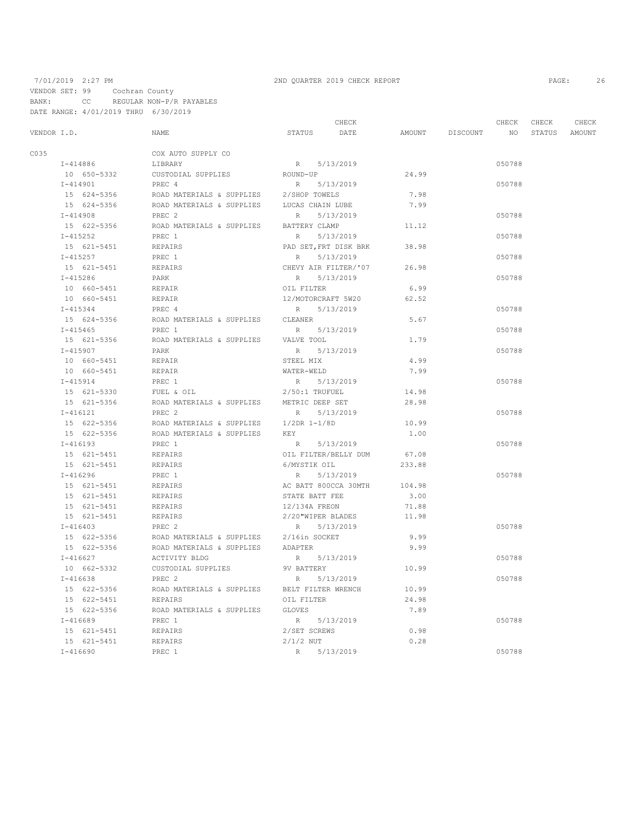### 7/01/2019 2:27 PM 2ND QUARTER 2019 CHECK REPORT 2019 CHECK 2019 CHECK 26 VENDOR SET: 99 Cochran County BANK: CC REGULAR NON-P/R PAYABLES DATE RANGE: 4/01/2019 THRU 6/30/2019

|             |              |             | CHECK<br>CHECK            |                       |           |               |          | CHECK           | CHECK  |        |
|-------------|--------------|-------------|---------------------------|-----------------------|-----------|---------------|----------|-----------------|--------|--------|
| VENDOR I.D. |              |             | <b>NAME</b>               | STATUS                | DATE      | <b>AMOUNT</b> | DISCOUNT | NO <sub>1</sub> | STATUS | AMOUNT |
| C035        |              |             | COX AUTO SUPPLY CO        |                       |           |               |          |                 |        |        |
|             | $I - 414886$ |             | LIBRARY                   | R 5/13/2019           |           |               |          | 050788          |        |        |
|             |              | 10 650-5332 | CUSTODIAL SUPPLIES        | ROUND-UP              |           | 24.99         |          |                 |        |        |
|             | $I - 414901$ |             | PREC 4                    | R                     | 5/13/2019 |               |          | 050788          |        |        |
|             |              | 15 624-5356 | ROAD MATERIALS & SUPPLIES | 2/SHOP TOWELS         |           | 7.98          |          |                 |        |        |
|             |              | 15 624-5356 | ROAD MATERIALS & SUPPLIES | LUCAS CHAIN LUBE      |           | 7.99          |          |                 |        |        |
|             | $I - 414908$ |             | PREC <sub>2</sub>         | R                     | 5/13/2019 |               |          | 050788          |        |        |
|             |              | 15 622-5356 | ROAD MATERIALS & SUPPLIES | BATTERY CLAMP         |           | 11.12         |          |                 |        |        |
|             | $I - 415252$ |             | PREC 1                    | R                     | 5/13/2019 |               |          | 050788          |        |        |
|             |              | 15 621-5451 | REPAIRS                   | PAD SET, FRT DISK BRK |           | 38.98         |          |                 |        |        |
|             | $I - 415257$ |             | PREC 1                    | R                     | 5/13/2019 |               |          | 050788          |        |        |
|             |              | 15 621-5451 | REPAIRS                   | CHEVY AIR FILTER/'07  |           | 26.98         |          |                 |        |        |
|             | $I - 415286$ |             | PARK                      | R                     | 5/13/2019 |               |          | 050788          |        |        |
|             |              | 10 660-5451 | REPAIR                    | OIL FILTER            |           | 6.99          |          |                 |        |        |
|             |              | 10 660-5451 | REPAIR                    | 12/MOTORCRAFT 5W20    |           | 62.52         |          |                 |        |        |
|             | $I - 415344$ |             | PREC 4                    | R                     | 5/13/2019 |               |          | 050788          |        |        |
|             |              | 15 624-5356 | ROAD MATERIALS & SUPPLIES | CLEANER               |           | 5.67          |          |                 |        |        |
|             | $I - 415465$ |             | PREC 1                    | R 5/13/2019           |           |               |          | 050788          |        |        |
|             |              | 15 621-5356 | ROAD MATERIALS & SUPPLIES | VALVE TOOL            |           | 1.79          |          |                 |        |        |
|             | $I - 415907$ |             | PARK                      | R                     | 5/13/2019 |               |          | 050788          |        |        |
|             |              | 10 660-5451 | REPAIR                    | STEEL MIX             |           | 4.99          |          |                 |        |        |
|             |              | 10 660-5451 | REPAIR                    | WATER-WELD            |           | 7.99          |          |                 |        |        |
|             | $I - 415914$ |             | PREC 1                    | R                     | 5/13/2019 |               |          | 050788          |        |        |
|             |              | 15 621-5330 | FUEL & OIL                | $2/50:1$ TRUFUEL      |           | 14.98         |          |                 |        |        |
|             |              | 15 621-5356 | ROAD MATERIALS & SUPPLIES | METRIC DEEP SET       |           | 28.98         |          |                 |        |        |
|             | I-416121     |             | PREC <sub>2</sub>         | R                     | 5/13/2019 |               |          | 050788          |        |        |
|             |              | 15 622-5356 | ROAD MATERIALS & SUPPLIES | 1/2DR 1-1/8D          |           | 10.99         |          |                 |        |        |
|             |              | 15 622-5356 | ROAD MATERIALS & SUPPLIES | KEY                   |           | 1.00          |          |                 |        |        |
|             | $I - 416193$ |             | PREC 1                    | R                     | 5/13/2019 |               |          | 050788          |        |        |
|             |              | 15 621-5451 | REPAIRS                   | OIL FILTER/BELLY DUM  |           | 67.08         |          |                 |        |        |
|             |              | 15 621-5451 | REPAIRS                   | 6/MYSTIK OIL          |           | 233.88        |          |                 |        |        |
|             | $I - 416296$ |             | PREC 1                    | R                     | 5/13/2019 |               |          | 050788          |        |        |
|             |              | 15 621-5451 | REPAIRS                   | AC BATT 800CCA 30MTH  |           | 104.98        |          |                 |        |        |
|             |              | 15 621-5451 | REPAIRS                   | STATE BATT FEE        |           | 3.00          |          |                 |        |        |
|             |              | 15 621-5451 | REPAIRS                   | 12/134A FREON         |           | 71.88         |          |                 |        |        |
|             |              | 15 621-5451 | REPAIRS                   | 2/20"WIPER BLADES     |           | 11.98         |          |                 |        |        |
|             | $I - 416403$ |             | PREC <sub>2</sub>         | R                     | 5/13/2019 |               |          | 050788          |        |        |
|             |              | 15 622-5356 | ROAD MATERIALS & SUPPLIES | 2/16in SOCKET         |           | 9.99          |          |                 |        |        |
|             |              | 15 622-5356 | ROAD MATERIALS & SUPPLIES | ADAPTER               |           | 9.99          |          |                 |        |        |
|             | $I - 416627$ |             | ACTIVITY BLDG             | R 5/13/2019           |           |               |          | 050788          |        |        |
|             |              | 10 662-5332 | CUSTODIAL SUPPLIES        | 9V BATTERY            |           | 10.99         |          |                 |        |        |
|             | $I-416638$   |             | PREC <sub>2</sub>         | R.                    | 5/13/2019 |               |          | 050788          |        |        |
|             |              | 15 622-5356 | ROAD MATERIALS & SUPPLIES | BELT FILTER WRENCH    |           | 10.99         |          |                 |        |        |
|             |              | 15 622-5451 | REPAIRS                   | OIL FILTER            |           | 24.98         |          |                 |        |        |
|             |              | 15 622-5356 | ROAD MATERIALS & SUPPLIES | <b>GLOVES</b>         |           | 7.89          |          |                 |        |        |
|             | $I-416689$   |             | PREC 1                    | R                     | 5/13/2019 |               |          | 050788          |        |        |
|             |              | 15 621-5451 | REPAIRS                   | 2/SET SCREWS          |           | 0.98          |          |                 |        |        |
|             |              | 15 621-5451 | REPAIRS                   | $2/1/2$ NUT           |           | 0.28          |          |                 |        |        |
|             | $I - 416690$ |             | PREC 1                    | R                     | 5/13/2019 |               |          | 050788          |        |        |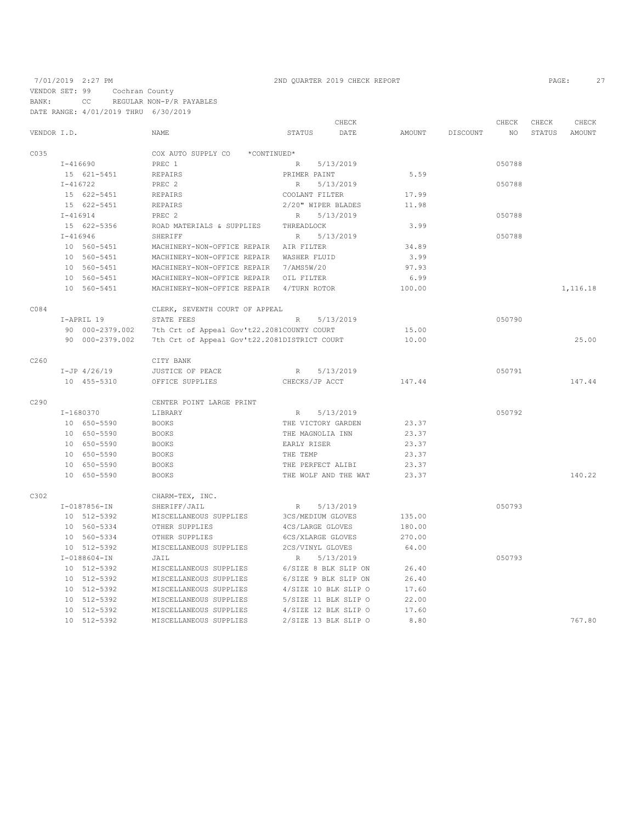7/01/2019 2:27 PM 2ND QUARTER 2019 CHECK REPORT PAGE: 27 VENDOR SET: 99 Cochran County BANK: CC REGULAR NON-P/R PAYABLES DATE RANGE: 4/01/2019 THRU 6/30/2019

|             |            |                    |                                              |                      | CHECK     |        |                 | CHECK  | CHECK  | CHECK    |
|-------------|------------|--------------------|----------------------------------------------|----------------------|-----------|--------|-----------------|--------|--------|----------|
| VENDOR I.D. |            |                    | <b>NAME</b>                                  | STATUS               | DATE      | AMOUNT | <b>DISCOUNT</b> | NO.    | STATUS | AMOUNT   |
| C035        |            |                    | COX AUTO SUPPLY CO<br>*CONTINUED*            |                      |           |        |                 |        |        |          |
|             |            | I-416690           | PREC 1                                       | R                    | 5/13/2019 |        |                 | 050788 |        |          |
|             |            | 15 621-5451        | REPAIRS                                      | PRIMER PAINT         |           | 5.59   |                 |        |        |          |
|             |            | $I - 416722$       | PREC 2                                       | R                    | 5/13/2019 |        |                 | 050788 |        |          |
|             |            | 15 622-5451        | REPAIRS                                      | COOLANT FILTER       |           | 17.99  |                 |        |        |          |
|             |            | 15 622-5451        | REPAIRS                                      | 2/20" WIPER BLADES   |           | 11.98  |                 |        |        |          |
|             |            | $I-416914$         | PREC 2                                       | R                    | 5/13/2019 |        |                 | 050788 |        |          |
|             |            | 15 622-5356        | ROAD MATERIALS & SUPPLIES                    | THREADLOCK           |           | 3.99   |                 |        |        |          |
|             |            | $I - 416946$       | SHERIFF                                      | $R_{\parallel}$      | 5/13/2019 |        |                 | 050788 |        |          |
|             |            | 10 560-5451        | MACHINERY-NON-OFFICE REPAIR AIR FILTER       |                      |           | 34.89  |                 |        |        |          |
|             |            | 10 560-5451        | MACHINERY-NON-OFFICE REPAIR WASHER FLUID     |                      |           | 3.99   |                 |        |        |          |
|             |            | 10 560-5451        | MACHINERY-NON-OFFICE REPAIR 7/AMS5W/20       |                      |           | 97.93  |                 |        |        |          |
|             |            | 10 560-5451        | MACHINERY-NON-OFFICE REPAIR OIL FILTER       |                      |           | 6.99   |                 |        |        |          |
|             |            | 10 560-5451        | MACHINERY-NON-OFFICE REPAIR 4/TURN ROTOR     |                      |           | 100.00 |                 |        |        | 1,116.18 |
| C084        |            |                    | CLERK, SEVENTH COURT OF APPEAL               |                      |           |        |                 |        |        |          |
|             | I-APRIL 19 |                    | STATE FEES                                   | $R_{\parallel}$      | 5/13/2019 |        |                 | 050790 |        |          |
|             |            | 90 000-2379.002    | 7th Crt of Appeal Gov't22.2081COUNTY COURT   |                      |           | 15.00  |                 |        |        |          |
|             |            | 90 000-2379.002    | 7th Crt of Appeal Gov't22.2081DISTRICT COURT |                      |           | 10.00  |                 |        |        | 25.00    |
| C260        |            |                    | CITY BANK                                    |                      |           |        |                 |        |        |          |
|             |            | $I-JP$ 4/26/19     | JUSTICE OF PEACE                             | $R_{\parallel}$      | 5/13/2019 |        |                 | 050791 |        |          |
|             |            | 10 455-5310        | OFFICE SUPPLIES                              | CHECKS/JP ACCT       |           | 147.44 |                 |        |        | 147.44   |
| C290        |            |                    | CENTER POINT LARGE PRINT                     |                      |           |        |                 |        |        |          |
|             |            | I-1680370          | LIBRARY                                      | R                    | 5/13/2019 |        |                 | 050792 |        |          |
|             |            | 10 650-5590        | <b>BOOKS</b>                                 | THE VICTORY GARDEN   |           | 23.37  |                 |        |        |          |
|             |            | 10 650-5590        | <b>BOOKS</b>                                 | THE MAGNOLIA INN     |           | 23.37  |                 |        |        |          |
|             |            | 10 650-5590        | <b>BOOKS</b>                                 | EARLY RISER          |           | 23.37  |                 |        |        |          |
|             |            | 10 650-5590        | <b>BOOKS</b>                                 | THE TEMP             |           | 23.37  |                 |        |        |          |
|             |            | 10 650-5590        | <b>BOOKS</b>                                 | THE PERFECT ALIBI    |           | 23.37  |                 |        |        |          |
|             |            | 10 650-5590        | <b>BOOKS</b>                                 | THE WOLF AND THE WAT |           | 23.37  |                 |        |        | 140.22   |
| C302        |            |                    | CHARM-TEX, INC.                              |                      |           |        |                 |        |        |          |
|             |            | $I - 0187856 - IN$ | SHERIFF/JAIL                                 | R                    | 5/13/2019 |        |                 | 050793 |        |          |
|             |            | 10 512-5392        | MISCELLANEOUS SUPPLIES                       | 3CS/MEDIUM GLOVES    |           | 135.00 |                 |        |        |          |
|             |            | 10 560-5334        | OTHER SUPPLIES                               | 4CS/LARGE GLOVES     |           | 180.00 |                 |        |        |          |
|             |            | 10 560-5334        | OTHER SUPPLIES                               | 6CS/XLARGE GLOVES    |           | 270.00 |                 |        |        |          |
|             |            | 10 512-5392        | MISCELLANEOUS SUPPLIES                       | 2CS/VINYL GLOVES     |           | 64.00  |                 |        |        |          |
|             |            | $I - 0188604 - IN$ | JAIL                                         | R                    | 5/13/2019 |        |                 | 050793 |        |          |
|             |            | 10 512-5392        | MISCELLANEOUS SUPPLIES                       | 6/SIZE 8 BLK SLIP ON |           | 26.40  |                 |        |        |          |
|             |            | 10 512-5392        | MISCELLANEOUS SUPPLIES                       | 6/SIZE 9 BLK SLIP ON |           | 26.40  |                 |        |        |          |
|             |            | 10 512-5392        | MISCELLANEOUS SUPPLIES                       | 4/SIZE 10 BLK SLIP O |           | 17.60  |                 |        |        |          |
|             |            | 10 512-5392        | MISCELLANEOUS SUPPLIES                       | 5/SIZE 11 BLK SLIP O |           | 22.00  |                 |        |        |          |
|             |            | 10 512-5392        | MISCELLANEOUS SUPPLIES                       | 4/SIZE 12 BLK SLIP O |           | 17.60  |                 |        |        |          |
|             |            | 10 512-5392        | MISCELLANEOUS SUPPLIES                       | 2/SIZE 13 BLK SLIP O |           | 8.80   |                 |        |        | 767.80   |
|             |            |                    |                                              |                      |           |        |                 |        |        |          |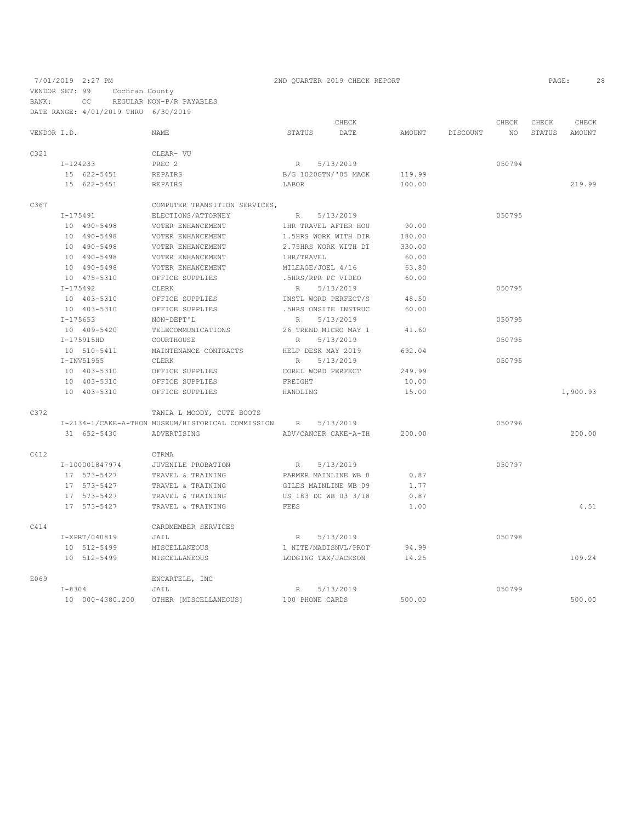7/01/2019 2:27 PM 2ND QUARTER 2019 CHECK REPORT 2019 CHECK 28 VENDOR SET: 99 Cochran County BANK: CC REGULAR NON-P/R PAYABLES

|             |              | DATE RANGE: 4/01/2019 THRU 6/30/2019 |                                                   |                   |                      |        |          |        |        |          |
|-------------|--------------|--------------------------------------|---------------------------------------------------|-------------------|----------------------|--------|----------|--------|--------|----------|
|             |              |                                      |                                                   |                   | CHECK                |        |          | CHECK  | CHECK  | CHECK    |
| VENDOR I.D. |              |                                      | <b>NAME</b>                                       | STATUS            | DATE                 | AMOUNT | DISCOUNT | NO.    | STATUS | AMOUNT   |
| C321        |              |                                      | CLEAR- VU                                         |                   |                      |        |          |        |        |          |
|             | I-124233     |                                      | PREC 2                                            | R                 | 5/13/2019            |        |          | 050794 |        |          |
|             | 15 622-5451  |                                      | REPAIRS                                           |                   | B/G 1020GTN/'05 MACK | 119.99 |          |        |        |          |
|             |              | 15 622-5451                          | REPAIRS                                           | LABOR             |                      | 100.00 |          |        |        | 219.99   |
| C367        |              |                                      | COMPUTER TRANSITION SERVICES,                     |                   |                      |        |          |        |        |          |
|             | $I - 175491$ |                                      | ELECTIONS/ATTORNEY                                | R                 | 5/13/2019            |        |          | 050795 |        |          |
|             |              | 10 490-5498                          | VOTER ENHANCEMENT                                 |                   | 1HR TRAVEL AFTER HOU | 90.00  |          |        |        |          |
|             |              | 10 490-5498                          | VOTER ENHANCEMENT                                 |                   | 1.5HRS WORK WITH DIR | 180.00 |          |        |        |          |
|             |              | 10 490-5498                          | VOTER ENHANCEMENT                                 |                   | 2.75HRS WORK WITH DI | 330.00 |          |        |        |          |
|             |              | 10 490-5498                          | VOTER ENHANCEMENT                                 | 1HR/TRAVEL        |                      | 60.00  |          |        |        |          |
|             |              | 10 490-5498                          | VOTER ENHANCEMENT                                 | MILEAGE/JOEL 4/16 |                      | 63.80  |          |        |        |          |
|             |              | 10 475-5310                          | OFFICE SUPPLIES                                   |                   | .5HRS/RPR PC VIDEO   | 60.00  |          |        |        |          |
|             | $I - 175492$ |                                      | CLERK                                             | R                 | 5/13/2019            |        |          | 050795 |        |          |
|             |              | 10 403-5310                          | OFFICE SUPPLIES                                   |                   | INSTL WORD PERFECT/S | 48.50  |          |        |        |          |
|             |              | 10 403-5310                          | OFFICE SUPPLIES                                   |                   | .5HRS ONSITE INSTRUC | 60.00  |          |        |        |          |
|             | $I - 175653$ |                                      | NON-DEPT'L                                        | R                 | 5/13/2019            |        |          | 050795 |        |          |
|             |              | 10 409-5420                          | TELECOMMUNICATIONS                                |                   | 26 TREND MICRO MAY 1 | 41.60  |          |        |        |          |
|             |              | I-175915HD                           | COURTHOUSE                                        | R                 | 5/13/2019            |        |          | 050795 |        |          |
|             |              | 10 510-5411                          | MAINTENANCE CONTRACTS                             |                   | HELP DESK MAY 2019   | 692.04 |          |        |        |          |
|             |              | I-INV51955                           | CLERK                                             | R                 | 5/13/2019            |        |          | 050795 |        |          |
|             |              | 10 403-5310                          | OFFICE SUPPLIES                                   |                   | COREL WORD PERFECT   | 249.99 |          |        |        |          |
|             |              | 10 403-5310                          | OFFICE SUPPLIES                                   | FREIGHT           |                      | 10.00  |          |        |        |          |
|             |              | 10 403-5310                          | OFFICE SUPPLIES                                   | HANDLING          |                      | 15.00  |          |        |        | 1,900.93 |
| C372        |              |                                      | TANIA L MOODY, CUTE BOOTS                         |                   |                      |        |          |        |        |          |
|             |              |                                      | I-2134-1/CAKE-A-THON MUSEUM/HISTORICAL COMMISSION | R                 | 5/13/2019            |        |          | 050796 |        |          |
|             |              | 31 652-5430                          | ADVERTISING                                       |                   | ADV/CANCER CAKE-A-TH | 200.00 |          |        |        | 200.00   |
| C412        |              |                                      | CTRMA                                             |                   |                      |        |          |        |        |          |
|             |              | I-100001847974                       | JUVENILE PROBATION                                | R                 | 5/13/2019            |        |          | 050797 |        |          |
|             |              | 17 573-5427                          | TRAVEL & TRAINING                                 |                   | PARMER MAINLINE WB 0 | 0.87   |          |        |        |          |
|             |              | 17 573-5427                          | TRAVEL & TRAINING                                 |                   | GILES MAINLINE WB 09 | 1.77   |          |        |        |          |
|             |              | 17 573-5427                          | TRAVEL & TRAINING                                 |                   | US 183 DC WB 03 3/18 | 0.87   |          |        |        |          |
|             |              | 17 573-5427                          | TRAVEL & TRAINING                                 | FEES              |                      | 1.00   |          |        |        | 4.51     |
| C414        |              |                                      | CARDMEMBER SERVICES                               |                   |                      |        |          |        |        |          |
|             |              | I-XPRT/040819                        | JAIL                                              | R                 | 5/13/2019            |        |          | 050798 |        |          |
|             |              | 10 512-5499                          | MISCELLANEOUS                                     |                   | 1 NITE/MADISNVL/PROT | 94.99  |          |        |        |          |
|             |              | 10 512-5499                          | MISCELLANEOUS                                     |                   | LODGING TAX/JACKSON  | 14.25  |          |        |        | 109.24   |
| E069        |              |                                      | ENCARTELE, INC                                    |                   |                      |        |          |        |        |          |
|             | $I - 8304$   |                                      | JAIL                                              | $R_{\parallel}$   | 5/13/2019            |        |          | 050799 |        |          |
|             |              | 10 000-4380.200                      | OTHER [MISCELLANEOUS]                             | 100 PHONE CARDS   |                      | 500.00 |          |        |        | 500.00   |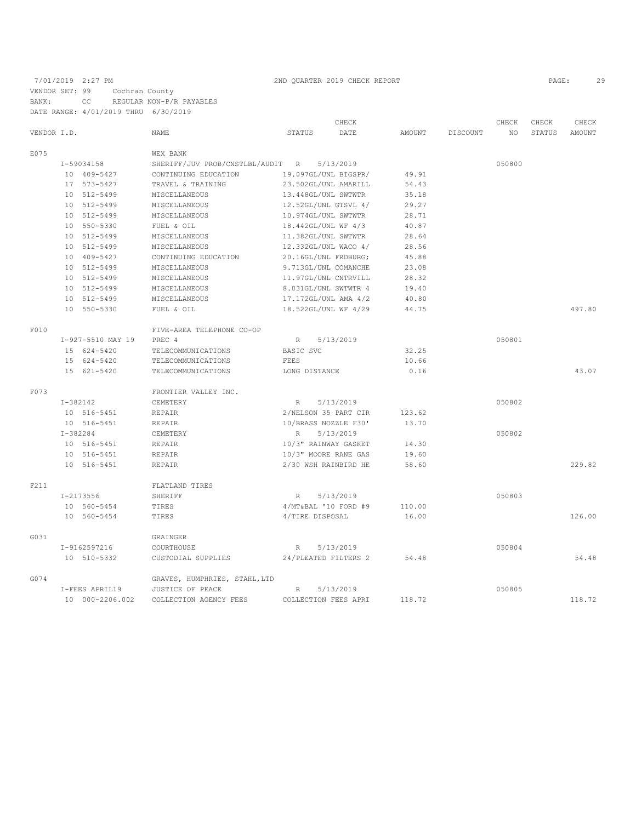# 7/01/2019 2:27 PM 2ND QUARTER 2019 CHECK REPORT 2019 2012 2013 2020 2020 2020 2021 29

|             |  |                   |                                  | CHECK               |                      |               |          | CHECK  | CHECK  | CHECK  |
|-------------|--|-------------------|----------------------------------|---------------------|----------------------|---------------|----------|--------|--------|--------|
| VENDOR I.D. |  |                   | <b>NAME</b>                      | <b>STATUS</b>       | DATE                 | <b>AMOUNT</b> | DISCOUNT | NO.    | STATUS | AMOUNT |
| E075        |  |                   | WEX BANK                         |                     |                      |               |          |        |        |        |
|             |  | I-59034158        | SHERIFF/JUV PROB/CNSTLBL/AUDIT R |                     | 5/13/2019            |               |          | 050800 |        |        |
|             |  | 10 409-5427       | CONTINUING EDUCATION             |                     | 19.097GL/UNL BIGSPR/ | 49.91         |          |        |        |        |
|             |  | 17 573-5427       | TRAVEL & TRAINING                |                     | 23.502GL/UNL AMARILL | 54.43         |          |        |        |        |
|             |  | 10 512-5499       | MISCELLANEOUS                    | 13.448GL/UNL SWTWTR |                      | 35.18         |          |        |        |        |
|             |  | 10 512-5499       | MISCELLANEOUS                    |                     | 12.52GL/UNL GTSVL 4/ | 29.27         |          |        |        |        |
|             |  | 10 512-5499       | MISCELLANEOUS                    | 10.974GL/UNL SWTWTR |                      | 28.71         |          |        |        |        |
|             |  | 10 550-5330       | FUEL & OIL                       | 18.442GL/UNL WF 4/3 |                      | 40.87         |          |        |        |        |
|             |  | 10 512-5499       | MISCELLANEOUS                    | 11.382GL/UNL SWTWTR |                      | 28.64         |          |        |        |        |
|             |  | 10 512-5499       | MISCELLANEOUS                    |                     | 12.332GL/UNL WACO 4/ | 28.56         |          |        |        |        |
|             |  | 10 409-5427       | CONTINUING EDUCATION             |                     | 20.16GL/UNL FRDBURG; | 45.88         |          |        |        |        |
|             |  | 10 512-5499       | MISCELLANEOUS                    |                     | 9.713GL/UNL COMANCHE | 23.08         |          |        |        |        |
|             |  | 10 512-5499       | MISCELLANEOUS                    |                     | 11.97GL/UNL CNTRVILL | 28.32         |          |        |        |        |
|             |  | 10 512-5499       | MISCELLANEOUS                    |                     | 8.031GL/UNL SWTWTR 4 | 19.40         |          |        |        |        |
|             |  | 10 512-5499       | MISCELLANEOUS                    |                     | 17.172GL/UNL AMA 4/2 | 40.80         |          |        |        |        |
|             |  | 10 550-5330       | FUEL & OIL                       |                     | 18.522GL/UNL WF 4/29 | 44.75         |          |        |        | 497.80 |
| F010        |  |                   | FIVE-AREA TELEPHONE CO-OP        |                     |                      |               |          |        |        |        |
|             |  | I-927-5510 MAY 19 | PREC 4                           | R                   | 5/13/2019            |               |          | 050801 |        |        |
|             |  | 15 624-5420       | TELECOMMUNICATIONS               | BASIC SVC           |                      | 32.25         |          |        |        |        |
|             |  | 15 624-5420       | TELECOMMUNICATIONS               | FEES                |                      | 10.66         |          |        |        |        |
|             |  | 15 621-5420       | TELECOMMUNICATIONS               | LONG DISTANCE       |                      | 0.16          |          |        |        | 43.07  |
| F073        |  |                   | FRONTIER VALLEY INC.             |                     |                      |               |          |        |        |        |
|             |  | $I-382142$        | CEMETERY                         | R                   | 5/13/2019            |               |          | 050802 |        |        |
|             |  | 10 516-5451       | <b>REPAIR</b>                    |                     | 2/NELSON 35 PART CIR | 123.62        |          |        |        |        |
|             |  | 10 516-5451       | REPAIR                           |                     | 10/BRASS NOZZLE F30' | 13.70         |          |        |        |        |
|             |  | $I-382284$        | CEMETERY                         | R                   | 5/13/2019            |               |          | 050802 |        |        |
|             |  | 10 516-5451       | REPAIR                           |                     | 10/3" RAINWAY GASKET | 14.30         |          |        |        |        |
|             |  | 10 516-5451       | REPAIR                           |                     | 10/3" MOORE RANE GAS | 19.60         |          |        |        |        |
|             |  | 10 516-5451       | REPAIR                           |                     | 2/30 WSH RAINBIRD HE | 58.60         |          |        |        | 229.82 |
| F211        |  |                   | FLATLAND TIRES                   |                     |                      |               |          |        |        |        |
|             |  | I-2173556         | SHERIFF                          | $R_{\parallel}$     | 5/13/2019            |               |          | 050803 |        |        |
|             |  | 10 560-5454       | TIRES                            |                     | 4/MT&BAL '10 FORD #9 | 110.00        |          |        |        |        |
|             |  | 10 560-5454       | TIRES                            | 4/TIRE DISPOSAL     |                      | 16.00         |          |        |        | 126.00 |
| G031        |  |                   | GRAINGER                         |                     |                      |               |          |        |        |        |
|             |  | I-9162597216      | COURTHOUSE                       | $\mathbb R$         | 5/13/2019            |               |          | 050804 |        |        |
|             |  | 10 510-5332       | CUSTODIAL SUPPLIES               |                     | 24/PLEATED FILTERS 2 | 54.48         |          |        |        | 54.48  |
| G074        |  |                   | GRAVES, HUMPHRIES, STAHL, LTD    |                     |                      |               |          |        |        |        |
|             |  | I-FEES APRIL19    | JUSTICE OF PEACE                 | R                   | 5/13/2019            |               |          | 050805 |        |        |
|             |  | 10 000-2206.002   | COLLECTION AGENCY FEES           |                     | COLLECTION FEES APRI | 118.72        |          |        |        | 118.72 |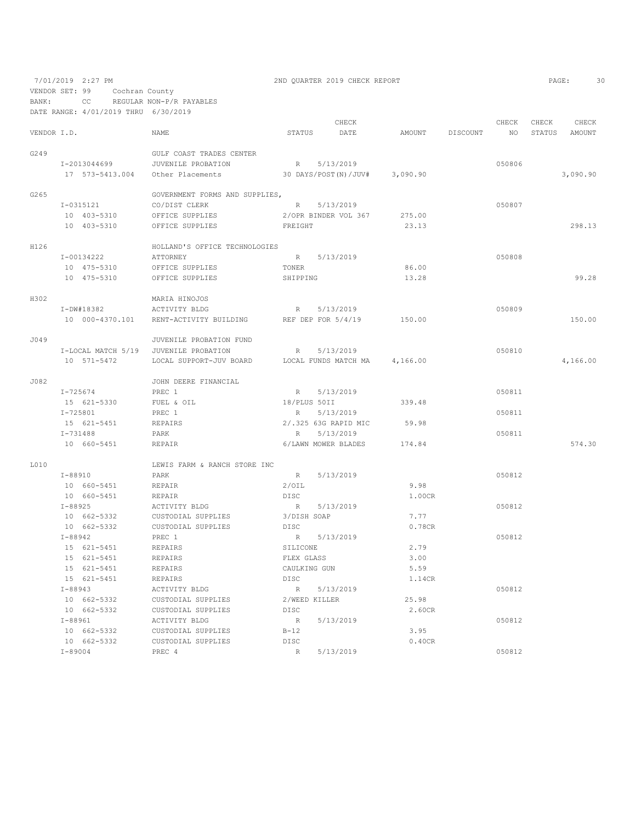7/01/2019 2:27 PM 2ND QUARTER 2019 CHECK REPORT PAGE: 30

VENDOR SET: 99 Cochran County

BANK: CC REGULAR NON-P/R PAYABLES DATE RANGE: 4/01/2019 THRU 6/30/2019

CHECK CHECK CHECK CHECK CHECK CHECK CHECK CHECK CHECK CHECK CHECK CHECK CHECK CHECK CHECK CHECK CHECK CHECK CHECK CHECK CHECK CHECK CHECK CHECK CHECK CHECK CHECK CHECK CHECK CHECK CHECK CHECK CHECK CHECK CHECK CHECK CHECK VENDOR I.D. NAME STATUS DATE AMOUNT DISCOUNT NO STATUS AMOUNT G249 GULF COAST TRADES CENTER<br>I-2013044699 JUVENILE PROBATION I-2013044699 JUVENILE PROBATION R 5/13/2019<br>17 573-5413.004 Other Placements 30 DAYS/POST(N)/JUV# 3,090.90 17 573-5413.004 Other Placements 30 DAYS/POST(N)/JUV# 3,090.90 3,090.90 G265 GOVERNMENT FORMS AND SUPPLIES,<br>  $I-0315121$  CO/DIST CLERK I-0315121 CO/DIST CLERK R 5/13/2019<br>10 403-5310 OFFICE SUPPLIES 2/OPR BINDER VOL 367 275.00 10 403-5310 OFFICE SUPPLIES 2/OPR BINDER VOL 367 275.00 10 403-5310 OFFICE SUPPLIES FREIGHT 23.13 298.13 H126 HOLLAND'S OFFICE TECHNOLOGIES I-00134222 ATTORNEY R 5/13/2019 050808 10 475-5310 OFFICE SUPPLIES TONER 86.00 10 475-5310 OFFICE SUPPLIES SHIPPING 13.28 99.28 H302 MARIA HINOJOS I-DW#18382 ACTIVITY BLDG R 5/13/2019 050809 10 000-4370.101 RENT-ACTIVITY BUILDING REF DEP FOR 5/4/19 150.00 150.00 J049 JUVENILE PROBATION FUND I-LOCAL MATCH 5/19 JUVENILE PROBATION R 5/13/2019<br>10 571–5472 LOCAL SUPPORT-JUV BOARD LOCAL FUNDS MATCH MA 4,166.00 10 10 571-56472 LOCAL FUNDS MATCH MA 4,166.00 J082 JOHN DEERE FINANCIAL R 5/13/2019 050811 15 621-5330 FUEL & OIL 18/PLUS 50II 339.48 1-725801 PREC 1 R 5/13/2019<br>15 621–5451 REPAIRS 2/.325 63G RAPID MIC 59.98 98 15 621–5451 REPAIRS 2/.325 63G RAPID MIC 59.98<br>1-731488 PARK R 5/13/2019 1-731488 PARK PARK R S/13/2019 R 5/13/2019<br>10 660-5451 REPAIR REPAIR 6/LAWN MOWER BLADES 174.84 10 660-5451 REPAIR 6/LAWN MOWER BLADES 174.84 574.30 L010 LEWIS FARM & RANCH STORE INC T-88910 PARK I-88910 PARK R 5/13/2019 050812 10 660-5451 REPAIR 2/OIL 9.98 10 660-5451 REPAIR<br>1-88925 ACTIVITY BLDG I-88925 ACTIVITY BLDG R 5/13/2019 050812  $10 662-5332 \t\t CUSTODIAL SUPPLIES \t\t 3/DISH SOAP \t\t 7.77 \t\t 662-5332 \t\t CUSTODIAL SUPPLIES \t\t 0.78CR$  $10 \t 662-5332$  CUSTODIAL SUPPLIES<br> $I-88942$  PREC 1. PREC 1 R 5/13/2019 R 5/13/2019 050812<br>REPAIRS SILICONE 2.79 15 621-5451 REPAIRS<br>15 621-5451 REPAIRS 15 621-5451 REPAIRS FLEX GLASS 3.00 15 621-5451 REPAIRS CAULKING GUN 5.59 15 621–5451 REPAIRS DISC 21.14CR<br>198943 2011 ACTIVITY BLDG 2 R 5/13/2019 I-88943 ACTIVITY BLDG R 5/13/2019 050812 10 662-5332 CUSTODIAL SUPPLIES 2/WEED KILLER 25.98 10 662-5332 CUSTODIAL SUPPLIES DISC 2.60CR I-88961 ACTIVITY BLDG R 5/13/2019 050812 10 662-5332 CUSTODIAL SUPPLIES B-12 3.95 CUSTODIAL SUPPLIES 1-89004 PREC 4 R 5/13/2019 PREC 4 R 5/13/2019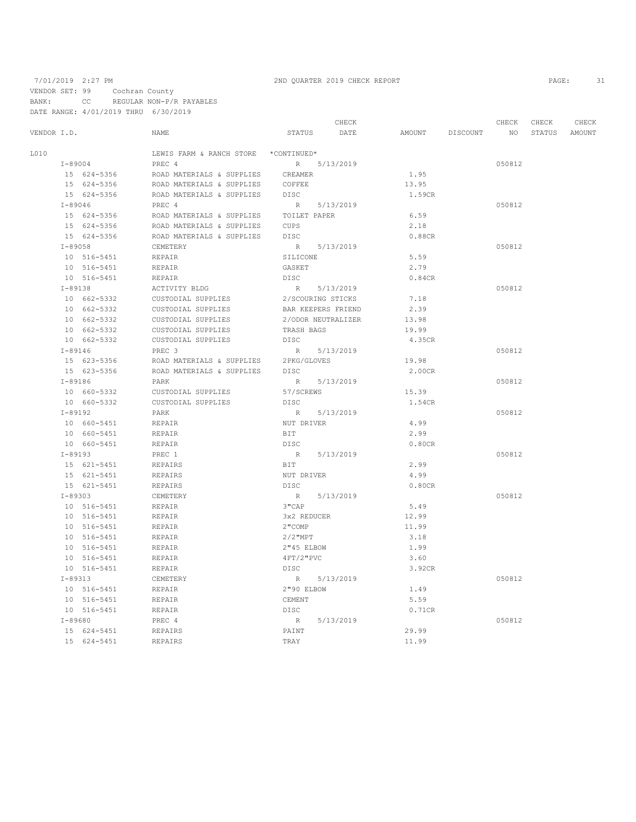VENDOR SET: 99 Cochran County

BANK: CC REGULAR NON-P/R PAYABLES

DATE RANGE: 4/01/2019 THRU 6/30/2019

|             |             |             |                                      |              | CHECK              |                 | CHECK  | CHECK  | CHECK  |
|-------------|-------------|-------------|--------------------------------------|--------------|--------------------|-----------------|--------|--------|--------|
| VENDOR I.D. |             |             | NAME                                 | STATUS       | DATE               | AMOUNT DISCOUNT | NO     | STATUS | AMOUNT |
| L010        |             |             | LEWIS FARM & RANCH STORE *CONTINUED* |              |                    |                 |        |        |        |
|             |             | $I - 89004$ | PREC 4                               |              | R 5/13/2019        |                 | 050812 |        |        |
|             |             | 15 624-5356 | ROAD MATERIALS & SUPPLIES            | CREAMER      |                    | 1.95            |        |        |        |
|             |             | 15 624-5356 | ROAD MATERIALS & SUPPLIES            | COFFEE       |                    | 13.95           |        |        |        |
|             |             | 15 624-5356 | ROAD MATERIALS & SUPPLIES            | DISC         |                    | 1.59CR          |        |        |        |
|             | $I - 89046$ |             | PREC 4                               |              | R 5/13/2019        |                 | 050812 |        |        |
|             |             | 15 624-5356 | ROAD MATERIALS & SUPPLIES            | TOILET PAPER |                    | 6.59            |        |        |        |
|             |             | 15 624-5356 | ROAD MATERIALS & SUPPLIES            | CUPS         |                    | 2.18            |        |        |        |
|             |             | 15 624-5356 | ROAD MATERIALS & SUPPLIES            | <b>DISC</b>  |                    | 0.88CR          |        |        |        |
|             | $I - 89058$ |             | CEMETERY                             |              | R 5/13/2019        |                 | 050812 |        |        |
|             |             | 10 516-5451 | REPAIR                               | SILICONE     |                    | 5.59            |        |        |        |
|             |             | 10 516-5451 | REPAIR                               | GASKET       |                    | 2.79            |        |        |        |
|             |             | 10 516-5451 | REPAIR                               | <b>DISC</b>  |                    | 0.84CR          |        |        |        |
|             | $I-89138$   |             | ACTIVITY BLDG                        |              | R 5/13/2019        |                 | 050812 |        |        |
|             |             | 10 662-5332 | CUSTODIAL SUPPLIES                   |              | 2/SCOURING STICKS  | 7.18            |        |        |        |
|             |             | 10 662-5332 | CUSTODIAL SUPPLIES                   |              | BAR KEEPERS FRIEND | 2.39            |        |        |        |
|             |             | 10 662-5332 | CUSTODIAL SUPPLIES                   |              | 2/ODOR NEUTRALIZER | 13.98           |        |        |        |
|             |             | 10 662-5332 | CUSTODIAL SUPPLIES                   | TRASH BAGS   |                    | 19.99           |        |        |        |
|             |             | 10 662-5332 | CUSTODIAL SUPPLIES                   | DISC         |                    | 4.35CR          |        |        |        |
|             | $I - 89146$ |             | PREC <sub>3</sub>                    |              | R 5/13/2019        |                 | 050812 |        |        |
|             |             | 15 623-5356 | ROAD MATERIALS & SUPPLIES            | 2PKG/GLOVES  |                    | 19.98           |        |        |        |
|             |             | 15 623-5356 | ROAD MATERIALS & SUPPLIES            | DISC         |                    | 2.00CR          |        |        |        |
|             | $I - 89186$ |             | PARK                                 |              | R 5/13/2019        |                 | 050812 |        |        |
|             |             | 10 660-5332 | CUSTODIAL SUPPLIES                   | 57/SCREWS    |                    | 15.39           |        |        |        |
|             |             | 10 660-5332 | CUSTODIAL SUPPLIES                   | DISC         |                    | 1.54CR          |        |        |        |
|             | $I - 89192$ |             | PARK                                 |              | R 5/13/2019        |                 | 050812 |        |        |
|             |             | 10 660-5451 | REPAIR                               | NUT DRIVER   |                    | 4.99            |        |        |        |
|             |             | 10 660-5451 | <b>REPAIR</b>                        | BIT          |                    | 2.99            |        |        |        |
|             |             | 10 660-5451 | REPAIR                               | DISC         |                    | 0.80CR          |        |        |        |
|             | $I-89193$   |             | PREC 1                               |              | R 5/13/2019        |                 | 050812 |        |        |
|             |             | 15 621-5451 | <b>REPAIRS</b>                       | BIT          |                    | 2.99            |        |        |        |
|             |             | 15 621-5451 | <b>REPAIRS</b>                       | NUT DRIVER   |                    | 4.99            |        |        |        |
|             |             | 15 621-5451 | <b>REPAIRS</b>                       | DISC         |                    | 0.80CR          |        |        |        |
|             | $I - 89303$ |             | CEMETERY                             |              | R 5/13/2019        |                 | 050812 |        |        |
|             |             | 10 516-5451 | REPAIR                               | $3"$ CAP     |                    | 5.49            |        |        |        |
|             |             | 10 516-5451 | REPAIR                               | 3x2 REDUCER  |                    | 12.99           |        |        |        |
|             |             | 10 516-5451 | REPAIR                               | 2"COMP       |                    | 11.99           |        |        |        |
|             |             | 10 516-5451 | REPAIR                               | $2/2$ "MPT   |                    | 3.18            |        |        |        |
|             |             | 10 516-5451 | REPAIR                               | 2"45 ELBOW   |                    | 1.99            |        |        |        |
|             |             | 10 516-5451 | REPAIR                               | $4FT/2$ "PVC |                    | 3.60            |        |        |        |
|             |             | 10 516-5451 | REPAIR                               | DISC         |                    | 3.92CR          |        |        |        |
|             | $I - 89313$ |             | CEMETERY                             |              | R 5/13/2019        |                 | 050812 |        |        |
|             |             | 10 516-5451 | <b>REPAIR</b>                        | 2"90 ELBOW   |                    | 1.49            |        |        |        |
|             |             | 10 516-5451 | REPAIR                               | CEMENT       |                    | 5.59            |        |        |        |
|             |             | 10 516-5451 | <b>REPAIR</b>                        | DISC         |                    | 0.71CR          |        |        |        |
|             | $I - 89680$ |             | PREC 4                               | R            | 5/13/2019          |                 | 050812 |        |        |
|             |             | 15 624-5451 | <b>REPAIRS</b>                       | PAINT        |                    | 29.99           |        |        |        |
|             |             | 15 624-5451 | <b>REPAIRS</b>                       | TRAY         |                    | 11.99           |        |        |        |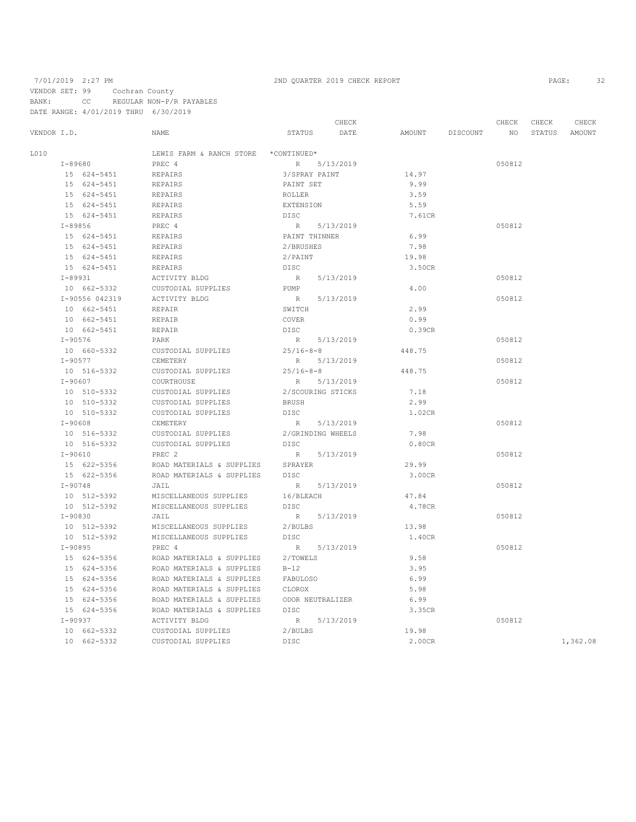VENDOR SET: 99 Cochran County

BANK: CC REGULAR NON-P/R PAYABLES DATE RANGE: 4/01/2019 THRU 6/30/2019

CHECK CHECK CHECK CHECK CHECK CHECK CHECK CHECK CHECK CHECK CHECK CHECK CHECK CHECK CHECK CHECK CHECK CHECK CHECK CHECK CHECK CHECK CHECK CHECK CHECK CHECK CHECK CHECK CHECK CHECK CHECK CHECK CHECK CHECK CHECK CHECK CHECK VENDOR I.D. NAME STATUS DATE AMOUNT DISCOUNT NO STATUS AMOUNT  $$\tt LEWIS\texttt{ FARM $\&$ RANCH\texttt{ }STORE \&\texttt{COMTIMED*}}$$ <br/> $$\tt I-89680$$  I-89680 PREC 4 R 5/13/2019 050812 15 624-5451 REPAIRS 3/SPRAY PAINT 14.97 15 624-5451 REPAIRS PAINT SET 9.99 15 624-5451 REPAIRS ROLLER 3.59 15 624-5451 REPAIRS<br>15 624-5451 REPAIRS 15 624–5451 REPAIRS DISC 7.61CR PREC $4$ PREC $4$  R 5/13/2019 R 3/13/2019 I-89856 PREC 4 R 5/13/2019 050812 15 6.99 FREPAIRS PAINT THINNER 6.99<br>1988 REPAIRS PAINT AND 2/BRUSHES 15 624-5451 REPAIRS 2/BRUSHES 7.98 15 624-5451 REPAIRS 2/PAIN<br>15 624-5451 REPAIRS DISC 15 624–5451 REPAIRS DISC <br>1-89931 1-99931 ACTIVITY BLDG R 5/13/2019 I-89931 ACTIVITY BLDG R 5/13/2019 050812 CUSTODIAL SUPPLIES PUMP <br>
1.00 R 5/13/2019 I-90556 042319 ACTIVITY BLDG R 5/13/2019 050812 10 662-5451 REPAIR SWITCH 2.99 10 662-5451 REPAIR COVER 0.99 10 662-5451 I-90576 PARK R 5/13/2019 050812 10 660-5332 CUSTODIAL SUPPLIES 25/16-8-8 448.75 I-90577 CEMETERY R 5/13/2019<br>10 516–5332 CUSTODIAL SUPPLIES 25/16-8-8 448.75 10 516-5332 CUSTODIAL SUPPLIES  $25/16-8-8$ <br> $T-90607$  COURTHOUSE  $R = 5/13/2019$  I-90607 COURTHOUSE R 5/13/2019 050812 10 510-533332 CUSTODIAL SUPPLIES 2/SCOUR<br>10 510-54332 CUSTODIAL SUPPLIES 10 510-5332 CUSTODIAL SUPPLIES BRUSH 2.99 10 510-5332 CUSTODIAL SUPPLIES DISC 1.02CR I-90608 CEMETERY R 5/13/2019 050812 10 516-5332 CUSTODIAL SUPPLIES 2/GRINDING WHEELS 7.98 10 516-5332 CUSTODIAL SUPPLIES DISC 0.80CR I-90610 PREC 2 R 5/13/2019 050812 15 622-5356 ROAD MATERIALS & SUPPLIES SPRAYER 29.99 15 622–5356 ROAD MATERIALS & SUPPLIES DISC  $I=90748$  3.00CR Jeff 3.00CR 1-90748 JAIL JAIL R 5/13/2019<br>10 512-5392 MISCELLANEOUS SUPPLIES 16/BLEACH 47.84 10 512-5392 MISCELLANEOUS SUPPLIES 16/BLEACH<br>10 512-5392 MISCELLANEOUS SUPPLIES DISC MISCELLANEOUS SUPPLIES DISC 2.78CR 1-90830 JAIL <br>10 512-5392 MISCELLANEOUS SUPPLIES 2/BULBS 13.98 13.98 10 512-5392 MISCELLANEOUS SUPPLIES 2/BULBS 13.98  ${\tt MISCELLANEOUS SUPPLIES} {\tt DISC} {\tt PREC} \nonumber\\ \begin{array}{lll} \multicolumn{3}{l}{{\tt N}} & \multicolumn{3}{l}{{\tt N}} & \multicolumn{3}{l}{{\tt S}}/13/2019 \end{array}$ I-90895 PREC 4 R 5/13/2019 PREC 1 15 624-5356 ROAD MATERIALS & SUPPLIES 2/TOWELS 9.58 15 624-5356 ROAD MATERIALS & SUPPLIES B-12 3.95 15 624-5356 ROAD MATERIALS & SUPPLIES FABULOSO 6.99 15.98 ROAD MATERIALS & SUPPLIES CLOROX<br>15.99 ROAD MATERIALS & SUPPLIES CDOR NEUTRALIZER 15 624-5356 ROAD MATERIALS & SUPPLIES ODOR NEUTRALIZER 6.99 15 624–5356 ROAD MATERIALS & SUPPLIES DISC  $\begin{array}{ccc} 15 & 624–5356 \\ \text{I} - 90937 & & \text{ACTIVITY BLDG} \end{array}$  R 5/13/2019 I-90937 ACTIVITY BLDG R 5/13/2019 050812 10 662-5332 CUSTODIAL SUPPLIES 2/BULBS 19.98 19.98<br>10 662-5332 CUSTODIAL SUPPLIES DISC 2.00CR 2.00CR 1,362.08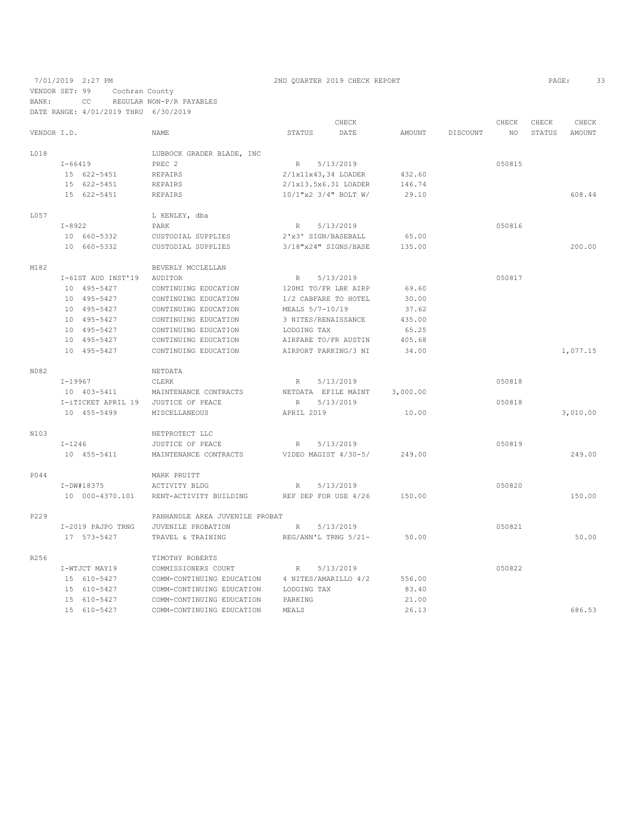7/01/2019 2:27 PM 2ND QUARTER 2019 CHECK REPORT 2019 CHECK REPORT VENDOR SET: 99 Cochran County BANK: CC REGULAR NON-P/R PAYABLES DATE RANGE: 4/01/2019 THRU 6/30/2019

|             |               |                    |                                | CHECK           |  |                      |          | CHECK    | CHECK  | CHECK         |               |
|-------------|---------------|--------------------|--------------------------------|-----------------|--|----------------------|----------|----------|--------|---------------|---------------|
| VENDOR I.D. |               |                    | NAME                           | STATUS          |  | DATE                 | AMOUNT   | DISCOUNT | NO.    | <b>STATUS</b> | <b>AMOUNT</b> |
| L018        |               |                    | LUBBOCK GRADER BLADE, INC      |                 |  |                      |          |          |        |               |               |
|             | $I - 66419$   |                    | PREC <sub>2</sub>              | R               |  | 5/13/2019            |          |          | 050815 |               |               |
|             |               | 15 622-5451        | REPAIRS                        |                 |  | 2/1x11x43,34 LOADER  | 432.60   |          |        |               |               |
|             |               | 15 622-5451        | REPAIRS                        |                 |  | 2/1x13.5x6.31 LOADER | 146.74   |          |        |               |               |
|             |               | 15 622-5451        | <b>REPAIRS</b>                 |                 |  | 10/1"x2 3/4" BOLT W/ | 29.10    |          |        |               | 608.44        |
| L057        |               |                    | L KENLEY, dba                  |                 |  |                      |          |          |        |               |               |
|             | $I - 8922$    |                    | PARK                           | R               |  | 5/13/2019            |          |          | 050816 |               |               |
|             |               | 10 660-5332        | CUSTODIAL SUPPLIES             |                 |  | 2'x3' SIGN/BASEBALL  | 65.00    |          |        |               |               |
|             |               | 10 660-5332        | CUSTODIAL SUPPLIES             |                 |  | 3/18"x24" SIGNS/BASE | 135.00   |          |        |               | 200.00        |
| M182        |               |                    | BEVERLY MCCLELLAN              |                 |  |                      |          |          |        |               |               |
|             |               | I-61ST AUD INST'19 | AUDITOR                        | R               |  | 5/13/2019            |          |          | 050817 |               |               |
|             |               | 10 495-5427        | CONTINUING EDUCATION           |                 |  | 120MI TO/FR LBK AIRP | 69.60    |          |        |               |               |
|             |               | 10 495-5427        | CONTINUING EDUCATION           |                 |  | 1/2 CABFARE TO HOTEL | 30.00    |          |        |               |               |
|             |               | 10 495-5427        | CONTINUING EDUCATION           | MEALS 5/7-10/19 |  |                      | 37.62    |          |        |               |               |
|             |               | 10 495-5427        | CONTINUING EDUCATION           |                 |  | 3 NITES/RENAISSANCE  | 435.00   |          |        |               |               |
|             |               | 10 495-5427        | CONTINUING EDUCATION           | LODGING TAX     |  |                      | 65.25    |          |        |               |               |
|             |               | 10 495-5427        | CONTINUING EDUCATION           |                 |  | AIRFARE TO/FR AUSTIN | 405.68   |          |        |               |               |
|             |               | 10 495-5427        | CONTINUING EDUCATION           |                 |  | AIRPORT PARKING/3 NI | 34.00    |          |        |               | 1,077.15      |
| N082        |               |                    | NETDATA                        |                 |  |                      |          |          |        |               |               |
|             | $I - 19967$   |                    | CLERK                          | R               |  | 5/13/2019            |          |          | 050818 |               |               |
|             |               | 10 403-5411        | MAINTENANCE CONTRACTS          |                 |  | NETDATA EFILE MAINT  | 3,000.00 |          |        |               |               |
|             |               | I-iTICKET APRIL 19 | JUSTICE OF PEACE               | R               |  | 5/13/2019            |          |          | 050818 |               |               |
|             |               | 10 455-5499        | <b>MISCELLANEOUS</b>           | APRIL 2019      |  |                      | 10.00    |          |        |               | 3,010.00      |
| N103        |               |                    | NETPROTECT LLC                 |                 |  |                      |          |          |        |               |               |
|             | $I-1246$      |                    | JUSTICE OF PEACE               | R               |  | 5/13/2019            |          |          | 050819 |               |               |
|             |               | 10 455-5411        | MAINTENANCE CONTRACTS          |                 |  | VIDEO MAGIST 4/30-5/ | 249.00   |          |        |               | 249.00        |
| P044        |               |                    | MARK PRUITT                    |                 |  |                      |          |          |        |               |               |
|             | I-DW#18375    |                    | ACTIVITY BLDG                  | $R_{\parallel}$ |  | 5/13/2019            |          |          | 050820 |               |               |
|             |               | 10 000-4370.101    | RENT-ACTIVITY BUILDING         |                 |  | REF DEP FOR USE 4/26 | 150.00   |          |        |               | 150.00        |
| P229        |               |                    | PANHANDLE AREA JUVENILE PROBAT |                 |  |                      |          |          |        |               |               |
|             |               | I-2019 PAJPO TRNG  | JUVENILE PROBATION             | R               |  | 5/13/2019            |          |          | 050821 |               |               |
|             |               | 17 573-5427        | TRAVEL & TRAINING              |                 |  | REG/ANN'L TRNG 5/21- | 50.00    |          |        |               | 50.00         |
| R256        |               |                    | TIMOTHY ROBERTS                |                 |  |                      |          |          |        |               |               |
|             | I-WTJCT MAY19 |                    | COMMISSIONERS COURT            | R               |  | 5/13/2019            |          |          | 050822 |               |               |
|             |               | 15 610-5427        | COMM-CONTINUING EDUCATION      |                 |  | 4 NITES/AMARILLO 4/2 | 556.00   |          |        |               |               |
|             |               | 15 610-5427        | COMM-CONTINUING EDUCATION      | LODGING TAX     |  |                      | 83.40    |          |        |               |               |
|             |               | 15 610-5427        | COMM-CONTINUING EDUCATION      | PARKING         |  |                      | 21.00    |          |        |               |               |
|             |               | 15 610-5427        | COMM-CONTINUING EDUCATION      | MEALS           |  |                      | 26.13    |          |        |               | 686.53        |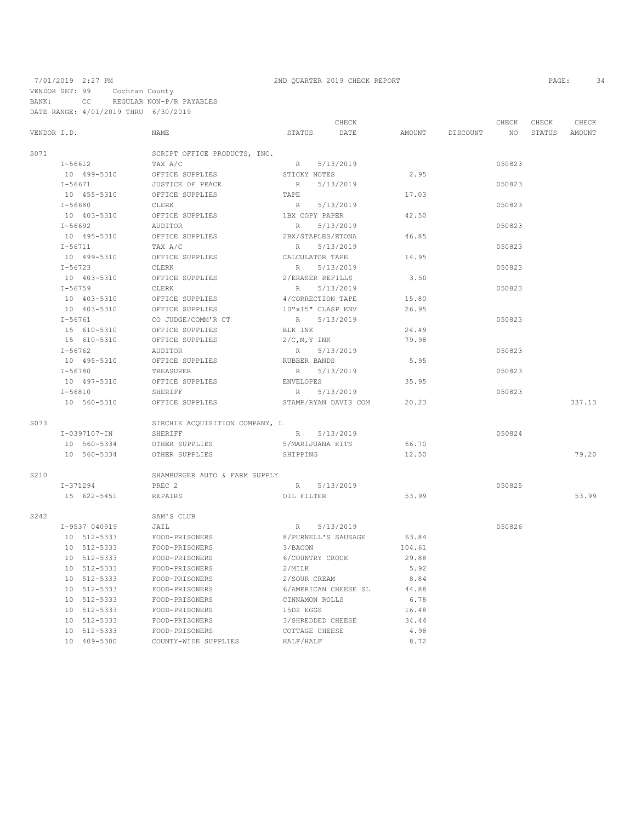### 7/01/2019 2:27 PM 2ND QUARTER 2019 CHECK REPORT PAGE: 34 VENDOR SET: 99 Cochran County BANK: CC REGULAR NON-P/R PAYABLES DATE RANGE: 4/01/2019 THRU 6/30/2019

|             |               |                                | CHECK               |                      |        | CHECK    | CHECK           | CHECK  |        |
|-------------|---------------|--------------------------------|---------------------|----------------------|--------|----------|-----------------|--------|--------|
| VENDOR I.D. |               | NAME                           | STATUS              | DATE                 | AMOUNT | DISCOUNT | NO <sub>1</sub> | STATUS | AMOUNT |
| S071        |               | SCRIPT OFFICE PRODUCTS, INC.   |                     |                      |        |          |                 |        |        |
|             | I-56612       | TAX A/C                        | R 5/13/2019         |                      |        |          | 050823          |        |        |
|             | 10 499-5310   | OFFICE SUPPLIES                | STICKY NOTES        |                      | 2.95   |          |                 |        |        |
|             | $I - 56671$   | JUSTICE OF PEACE               | R                   | 5/13/2019            |        |          | 050823          |        |        |
|             | 10 455-5310   | OFFICE SUPPLIES                | TAPE                |                      | 17.03  |          |                 |        |        |
|             | $I - 56680$   | CLERK                          | R                   | 5/13/2019            |        |          | 050823          |        |        |
|             | 10 403-5310   | OFFICE SUPPLIES                | 1BX COPY PAPER      |                      | 42.50  |          |                 |        |        |
|             | $I - 56692$   | AUDITOR                        | R                   | 5/13/2019            |        |          | 050823          |        |        |
|             | 10 495-5310   | OFFICE SUPPLIES                | 2BX/STAPLES/ETONA   |                      | 46.85  |          |                 |        |        |
|             | $I - 56711$   | TAX A/C                        | R                   | 5/13/2019            |        |          | 050823          |        |        |
|             | 10 499-5310   | OFFICE SUPPLIES                | CALCULATOR TAPE     |                      | 14.95  |          |                 |        |        |
|             | $I - 56723$   | CLERK                          | R                   | 5/13/2019            |        |          | 050823          |        |        |
|             | 10 403-5310   | OFFICE SUPPLIES                | 2/ERASER REFILLS    |                      | 3.50   |          |                 |        |        |
|             | $I - 56759$   | CLERK                          | R                   | 5/13/2019            |        |          | 050823          |        |        |
|             | 10 403-5310   | OFFICE SUPPLIES                | 4/CORRECTION TAPE   |                      | 15.80  |          |                 |        |        |
|             | 10 403-5310   | OFFICE SUPPLIES                | 10"x15" CLASP ENV   |                      | 26.95  |          |                 |        |        |
|             | $I - 56761$   | CO JUDGE/COMM'R CT             | R                   | 5/13/2019            |        |          | 050823          |        |        |
|             | 15 610-5310   | OFFICE SUPPLIES                | BLK INK             |                      | 24.49  |          |                 |        |        |
|             | 15 610-5310   | OFFICE SUPPLIES                | $2/C$ , M, Y INK    |                      | 79.98  |          |                 |        |        |
|             | $I - 56762$   | AUDITOR                        | R 5/13/2019         |                      |        |          | 050823          |        |        |
|             | 10 495-5310   | OFFICE SUPPLIES                | RUBBER BANDS        |                      | 5.95   |          |                 |        |        |
|             | $I - 56780$   | TREASURER                      | R                   | 5/13/2019            |        |          | 050823          |        |        |
|             | 10 497-5310   | OFFICE SUPPLIES                | ENVELOPES           |                      | 35.95  |          |                 |        |        |
|             | $I - 56810$   | SHERIFF                        | R                   | 5/13/2019            |        |          | 050823          |        |        |
|             | 10 560-5310   | OFFICE SUPPLIES                |                     | STAMP/RYAN DAVIS COM | 20.23  |          |                 |        | 337.13 |
| S073        |               | SIRCHIE ACQUISITION COMPANY, L |                     |                      |        |          |                 |        |        |
|             | I-0397107-IN  | SHERIFF                        | R 5/13/2019         |                      |        |          | 050824          |        |        |
|             | 10 560-5334   | OTHER SUPPLIES                 | 5/MARIJUANA KITS    |                      | 66.70  |          |                 |        |        |
|             | 10 560-5334   | OTHER SUPPLIES                 | SHIPPING            |                      | 12.50  |          |                 |        | 79.20  |
| S210        |               | SHAMBURGER AUTO & FARM SUPPLY  |                     |                      |        |          |                 |        |        |
|             | I-371294      | PREC 2                         | R 5/13/2019         |                      |        |          | 050825          |        |        |
|             | 15 622-5451   | REPAIRS                        | OIL FILTER          |                      | 53.99  |          |                 |        | 53.99  |
|             |               |                                |                     |                      |        |          |                 |        |        |
| S242        |               | SAM'S CLUB                     |                     |                      |        |          |                 |        |        |
|             | I-9537 040919 | JAIL                           | R 5/13/2019         |                      |        |          | 050826          |        |        |
|             | 10 512-5333   | FOOD-PRISONERS                 | 8/PURNELL'S SAUSAGE |                      | 63.84  |          |                 |        |        |
|             | 10 512-5333   | FOOD-PRISONERS                 | 3/BACON             |                      | 104.61 |          |                 |        |        |
|             | 10 512-5333   | FOOD-PRISONERS                 | 6/COUNTRY CROCK     |                      | 29.88  |          |                 |        |        |
|             | 10 512-5333   | FOOD-PRISONERS                 | 2/MILK              |                      | 5.92   |          |                 |        |        |
|             | 10 512-5333   | FOOD-PRISONERS                 | 2/SOUR CREAM        |                      | 8.84   |          |                 |        |        |
|             | 10 512-5333   | FOOD-PRISONERS                 |                     | 6/AMERICAN CHEESE SL | 44.88  |          |                 |        |        |
|             | 10 512-5333   | FOOD-PRISONERS                 | CINNAMON ROLLS      |                      | 6.78   |          |                 |        |        |
|             | 10 512-5333   | FOOD-PRISONERS                 | 15DZ EGGS           |                      | 16.48  |          |                 |        |        |
|             | 10 512-5333   | FOOD-PRISONERS                 | 3/SHREDDED CHEESE   |                      | 34.44  |          |                 |        |        |
|             | 10 512-5333   | FOOD-PRISONERS                 | COTTAGE CHEESE      |                      | 4.98   |          |                 |        |        |
|             | 10 409-5300   | COUNTY-WIDE SUPPLIES           | HALF/HALF           |                      | 8.72   |          |                 |        |        |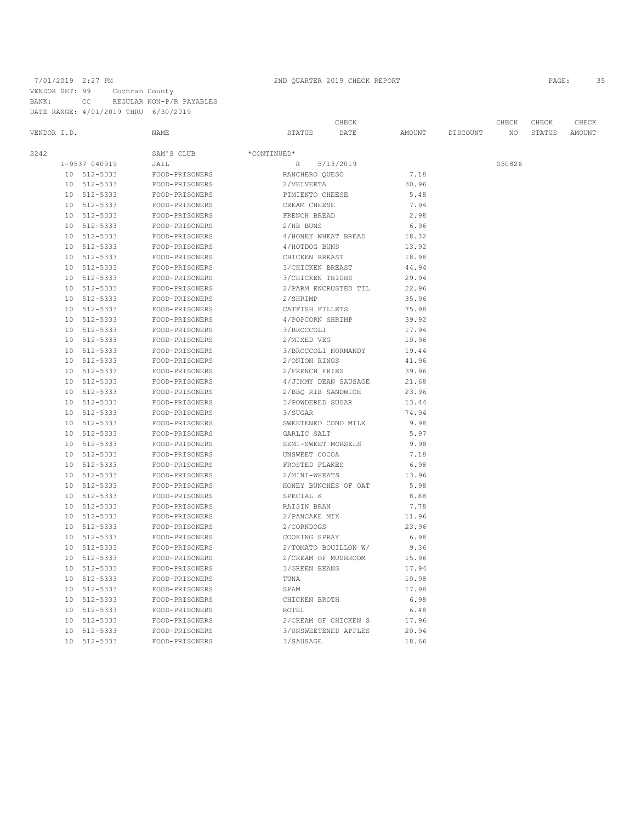## 7/01/2019 2:27 PM 2ND QUARTER 2019 CHECK REPORT 2019 CHECK REPORT VENDOR SET: 99 Cochran County BANK: CC REGULAR NON-P/R PAYABLES DATE RANGE: 4/01/2019 THRU 6/30/2019

|             |    |               |                |                      | CHECK     |        |          | CHECK  | CHECK  | CHECK  |
|-------------|----|---------------|----------------|----------------------|-----------|--------|----------|--------|--------|--------|
| VENDOR I.D. |    |               | NAME           | STATUS               | DATE      | AMOUNT | DISCOUNT | NO.    | STATUS | AMOUNT |
| S242        |    |               | SAM'S CLUB     | *CONTINUED*          |           |        |          |        |        |        |
|             |    | I-9537 040919 | JAIL           | R                    | 5/13/2019 |        |          | 050826 |        |        |
|             |    | 10 512-5333   | FOOD-PRISONERS | RANCHERO QUESO       |           | 7.18   |          |        |        |        |
|             |    | 10 512-5333   | FOOD-PRISONERS | 2/VELVEETA           |           | 30.96  |          |        |        |        |
|             |    | 10 512-5333   | FOOD-PRISONERS | PIMIENTO CHEESE      |           | 5.48   |          |        |        |        |
|             |    | 10 512-5333   | FOOD-PRISONERS | CREAM CHEESE         |           | 7.94   |          |        |        |        |
|             | 10 | 512-5333      | FOOD-PRISONERS | FRENCH BREAD         |           | 2.98   |          |        |        |        |
|             |    | 10 512-5333   | FOOD-PRISONERS | 2/HB BUNS            |           | 6.96   |          |        |        |        |
|             | 10 | 512-5333      | FOOD-PRISONERS | 4/HONEY WHEAT BREAD  |           | 18.32  |          |        |        |        |
|             | 10 | 512-5333      | FOOD-PRISONERS | 4/HOTDOG BUNS        |           | 13.92  |          |        |        |        |
|             | 10 | 512-5333      | FOOD-PRISONERS | CHICKEN BREAST       |           | 18.98  |          |        |        |        |
|             | 10 | 512-5333      | FOOD-PRISONERS | 3/CHICKEN BREAST     |           | 44.94  |          |        |        |        |
|             | 10 | 512-5333      | FOOD-PRISONERS | 3/CHICKEN THIGHS     |           | 29.94  |          |        |        |        |
|             | 10 | 512-5333      | FOOD-PRISONERS | 2/PARM ENCRUSTED TIL |           | 22.96  |          |        |        |        |
|             | 10 | 512-5333      | FOOD-PRISONERS | 2/SHRIMP             |           | 35.96  |          |        |        |        |
|             | 10 | 512-5333      | FOOD-PRISONERS | CATFISH FILLETS      |           | 75.98  |          |        |        |        |
|             | 10 | 512-5333      | FOOD-PRISONERS | 4/POPCORN SHRIMP     |           | 39.92  |          |        |        |        |
|             | 10 | 512-5333      | FOOD-PRISONERS | 3/BROCCOLI           |           | 17.94  |          |        |        |        |
|             | 10 | 512-5333      | FOOD-PRISONERS | 2/MIXED VEG          |           | 10.96  |          |        |        |        |
|             | 10 | 512-5333      | FOOD-PRISONERS | 3/BROCCOLI NORMANDY  |           | 19.44  |          |        |        |        |
|             |    | 10 512-5333   | FOOD-PRISONERS | 2/ONION RINGS        |           | 41.96  |          |        |        |        |
|             |    | 10 512-5333   | FOOD-PRISONERS | 2/FRENCH FRIES       |           | 39.96  |          |        |        |        |
|             |    | 10 512-5333   | FOOD-PRISONERS | 4/JIMMY DEAN SAUSAGE |           | 21.68  |          |        |        |        |
|             | 10 | 512-5333      | FOOD-PRISONERS | 2/BBQ RIB SANDWICH   |           | 23.96  |          |        |        |        |
|             | 10 | 512-5333      | FOOD-PRISONERS | 3/POWDERED SUGAR     |           | 13.44  |          |        |        |        |
|             | 10 | 512-5333      | FOOD-PRISONERS | 3/SUGAR              |           | 74.94  |          |        |        |        |
|             | 10 | 512-5333      | FOOD-PRISONERS | SWEETENED COND MILK  |           | 9.98   |          |        |        |        |
|             | 10 | 512-5333      | FOOD-PRISONERS | GARLIC SALT          |           | 5.97   |          |        |        |        |
|             | 10 | 512-5333      | FOOD-PRISONERS | SEMI-SWEET MORSELS   |           | 9.98   |          |        |        |        |
|             | 10 | 512-5333      | FOOD-PRISONERS | UNSWEET COCOA        |           | 7.18   |          |        |        |        |
|             | 10 | 512-5333      | FOOD-PRISONERS | FROSTED FLAKES       |           | 6.98   |          |        |        |        |
|             | 10 | 512-5333      | FOOD-PRISONERS | 2/MINI-WHEATS        |           | 13.96  |          |        |        |        |
|             | 10 | 512-5333      | FOOD-PRISONERS | HONEY BUNCHES OF OAT |           | 5.98   |          |        |        |        |
|             | 10 | 512-5333      | FOOD-PRISONERS | SPECIAL K            |           | 8.88   |          |        |        |        |
|             | 10 | 512-5333      | FOOD-PRISONERS | RAISIN BRAN          |           | 7.78   |          |        |        |        |
|             | 10 | 512-5333      | FOOD-PRISONERS | 2/PANCAKE MIX        |           | 11.96  |          |        |        |        |
|             | 10 | 512-5333      | FOOD-PRISONERS | 2/CORNDOGS           |           | 23.96  |          |        |        |        |
|             |    | 10 512-5333   | FOOD-PRISONERS | COOKING SPRAY        |           | 6.98   |          |        |        |        |
|             |    | 10 512-5333   | FOOD-PRISONERS | 2/TOMATO BOUILLON W/ |           | 9.36   |          |        |        |        |
|             |    | 10 512-5333   | FOOD-PRISONERS | 2/CREAM OF MUSHROOM  |           | 15.96  |          |        |        |        |
|             | 10 | 512-5333      | FOOD-PRISONERS | 3/GREEN BEANS        |           | 17.94  |          |        |        |        |
|             |    | 10 512-5333   | FOOD-PRISONERS | TUNA                 |           | 10.98  |          |        |        |        |
|             | 10 | 512-5333      | FOOD-PRISONERS | SPAM                 |           | 17.98  |          |        |        |        |
|             | 10 | 512-5333      | FOOD-PRISONERS | CHICKEN BROTH        |           | 6.98   |          |        |        |        |
|             | 10 | 512-5333      | FOOD-PRISONERS | ROTEL                |           | 6.48   |          |        |        |        |
|             | 10 | 512-5333      | FOOD-PRISONERS | 2/CREAM OF CHICKEN S |           | 17.96  |          |        |        |        |
|             | 10 | 512-5333      | FOOD-PRISONERS | 3/UNSWEETENED APPLES |           | 20.94  |          |        |        |        |
|             | 10 | 512-5333      | FOOD-PRISONERS | 3/SAUSAGE            |           | 18.66  |          |        |        |        |
|             |    |               |                |                      |           |        |          |        |        |        |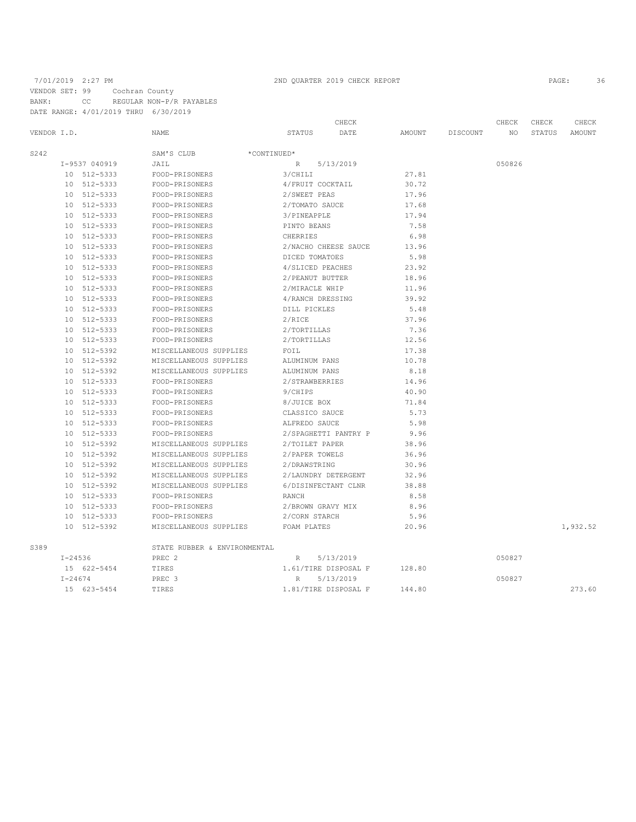## 7/01/2019 2:27 PM 2ND QUARTER 2019 CHECK REPORT 2019 CHECK REPORT VENDOR SET: 99 Cochran County BANK: CC REGULAR NON-P/R PAYABLES

DATE RANGE: 4/01/2019 THRU 6/30/2019

|             |             |               |                              | CHECK                |           |        |          | CHECK  | CHECK  | CHECK    |
|-------------|-------------|---------------|------------------------------|----------------------|-----------|--------|----------|--------|--------|----------|
| VENDOR I.D. |             |               | NAME                         | STATUS               | DATE      | AMOUNT | DISCOUNT | NO.    | STATUS | AMOUNT   |
| S242        |             |               | SAM'S CLUB                   | *CONTINUED*          |           |        |          |        |        |          |
|             |             | I-9537 040919 | JAIL                         | $R_{\parallel}$      | 5/13/2019 |        |          | 050826 |        |          |
|             |             | 10 512-5333   | FOOD-PRISONERS               | 3/CHILI              |           | 27.81  |          |        |        |          |
|             |             | 10 512-5333   | FOOD-PRISONERS               | 4/FRUIT COCKTAIL     |           | 30.72  |          |        |        |          |
|             |             | 10 512-5333   | FOOD-PRISONERS               | 2/SWEET PEAS         |           | 17.96  |          |        |        |          |
|             |             | 10 512-5333   | FOOD-PRISONERS               | 2/TOMATO SAUCE       |           | 17.68  |          |        |        |          |
|             |             | 10 512-5333   | FOOD-PRISONERS               | 3/PINEAPPLE          |           | 17.94  |          |        |        |          |
|             |             | 10 512-5333   | FOOD-PRISONERS               | PINTO BEANS          |           | 7.58   |          |        |        |          |
|             |             | 10 512-5333   | FOOD-PRISONERS               | CHERRIES             |           | 6.98   |          |        |        |          |
|             |             | 10 512-5333   | FOOD-PRISONERS               | 2/NACHO CHEESE SAUCE |           | 13.96  |          |        |        |          |
|             |             | 10 512-5333   | FOOD-PRISONERS               | DICED TOMATOES       |           | 5.98   |          |        |        |          |
|             |             | 10 512-5333   | FOOD-PRISONERS               | 4/SLICED PEACHES     |           | 23.92  |          |        |        |          |
|             |             | 10 512-5333   | FOOD-PRISONERS               | 2/PEANUT BUTTER      |           | 18.96  |          |        |        |          |
|             |             | 10 512-5333   | FOOD-PRISONERS               | 2/MIRACLE WHIP       |           | 11.96  |          |        |        |          |
|             |             | 10 512-5333   | FOOD-PRISONERS               | 4/RANCH DRESSING     |           | 39.92  |          |        |        |          |
|             |             | 10 512-5333   | FOOD-PRISONERS               | DILL PICKLES         |           | 5.48   |          |        |        |          |
|             |             | 10 512-5333   | FOOD-PRISONERS               | 2/RICE               |           | 37.96  |          |        |        |          |
|             |             | 10 512-5333   | FOOD-PRISONERS               | 2/TORTILLAS          |           | 7.36   |          |        |        |          |
|             |             | 10 512-5333   | FOOD-PRISONERS               | 2/TORTILLAS          |           | 12.56  |          |        |        |          |
|             |             | 10 512-5392   | MISCELLANEOUS SUPPLIES       | FOIL                 |           | 17.38  |          |        |        |          |
|             |             | 10 512-5392   | MISCELLANEOUS SUPPLIES       | ALUMINUM PANS        |           | 10.78  |          |        |        |          |
|             |             | 10 512-5392   | MISCELLANEOUS SUPPLIES       | ALUMINUM PANS        |           | 8.18   |          |        |        |          |
|             |             | 10 512-5333   | FOOD-PRISONERS               | 2/STRAWBERRIES       |           | 14.96  |          |        |        |          |
|             |             | 10 512-5333   | FOOD-PRISONERS               | 9/CHIPS              |           | 40.90  |          |        |        |          |
|             | 10          | 512-5333      | FOOD-PRISONERS               | 8/JUICE BOX          |           | 71.84  |          |        |        |          |
|             |             | 10 512-5333   | FOOD-PRISONERS               | CLASSICO SAUCE       |           | 5.73   |          |        |        |          |
|             |             | 10 512-5333   | FOOD-PRISONERS               | ALFREDO SAUCE        |           | 5.98   |          |        |        |          |
|             |             | 10 512-5333   | FOOD-PRISONERS               | 2/SPAGHETTI PANTRY P |           | 9.96   |          |        |        |          |
|             |             | 10 512-5392   | MISCELLANEOUS SUPPLIES       | 2/TOILET PAPER       |           | 38.96  |          |        |        |          |
|             |             | 10 512-5392   | MISCELLANEOUS SUPPLIES       | 2/PAPER TOWELS       |           | 36.96  |          |        |        |          |
|             |             | 10 512-5392   | MISCELLANEOUS SUPPLIES       | 2/DRAWSTRING         |           | 30.96  |          |        |        |          |
|             |             | 10 512-5392   | MISCELLANEOUS SUPPLIES       | 2/LAUNDRY DETERGENT  |           | 32.96  |          |        |        |          |
|             |             | 10 512-5392   | MISCELLANEOUS SUPPLIES       | 6/DISINFECTANT CLNR  |           | 38.88  |          |        |        |          |
|             |             | 10 512-5333   | FOOD-PRISONERS               | RANCH                |           | 8.58   |          |        |        |          |
|             |             | 10 512-5333   | FOOD-PRISONERS               | 2/BROWN GRAVY MIX    |           | 8.96   |          |        |        |          |
|             |             | 10 512-5333   | FOOD-PRISONERS               | 2/CORN STARCH        |           | 5.96   |          |        |        |          |
|             |             | 10 512-5392   | MISCELLANEOUS SUPPLIES       | FOAM PLATES          |           | 20.96  |          |        |        | 1,932.52 |
| S389        |             |               | STATE RUBBER & ENVIRONMENTAL |                      |           |        |          |        |        |          |
|             | $I - 24536$ |               | PREC <sub>2</sub>            | $R_{\parallel}$      | 5/13/2019 |        |          | 050827 |        |          |
|             |             | 15 622-5454   | TIRES                        | 1.61/TIRE DISPOSAL F |           | 128.80 |          |        |        |          |
|             | $I - 24674$ |               | PREC 3                       | R                    | 5/13/2019 |        |          | 050827 |        |          |
|             |             | 15 623-5454   | TIRES                        | 1.81/TIRE DISPOSAL F |           | 144.80 |          |        |        | 273.60   |
|             |             |               |                              |                      |           |        |          |        |        |          |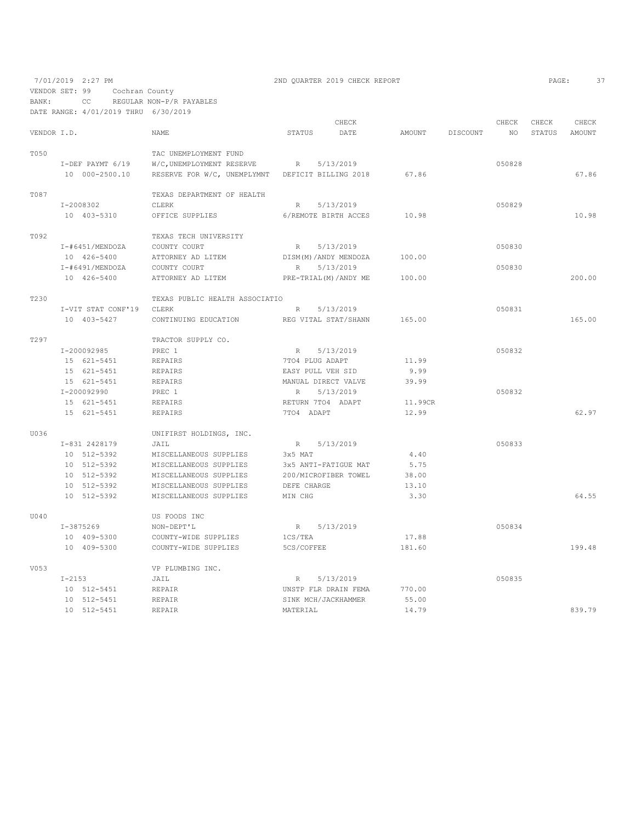VENDOR SET: 99 Cochran County

BANK: CC REGULAR NON-P/R PAYABLES

|             | DATE RANGE: 4/01/2019 THRU 6/30/2019 |                                                  |                         |           |         |          |        |        |        |
|-------------|--------------------------------------|--------------------------------------------------|-------------------------|-----------|---------|----------|--------|--------|--------|
|             |                                      |                                                  |                         | CHECK     |         |          | CHECK  | CHECK  | CHECK  |
| VENDOR I.D. |                                      | NAME                                             | STATUS                  | DATE      | AMOUNT  | DISCOUNT | NO.    | STATUS | AMOUNT |
| T050        |                                      | TAC UNEMPLOYMENT FUND                            |                         |           |         |          |        |        |        |
|             | I-DEF PAYMT 6/19                     | W/C, UNEMPLOYMENT RESERVE                        | $R_{\odot}$             | 5/13/2019 |         |          | 050828 |        |        |
|             | 10 000-2500.10                       | RESERVE FOR W/C, UNEMPLYMNT DEFICIT BILLING 2018 |                         |           | 67.86   |          |        |        | 67.86  |
|             |                                      |                                                  |                         |           |         |          |        |        |        |
| T087        |                                      | TEXAS DEPARTMENT OF HEALTH                       |                         |           |         |          |        |        |        |
|             | I-2008302                            | CLERK                                            | R                       | 5/13/2019 |         |          | 050829 |        |        |
|             | 10 403-5310                          | OFFICE SUPPLIES                                  | 6/REMOTE BIRTH ACCES    |           | 10.98   |          |        |        | 10.98  |
| T092        |                                      | TEXAS TECH UNIVERSITY                            |                         |           |         |          |        |        |        |
|             | $I$ -#6451/MENDOZA                   | COUNTY COURT                                     | R                       | 5/13/2019 |         |          | 050830 |        |        |
|             | 10 426-5400                          | ATTORNEY AD LITEM                                | DISM(M)/ANDY MENDOZA    |           | 100.00  |          |        |        |        |
|             | I-#6491/MENDOZA                      | COUNTY COURT                                     | R                       | 5/13/2019 |         |          | 050830 |        |        |
|             | 10 426-5400                          | ATTORNEY AD LITEM                                | PRE-TRIAL (M) / ANDY ME |           | 100.00  |          |        |        | 200.00 |
|             |                                      |                                                  |                         |           |         |          |        |        |        |
| T230        |                                      | TEXAS PUBLIC HEALTH ASSOCIATIO                   |                         |           |         |          |        |        |        |
|             | I-VIT STAT CONF'19                   | CLERK                                            | R                       | 5/13/2019 |         |          | 050831 |        |        |
|             | 10 403-5427                          | CONTINUING EDUCATION                             | REG VITAL STAT/SHANN    |           | 165.00  |          |        |        | 165.00 |
| T297        |                                      | TRACTOR SUPPLY CO.                               |                         |           |         |          |        |        |        |
|             | I-200092985                          | PREC 1                                           | R                       | 5/13/2019 |         |          | 050832 |        |        |
|             | 15 621-5451                          | REPAIRS                                          | 7TO4 PLUG ADAPT         |           | 11.99   |          |        |        |        |
|             | 15 621-5451                          | REPAIRS                                          | EASY PULL VEH SID       |           | 9.99    |          |        |        |        |
|             | 15 621-5451                          | REPAIRS                                          | MANUAL DIRECT VALVE     |           | 39.99   |          |        |        |        |
|             | I-200092990                          | PREC 1                                           | R                       | 5/13/2019 |         |          | 050832 |        |        |
|             | 15 621-5451                          | REPAIRS                                          | RETURN 7TO4 ADAPT       |           | 11.99CR |          |        |        |        |
|             | 15 621-5451                          | REPAIRS                                          | 7TO4 ADAPT              |           | 12.99   |          |        |        | 62.97  |
| U036        |                                      | UNIFIRST HOLDINGS, INC.                          |                         |           |         |          |        |        |        |
|             | I-831 2428179                        | JAIL                                             | $R_{\perp}$             | 5/13/2019 |         |          | 050833 |        |        |
|             | 10 512-5392                          | MISCELLANEOUS SUPPLIES                           | 3x5 MAT                 |           | 4.40    |          |        |        |        |
|             | 10 512-5392                          | MISCELLANEOUS SUPPLIES                           | 3x5 ANTI-FATIGUE MAT    |           | 5.75    |          |        |        |        |
|             | 10 512-5392                          | MISCELLANEOUS SUPPLIES                           | 200/MICROFIBER TOWEL    |           | 38.00   |          |        |        |        |
|             | 10 512-5392                          | MISCELLANEOUS SUPPLIES                           | DEFE CHARGE             |           | 13.10   |          |        |        |        |
|             | 10 512-5392                          | MISCELLANEOUS SUPPLIES                           | MIN CHG                 |           | 3.30    |          |        |        | 64.55  |
|             |                                      |                                                  |                         |           |         |          |        |        |        |
| U040        |                                      | US FOODS INC                                     |                         |           |         |          |        |        |        |
|             | I-3875269                            | NON-DEPT'L                                       | R                       | 5/13/2019 |         |          | 050834 |        |        |
|             | 10 409-5300                          | COUNTY-WIDE SUPPLIES                             | 1CS/TEA                 |           | 17.88   |          |        |        |        |
|             | 10 409-5300                          | COUNTY-WIDE SUPPLIES                             | 5CS/COFFEE              |           | 181.60  |          |        |        | 199.48 |
| V053        |                                      | VP PLUMBING INC.                                 |                         |           |         |          |        |        |        |
|             | $I-2153$                             | JAIL                                             | $R_{\parallel}$         | 5/13/2019 |         |          | 050835 |        |        |
|             | 10 512-5451                          | REPAIR                                           | UNSTP FLR DRAIN FEMA    |           | 770.00  |          |        |        |        |
|             | 10 512-5451                          | REPAIR                                           | SINK MCH/JACKHAMMER     |           | 55.00   |          |        |        |        |
|             | 10 512-5451                          | REPAIR                                           | MATERIAL                |           | 14.79   |          |        |        | 839.79 |
|             |                                      |                                                  |                         |           |         |          |        |        |        |

7/01/2019 2:27 PM 2ND QUARTER 2019 CHECK REPORT PAGE: 37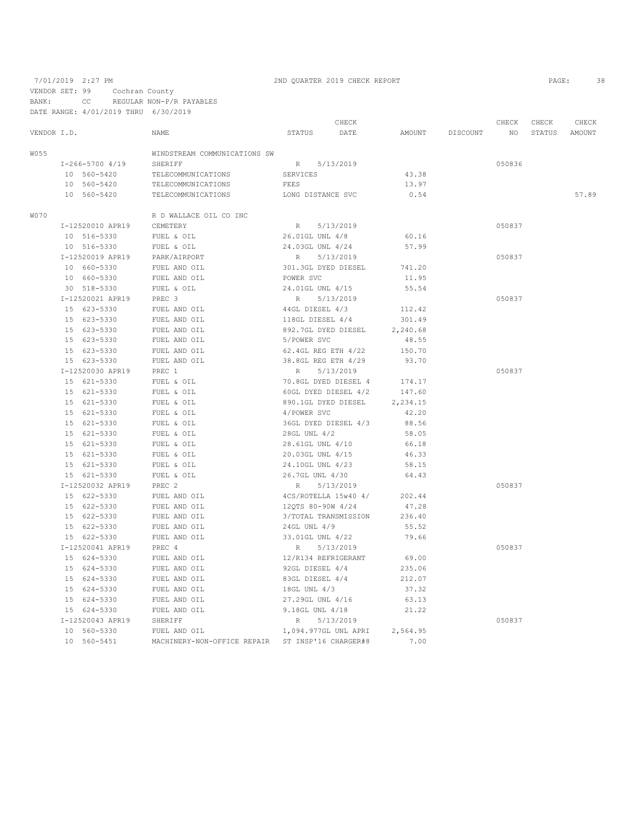VENDOR SET: 99 Cochran County

BANK: CC REGULAR NON-P/R PAYABLES

DATE RANGE: 4/01/2019 THRU 6/30/2019

|             |                  |                                                  |                     | CHECK                |          |          | CHECK  | CHECK  | CHECK  |
|-------------|------------------|--------------------------------------------------|---------------------|----------------------|----------|----------|--------|--------|--------|
| VENDOR I.D. |                  | NAME                                             | STATUS              | DATE                 | AMOUNT   | DISCOUNT | NO     | STATUS | AMOUNT |
| W055        |                  | WINDSTREAM COMMUNICATIONS SW                     |                     |                      |          |          |        |        |        |
|             | I-266-5700 4/19  | SHERIFF                                          | R 5/13/2019         |                      |          |          | 050836 |        |        |
|             | 10 560-5420      | TELECOMMUNICATIONS                               | <b>SERVICES</b>     |                      | 43.38    |          |        |        |        |
|             | 10 560-5420      | TELECOMMUNICATIONS                               | FEES                |                      | 13.97    |          |        |        |        |
|             | 10 560-5420      | TELECOMMUNICATIONS                               | LONG DISTANCE SVC   |                      | 0.54     |          |        |        | 57.89  |
| W070        |                  | R D WALLACE OIL CO INC                           |                     |                      |          |          |        |        |        |
|             | I-12520010 APR19 | CEMETERY                                         | R                   | 5/13/2019            |          |          | 050837 |        |        |
|             | 10 516-5330      | FUEL & OIL                                       | 26.01GL UNL 4/8     |                      | 60.16    |          |        |        |        |
|             | 10 516-5330      | FUEL & OIL                                       | 24.03GL UNL 4/24    |                      | 57.99    |          |        |        |        |
|             | I-12520019 APR19 | PARK/AIRPORT                                     | R                   | 5/13/2019            |          |          | 050837 |        |        |
|             | 10 660-5330      | FUEL AND OIL                                     | 301.3GL DYED DIESEL |                      | 741.20   |          |        |        |        |
|             | 10 660-5330      | FUEL AND OIL                                     | POWER SVC           |                      | 11.95    |          |        |        |        |
|             | 30 518-5330      | FUEL & OIL                                       | 24.01GL UNL 4/15    |                      | 55.54    |          |        |        |        |
|             | I-12520021 APR19 | PREC 3                                           | R                   | 5/13/2019            |          |          | 050837 |        |        |
|             | 15 623-5330      | FUEL AND OIL                                     | 44GL DIESEL 4/3     |                      | 112.42   |          |        |        |        |
|             | 15 623-5330      | FUEL AND OIL                                     | 118GL DIESEL 4/4    |                      | 301.49   |          |        |        |        |
|             | 15 623-5330      | FUEL AND OIL                                     | 892.7GL DYED DIESEL |                      | 2,240.68 |          |        |        |        |
|             | 15 623-5330      | FUEL AND OIL                                     | 5/POWER SVC         |                      | 48.55    |          |        |        |        |
|             | 15 623-5330      | FUEL AND OIL                                     | 62.4GL REG ETH 4/22 |                      | 150.70   |          |        |        |        |
|             | 15 623-5330      | FUEL AND OIL                                     | 38.8GL REG ETH 4/29 |                      | 93.70    |          |        |        |        |
|             | I-12520030 APR19 | PREC 1                                           | R                   | 5/13/2019            |          |          | 050837 |        |        |
|             | 15 621-5330      | FUEL & OIL                                       |                     | 70.8GL DYED DIESEL 4 | 174.17   |          |        |        |        |
|             | 15 621-5330      | FUEL & OIL                                       |                     | 60GL DYED DIESEL 4/2 | 147.60   |          |        |        |        |
|             | 15 621-5330      | FUEL & OIL                                       | 890.1GL DYED DIESEL |                      | 2,234.15 |          |        |        |        |
|             | 15 621-5330      | FUEL & OIL                                       | 4/POWER SVC         |                      | 42.20    |          |        |        |        |
|             | 15 621-5330      | FUEL & OIL                                       |                     | 36GL DYED DIESEL 4/3 | 88.56    |          |        |        |        |
|             | 15 621-5330      | FUEL & OIL                                       | 28GL UNL 4/2        |                      | 58.05    |          |        |        |        |
|             | 15 621-5330      | FUEL & OIL                                       | 28.61GL UNL 4/10    |                      | 66.18    |          |        |        |        |
|             | 15 621-5330      | FUEL & OIL                                       | 20.03GL UNL 4/15    |                      | 46.33    |          |        |        |        |
|             | 15 621-5330      | FUEL & OIL                                       | 24.10GL UNL 4/23    |                      | 58.15    |          |        |        |        |
|             | 15 621-5330      | FUEL & OIL                                       | 26.7GL UNL 4/30     |                      | 64.43    |          |        |        |        |
|             | I-12520032 APR19 | PREC 2                                           | R                   | 5/13/2019            |          |          | 050837 |        |        |
|             | 15 622-5330      | FUEL AND OIL                                     |                     | 4CS/ROTELLA 15w40 4/ | 202.44   |          |        |        |        |
|             | 15 622-5330      | FUEL AND OIL                                     | 12QTS 80-90W 4/24   |                      | 47.28    |          |        |        |        |
|             | 15 622-5330      | FUEL AND OIL                                     |                     | 3/TOTAL TRANSMISSION | 236.40   |          |        |        |        |
|             | 15 622-5330      | FUEL AND OIL                                     | 24GL UNL 4/9        |                      | 55.52    |          |        |        |        |
|             | 15 622-5330      | FUEL AND OIL                                     | 33.01GL UNL 4/22    |                      | 79.66    |          |        |        |        |
|             | I-12520041 APR19 | PREC 4                                           | R                   | 5/13/2019            |          |          | 050837 |        |        |
|             | 15 624-5330      | FUEL AND OIL                                     | 12/R134 REFRIGERANT |                      | 69.00    |          |        |        |        |
|             | 15 624-5330      | FUEL AND OIL                                     | 92GL DIESEL 4/4     |                      | 235.06   |          |        |        |        |
|             | 15 624-5330      | FUEL AND OIL                                     | 83GL DIESEL 4/4     |                      | 212.07   |          |        |        |        |
|             | 15 624-5330      | FUEL AND OIL                                     | 18GL UNL 4/3        |                      | 37.32    |          |        |        |        |
|             | 15 624-5330      | FUEL AND OIL                                     | 27.29GL UNL 4/16    |                      | 63.13    |          |        |        |        |
|             | 15 624-5330      | FUEL AND OIL                                     | 9.18GL UNL 4/18     |                      | 21.22    |          |        |        |        |
|             | I-12520043 APR19 | SHERIFF                                          | $R_{\perp}$         | 5/13/2019            |          |          | 050837 |        |        |
|             | 10 560-5330      | FUEL AND OIL                                     |                     | 1,094.977GL UNL APRI | 2,564.95 |          |        |        |        |
|             | 10 560-5451      | MACHINERY-NON-OFFICE REPAIR ST INSP'16 CHARGER#8 |                     |                      | 7.00     |          |        |        |        |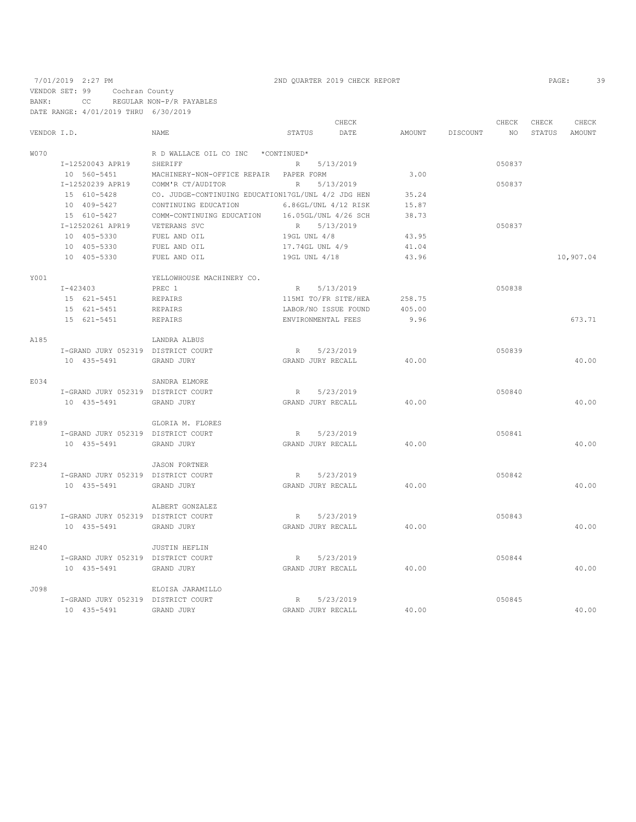VENDOR SET: 99 Cochran County

BANK: CC REGULAR NON-P/R PAYABLES DATE RANGE: 4/01/2019 THRU 6/30/2019

|             |                                    |                                                    |                      | CHECK     |        |          | CHECK           | CHECK  | CHECK     |
|-------------|------------------------------------|----------------------------------------------------|----------------------|-----------|--------|----------|-----------------|--------|-----------|
| VENDOR I.D. |                                    | NAME                                               | STATUS               | DATE      | AMOUNT | DISCOUNT | NO <sub>1</sub> | STATUS | AMOUNT    |
| <b>WO70</b> |                                    | R D WALLACE OIL CO INC *CONTINUED*                 |                      |           |        |          |                 |        |           |
|             | I-12520043 APR19                   | SHERIFF                                            | R 5/13/2019          |           |        |          | 050837          |        |           |
|             | 10 560-5451                        | MACHINERY-NON-OFFICE REPAIR                        | PAPER FORM           |           | 3.00   |          |                 |        |           |
|             | I-12520239 APR19                   | COMM'R CT/AUDITOR                                  | $R_{\odot}$          | 5/13/2019 |        |          | 050837          |        |           |
|             | 15 610-5428                        | CO. JUDGE-CONTINUING EDUCATION17GL/UNL 4/2 JDG HEN |                      |           | 35.24  |          |                 |        |           |
|             | 10 409-5427                        | CONTINUING EDUCATION                               | 6.86GL/UNL 4/12 RISK |           | 15.87  |          |                 |        |           |
|             | 15 610-5427                        | COMM-CONTINUING EDUCATION                          | 16.05GL/UNL 4/26 SCH |           | 38.73  |          |                 |        |           |
|             | I-12520261 APR19                   | VETERANS SVC                                       | R 5/13/2019          |           |        |          | 050837          |        |           |
|             | 10 405-5330                        | FUEL AND OIL                                       | 19GL UNL 4/8         |           | 43.95  |          |                 |        |           |
|             | 10 405-5330                        | FUEL AND OIL                                       | 17.74GL UNL 4/9      |           | 41.04  |          |                 |        |           |
|             | 10 405-5330                        | FUEL AND OIL                                       | 19GL UNL 4/18        |           | 43.96  |          |                 |        | 10,907.04 |
| Y001        |                                    | YELLOWHOUSE MACHINERY CO.                          |                      |           |        |          |                 |        |           |
|             | I-423403                           | PREC 1                                             | R                    | 5/13/2019 |        |          | 050838          |        |           |
|             | 15 621-5451                        | REPAIRS                                            | 115MI TO/FR SITE/HEA |           | 258.75 |          |                 |        |           |
|             | 15 621-5451                        | REPAIRS                                            | LABOR/NO ISSUE FOUND |           | 405.00 |          |                 |        |           |
|             | 15 621-5451                        | REPAIRS                                            | ENVIRONMENTAL FEES   |           | 9.96   |          |                 |        | 673.71    |
|             |                                    |                                                    |                      |           |        |          |                 |        |           |
| A185        |                                    | LANDRA ALBUS                                       |                      |           |        |          |                 |        |           |
|             | I-GRAND JURY 052319 DISTRICT COURT |                                                    | R 5/23/2019          |           |        |          | 050839          |        |           |
|             | 10 435-5491                        | GRAND JURY                                         | GRAND JURY RECALL    |           | 40.00  |          |                 |        | 40.00     |
| E034        |                                    | SANDRA ELMORE                                      |                      |           |        |          |                 |        |           |
|             | I-GRAND JURY 052319 DISTRICT COURT |                                                    | R 5/23/2019          |           |        |          | 050840          |        |           |
|             | 10 435-5491                        | GRAND JURY                                         | GRAND JURY RECALL    |           | 40.00  |          |                 |        | 40.00     |
| F189        |                                    | GLORIA M. FLORES                                   |                      |           |        |          |                 |        |           |
|             | I-GRAND JURY 052319 DISTRICT COURT |                                                    | R                    | 5/23/2019 |        |          | 050841          |        |           |
|             | 10 435-5491                        | GRAND JURY                                         | GRAND JURY RECALL    |           | 40.00  |          |                 |        | 40.00     |
| F234        |                                    | <b>JASON FORTNER</b>                               |                      |           |        |          |                 |        |           |
|             | I-GRAND JURY 052319 DISTRICT COURT |                                                    | R                    | 5/23/2019 |        |          | 050842          |        |           |
|             | 10 435-5491                        | GRAND JURY                                         | GRAND JURY RECALL    |           | 40.00  |          |                 |        | 40.00     |
| G197        |                                    | ALBERT GONZALEZ                                    |                      |           |        |          |                 |        |           |
|             | I-GRAND JURY 052319 DISTRICT COURT |                                                    | R                    | 5/23/2019 |        |          | 050843          |        |           |
|             | 10 435-5491                        | GRAND JURY                                         | GRAND JURY RECALL    |           | 40.00  |          |                 |        | 40.00     |
| H240        |                                    | <b>JUSTIN HEFLIN</b>                               |                      |           |        |          |                 |        |           |
|             | I-GRAND JURY 052319 DISTRICT COURT |                                                    | R                    | 5/23/2019 |        |          | 050844          |        |           |
|             | 10 435-5491                        | GRAND JURY                                         | GRAND JURY RECALL    |           | 40.00  |          |                 |        | 40.00     |
| J098        |                                    | ELOISA JARAMILLO                                   |                      |           |        |          |                 |        |           |
|             | I-GRAND JURY 052319 DISTRICT COURT |                                                    | R 5/23/2019          |           |        |          | 050845          |        |           |
|             | 10 435-5491                        | GRAND JURY                                         | GRAND JURY RECALL    |           | 40.00  |          |                 |        | 40.00     |
|             |                                    |                                                    |                      |           |        |          |                 |        |           |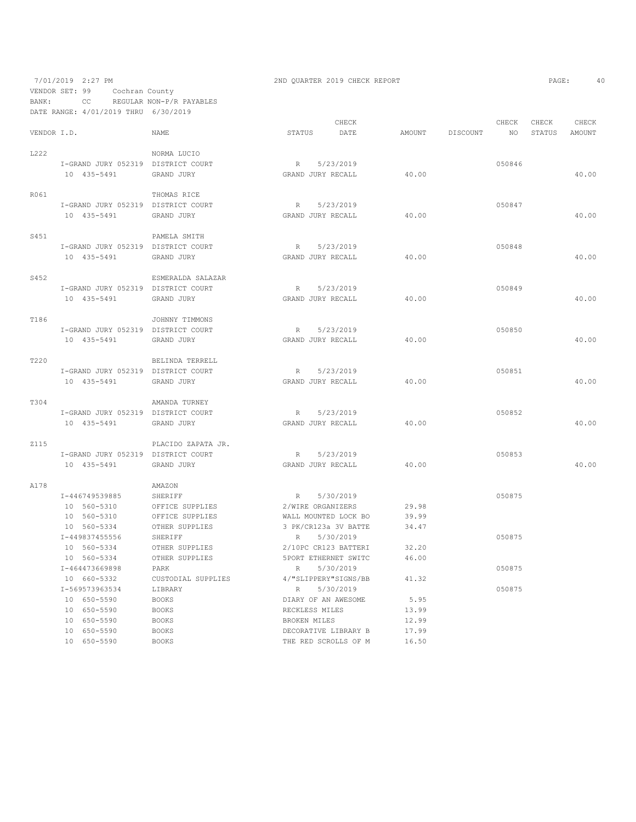# 7/01/2019 2:27 PM 2ND QUARTER 2019 CHECK REPORT 2019 CHECK REPORT VENDOR SET: 99 Cochran County BANK: CC REGULAR NON-P/R PAYABLES

|             | DATE RANGE: 4/01/2019 THRU         | 6/30/2019          |                      |        |          |        |        |        |
|-------------|------------------------------------|--------------------|----------------------|--------|----------|--------|--------|--------|
|             |                                    |                    | CHECK                |        |          | CHECK  | CHECK  | CHECK  |
| VENDOR I.D. |                                    | <b>NAME</b>        | STATUS<br>DATE       | AMOUNT | DISCOUNT | NO.    | STATUS | AMOUNT |
| L222        |                                    | NORMA LUCIO        |                      |        |          |        |        |        |
|             | I-GRAND JURY 052319 DISTRICT COURT |                    | 5/23/2019<br>R       |        |          | 050846 |        |        |
|             | 10 435-5491                        | GRAND JURY         | GRAND JURY RECALL    | 40.00  |          |        |        | 40.00  |
|             |                                    |                    |                      |        |          |        |        |        |
| R061        |                                    | THOMAS RICE        |                      |        |          |        |        |        |
|             | I-GRAND JURY 052319 DISTRICT COURT |                    | 5/23/2019<br>R       |        |          | 050847 |        |        |
|             | 10 435-5491                        | GRAND JURY         | GRAND JURY RECALL    | 40.00  |          |        |        | 40.00  |
|             |                                    |                    |                      |        |          |        |        |        |
| S451        |                                    | PAMELA SMITH       |                      |        |          |        |        |        |
|             | I-GRAND JURY 052319 DISTRICT COURT |                    | R<br>5/23/2019       |        |          | 050848 |        |        |
|             | 10 435-5491                        | GRAND JURY         | GRAND JURY RECALL    | 40.00  |          |        |        | 40.00  |
| S452        |                                    | ESMERALDA SALAZAR  |                      |        |          |        |        |        |
|             | I-GRAND JURY 052319 DISTRICT COURT |                    | R 5/23/2019          |        |          | 050849 |        |        |
|             | 10 435-5491                        | GRAND JURY         | GRAND JURY RECALL    | 40.00  |          |        |        | 40.00  |
|             |                                    |                    |                      |        |          |        |        |        |
| T186        |                                    | JOHNNY TIMMONS     |                      |        |          |        |        |        |
|             | I-GRAND JURY 052319 DISTRICT COURT |                    | R 5/23/2019          |        |          | 050850 |        |        |
|             | 10 435-5491                        | GRAND JURY         | GRAND JURY RECALL    | 40.00  |          |        |        | 40.00  |
|             |                                    |                    |                      |        |          |        |        |        |
| T220        |                                    | BELINDA TERRELL    |                      |        |          |        |        |        |
|             | I-GRAND JURY 052319 DISTRICT COURT |                    | 5/23/2019<br>R       |        |          | 050851 |        |        |
|             | 10 435-5491                        | GRAND JURY         | GRAND JURY RECALL    | 40.00  |          |        |        | 40.00  |
| T304        |                                    | AMANDA TURNEY      |                      |        |          |        |        |        |
|             | I-GRAND JURY 052319 DISTRICT COURT |                    | R<br>5/23/2019       |        |          | 050852 |        |        |
|             | 10 435-5491                        | GRAND JURY         | GRAND JURY RECALL    | 40.00  |          |        |        | 40.00  |
|             |                                    |                    |                      |        |          |        |        |        |
| <b>Z115</b> |                                    | PLACIDO ZAPATA JR. |                      |        |          |        |        |        |
|             | I-GRAND JURY 052319 DISTRICT COURT |                    | R<br>5/23/2019       |        |          | 050853 |        |        |
|             | 10 435-5491                        | GRAND JURY         | GRAND JURY RECALL    | 40.00  |          |        |        | 40.00  |
|             |                                    |                    |                      |        |          |        |        |        |
| A178        |                                    | AMAZON             |                      |        |          |        |        |        |
|             | I-446749539885                     | SHERIFF            | 5/30/2019<br>R       |        |          | 050875 |        |        |
|             | 10 560-5310                        | OFFICE SUPPLIES    | 2/WIRE ORGANIZERS    | 29.98  |          |        |        |        |
|             | 10 560-5310                        | OFFICE SUPPLIES    | WALL MOUNTED LOCK BO | 39.99  |          |        |        |        |
|             | 10 560-5334                        | OTHER SUPPLIES     | 3 PK/CR123a 3V BATTE | 34.47  |          |        |        |        |
|             | I-449837455556                     | SHERIFF            | R<br>5/30/2019       |        |          | 050875 |        |        |
|             | 10 560-5334                        | OTHER SUPPLIES     | 2/10PC CR123 BATTERI | 32.20  |          |        |        |        |
|             | 10 560-5334                        | OTHER SUPPLIES     | 5PORT ETHERNET SWITC | 46.00  |          |        |        |        |
|             | I-464473669898                     | PARK               | 5/30/2019<br>R.      |        |          | 050875 |        |        |
|             | 10 660-5332                        | CUSTODIAL SUPPLIES | 4/"SLIPPERY"SIGNS/BB | 41.32  |          |        |        |        |
|             | I-569573963534                     | LIBRARY            | 5/30/2019<br>R       |        |          | 050875 |        |        |
|             | 10 650-5590                        | <b>BOOKS</b>       | DIARY OF AN AWESOME  | 5.95   |          |        |        |        |
|             | 10 650-5590                        | <b>BOOKS</b>       | RECKLESS MILES       | 13.99  |          |        |        |        |
|             | 10 650-5590                        | <b>BOOKS</b>       | BROKEN MILES         | 12.99  |          |        |        |        |
|             | 10 650-5590                        | <b>BOOKS</b>       | DECORATIVE LIBRARY B | 17.99  |          |        |        |        |
|             | 10 650-5590                        | <b>BOOKS</b>       | THE RED SCROLLS OF M | 16.50  |          |        |        |        |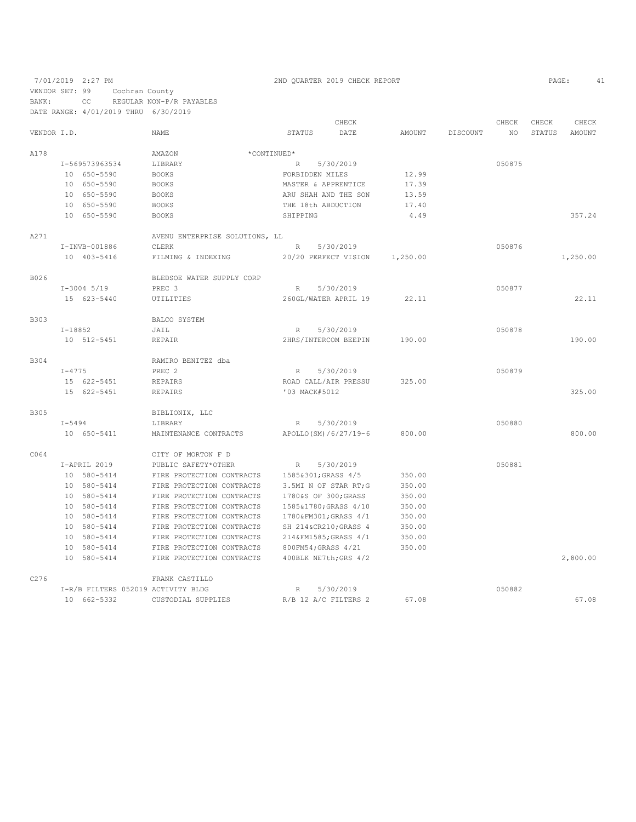7/01/2019 2:27 PM 2ND QUARTER 2019 CHECK REPORT PAGE: 41

VENDOR SET: 99 Cochran County

BANK: CC REGULAR NON-P/R PAYABLES

DATE RANGE: 4/01/2019 THRU 6/30/2019 CHECK CHECK CHECK CHECK CHECK CHECK CHECK CHECK CHECK CHECK CHECK CHECK CHECK CHECK CHECK CHECK CHECK CHECK CHECK CHECK CHECK CHECK CHECK CHECK CHECK CHECK CHECK CHECK CHECK CHECK CHECK STATUS AMOUNT VENDOR I.D. NAME STATUS DATE AMOUNT DISCOUNT NO STATUS AMOUNT  $\begin{array}{cccc} \texttt{AMAZON} & \hspace{1.5cm} \star \texttt{COMTINGED*} \\ & \hspace{1.5cm} \texttt{I-569573963534} & \hspace{1.5cm} \texttt{LIBRARY} & \hspace{1.5cm} \star \texttt{CONTINUED*} \\ & \hspace{1.5cm} \texttt{R} \end{array}$ I-569573963534 LIBRARY R 5/30/2019<br>10 650-5590 BOOKS FORBIDDEN MILES 12.99 10 650-5590 BOOKS FORBIDDEN MILES 12.99 10 650-5590 BOOKS BOOKS MASTER & APPRENTICE 10 650-5590 BOOKS 10 650–5590 BOOKS BOOKS ARU SHAH AND THE SON 13.59<br>10 650–5590 BOOKS THE 18th ABDUCTION 17.40 10 650-5590 BOOKS THE 18th ABDUCTION<br>10 650-5590 BOOKS SHIPPING 10 650-5590 BOOKS SHIPPING 4.49 357.24 A271 AVENU ENTERPRISE SOLUTIONS, LL I-INVB-001886 CLERK R 5/30/2019<br>10 403-5416 FILMING & INDEXING 20/20 PERFECT VISION 1,250.00 1,250.00<br>20/20 PERFECT VISION 1,250.00 B026 BLEDSOE WATER SUPPLY CORP<br>I-3004 5/19 PREC 3 I-3004 5/19 PREC 3 R 5/30/2019 050877 15 623-5440 UTILITIES 260GL/WATER APRIL 19 22.11 22.11 B303 BALCO SYSTEM BALCO SYSTEM I-18852 JAIL R 5/30/2019 050878 10 512-5451 REPAIR 2HRS/INTERCOM BEEPIN 190.00 190.00 B304 RAMIRO BENITEZ dba<br>
I-4775 PREC 2 I-4775 PREC 2 R 5/30/2019 050879 15 622-5451 REPAIRS ROAD CALL/AIR PRESSU 325.00 15 622-5451 REPAIRS '03 MACK#5012 325.00 B305 BIBLIONIX, LLC<br>
I-5494 LIBRARY I-5494 LIBRARY R 5/30/2019 050880 10 650-5411 MAINTENANCE CONTRACTS APOLLO(SM)/6/27/19-6 800.00 800.00 C064 CITY OF MORTON F D I-APRIL 2019 PUBLIC SAFETY\*OTHER R 5/30/2019 050881 10 580-5414 FIRE PROTECTION CONTRACTS 1585&301;GRASS 4/5 350.00<br>10 580-5414 FIRE PROTECTION CONTRACTS 3.5MIN OF STAR RT;G 350.00 10 580-5414 FIRE PROTECTION CONTRACTS 3.5MI N OF STAR RT;G 350.00 10  $580-5414$  FIRE PROTECTION CONTRACTS  $1780*S$  of  $300*$ GRASS  $4/10$ <br>10  $580-5414$  FIRE PROTECTION CONTRACTS  $1585*1780*$ GRASS  $4/10$  10 580-5414 FIRE PROTECTION CONTRACTS 1585&1780;GRASS 4/10 350.00 10 580-5414 FIRE PROTECTION CONTRACTS 1780&FM301;GRASS 4/1<br>10 580-5414 FIRE PROTECTION CONTRACTS SH 214&CR210;GRASS 4 10 580-5414 FIRE PROTECTION CONTRACTS SH 214&CR210;GRASS 4 350.00 10 580-5414 FIRE PROTECTION CONTRACTS 214&FM1585;GRASS 4/1 350.00 10 580-5414 FIRE PROTECTION CONTRACTS 800FM54; GRASS 4/21<br>10 580-5414 FIRE PROTECTION CONTRACTS 400BLK NE7th; GRS 4/2 FIRE PROTECTION CONTRACTS 400BLK NE7th;GRS 4/2 2,800.00 C276 FRANK CASTILLO<br>I-R/B FILTERS 052019 ACTIVITY BLDG I-R/B FILTERS 052019 ACTIVITY BLDG R 5/30/2019 050882 10 662-5332 CUSTODIAL SUPPLIES R/B 12 A/C FILTERS 2 67.08 67.08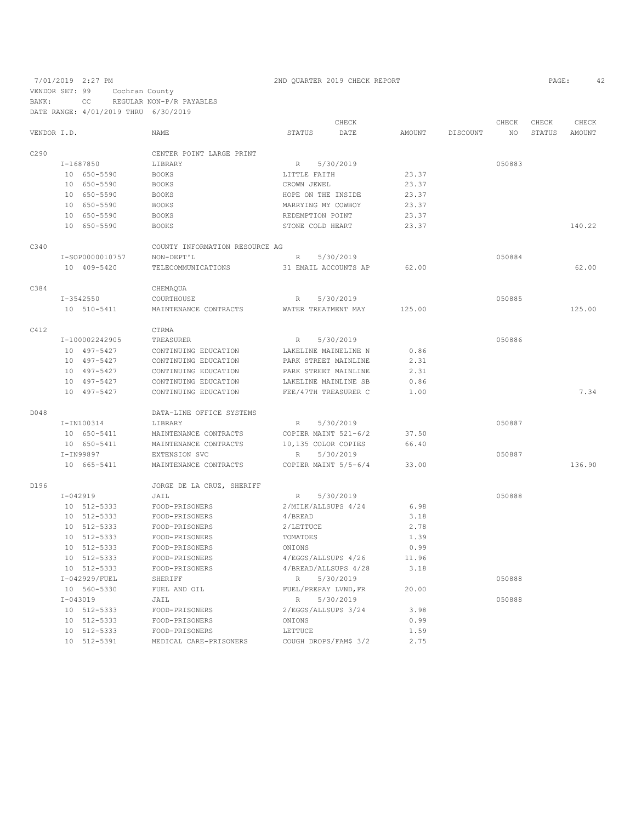7/01/2019 2:27 PM 2ND QUARTER 2019 CHECK REPORT PAGE: 42

VENDOR SET: 99 Cochran County

BANK: CC REGULAR NON-P/R PAYABLES

|             |               | DATE RANGE: 4/01/2019 THRU 6/30/2019 |                                |                    |                       |               |          |        |               |               |
|-------------|---------------|--------------------------------------|--------------------------------|--------------------|-----------------------|---------------|----------|--------|---------------|---------------|
|             |               |                                      |                                |                    | CHECK                 |               |          | CHECK  | CHECK         | CHECK         |
| VENDOR I.D. |               |                                      | <b>NAME</b>                    | STATUS             | DATE                  | <b>AMOUNT</b> | DISCOUNT | ΝO     | <b>STATUS</b> | <b>AMOUNT</b> |
| C290        |               |                                      | CENTER POINT LARGE PRINT       |                    |                       |               |          |        |               |               |
|             | I-1687850     |                                      | LIBRARY                        | R                  | 5/30/2019             |               |          | 050883 |               |               |
|             |               | 10 650-5590                          | <b>BOOKS</b>                   | LITTLE FAITH       |                       | 23.37         |          |        |               |               |
|             |               | 10 650-5590                          | <b>BOOKS</b>                   | CROWN JEWEL        |                       | 23.37         |          |        |               |               |
|             |               | 10 650-5590                          | <b>BOOKS</b>                   | HOPE ON THE INSIDE |                       | 23.37         |          |        |               |               |
|             |               | 10 650-5590                          | <b>BOOKS</b>                   | MARRYING MY COWBOY |                       | 23.37         |          |        |               |               |
|             |               | 10 650-5590                          | <b>BOOKS</b>                   | REDEMPTION POINT   |                       | 23.37         |          |        |               |               |
|             |               | 10 650-5590                          | <b>BOOKS</b>                   | STONE COLD HEART   |                       | 23.37         |          |        |               | 140.22        |
| C340        |               |                                      | COUNTY INFORMATION RESOURCE AG |                    |                       |               |          |        |               |               |
|             |               | I-SOP0000010757                      | NON-DEPT'L                     | R                  | 5/30/2019             |               |          | 050884 |               |               |
|             |               | 10 409-5420                          | TELECOMMUNICATIONS             |                    | 31 EMAIL ACCOUNTS AP  | 62.00         |          |        |               | 62.00         |
| C384        |               |                                      | CHEMAQUA                       |                    |                       |               |          |        |               |               |
|             | $I - 3542550$ |                                      | COURTHOUSE                     | R                  | 5/30/2019             |               |          | 050885 |               |               |
|             |               | 10 510-5411                          | MAINTENANCE CONTRACTS          |                    | WATER TREATMENT MAY   | 125.00        |          |        |               | 125.00        |
| C412        |               |                                      | CTRMA                          |                    |                       |               |          |        |               |               |
|             |               | I-100002242905                       | TREASURER                      | R                  | 5/30/2019             |               |          | 050886 |               |               |
|             |               | 10 497-5427                          | CONTINUING EDUCATION           |                    | LAKELINE MAINELINE N  | 0.86          |          |        |               |               |
|             |               | 10 497-5427                          | CONTINUING EDUCATION           |                    | PARK STREET MAINLINE  | 2.31          |          |        |               |               |
|             |               | 10 497-5427                          | CONTINUING EDUCATION           |                    | PARK STREET MAINLINE  | 2.31          |          |        |               |               |
|             |               | 10 497-5427                          | CONTINUING EDUCATION           |                    | LAKELINE MAINLINE SB  | 0.86          |          |        |               |               |
|             |               | 10 497-5427                          | CONTINUING EDUCATION           |                    | FEE/47TH TREASURER C  | 1.00          |          |        |               | 7.34          |
| D048        |               |                                      | DATA-LINE OFFICE SYSTEMS       |                    |                       |               |          |        |               |               |
|             |               | I-IN100314                           | LIBRARY                        | R                  | 5/30/2019             |               |          | 050887 |               |               |
|             |               | 10 650-5411                          | MAINTENANCE CONTRACTS          |                    | COPIER MAINT 521-6/2  | 37.50         |          |        |               |               |
|             |               | 10 650-5411                          | MAINTENANCE CONTRACTS          |                    | 10,135 COLOR COPIES   | 66.40         |          |        |               |               |
|             | I-IN99897     |                                      | EXTENSION SVC                  | R                  | 5/30/2019             |               |          | 050887 |               |               |
|             |               | 10 665-5411                          | MAINTENANCE CONTRACTS          |                    | COPIER MAINT 5/5-6/4  | 33.00         |          |        |               | 136.90        |
| D196        |               |                                      | JORGE DE LA CRUZ, SHERIFF      |                    |                       |               |          |        |               |               |
|             | $I - 042919$  |                                      | JAIL                           | R                  | 5/30/2019             |               |          | 050888 |               |               |
|             |               | 10 512-5333                          | FOOD-PRISONERS                 |                    | 2/MILK/ALLSUPS 4/24   | 6.98          |          |        |               |               |
|             |               | 10 512-5333                          | FOOD-PRISONERS                 | 4/BREAD            |                       | 3.18          |          |        |               |               |
|             |               | 10 512-5333                          | FOOD-PRISONERS                 | 2/LETTUCE          |                       | 2.78          |          |        |               |               |
|             |               | 10 512-5333                          | FOOD-PRISONERS                 | TOMATOES           |                       | 1.39          |          |        |               |               |
|             |               | 10 512-5333                          | FOOD-PRISONERS                 | ONIONS             |                       | 0.99          |          |        |               |               |
|             |               | 10 512-5333                          | FOOD-PRISONERS                 |                    | 4/EGGS/ALLSUPS 4/26   | 11.96         |          |        |               |               |
|             |               | 10 512-5333                          | FOOD-PRISONERS                 |                    | 4/BREAD/ALLSUPS 4/28  | 3.18          |          |        |               |               |
|             |               | I-042929/FUEL                        | SHERIFF                        | R                  | 5/30/2019             |               |          | 050888 |               |               |
|             |               | 10 560-5330                          | FUEL AND OIL                   |                    | FUEL/PREPAY LVND, FR  | 20.00         |          |        |               |               |
|             | $I - 043019$  |                                      | JAIL                           | $\mathbb R$        | 5/30/2019             |               |          | 050888 |               |               |
|             |               | 10 512-5333                          | FOOD-PRISONERS                 |                    | 2/EGGS/ALLSUPS 3/24   | 3.98          |          |        |               |               |
|             |               | 10 512-5333                          | FOOD-PRISONERS                 | ONIONS             |                       | 0.99          |          |        |               |               |
|             |               | 10 512-5333                          | FOOD-PRISONERS                 | <b>LETTUCE</b>     |                       | 1.59          |          |        |               |               |
|             |               | 10 512-5391                          | MEDICAL CARE-PRISONERS         |                    | COUGH DROPS/FAM\$ 3/2 | 2.75          |          |        |               |               |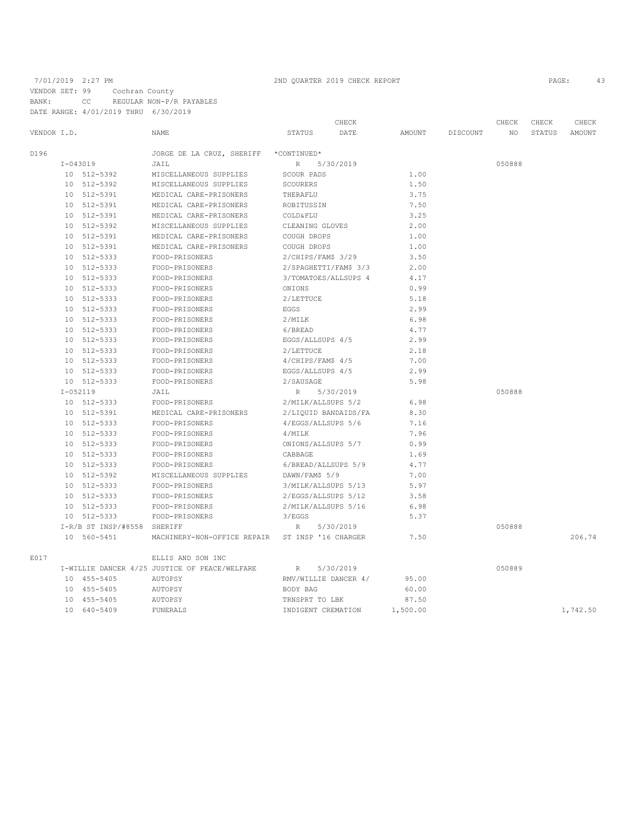# 7/01/2019 2:27 PM 2ND QUARTER 2019 CHECK REPORT

VENDOR SET: 99 Cochran County BANK: CC REGULAR NON-P/R PAYABLES

DATE RANGE: 4/01/2019 THRU 6/30/2019

|             |                 |                          |                                               |                       | CHECK     |          |          | CHECK  | CHECK  | CHECK    |
|-------------|-----------------|--------------------------|-----------------------------------------------|-----------------------|-----------|----------|----------|--------|--------|----------|
| VENDOR I.D. |                 |                          | <b>NAME</b>                                   | STATUS                | DATE      | AMOUNT   | DISCOUNT | NO.    | STATUS | AMOUNT   |
| D196        |                 |                          | JORGE DE LA CRUZ, SHERIFF                     | *CONTINUED*           |           |          |          |        |        |          |
|             | $I - 043019$    |                          | JAIL                                          | R                     | 5/30/2019 |          |          | 050888 |        |          |
|             |                 | 10 512-5392              | MISCELLANEOUS SUPPLIES                        | SCOUR PADS            |           | 1.00     |          |        |        |          |
|             |                 | 10 512-5392              | MISCELLANEOUS SUPPLIES                        | SCOURERS              |           | 1.50     |          |        |        |          |
|             | 10              | 512-5391                 | MEDICAL CARE-PRISONERS                        | THERAFLU              |           | 3.75     |          |        |        |          |
|             | 10              | 512-5391                 | MEDICAL CARE-PRISONERS                        | ROBITUSSIN            |           | 7.50     |          |        |        |          |
|             | 10              | 512-5391                 | MEDICAL CARE-PRISONERS                        | <b>COLD&amp;FLU</b>   |           | 3.25     |          |        |        |          |
|             | 10              | 512-5392                 | MISCELLANEOUS SUPPLIES                        | CLEANING GLOVES       |           | 2.00     |          |        |        |          |
|             | 10              | 512-5391                 | MEDICAL CARE-PRISONERS                        | COUGH DROPS           |           | 1.00     |          |        |        |          |
|             | 10              | 512-5391                 | MEDICAL CARE-PRISONERS                        | COUGH DROPS           |           | 1.00     |          |        |        |          |
|             | 10              | 512-5333                 | FOOD-PRISONERS                                | $2/CHIPS/FAM$$ 3/29   |           | 3.50     |          |        |        |          |
|             | 10              | 512-5333                 | FOOD-PRISONERS                                | 2/SPAGHETTI/FAM\$ 3/3 |           | 2.00     |          |        |        |          |
|             | 10              | 512-5333                 | FOOD-PRISONERS                                | 3/TOMATOES/ALLSUPS 4  |           | 4.17     |          |        |        |          |
|             | 10              | 512-5333                 | FOOD-PRISONERS                                | ONIONS                |           | 0.99     |          |        |        |          |
|             | 10              | 512-5333                 | FOOD-PRISONERS                                | 2/LETTUCE             |           | 5.18     |          |        |        |          |
|             | 10              | 512-5333                 | FOOD-PRISONERS                                | EGGS                  |           | 2.99     |          |        |        |          |
|             | 10              | 512-5333                 | FOOD-PRISONERS                                | 2/MILK                |           | 6.98     |          |        |        |          |
|             | 10 <sub>o</sub> | 512-5333                 | FOOD-PRISONERS                                | 6/BREAD               |           | 4.77     |          |        |        |          |
|             | 10              | 512-5333                 | FOOD-PRISONERS                                | EGGS/ALLSUPS 4/5      |           | 2.99     |          |        |        |          |
|             | 10              | 512-5333                 | FOOD-PRISONERS                                | 2/LETTUCE             |           | 2.18     |          |        |        |          |
|             | 10              | 512-5333                 | FOOD-PRISONERS                                | 4/CHIPS/FAM\$ 4/5     |           | 7.00     |          |        |        |          |
|             | 10              | 512-5333                 | FOOD-PRISONERS                                | EGGS/ALLSUPS 4/5      |           | 2.99     |          |        |        |          |
|             | 10              | 512-5333                 | FOOD-PRISONERS                                | 2/SAUSAGE             |           | 5.98     |          |        |        |          |
|             | $I - 052119$    |                          | JAIL                                          | R                     | 5/30/2019 |          |          | 050888 |        |          |
|             |                 | 10 512-5333              | FOOD-PRISONERS                                | 2/MILK/ALLSUPS 5/2    |           | 6.98     |          |        |        |          |
|             | 10              | 512-5391                 | MEDICAL CARE-PRISONERS                        | 2/LIQUID BANDAIDS/FA  |           | 8.30     |          |        |        |          |
|             |                 | 10 512-5333              | FOOD-PRISONERS                                | 4/EGGS/ALLSUPS 5/6    |           | 7.16     |          |        |        |          |
|             | 10              | 512-5333                 | FOOD-PRISONERS                                | 4/MILK                |           | 7.96     |          |        |        |          |
|             | 10              | 512-5333                 | FOOD-PRISONERS                                | ONIONS/ALLSUPS 5/7    |           | 0.99     |          |        |        |          |
|             | 10              | 512-5333                 | FOOD-PRISONERS                                | CABBAGE               |           | 1.69     |          |        |        |          |
|             | 10              | 512-5333                 | FOOD-PRISONERS                                | 6/BREAD/ALLSUPS 5/9   |           | 4.77     |          |        |        |          |
|             |                 | 10 512-5392              | MISCELLANEOUS SUPPLIES                        | DAWN/FAM\$ 5/9        |           | 7.00     |          |        |        |          |
|             | 10              | 512-5333                 | FOOD-PRISONERS                                | 3/MILK/ALLSUPS 5/13   |           | 5.97     |          |        |        |          |
|             | 10              | 512-5333                 | FOOD-PRISONERS                                | 2/EGGS/ALLSUPS 5/12   |           | 3.58     |          |        |        |          |
|             | 10              | 512-5333                 | FOOD-PRISONERS                                | 2/MILK/ALLSUPS 5/16   |           | 6.98     |          |        |        |          |
|             | 10              | 512-5333                 | FOOD-PRISONERS                                | 3/EGGS                |           | 5.37     |          |        |        |          |
|             |                 | $I-R/B$ ST $INSP/$ #8558 | SHERIFF                                       | R                     | 5/30/2019 |          |          | 050888 |        |          |
|             |                 | 10 560-5451              | MACHINERY-NON-OFFICE REPAIR                   | ST INSP '16 CHARGER   |           | 7.50     |          |        |        | 206.74   |
| E017        |                 |                          | ELLIS AND SON INC                             |                       |           |          |          |        |        |          |
|             |                 |                          | I-WILLIE DANCER 4/25 JUSTICE OF PEACE/WELFARE | $\mathbb R$           | 5/30/2019 |          |          | 050889 |        |          |
|             |                 | 10 455-5405              | AUTOPSY                                       | RMV/WILLIE DANCER 4/  |           | 95.00    |          |        |        |          |
|             | 10              | 455-5405                 | AUTOPSY                                       | BODY BAG              |           | 60.00    |          |        |        |          |
|             | 10              | 455-5405                 | AUTOPSY                                       | TRNSPRT TO LBK        |           | 87.50    |          |        |        |          |
|             | 10              | 640-5409                 | <b>FUNERALS</b>                               | INDIGENT CREMATION    |           | 1,500.00 |          |        |        | 1,742.50 |
|             |                 |                          |                                               |                       |           |          |          |        |        |          |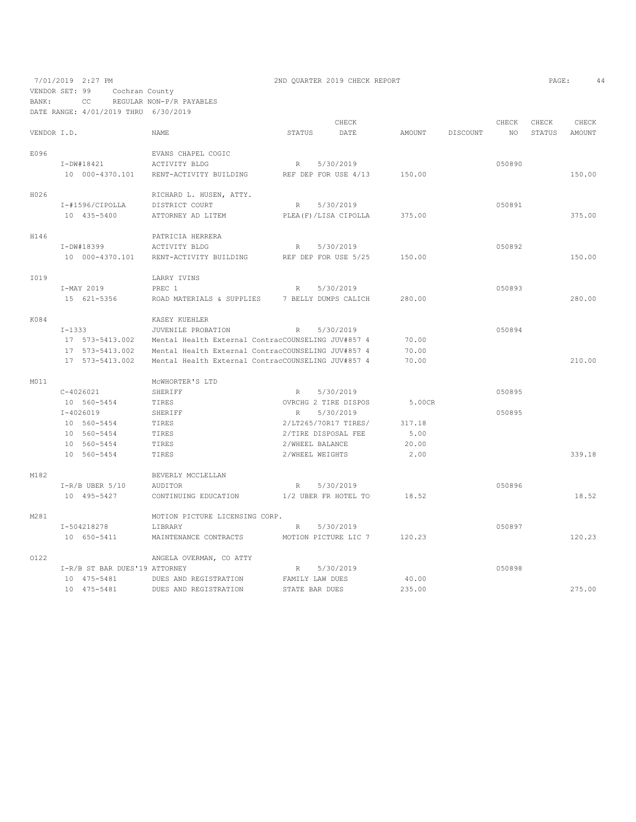7/01/2019 2:27 PM 2ND QUARTER 2019 CHECK REPORT PAGE: 44 VENDOR SET: 99 Cochran County BANK: CC REGULAR NON-P/R PAYABLES

|             |          | DATE RANGE: 4/01/2019 THRU 6/30/2019 |                                                    |                      |                         |      |        |          |        |        |        |
|-------------|----------|--------------------------------------|----------------------------------------------------|----------------------|-------------------------|------|--------|----------|--------|--------|--------|
|             |          |                                      |                                                    |                      | CHECK                   |      |        |          | CHECK  | CHECK  | CHECK  |
| VENDOR I.D. |          |                                      | NAME                                               | STATUS               |                         | DATE | AMOUNT | DISCOUNT | NO.    | STATUS | AMOUNT |
| E096        |          |                                      | EVANS CHAPEL COGIC                                 |                      |                         |      |        |          |        |        |        |
|             |          | I-DW#18421                           | ACTIVITY BLDG                                      | R                    | 5/30/2019               |      |        |          | 050890 |        |        |
|             |          | 10 000-4370.101                      | RENT-ACTIVITY BUILDING                             | REF DEP FOR USE 4/13 |                         |      | 150.00 |          |        |        | 150.00 |
|             |          |                                      |                                                    |                      |                         |      |        |          |        |        |        |
| H026        |          |                                      | RICHARD L. HUSEN, ATTY.                            |                      |                         |      |        |          |        |        |        |
|             |          | I-#1596/CIPOLLA                      | DISTRICT COURT                                     | R                    | 5/30/2019               |      |        |          | 050891 |        |        |
|             |          | 10 435-5400                          | ATTORNEY AD LITEM                                  |                      | PLEA (F) / LISA CIPOLLA |      | 375.00 |          |        |        | 375.00 |
| H146        |          |                                      | PATRICIA HERRERA                                   |                      |                         |      |        |          |        |        |        |
|             |          | I-DW#18399                           | ACTIVITY BLDG                                      | R                    | 5/30/2019               |      |        |          | 050892 |        |        |
|             |          | 10 000-4370.101                      | RENT-ACTIVITY BUILDING                             |                      | REF DEP FOR USE 5/25    |      | 150.00 |          |        |        | 150.00 |
|             |          |                                      |                                                    |                      |                         |      |        |          |        |        |        |
| I019        |          |                                      | LARRY IVINS                                        |                      |                         |      |        |          |        |        |        |
|             |          | I-MAY 2019                           | PREC 1                                             | R                    | 5/30/2019               |      |        |          | 050893 |        |        |
|             |          | 15 621-5356                          | ROAD MATERIALS & SUPPLIES                          | 7 BELLY DUMPS CALICH |                         |      | 280.00 |          |        |        | 280.00 |
|             |          |                                      |                                                    |                      |                         |      |        |          |        |        |        |
| K084        |          |                                      | KASEY KUEHLER                                      |                      |                         |      |        |          |        |        |        |
|             | $I-1333$ |                                      | JUVENILE PROBATION                                 | R                    | 5/30/2019               |      |        |          | 050894 |        |        |
|             |          | 17 573-5413.002                      | Mental Health External ContracCOUNSELING JUV#857 4 |                      |                         |      | 70.00  |          |        |        |        |
|             |          | 17 573-5413.002                      | Mental Health External ContracCOUNSELING JUV#857 4 |                      |                         |      | 70.00  |          |        |        |        |
|             |          | 17 573-5413.002                      | Mental Health External ContracCOUNSELING JUV#857 4 |                      |                         |      | 70.00  |          |        |        | 210.00 |
| M011        |          |                                      | MCWHORTER'S LTD                                    |                      |                         |      |        |          |        |        |        |
|             |          | $C-4026021$                          | SHERIFF                                            | R                    | 5/30/2019               |      |        |          | 050895 |        |        |
|             |          | 10 560-5454                          | TIRES                                              |                      | OVRCHG 2 TIRE DISPOS    |      | 5.00CR |          |        |        |        |
|             |          | $I - 4026019$                        | SHERIFF                                            | $\mathbb{R}$         | 5/30/2019               |      |        |          | 050895 |        |        |
|             |          | 10 560-5454                          | TIRES                                              |                      | 2/LT265/70R17 TIRES/    |      | 317.18 |          |        |        |        |
|             |          | 10 560-5454                          | TIRES                                              |                      | 2/TIRE DISPOSAL FEE     |      | 5.00   |          |        |        |        |
|             |          | 10 560-5454                          | TIRES                                              |                      | 2/WHEEL BALANCE         |      | 20.00  |          |        |        |        |
|             |          | 10 560-5454                          | TIRES                                              |                      | 2/WHEEL WEIGHTS         |      | 2.00   |          |        |        | 339.18 |
|             |          |                                      |                                                    |                      |                         |      |        |          |        |        |        |
| M182        |          |                                      | BEVERLY MCCLELLAN                                  |                      |                         |      |        |          |        |        |        |
|             |          | $I-R/B$ UBER 5/10                    | AUDITOR                                            | $\mathbb{R}$         | 5/30/2019               |      |        |          | 050896 |        |        |
|             |          | 10 495-5427                          | CONTINUING EDUCATION                               | 1/2 UBER FR HOTEL TO |                         |      | 18.52  |          |        |        | 18.52  |
| M281        |          |                                      | MOTION PICTURE LICENSING CORP.                     |                      |                         |      |        |          |        |        |        |
|             |          | I-504218278                          | LIBRARY                                            | R                    | 5/30/2019               |      |        |          | 050897 |        |        |
|             |          | 10 650-5411                          | MAINTENANCE CONTRACTS                              | MOTION PICTURE LIC 7 |                         |      | 120.23 |          |        |        | 120.23 |
|             |          |                                      |                                                    |                      |                         |      |        |          |        |        |        |
| 0122        |          |                                      | ANGELA OVERMAN, CO ATTY                            |                      |                         |      |        |          |        |        |        |
|             |          | I-R/B ST BAR DUES'19 ATTORNEY        |                                                    | R                    | 5/30/2019               |      |        |          | 050898 |        |        |
|             |          | 10 475-5481                          | DUES AND REGISTRATION                              |                      | FAMILY LAW DUES         |      | 40.00  |          |        |        |        |
|             |          | 10 475-5481                          | DUES AND REGISTRATION                              | STATE BAR DUES       |                         |      | 235.00 |          |        |        | 275.00 |
|             |          |                                      |                                                    |                      |                         |      |        |          |        |        |        |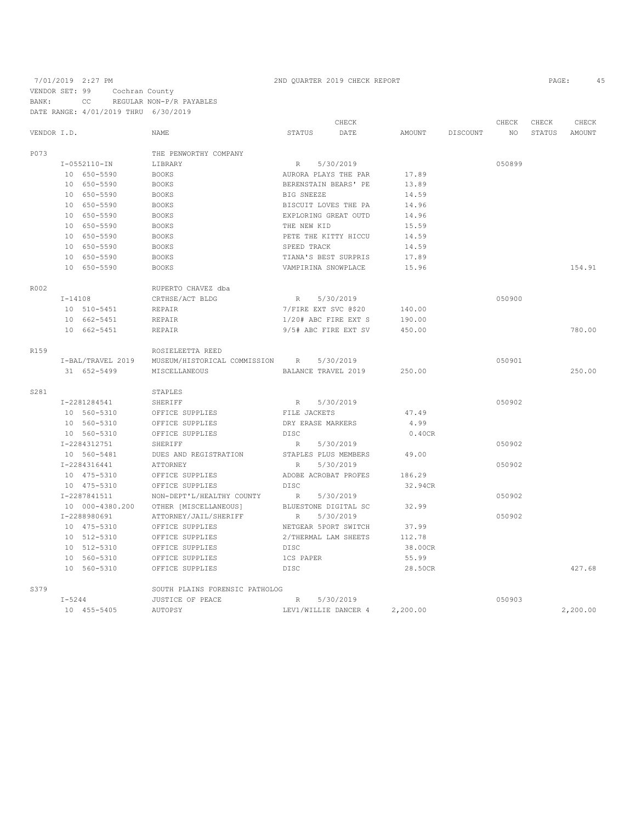# 7/01/2019 2:27 PM 2ND QUARTER 2019 CHECK REPORT VENDOR SET: 99 Cochran County BANK: CC REGULAR NON-P/R PAYABLES DATE RANGE: 4/01/2019 THRU 6/30/2019

|                   |  |                                                                                                                                                                                                                                                                                                                                                                                                                                                                                                                                                      |             | CHECK                                  |                                                                                                                                                                                                                                                                                                                                                                                                                                                                                                                                                                                                                                                                            |          | CHECK           | CHECK  | CHECK    |
|-------------------|--|------------------------------------------------------------------------------------------------------------------------------------------------------------------------------------------------------------------------------------------------------------------------------------------------------------------------------------------------------------------------------------------------------------------------------------------------------------------------------------------------------------------------------------------------------|-------------|----------------------------------------|----------------------------------------------------------------------------------------------------------------------------------------------------------------------------------------------------------------------------------------------------------------------------------------------------------------------------------------------------------------------------------------------------------------------------------------------------------------------------------------------------------------------------------------------------------------------------------------------------------------------------------------------------------------------------|----------|-----------------|--------|----------|
| VENDOR I.D.       |  | NAME                                                                                                                                                                                                                                                                                                                                                                                                                                                                                                                                                 | STATUS      | DATE                                   | AMOUNT                                                                                                                                                                                                                                                                                                                                                                                                                                                                                                                                                                                                                                                                     | DISCOUNT | NO <sub>1</sub> | STATUS | AMOUNT   |
|                   |  | THE PENWORTHY COMPANY                                                                                                                                                                                                                                                                                                                                                                                                                                                                                                                                |             |                                        |                                                                                                                                                                                                                                                                                                                                                                                                                                                                                                                                                                                                                                                                            |          |                 |        |          |
|                   |  | LIBRARY                                                                                                                                                                                                                                                                                                                                                                                                                                                                                                                                              |             |                                        |                                                                                                                                                                                                                                                                                                                                                                                                                                                                                                                                                                                                                                                                            |          | 050899          |        |          |
|                   |  | <b>BOOKS</b>                                                                                                                                                                                                                                                                                                                                                                                                                                                                                                                                         |             |                                        | 17.89                                                                                                                                                                                                                                                                                                                                                                                                                                                                                                                                                                                                                                                                      |          |                 |        |          |
|                   |  | <b>BOOKS</b>                                                                                                                                                                                                                                                                                                                                                                                                                                                                                                                                         |             |                                        | 13.89                                                                                                                                                                                                                                                                                                                                                                                                                                                                                                                                                                                                                                                                      |          |                 |        |          |
|                   |  | <b>BOOKS</b>                                                                                                                                                                                                                                                                                                                                                                                                                                                                                                                                         |             |                                        | 14.59                                                                                                                                                                                                                                                                                                                                                                                                                                                                                                                                                                                                                                                                      |          |                 |        |          |
|                   |  | <b>BOOKS</b>                                                                                                                                                                                                                                                                                                                                                                                                                                                                                                                                         |             |                                        | 14.96                                                                                                                                                                                                                                                                                                                                                                                                                                                                                                                                                                                                                                                                      |          |                 |        |          |
|                   |  | <b>BOOKS</b>                                                                                                                                                                                                                                                                                                                                                                                                                                                                                                                                         |             |                                        | 14.96                                                                                                                                                                                                                                                                                                                                                                                                                                                                                                                                                                                                                                                                      |          |                 |        |          |
|                   |  | <b>BOOKS</b>                                                                                                                                                                                                                                                                                                                                                                                                                                                                                                                                         |             |                                        | 15.59                                                                                                                                                                                                                                                                                                                                                                                                                                                                                                                                                                                                                                                                      |          |                 |        |          |
|                   |  | <b>BOOKS</b>                                                                                                                                                                                                                                                                                                                                                                                                                                                                                                                                         |             |                                        | 14.59                                                                                                                                                                                                                                                                                                                                                                                                                                                                                                                                                                                                                                                                      |          |                 |        |          |
|                   |  | <b>BOOKS</b>                                                                                                                                                                                                                                                                                                                                                                                                                                                                                                                                         |             |                                        | 14.59                                                                                                                                                                                                                                                                                                                                                                                                                                                                                                                                                                                                                                                                      |          |                 |        |          |
|                   |  | <b>BOOKS</b>                                                                                                                                                                                                                                                                                                                                                                                                                                                                                                                                         |             |                                        | 17.89                                                                                                                                                                                                                                                                                                                                                                                                                                                                                                                                                                                                                                                                      |          |                 |        |          |
|                   |  | <b>BOOKS</b>                                                                                                                                                                                                                                                                                                                                                                                                                                                                                                                                         |             |                                        | 15.96                                                                                                                                                                                                                                                                                                                                                                                                                                                                                                                                                                                                                                                                      |          |                 |        | 154.91   |
|                   |  | RUPERTO CHAVEZ dba                                                                                                                                                                                                                                                                                                                                                                                                                                                                                                                                   |             |                                        |                                                                                                                                                                                                                                                                                                                                                                                                                                                                                                                                                                                                                                                                            |          |                 |        |          |
|                   |  | CRTHSE/ACT BLDG                                                                                                                                                                                                                                                                                                                                                                                                                                                                                                                                      |             |                                        |                                                                                                                                                                                                                                                                                                                                                                                                                                                                                                                                                                                                                                                                            |          | 050900          |        |          |
|                   |  | REPAIR                                                                                                                                                                                                                                                                                                                                                                                                                                                                                                                                               |             |                                        | 140.00                                                                                                                                                                                                                                                                                                                                                                                                                                                                                                                                                                                                                                                                     |          |                 |        |          |
|                   |  | REPAIR                                                                                                                                                                                                                                                                                                                                                                                                                                                                                                                                               |             |                                        | 190.00                                                                                                                                                                                                                                                                                                                                                                                                                                                                                                                                                                                                                                                                     |          |                 |        |          |
|                   |  | REPAIR                                                                                                                                                                                                                                                                                                                                                                                                                                                                                                                                               |             |                                        | 450.00                                                                                                                                                                                                                                                                                                                                                                                                                                                                                                                                                                                                                                                                     |          |                 |        | 780.00   |
|                   |  | ROSIELEETTA REED                                                                                                                                                                                                                                                                                                                                                                                                                                                                                                                                     |             |                                        |                                                                                                                                                                                                                                                                                                                                                                                                                                                                                                                                                                                                                                                                            |          |                 |        |          |
| I-BAL/TRAVEL 2019 |  |                                                                                                                                                                                                                                                                                                                                                                                                                                                                                                                                                      |             |                                        |                                                                                                                                                                                                                                                                                                                                                                                                                                                                                                                                                                                                                                                                            |          | 050901          |        |          |
|                   |  | MISCELLANEOUS                                                                                                                                                                                                                                                                                                                                                                                                                                                                                                                                        |             |                                        | 250.00                                                                                                                                                                                                                                                                                                                                                                                                                                                                                                                                                                                                                                                                     |          |                 |        | 250.00   |
|                   |  | STAPLES                                                                                                                                                                                                                                                                                                                                                                                                                                                                                                                                              |             |                                        |                                                                                                                                                                                                                                                                                                                                                                                                                                                                                                                                                                                                                                                                            |          |                 |        |          |
|                   |  | SHERIFF                                                                                                                                                                                                                                                                                                                                                                                                                                                                                                                                              | R           |                                        |                                                                                                                                                                                                                                                                                                                                                                                                                                                                                                                                                                                                                                                                            |          | 050902          |        |          |
|                   |  | OFFICE SUPPLIES                                                                                                                                                                                                                                                                                                                                                                                                                                                                                                                                      |             |                                        | 47.49                                                                                                                                                                                                                                                                                                                                                                                                                                                                                                                                                                                                                                                                      |          |                 |        |          |
|                   |  | OFFICE SUPPLIES                                                                                                                                                                                                                                                                                                                                                                                                                                                                                                                                      |             |                                        | 4.99                                                                                                                                                                                                                                                                                                                                                                                                                                                                                                                                                                                                                                                                       |          |                 |        |          |
|                   |  | OFFICE SUPPLIES                                                                                                                                                                                                                                                                                                                                                                                                                                                                                                                                      | DISC        |                                        | 0.40CR                                                                                                                                                                                                                                                                                                                                                                                                                                                                                                                                                                                                                                                                     |          |                 |        |          |
|                   |  | SHERIFF                                                                                                                                                                                                                                                                                                                                                                                                                                                                                                                                              |             |                                        |                                                                                                                                                                                                                                                                                                                                                                                                                                                                                                                                                                                                                                                                            |          | 050902          |        |          |
|                   |  | DUES AND REGISTRATION                                                                                                                                                                                                                                                                                                                                                                                                                                                                                                                                |             |                                        | 49.00                                                                                                                                                                                                                                                                                                                                                                                                                                                                                                                                                                                                                                                                      |          |                 |        |          |
|                   |  | ATTORNEY                                                                                                                                                                                                                                                                                                                                                                                                                                                                                                                                             | R           |                                        |                                                                                                                                                                                                                                                                                                                                                                                                                                                                                                                                                                                                                                                                            |          | 050902          |        |          |
|                   |  | OFFICE SUPPLIES                                                                                                                                                                                                                                                                                                                                                                                                                                                                                                                                      |             |                                        | 186.29                                                                                                                                                                                                                                                                                                                                                                                                                                                                                                                                                                                                                                                                     |          |                 |        |          |
|                   |  | OFFICE SUPPLIES                                                                                                                                                                                                                                                                                                                                                                                                                                                                                                                                      | <b>DISC</b> |                                        | 32.94CR                                                                                                                                                                                                                                                                                                                                                                                                                                                                                                                                                                                                                                                                    |          |                 |        |          |
|                   |  | NON-DEPT'L/HEALTHY COUNTY                                                                                                                                                                                                                                                                                                                                                                                                                                                                                                                            | R           |                                        |                                                                                                                                                                                                                                                                                                                                                                                                                                                                                                                                                                                                                                                                            |          | 050902          |        |          |
|                   |  | OTHER [MISCELLANEOUS]                                                                                                                                                                                                                                                                                                                                                                                                                                                                                                                                |             |                                        | 32.99                                                                                                                                                                                                                                                                                                                                                                                                                                                                                                                                                                                                                                                                      |          |                 |        |          |
|                   |  | ATTORNEY/JAIL/SHERIFF                                                                                                                                                                                                                                                                                                                                                                                                                                                                                                                                | R           |                                        |                                                                                                                                                                                                                                                                                                                                                                                                                                                                                                                                                                                                                                                                            |          | 050902          |        |          |
|                   |  | OFFICE SUPPLIES                                                                                                                                                                                                                                                                                                                                                                                                                                                                                                                                      |             |                                        | 37.99                                                                                                                                                                                                                                                                                                                                                                                                                                                                                                                                                                                                                                                                      |          |                 |        |          |
|                   |  | OFFICE SUPPLIES                                                                                                                                                                                                                                                                                                                                                                                                                                                                                                                                      |             |                                        | 112.78                                                                                                                                                                                                                                                                                                                                                                                                                                                                                                                                                                                                                                                                     |          |                 |        |          |
|                   |  | OFFICE SUPPLIES                                                                                                                                                                                                                                                                                                                                                                                                                                                                                                                                      |             |                                        | 38.00CR                                                                                                                                                                                                                                                                                                                                                                                                                                                                                                                                                                                                                                                                    |          |                 |        |          |
|                   |  | OFFICE SUPPLIES                                                                                                                                                                                                                                                                                                                                                                                                                                                                                                                                      |             |                                        | 55.99                                                                                                                                                                                                                                                                                                                                                                                                                                                                                                                                                                                                                                                                      |          |                 |        |          |
|                   |  | OFFICE SUPPLIES                                                                                                                                                                                                                                                                                                                                                                                                                                                                                                                                      | <b>DISC</b> |                                        | 28.50CR                                                                                                                                                                                                                                                                                                                                                                                                                                                                                                                                                                                                                                                                    |          |                 |        | 427.68   |
|                   |  |                                                                                                                                                                                                                                                                                                                                                                                                                                                                                                                                                      |             |                                        |                                                                                                                                                                                                                                                                                                                                                                                                                                                                                                                                                                                                                                                                            |          |                 |        |          |
|                   |  | JUSTICE OF PEACE                                                                                                                                                                                                                                                                                                                                                                                                                                                                                                                                     | R           |                                        |                                                                                                                                                                                                                                                                                                                                                                                                                                                                                                                                                                                                                                                                            |          | 050903          |        |          |
|                   |  | AUTOPSY                                                                                                                                                                                                                                                                                                                                                                                                                                                                                                                                              |             |                                        | 2,200.00                                                                                                                                                                                                                                                                                                                                                                                                                                                                                                                                                                                                                                                                   |          |                 |        | 2,200.00 |
|                   |  | $I-0552110-IN$<br>10 650-5590<br>10 650-5590<br>10 650-5590<br>10 650-5590<br>10 650-5590<br>10 650-5590<br>10 650-5590<br>10 650-5590<br>10 650-5590<br>10 650-5590<br>$I - 14108$<br>10 510-5451<br>10 662-5451<br>10 662-5451<br>31 652-5499<br>I-2281284541<br>10 560-5310<br>10 560-5310<br>10 560-5310<br>I-2284312751<br>10 560-5481<br>I-2284316441<br>10 475-5310<br>10 475-5310<br>I-2287841511<br>10 000-4380.200<br>I-2288980691<br>10 475-5310<br>10 512-5310<br>10 512-5310<br>10 560-5310<br>10 560-5310<br>$I - 5244$<br>10 455-5405 |             | DISC<br>SOUTH PLAINS FORENSIC PATHOLOG | R 5/30/2019<br>AURORA PLAYS THE PAR<br>BERENSTAIN BEARS' PE<br>BIG SNEEZE<br>BISCUIT LOVES THE PA<br>EXPLORING GREAT OUTD<br>THE NEW KID<br>PETE THE KITTY HICCU<br>SPEED TRACK<br>TIANA'S BEST SURPRIS<br>VAMPIRINA SNOWPLACE<br>R 5/30/2019<br>7/FIRE EXT SVC @\$20<br>1/20# ABC FIRE EXT S<br>9/5# ABC FIRE EXT SV<br>MUSEUM/HISTORICAL COMMISSION R 5/30/2019<br>BALANCE TRAVEL 2019<br>5/30/2019<br>FILE JACKETS<br>DRY ERASE MARKERS<br>R 5/30/2019<br>STAPLES PLUS MEMBERS<br>5/30/2019<br>ADOBE ACROBAT PROFES<br>5/30/2019<br>BLUESTONE DIGITAL SC<br>5/30/2019<br>NETGEAR 5PORT SWITCH<br>2/THERMAL LAM SHEETS<br>1CS PAPER<br>5/30/2019<br>LEV1/WILLIE DANCER 4 |          |                 |        |          |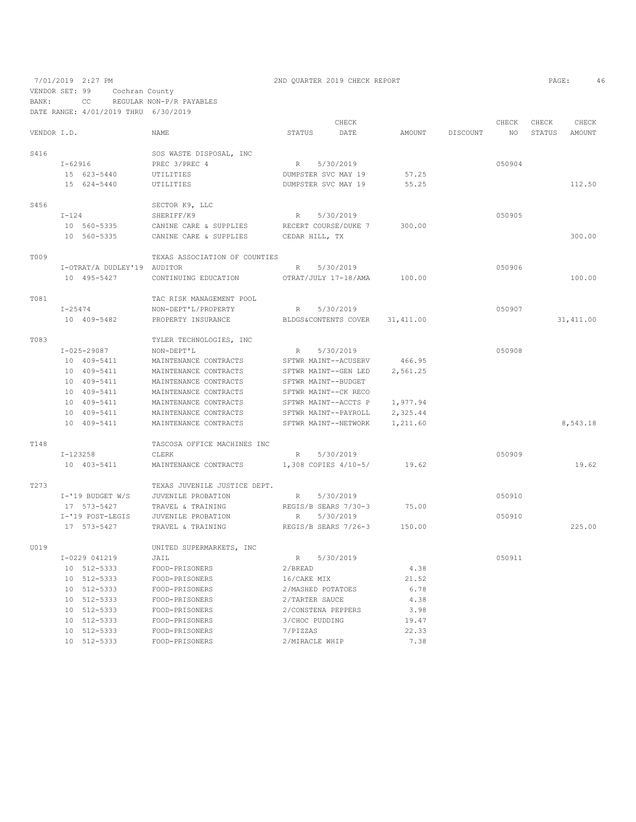7/01/2019 2:27 PM 2ND QUARTER 2019 CHECK REPORT 2019 CHECK REPORT VENDOR SET: 99 Cochran County BANK: CC REGULAR NON-P/R PAYABLES

|             |         | DATE RANGE: 4/01/2019 THRU 6/30/2019 |                               |                   |                      |           |          |        |       |               |
|-------------|---------|--------------------------------------|-------------------------------|-------------------|----------------------|-----------|----------|--------|-------|---------------|
|             |         |                                      |                               |                   | CHECK                |           |          | CHECK  | CHECK | CHECK         |
| VENDOR I.D. |         |                                      | NAME                          | STATUS            | DATE                 | AMOUNT    | DISCOUNT | NO     |       | STATUS AMOUNT |
| S416        |         |                                      | SOS WASTE DISPOSAL, INC       |                   |                      |           |          |        |       |               |
|             | I-62916 |                                      | PREC 3/PREC 4                 | R                 | 5/30/2019            |           |          | 050904 |       |               |
|             |         | 15 623-5440                          | UTILITIES                     |                   | DUMPSTER SVC MAY 19  | 57.25     |          |        |       |               |
|             |         | 15 624-5440                          | UTILITIES                     |                   | DUMPSTER SVC MAY 19  | 55.25     |          |        |       | 112.50        |
| S456        |         |                                      | SECTOR K9, LLC                |                   |                      |           |          |        |       |               |
|             | $I-124$ |                                      | SHERIFF/K9                    |                   | R 5/30/2019          |           |          | 050905 |       |               |
|             |         | 10 560-5335                          | CANINE CARE & SUPPLIES        |                   | RECERT COURSE/DUKE 7 | 300.00    |          |        |       |               |
|             |         | 10 560-5335                          | CANINE CARE & SUPPLIES        | CEDAR HILL, TX    |                      |           |          |        |       | 300.00        |
| T009        |         |                                      | TEXAS ASSOCIATION OF COUNTIES |                   |                      |           |          |        |       |               |
|             |         | I-OTRAT/A DUDLEY'19 AUDITOR          |                               |                   | R 5/30/2019          |           |          | 050906 |       |               |
|             |         | 10 495-5427                          | CONTINUING EDUCATION          |                   | OTRAT/JULY 17-18/AMA | 100.00    |          |        |       | 100.00        |
| T081        |         |                                      | TAC RISK MANAGEMENT POOL      |                   |                      |           |          |        |       |               |
|             | I-25474 |                                      | NON-DEPT'L/PROPERTY           | R                 | 5/30/2019            |           |          | 050907 |       |               |
|             |         | 10 409-5482                          | PROPERTY INSURANCE            |                   | BLDGS&CONTENTS COVER | 31,411.00 |          |        |       | 31, 411.00    |
| T083        |         |                                      | TYLER TECHNOLOGIES, INC       |                   |                      |           |          |        |       |               |
|             |         | $I - 025 - 29087$                    | NON-DEPT'L                    | R                 | 5/30/2019            |           |          | 050908 |       |               |
|             |         | 10 409-5411                          | MAINTENANCE CONTRACTS         |                   | SFTWR MAINT--ACUSERV | 466.95    |          |        |       |               |
|             |         | 10 409-5411                          | MAINTENANCE CONTRACTS         |                   | SFTWR MAINT--GEN LED | 2,561.25  |          |        |       |               |
|             |         | 10 409-5411                          | MAINTENANCE CONTRACTS         |                   | SFTWR MAINT--BUDGET  |           |          |        |       |               |
|             |         | 10 409-5411                          | MAINTENANCE CONTRACTS         |                   | SFTWR MAINT--CK RECO |           |          |        |       |               |
|             |         | 10 409-5411                          | MAINTENANCE CONTRACTS         |                   | SFTWR MAINT--ACCTS P | 1,977.94  |          |        |       |               |
|             |         | 10 409-5411                          | MAINTENANCE CONTRACTS         |                   | SFTWR MAINT--PAYROLL | 2,325.44  |          |        |       |               |
|             |         | 10 409-5411                          | MAINTENANCE CONTRACTS         |                   | SFTWR MAINT--NETWORK | 1,211.60  |          |        |       | 8,543.18      |
| T148        |         |                                      | TASCOSA OFFICE MACHINES INC   |                   |                      |           |          |        |       |               |
|             |         | I-123258                             | CLERK                         |                   | R 5/30/2019          |           |          | 050909 |       |               |
|             |         | 10 403-5411                          | MAINTENANCE CONTRACTS         |                   | 1,308 COPIES 4/10-5/ | 19.62     |          |        |       | 19.62         |
| T273        |         |                                      | TEXAS JUVENILE JUSTICE DEPT.  |                   |                      |           |          |        |       |               |
|             |         | $I - '19$ BUDGET W/S                 | JUVENILE PROBATION            | R                 | 5/30/2019            |           |          | 050910 |       |               |
|             |         | 17 573-5427                          | TRAVEL & TRAINING             |                   | REGIS/B SEARS 7/30-3 | 75.00     |          |        |       |               |
|             |         | I-'19 POST-LEGIS                     | JUVENILE PROBATION            | R                 | 5/30/2019            |           |          | 050910 |       |               |
|             |         | 17 573-5427                          | TRAVEL & TRAINING             |                   | REGIS/B SEARS 7/26-3 | 150.00    |          |        |       | 225.00        |
| U019        |         |                                      | UNITED SUPERMARKETS, INC      |                   |                      |           |          |        |       |               |
|             |         | I-0229 041219                        | JAIL                          |                   | R 5/30/2019          |           |          | 050911 |       |               |
|             |         | 10 512-5333                          | FOOD-PRISONERS                | 2/BEREAD          |                      | 4.38      |          |        |       |               |
|             |         | 10 512-5333                          | FOOD-PRISONERS                | 16/CAKE MIX       |                      | 21.52     |          |        |       |               |
|             |         | 10 512-5333                          | FOOD-PRISONERS                | 2/MASHED POTATOES |                      | 6.78      |          |        |       |               |
|             |         | 10 512-5333                          | FOOD-PRISONERS                | 2/TARTER SAUCE    |                      | 4.38      |          |        |       |               |
|             |         | 10 512-5333                          | FOOD-PRISONERS                |                   | 2/CONSTENA PEPPERS   | 3.98      |          |        |       |               |
|             |         | 10 512-5333                          | FOOD-PRISONERS                | 3/CHOC PUDDING    |                      | 19.47     |          |        |       |               |
|             |         | 10 512-5333                          | FOOD-PRISONERS                | 7/PIZZAS          |                      | 22.33     |          |        |       |               |
|             |         | 10 512-5333                          | FOOD-PRISONERS                | 2/MIRACLE WHIP    |                      | 7.38      |          |        |       |               |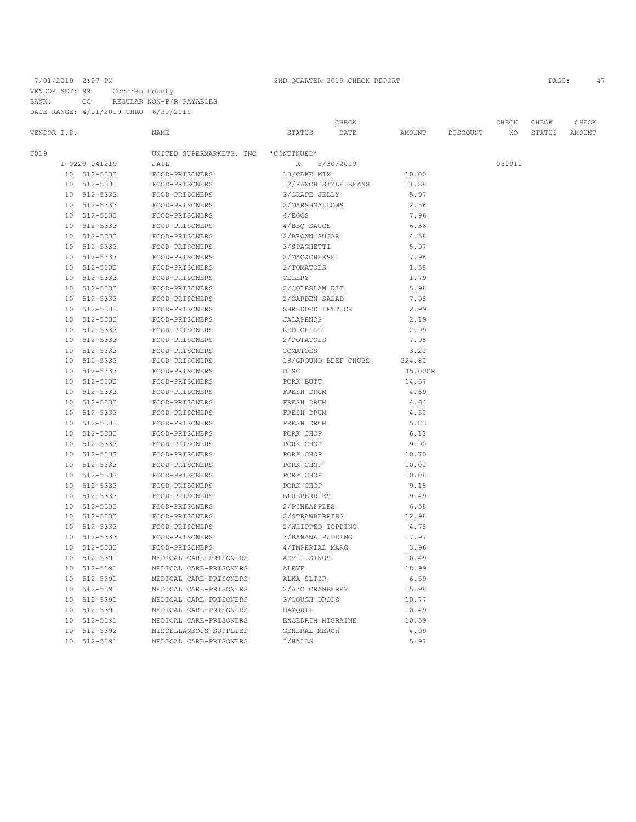### 7/01/2019 2:27 PM 2ND QUARTER 2019 CHECK REPORT PAGE: 47

VENDOR SET: 99 Cochran County BANK: CC REGULAR NON-P/R PAYABLES

DATE RANGE: 4/01/2019 THRU 6/30/2019

 CHECK CHECK CHECK CHECK VENDOR I.D. NAME STATUS DATE AMOUNT DISCOUNT NO STATUS AMOUNT U019 UNITED SUPERMARKETS, INC \*CONTINUED\* I-0229 041219 JAIL JAIR R 5/30/2019<br>10 512–5333 FOOD-PRISONERS 10/CAKE MIX 10.00 10 512-5333 FOOD-PRISONERS 10/CAKE MIX 10.00<br>10 512-5333 FOOD-PRISONERS 12/RANCH STYLE BEANS 11.88 10 512-5333 FOOD-PRISONERS 12/RANCH STYLE BEANS<br>10 512-5333 FOOD-PRISONERS 3/GRAPE JELLY 10 512-5333 FOOD-PRISONERS 3/GRAPE JELLY 5.97 POOD-PRISONERS 2/MARSHMALLOWS 2.58<br>1/EGGS 4/EGGS 7.96 10 512-5333 FOOD-PRISONERS 4/EGGS<br>10 512-5333 FOOD-PRISONERS 4/BBO SAUCE 10 512-5333 FOOD-PRISONERS 4/BBQ SAUCE 6.36 10 512-5333 FOOD-PRISONERS 2/BROWN SUGAR 4.58 10 512-5333 FOOD-PRISONERS 3/SPAGHETTI 5.97 10 512-5333 FOOD-PRISONERS 2/MAC&CHEESE 7.98<br>10 512-5333 FOOD-PRISONERS 2/TOMATOES 1.58 10 512-5333 FOOD-PRISONERS 2/TOMATOES 1.58<br>10 512-5333 FOOD-PRISONERS CELERY 1.79 10 512-5333 FOOD-PRISONERS CELERY CELERY 1.79<br>10 512-5333 FOOD-PRISONERS 2/COLESLAW KIT 5.98 10 512-5333 FOOD-PRISONERS 2/COLESLAW KIT 5.98 10 512-5333 FOOD-PRISONERS 2/GARDEN SALAD 7.98<br>10 512-5333 FOOD-PRISONERS 2.99 10 512-5333 FOOD-PRISONERS SHREDDED LETTUCE 2.99 10 512-5333 FOOD-PRISONERS JALAPENOS 2.19 10 512-5333 FOOD-PRISONERS RED CHILE RED CHILE 2.999 FOOD-PRISONERS FOOD-PRISONERS 2/POTATOES 7.98 10 512-5333 FOOD-PRISONERS TOMATOES 3.22 10 512-5333 FOOD-PRISONERS 18/GROUND BEEF CHUBS 10 512-5333 FOOD-PRISONERS DISC 10 512-5333 FOOD-PRISONERS DISC 45.00CR 10 512–5333 FOOD-PRISONERS PORK BUTT 14.67<br>10 512–5333 FOOD-PRISONERS FRESH DRUM 4.69  $FOOD-PRISONERS$ 10 512–5333 FOOD-PRISONERS FRESH DRUM 4.64<br>10 512–5333 FOOD-PRISONERS FRESH DRUM 4.52 10 512-5333 FOOD-PRISONERS FRESH DRUM 4.52 10 512–5333 FOOD-PRISONERS FRESH DRUM 5.83<br>10 512–5333 FOOD-PRISONERS PORK CHOP 6.12 10 512-5333 FOOD-PRISONERS PORK CHOP<br>10 512-5333 FOOD-PRISONERS PORK CHOP 10 512-5333 FOOD-PRISONERS PORK CHOP 9.90 10 512-5333 FOOD-PRISONERS PORK CHOP 10.70<br>10 512-5333 FOOD-PRISONERS PORK CHOP 10.02 10 512-5333 FOOD-PRISONERS PORK CHOP 10.02<br>10 512-5333 FOOD-PRISONERS PORK CHOP 10.08 10 512-5333 FOOD-PRISONERS PORK CHOP 10.08<br>10 512-5333 FOOD-PRISONERS PORK CHOP 9.18 10 512-5333 FOOD-PRISONERS PORK CHOP<br>10 512-5333 FOOD-PRISONERS BLUEBERRIES 10 512-5333 FOOD-PRISONERS BLUEBERRIES 9.49 10 512-5333 FOOD-PRISONERS 2/PINEAPPLES 6.58 10 512-5333 FOOD-PRISONERS 2/STRAWBERRIES<br>10 512-5333 FOOD-PRISONERS 2/WHIPPED TOPPII 10 512-5333 FOOD-PRISONERS 2/WHIPPED TOPPING 4.78 10 512-5333 FOOD-PRISONERS 3/BANANA PUDDING 17.97<br>10 512-5333 FOOD-PRISONERS 4/IMPERIAL MARG 3.96 10 512-5333 FOOD-PRISONERS 4/IMPERIAL MARG 3.96<br>10 512-5391 MEDICAL CARE-PRISONERS ADVIL SINUS 310.49 10 512-5391 MEDICAL CARE-PRISONERS ADVIL SINUS 10.49 10 512-5391 MEDICAL CARE-PRISONERS ALEVE 18.99 10 512-5391 MEDICAL CARE-PRISONERS ALKA SLTZR<br>10 512-5391 MEDICAL CARE-PRISONERS 2/AZO CRANBERRY 10 512-5391 MEDICAL CARE-PRISONERS 2/AZO CRANBERRY 15.98 10 512-5391 MEDICAL CARE-PRISONERS 3/COUGH DROPS 10.77<br>10 512-5391 MEDICAL CARE-PRISONERS DAYOUIL 10.49 10 512-5391 MEDICAL CARE-PRISONERS DAYQUIL<br>10 512-5391 MEDICAL CARE-PRISONERS EXCEDRIN MIGRAINE 10 512-5391 MEDICAL CARE-PRISONERS EXCEDRIN MIGRAINE 10.59 10 512-5392 MISCELLANEOUS SUPPLIES GENERAL MERCH 4.99 MEDICAL CARE-PRISONERS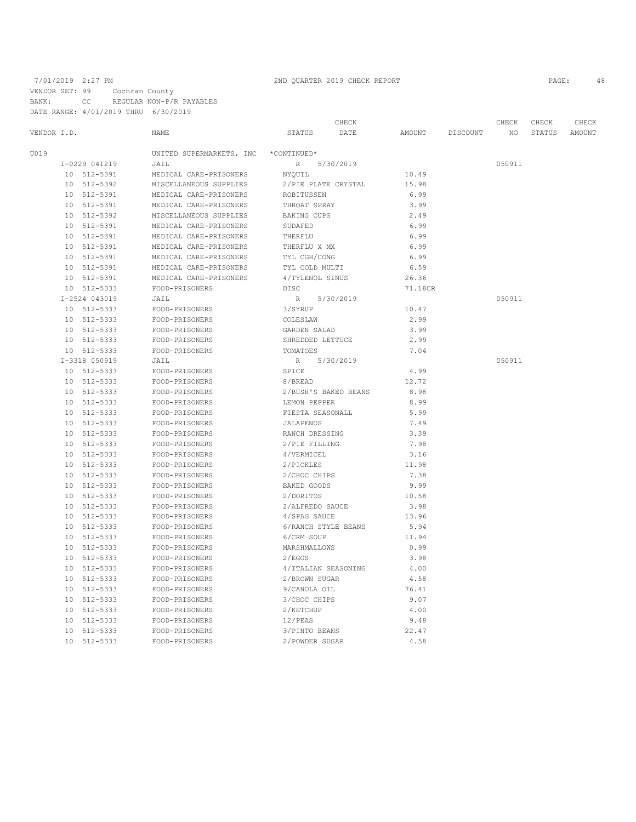VENDOR SET: 99 Cochran County

BANK: CC REGULAR NON-P/R PAYABLES DATE RANGE: 4/01/2019 THRU 6/30/2019

|                 | CHECK         |                          |                      |           | CHECK         | CHECK    |        |               |        |
|-----------------|---------------|--------------------------|----------------------|-----------|---------------|----------|--------|---------------|--------|
| VENDOR I.D.     |               | NAME                     | <b>STATUS</b>        | DATE      | <b>AMOUNT</b> | DISCOUNT | NO     | <b>STATUS</b> | AMOUNT |
| U019            |               | UNITED SUPERMARKETS, INC | *CONTINUED*          |           |               |          |        |               |        |
|                 | I-0229 041219 | JAIL                     | $\, {\mathbb R} \,$  | 5/30/2019 |               |          | 050911 |               |        |
|                 | 10 512-5391   | MEDICAL CARE-PRISONERS   | NYOUIL               |           | 10.49         |          |        |               |        |
| 10              | 512-5392      | MISCELLANEOUS SUPPLIES   | 2/PIE PLATE CRYSTAL  |           | 15.98         |          |        |               |        |
| 10 <sup>°</sup> | 512-5391      | MEDICAL CARE-PRISONERS   | ROBITUSSEN           |           | 6.99          |          |        |               |        |
|                 | 10 512-5391   | MEDICAL CARE-PRISONERS   | THROAT SPRAY         |           | 3.99          |          |        |               |        |
|                 | 10 512-5392   | MISCELLANEOUS SUPPLIES   | <b>BAKING CUPS</b>   |           | 2.49          |          |        |               |        |
|                 | 10 512-5391   | MEDICAL CARE-PRISONERS   | SUDAFED              |           | 6.99          |          |        |               |        |
|                 | 10 512-5391   | MEDICAL CARE-PRISONERS   | THERFLU              |           | 6.99          |          |        |               |        |
|                 | 10 512-5391   | MEDICAL CARE-PRISONERS   | THERFLU X MX         |           | 6.99          |          |        |               |        |
| 10              | 512-5391      | MEDICAL CARE-PRISONERS   | TYL CGH/CONG         |           | 6.99          |          |        |               |        |
|                 | 10 512-5391   | MEDICAL CARE-PRISONERS   | TYL COLD MULTI       |           | 6.59          |          |        |               |        |
|                 | 10 512-5391   | MEDICAL CARE-PRISONERS   | 4/TYLENOL SINUS      |           | 26.36         |          |        |               |        |
|                 | 10 512-5333   | FOOD-PRISONERS           | DISC                 |           | 71.18CR       |          |        |               |        |
|                 | I-2524 043019 | JAIL                     | R                    | 5/30/2019 |               |          | 050911 |               |        |
|                 | 10 512-5333   | FOOD-PRISONERS           | 3/SYRUP              |           | 10.47         |          |        |               |        |
| 10              | 512-5333      | FOOD-PRISONERS           | COLESLAW             |           | 2.99          |          |        |               |        |
|                 | 10 512-5333   | FOOD-PRISONERS           | GARDEN SALAD         |           | 3.99          |          |        |               |        |
|                 | 10 512-5333   | FOOD-PRISONERS           | SHREDDED LETTUCE     |           | 2.99          |          |        |               |        |
|                 | 10 512-5333   | FOOD-PRISONERS           | TOMATOES             |           | 7.04          |          |        |               |        |
|                 | I-3318 050919 | JAIL                     | R                    | 5/30/2019 |               |          | 050911 |               |        |
|                 | 10 512-5333   | FOOD-PRISONERS           | SPICE                |           | 4.99          |          |        |               |        |
|                 | 10 512-5333   | FOOD-PRISONERS           | 8/BREAD              |           | 12.72         |          |        |               |        |
| 10              | 512-5333      | FOOD-PRISONERS           | 2/BUSH'S BAKED BEANS |           | 8.98          |          |        |               |        |
|                 | 10 512-5333   | FOOD-PRISONERS           | LEMON PEPPER         |           | 8.99          |          |        |               |        |
|                 | 10 512-5333   | FOOD-PRISONERS           | FIESTA SEASONALL     |           | 5.99          |          |        |               |        |
|                 | 10 512-5333   | FOOD-PRISONERS           | <b>JALAPENOS</b>     |           | 7.49          |          |        |               |        |
|                 | 10 512-5333   | FOOD-PRISONERS           | RANCH DRESSING       |           | 3.39          |          |        |               |        |
| 10              | 512-5333      | FOOD-PRISONERS           | 2/PIE FILLING        |           | 7.98          |          |        |               |        |
| 10              | 512-5333      | FOOD-PRISONERS           | 4/VERMICEL           |           | 3.16          |          |        |               |        |
| 10              | 512-5333      | FOOD-PRISONERS           | 2/PICKLES            |           | 11.98         |          |        |               |        |
|                 | 10 512-5333   | FOOD-PRISONERS           | 2/CHOC CHIPS         |           | 7.38          |          |        |               |        |
|                 | 10 512-5333   | FOOD-PRISONERS           | BAKED GOODS          |           | 9.99          |          |        |               |        |
|                 | 10 512-5333   | FOOD-PRISONERS           | 2/DORITOS            |           | 10.58         |          |        |               |        |
| 10 <sup>°</sup> | 512-5333      | FOOD-PRISONERS           | 2/ALFREDO SAUCE      |           | 3.98          |          |        |               |        |
| 10              | 512-5333      | FOOD-PRISONERS           | 4/SPAG SAUCE         |           | 13.96         |          |        |               |        |
| 10              | 512-5333      | FOOD-PRISONERS           | 6/RANCH STYLE BEANS  |           | 5.94          |          |        |               |        |
|                 | 10 512-5333   | FOOD-PRISONERS           | 6/CRM SOUP           |           | 11.94         |          |        |               |        |
| 10              | 512-5333      | FOOD-PRISONERS           | MARSHMALLOWS         |           | 0.99          |          |        |               |        |
| 10              | 512-5333      | FOOD-PRISONERS           | 2/EGGS               |           | 3.98          |          |        |               |        |
| 10              | 512-5333      | FOOD-PRISONERS           | 4/ITALIAN SEASONING  |           | 4.00          |          |        |               |        |
| 10              | 512-5333      | FOOD-PRISONERS           | 2/BROWN SUGAR        |           | 4.58          |          |        |               |        |
| 10              | 512-5333      | FOOD-PRISONERS           | 9/CANOLA OIL         |           | 76.41         |          |        |               |        |
| 10              | 512-5333      | FOOD-PRISONERS           | 3/CHOC CHIPS         |           | 9.07          |          |        |               |        |
|                 | 10 512-5333   | FOOD-PRISONERS           | 2/KETCHUP            |           | 4.00          |          |        |               |        |
| 10              | 512-5333      | FOOD-PRISONERS           | 12/PEAS              |           | 9.48          |          |        |               |        |
|                 | 10 512-5333   | FOOD-PRISONERS           | 3/PINTO BEANS        |           | 22.47         |          |        |               |        |
| 10 <sup>°</sup> | 512-5333      | FOOD-PRISONERS           | 2/POWDER SUGAR       |           | 4.58          |          |        |               |        |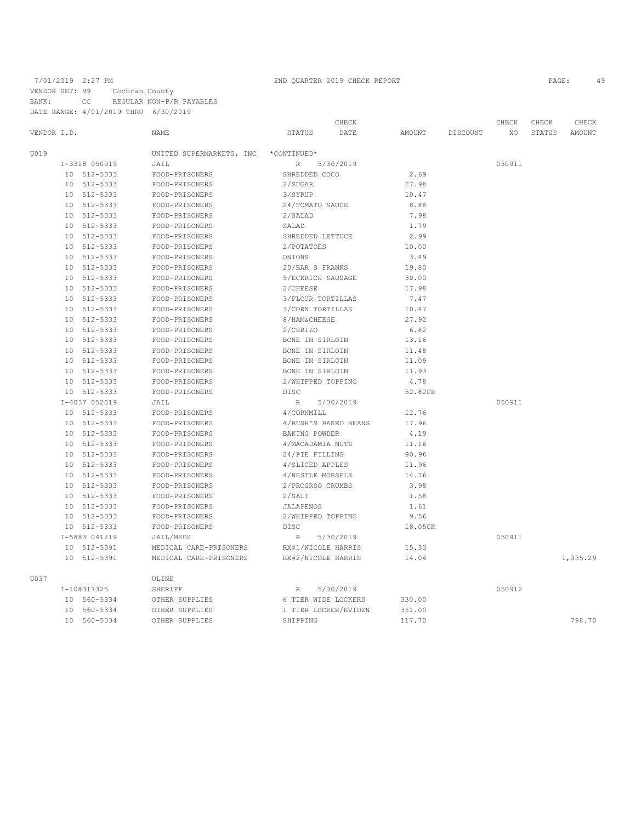VENDOR SET: 99 Cochran County BANK: CC REGULAR NON-P/R PAYABLES

DATE RANGE: 4/01/2019 THRU 6/30/2019

|             |               |                          | CHECK                    |         |          | CHECK  | CHECK  | CHECK    |
|-------------|---------------|--------------------------|--------------------------|---------|----------|--------|--------|----------|
| VENDOR I.D. |               | NAME                     | STATUS<br>DATE           | AMOUNT  | DISCOUNT | ΝO     | STATUS | AMOUNT   |
| U019        |               | UNITED SUPERMARKETS, INC | *CONTINUED*              |         |          |        |        |          |
|             | I-3318 050919 | JAIL                     | 5/30/2019<br>R           |         |          | 050911 |        |          |
|             | 10 512-5333   | FOOD-PRISONERS           | SHREDDED COCO            | 2.69    |          |        |        |          |
|             | 10 512-5333   | FOOD-PRISONERS           | 2/SUGAR                  | 27.98   |          |        |        |          |
|             | 10 512-5333   | FOOD-PRISONERS           | 3/SYRUP                  | 10.47   |          |        |        |          |
|             | 10 512-5333   | FOOD-PRISONERS           | 24/TOMATO SAUCE          | 8.88    |          |        |        |          |
| 10          | 512-5333      | FOOD-PRISONERS           | 2/SLAD                   | 7.98    |          |        |        |          |
| 10          | 512-5333      | FOOD-PRISONERS           | SALAD                    | 1.79    |          |        |        |          |
| 10          | 512-5333      | FOOD-PRISONERS           | SHREDDED LETTUCE         | 2.99    |          |        |        |          |
|             | 10 512-5333   | FOOD-PRISONERS           | 2/POTATOES               | 10.00   |          |        |        |          |
| 10          | 512-5333      | FOOD-PRISONERS           | ONIONS                   | 3.49    |          |        |        |          |
| 10          | 512-5333      | FOOD-PRISONERS           | 20/BAR S FRANKS          | 19.80   |          |        |        |          |
| 10          | 512-5333      | FOOD-PRISONERS           | 5/ECKRICH SAUSAGE        | 30.00   |          |        |        |          |
| 10          | 512-5333      | FOOD-PRISONERS           | 2/CHEESE                 | 17.98   |          |        |        |          |
| 10          | 512-5333      | FOOD-PRISONERS           | 3/FLOUR TORTILLAS        | 7.47    |          |        |        |          |
|             | 10 512-5333   | FOOD-PRISONERS           | 3/CORN TORTILLAS         | 10.47   |          |        |        |          |
| 10          | 512-5333      | FOOD-PRISONERS           | 8/HAM&CHEESE             | 27.92   |          |        |        |          |
| 10          | 512-5333      | FOOD-PRISONERS           | 2/CHRIZO                 | 6.82    |          |        |        |          |
| 10          | 512-5333      | FOOD-PRISONERS           | BONE IN SIRLOIN          | 13.16   |          |        |        |          |
| 10          | 512-5333      | FOOD-PRISONERS           | BONE IN SIRLOIN          | 11.48   |          |        |        |          |
| 10          | 512-5333      | FOOD-PRISONERS           | BONE IN SIRLOIN          | 11.09   |          |        |        |          |
| 10          | 512-5333      | FOOD-PRISONERS           | BONE IN SIRLOIN          | 11.93   |          |        |        |          |
|             | 10 512-5333   | FOOD-PRISONERS           | 2/WHIPPED TOPPING        | 4.78    |          |        |        |          |
|             | 10 512-5333   | FOOD-PRISONERS           | DISC                     | 52.82CR |          |        |        |          |
|             | I-4037 052019 | JAIL                     | 5/30/2019<br>R           |         |          | 050911 |        |          |
|             | 10 512-5333   | FOOD-PRISONERS           | 4/CORNMILL               | 12.76   |          |        |        |          |
|             | 10 512-5333   | FOOD-PRISONERS           | 4/BUSH'S BAKED BEANS     | 17.96   |          |        |        |          |
|             | 10 512-5333   | FOOD-PRISONERS           | BAKING POWDER            | 4.19    |          |        |        |          |
|             | 10 512-5333   | FOOD-PRISONERS           | 4/MACADAMIA NUTS         | 11.16   |          |        |        |          |
|             | 10 512-5333   | FOOD-PRISONERS           | 24/PIE FILLING           | 90.96   |          |        |        |          |
|             | 10 512-5333   | FOOD-PRISONERS           | 4/SLICED APPLES          | 11.96   |          |        |        |          |
| 10          | 512-5333      | FOOD-PRISONERS           | 4/NESTLE MORSELS         | 14.76   |          |        |        |          |
| 10          | 512-5333      | FOOD-PRISONERS           | 2/PROGRSO CRUMBS         | 3.98    |          |        |        |          |
| 10          | 512-5333      | FOOD-PRISONERS           | 2/SALT                   | 1.58    |          |        |        |          |
| 10          | 512-5333      | FOOD-PRISONERS           | <b>JALAPENOS</b>         | 1.61    |          |        |        |          |
|             | 10 512-5333   | FOOD-PRISONERS           | 2/WHIPPED TOPPING        | 9.56    |          |        |        |          |
|             | 10 512-5333   | FOOD-PRISONERS           | DISC                     | 18.05CR |          |        |        |          |
|             | I-5883 041219 | JAIL/MEDS                | 5/30/2019<br>$\mathbb R$ |         |          | 050911 |        |          |
|             | 10 512-5391   | MEDICAL CARE-PRISONERS   | RX#1/NICOLE HARRIS       | 15.33   |          |        |        |          |
|             | 10 512-5391   | MEDICAL CARE-PRISONERS   | RX#2/NICOLE HARRIS       | 14.04   |          |        |        | 1,335.29 |
| U037        |               | ULINE                    |                          |         |          |        |        |          |
|             | I-108317325   | SHERIFF                  | 5/30/2019<br>R           |         |          | 050912 |        |          |
|             | 10 560-5334   | OTHER SUPPLIES           | 6 TIER WIDE LOCKERS      | 330.00  |          |        |        |          |
| 10          | 560-5334      | OTHER SUPPLIES           | 1 TIER LOCKER/EVIDEN     | 351.00  |          |        |        |          |
|             | 10 560-5334   | OTHER SUPPLIES           | SHIPPING                 | 117.70  |          |        |        | 798.70   |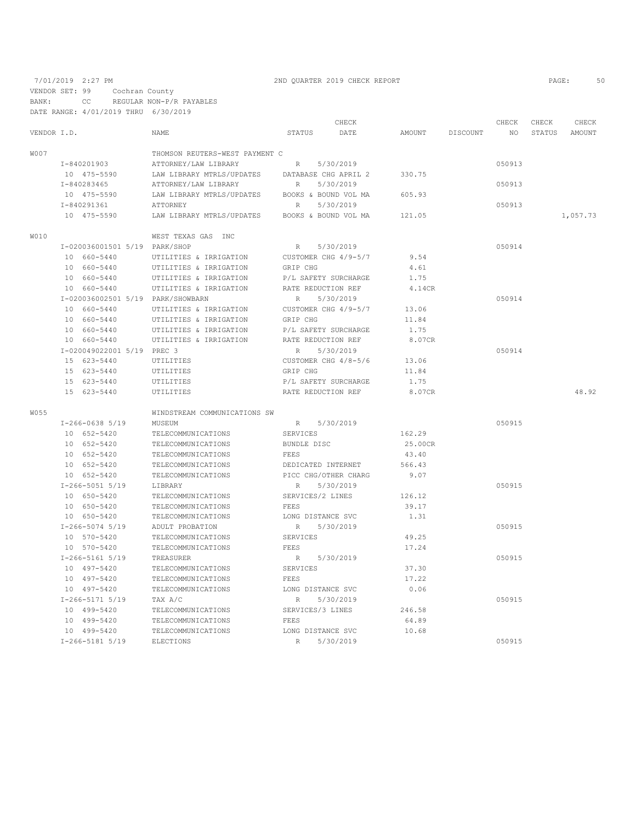VENDOR SET: 99 Cochran County BANK: CC REGULAR NON-P/R PAYABLES DATE RANGE: 4/01/2019 THRU 6/30/2019

|             |                                   |                                |                      | CHECK     |         |          | CHECK  | CHECK  | CHECK    |
|-------------|-----------------------------------|--------------------------------|----------------------|-----------|---------|----------|--------|--------|----------|
| VENDOR I.D. |                                   | NAME                           | STATUS               | DATE      | AMOUNT  | DISCOUNT | NO.    | STATUS | AMOUNT   |
| W007        |                                   | THOMSON REUTERS-WEST PAYMENT C |                      |           |         |          |        |        |          |
|             | I-840201903                       | ATTORNEY/LAW LIBRARY           | R                    | 5/30/2019 |         |          | 050913 |        |          |
|             | 10 475-5590                       | LAW LIBRARY MTRLS/UPDATES      | DATABASE CHG APRIL 2 |           | 330.75  |          |        |        |          |
|             | I-840283465                       | ATTORNEY/LAW LIBRARY           | R                    | 5/30/2019 |         |          | 050913 |        |          |
|             | 10 475-5590                       | LAW LIBRARY MTRLS/UPDATES      | BOOKS & BOUND VOL MA |           | 605.93  |          |        |        |          |
|             | I-840291361                       | <b>ATTORNEY</b>                | R                    | 5/30/2019 |         |          | 050913 |        |          |
|             | 10 475-5590                       | LAW LIBRARY MTRLS/UPDATES      | BOOKS & BOUND VOL MA |           | 121.05  |          |        |        | 1,057.73 |
| W010        |                                   | WEST TEXAS GAS INC             |                      |           |         |          |        |        |          |
|             | I-020036001501 5/19 PARK/SHOP     |                                | R                    | 5/30/2019 |         |          | 050914 |        |          |
|             | 10 660-5440                       | UTILITIES & IRRIGATION         | CUSTOMER CHG 4/9-5/7 |           | 9.54    |          |        |        |          |
|             | 10 660-5440                       | UTILITIES & IRRIGATION         | GRIP CHG             |           | 4.61    |          |        |        |          |
|             | 10 660-5440                       | UTILITIES & IRRIGATION         | P/L SAFETY SURCHARGE |           | 1.75    |          |        |        |          |
|             | 10 660-5440                       | UTILITIES & IRRIGATION         | RATE REDUCTION REF   |           | 4.14CR  |          |        |        |          |
|             | I-020036002501 5/19 PARK/SHOWBARN |                                | R                    | 5/30/2019 |         |          | 050914 |        |          |
|             | 10 660-5440                       | UTILITIES & IRRIGATION         | CUSTOMER CHG 4/9-5/7 |           | 13.06   |          |        |        |          |
|             | 10 660-5440                       | UTILITIES & IRRIGATION         | GRIP CHG             |           | 11.84   |          |        |        |          |
|             | 10 660-5440                       | UTILITIES & IRRIGATION         | P/L SAFETY SURCHARGE |           | 1.75    |          |        |        |          |
|             | 10 660-5440                       | UTILITIES & IRRIGATION         | RATE REDUCTION REF   |           | 8.07CR  |          |        |        |          |
|             | I-020049022001 5/19 PREC 3        |                                | R                    | 5/30/2019 |         |          | 050914 |        |          |
|             | 15 623-5440                       | UTILITIES                      | CUSTOMER CHG 4/8-5/6 |           | 13.06   |          |        |        |          |
|             | 15 623-5440                       | UTILITIES                      | GRIP CHG             |           | 11.84   |          |        |        |          |
|             | 15 623-5440                       | UTILITIES                      | P/L SAFETY SURCHARGE |           | 1.75    |          |        |        |          |
|             | 15 623-5440                       | UTILITIES                      | RATE REDUCTION REF   |           | 8.07CR  |          |        |        | 48.92    |
| W055        |                                   | WINDSTREAM COMMUNICATIONS SW   |                      |           |         |          |        |        |          |
|             | $I-266-0638$ 5/19                 | MUSEUM                         | R 5/30/2019          |           |         |          | 050915 |        |          |
|             | 10 652-5420                       | TELECOMMUNICATIONS             | SERVICES             |           | 162.29  |          |        |        |          |
|             | 10 652-5420                       | TELECOMMUNICATIONS             | BUNDLE DISC          |           | 25.00CR |          |        |        |          |
|             | 10 652-5420                       | TELECOMMUNICATIONS             | FEES                 |           | 43.40   |          |        |        |          |
|             | 10 652-5420                       | TELECOMMUNICATIONS             | DEDICATED INTERNET   |           | 566.43  |          |        |        |          |
|             | 10 652-5420                       | TELECOMMUNICATIONS             | PICC CHG/OTHER CHARG |           | 9.07    |          |        |        |          |
|             | $I-266-5051$ 5/19                 | LIBRARY                        | R                    | 5/30/2019 |         |          | 050915 |        |          |
|             | 10 650-5420                       | TELECOMMUNICATIONS             | SERVICES/2 LINES     |           | 126.12  |          |        |        |          |
|             | 10 650-5420                       | TELECOMMUNICATIONS             | <b>FEES</b>          |           | 39.17   |          |        |        |          |
|             | 10 650-5420                       | TELECOMMUNICATIONS             | LONG DISTANCE SVC    |           | 1.31    |          |        |        |          |
|             | I-266-5074 5/19                   | ADULT PROBATION                | R                    | 5/30/2019 |         |          | 050915 |        |          |
|             | 10 570-5420                       | TELECOMMUNICATIONS             | SERVICES             |           | 49.25   |          |        |        |          |
|             | 10 570-5420                       | TELECOMMUNICATIONS             | <b>FEES</b>          |           | 17.24   |          |        |        |          |
|             | $I - 266 - 5161$ 5/19             | TREASURER                      | R                    | 5/30/2019 |         |          | 050915 |        |          |
|             | 10 497-5420                       | TELECOMMUNICATIONS             | SERVICES             |           | 37.30   |          |        |        |          |
|             | 10 497-5420                       | TELECOMMUNICATIONS             | FEES                 |           | 17.22   |          |        |        |          |
|             | 10 497-5420                       | TELECOMMUNICATIONS             | LONG DISTANCE SVC    |           | 0.06    |          |        |        |          |
|             | $I-266-5171$ 5/19                 | TAX A/C                        | R                    | 5/30/2019 |         |          | 050915 |        |          |
|             | 10 499-5420                       | TELECOMMUNICATIONS             | SERVICES/3 LINES     |           | 246.58  |          |        |        |          |
|             | 10 499-5420                       | TELECOMMUNICATIONS             | FEES                 |           | 64.89   |          |        |        |          |
|             | 10 499-5420                       | TELECOMMUNICATIONS             | LONG DISTANCE SVC    |           | 10.68   |          |        |        |          |
|             | I-266-5181 5/19                   | <b>ELECTIONS</b>               | R                    | 5/30/2019 |         |          | 050915 |        |          |
|             |                                   |                                |                      |           |         |          |        |        |          |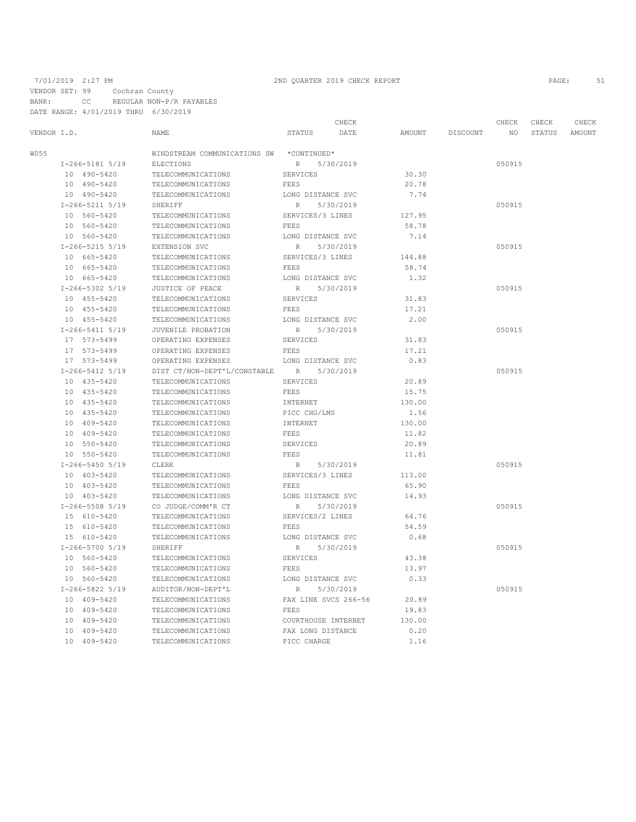VENDOR SET: 99 Cochran County

BANK: CC REGULAR NON-P/R PAYABLES DATE RANGE: 4/01/2019 THRU 6/30/2019

# 7/01/2019 2:27 PM 2ND QUARTER 2019 CHECK REPORT PAGE: 51

|             |                       |                              |                      | CHECK     |        |          | CHECK  | CHECK  | CHECK         |
|-------------|-----------------------|------------------------------|----------------------|-----------|--------|----------|--------|--------|---------------|
| VENDOR I.D. |                       | <b>NAME</b>                  | STATUS               | DATE      | AMOUNT | DISCOUNT | NO.    | STATUS | <b>AMOUNT</b> |
| W055        |                       | WINDSTREAM COMMUNICATIONS SW | *CONTINUED*          |           |        |          |        |        |               |
|             | $I-266-5181$ 5/19     | <b>ELECTIONS</b>             | R                    | 5/30/2019 |        |          | 050915 |        |               |
|             | 10 490-5420           | TELECOMMUNICATIONS           | <b>SERVICES</b>      |           | 30.30  |          |        |        |               |
|             | 10 490-5420           | TELECOMMUNICATIONS           | <b>FEES</b>          |           | 20.78  |          |        |        |               |
|             | 10 490-5420           | TELECOMMUNICATIONS           | LONG DISTANCE SVC    |           | 7.74   |          |        |        |               |
|             | $I-266-5211$ 5/19     | SHERIFF                      | $\, {\mathbb R}$     | 5/30/2019 |        |          | 050915 |        |               |
|             | 10 560-5420           | TELECOMMUNICATIONS           | SERVICES/3 LINES     |           | 127.95 |          |        |        |               |
|             | 10 560-5420           | TELECOMMUNICATIONS           | FEES                 |           | 58.78  |          |        |        |               |
|             | 10 560-5420           | TELECOMMUNICATIONS           | LONG DISTANCE SVC    |           | 7.14   |          |        |        |               |
|             | $I-266-5215$ 5/19     | EXTENSION SVC                | R                    | 5/30/2019 |        |          | 050915 |        |               |
|             | 10 665-5420           | TELECOMMUNICATIONS           | SERVICES/3 LINES     |           | 144.88 |          |        |        |               |
|             | 10 665-5420           | TELECOMMUNICATIONS           | FEES                 |           | 58.74  |          |        |        |               |
|             | 10 665-5420           | TELECOMMUNICATIONS           | LONG DISTANCE SVC    |           | 1.32   |          |        |        |               |
|             | $I-266-5302$ 5/19     | JUSTICE OF PEACE             | R                    | 5/30/2019 |        |          | 050915 |        |               |
|             | 10 455-5420           | TELECOMMUNICATIONS           | <b>SERVICES</b>      |           | 31.83  |          |        |        |               |
|             | 10 455-5420           | TELECOMMUNICATIONS           | FEES                 |           | 17.21  |          |        |        |               |
|             | 10 455-5420           | TELECOMMUNICATIONS           | LONG DISTANCE SVC    |           | 2.00   |          |        |        |               |
|             | I-266-5411 5/19       | JUVENILE PROBATION           | R                    | 5/30/2019 |        |          | 050915 |        |               |
|             | 17 573-5499           | OPERATING EXPENSES           | SERVICES             |           | 31.83  |          |        |        |               |
|             | 17 573-5499           | OPERATING EXPENSES           | FEES                 |           | 17.21  |          |        |        |               |
|             | 17 573-5499           | OPERATING EXPENSES           | LONG DISTANCE SVC    |           | 0.83   |          |        |        |               |
|             | $I - 266 - 5412$ 5/19 | DIST CT/NON-DEPT'L/CONSTABLE | R                    | 5/30/2019 |        |          | 050915 |        |               |
|             | 10 435-5420           | TELECOMMUNICATIONS           | SERVICES             |           | 20.89  |          |        |        |               |
|             | 10 435-5420           | TELECOMMUNICATIONS           | FEES                 |           | 15.75  |          |        |        |               |
|             | 10 435-5420           | TELECOMMUNICATIONS           | INTERNET             |           | 130.00 |          |        |        |               |
|             | 10 435-5420           | TELECOMMUNICATIONS           | PICC CHG/LMS         |           | 1.56   |          |        |        |               |
|             | 10 409-5420           | TELECOMMUNICATIONS           | INTERNET             |           | 130.00 |          |        |        |               |
|             | 10 409-5420           | TELECOMMUNICATIONS           | FEES                 |           | 11.82  |          |        |        |               |
|             | 10 550-5420           | TELECOMMUNICATIONS           | SERVICES             |           | 20.89  |          |        |        |               |
|             | 10 550-5420           | TELECOMMUNICATIONS           | FEES                 |           | 11.81  |          |        |        |               |
|             | $I-266-5450$ 5/19     | CLERK                        | R                    | 5/30/2019 |        |          | 050915 |        |               |
|             | 10 403-5420           | TELECOMMUNICATIONS           | SERVICES/3 LINES     |           | 113.00 |          |        |        |               |
|             | 10 403-5420           | TELECOMMUNICATIONS           | FEES                 |           | 65.90  |          |        |        |               |
|             | 10 403-5420           | TELECOMMUNICATIONS           | LONG DISTANCE SVC    |           | 14.93  |          |        |        |               |
|             | I-266-5508 5/19       | CO JUDGE/COMM'R CT           | R                    | 5/30/2019 |        |          | 050915 |        |               |
|             | 15 610-5420           | TELECOMMUNICATIONS           | SERVICES/2 LINES     |           | 64.76  |          |        |        |               |
|             | 15 610-5420           | TELECOMMUNICATIONS           | FEES                 |           | 54.59  |          |        |        |               |
|             | 15 610-5420           | TELECOMMUNICATIONS           | LONG DISTANCE SVC    |           | 0.68   |          |        |        |               |
|             | $I-266-5700$ 5/19     | SHERIFF                      | R                    | 5/30/2019 |        |          | 050915 |        |               |
|             | 10 560-5420           | TELECOMMUNICATIONS           | SERVICES             |           | 43.38  |          |        |        |               |
|             | 10 560-5420           | TELECOMMUNICATIONS           | FEES                 |           | 13.97  |          |        |        |               |
|             | 10 560-5420           | TELECOMMUNICATIONS           | LONG DISTANCE SVC    |           | 0.33   |          |        |        |               |
|             | $I-266-5822$ 5/19     | AUDITOR/NON-DEPT'L           | $\, {\mathbb R}$     | 5/30/2019 |        |          | 050915 |        |               |
|             | 10 409-5420           | TELECOMMUNICATIONS           | FAX LINE SVCS 266-56 |           | 20.89  |          |        |        |               |
|             | 10 409-5420           | TELECOMMUNICATIONS           | FEES                 |           | 19.83  |          |        |        |               |
|             | 10 409-5420           | TELECOMMUNICATIONS           | COURTHOUSE INTERNET  |           | 130.00 |          |        |        |               |
|             | 10 409-5420           | TELECOMMUNICATIONS           | FAX LONG DISTANCE    |           | 0.20   |          |        |        |               |
|             | 10 409-5420           | TELECOMMUNICATIONS           | PICC CHARGE          |           | 1.16   |          |        |        |               |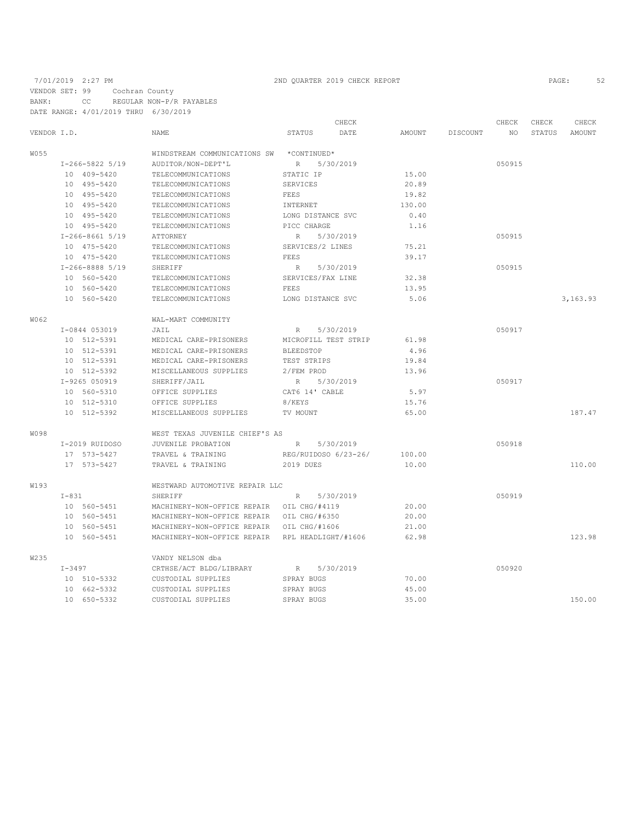VENDOR SET: 99 Cochran County

BANK: CC REGULAR NON-P/R PAYABLES DATE RANGE: 4/01/2019 THRU 6/30/2019

|             |            |                   |                                                 |                      | CHECK     |        |          | CHECK  | CHECK  | CHECK    |
|-------------|------------|-------------------|-------------------------------------------------|----------------------|-----------|--------|----------|--------|--------|----------|
| VENDOR I.D. |            |                   | <b>NAME</b>                                     | STATUS               | DATE      | AMOUNT | DISCOUNT | NO.    | STATUS | AMOUNT   |
| W055        |            |                   | WINDSTREAM COMMUNICATIONS SW                    | *CONTINUED*          |           |        |          |        |        |          |
|             |            | $I-266-5822$ 5/19 | AUDITOR/NON-DEPT'L                              | R                    | 5/30/2019 |        |          | 050915 |        |          |
|             |            | 10 409-5420       | TELECOMMUNICATIONS                              | STATIC IP            |           | 15.00  |          |        |        |          |
|             |            | 10 495-5420       | TELECOMMUNICATIONS                              | SERVICES             |           | 20.89  |          |        |        |          |
|             |            | 10 495-5420       | TELECOMMUNICATIONS                              | FEES                 |           | 19.82  |          |        |        |          |
|             |            | 10 495-5420       | TELECOMMUNICATIONS                              | INTERNET             |           | 130.00 |          |        |        |          |
|             |            | 10 495-5420       | TELECOMMUNICATIONS                              | LONG DISTANCE SVC    |           | 0.40   |          |        |        |          |
|             |            | 10 495-5420       | TELECOMMUNICATIONS                              | PICC CHARGE          |           | 1.16   |          |        |        |          |
|             |            | $I-266-8661$ 5/19 | ATTORNEY                                        | R                    | 5/30/2019 |        |          | 050915 |        |          |
|             |            | 10 475-5420       | TELECOMMUNICATIONS                              | SERVICES/2 LINES     |           | 75.21  |          |        |        |          |
|             |            | 10 475-5420       | TELECOMMUNICATIONS                              | FEES                 |           | 39.17  |          |        |        |          |
|             |            | I-266-8888 5/19   | SHERIFF                                         | R                    | 5/30/2019 |        |          | 050915 |        |          |
|             |            | 10 560-5420       | TELECOMMUNICATIONS                              | SERVICES/FAX LINE    |           | 32.38  |          |        |        |          |
|             |            | 10 560-5420       | TELECOMMUNICATIONS                              | FEES                 |           | 13.95  |          |        |        |          |
|             |            | 10 560-5420       | TELECOMMUNICATIONS                              | LONG DISTANCE SVC    |           | 5.06   |          |        |        | 3,163.93 |
| W062        |            |                   | WAL-MART COMMUNITY                              |                      |           |        |          |        |        |          |
|             |            | I-0844 053019     | JAIL                                            | $R_{\perp}$          | 5/30/2019 |        |          | 050917 |        |          |
|             |            | 10 512-5391       | MEDICAL CARE-PRISONERS                          | MICROFILL TEST STRIP |           | 61.98  |          |        |        |          |
|             |            | 10 512-5391       | MEDICAL CARE-PRISONERS                          | BLEEDSTOP            |           | 4.96   |          |        |        |          |
|             |            | 10 512-5391       | MEDICAL CARE-PRISONERS                          | TEST STRIPS          |           | 19.84  |          |        |        |          |
|             |            | 10 512-5392       | MISCELLANEOUS SUPPLIES                          | 2/FEM PROD           |           | 13.96  |          |        |        |          |
|             |            | I-9265 050919     | SHERIFF/JAIL                                    | R                    | 5/30/2019 |        |          | 050917 |        |          |
|             |            | 10 560-5310       | OFFICE SUPPLIES                                 | CAT6 14' CABLE       |           | 5.97   |          |        |        |          |
|             |            | 10 512-5310       | OFFICE SUPPLIES                                 | 8/KEYS               |           | 15.76  |          |        |        |          |
|             |            | 10 512-5392       | MISCELLANEOUS SUPPLIES                          | TV MOUNT             |           | 65.00  |          |        |        | 187.47   |
| <b>W098</b> |            |                   | WEST TEXAS JUVENILE CHIEF'S AS                  |                      |           |        |          |        |        |          |
|             |            | I-2019 RUIDOSO    | JUVENILE PROBATION                              | R                    | 5/30/2019 |        |          | 050918 |        |          |
|             |            | 17 573-5427       | TRAVEL & TRAINING                               | REG/RUIDOSO 6/23-26/ |           | 100.00 |          |        |        |          |
|             |            | 17 573-5427       | TRAVEL & TRAINING                               | 2019 DUES            |           | 10.00  |          |        |        | 110.00   |
| W193        |            |                   | WESTWARD AUTOMOTIVE REPAIR LLC                  |                      |           |        |          |        |        |          |
|             | $I-831$    |                   | SHERIFF                                         | R                    | 5/30/2019 |        |          | 050919 |        |          |
|             |            | 10 560-5451       | MACHINERY-NON-OFFICE REPAIR OIL CHG/#4119       |                      |           | 20.00  |          |        |        |          |
|             |            | 10 560-5451       | MACHINERY-NON-OFFICE REPAIR                     | OIL CHG/#6350        |           | 20.00  |          |        |        |          |
|             |            | 10 560-5451       | MACHINERY-NON-OFFICE REPAIR                     | OIL CHG/#1606        |           | 21.00  |          |        |        |          |
|             |            | 10 560-5451       | MACHINERY-NON-OFFICE REPAIR RPL HEADLIGHT/#1606 |                      |           | 62.98  |          |        |        | 123.98   |
| W235        |            |                   | VANDY NELSON dba                                |                      |           |        |          |        |        |          |
|             | $I - 3497$ |                   | CRTHSE/ACT BLDG/LIBRARY                         | R                    | 5/30/2019 |        |          | 050920 |        |          |
|             |            | 10 510-5332       | CUSTODIAL SUPPLIES                              | SPRAY BUGS           |           | 70.00  |          |        |        |          |
|             |            | 10 662-5332       | CUSTODIAL SUPPLIES                              | SPRAY BUGS           |           | 45.00  |          |        |        |          |
|             |            | 10 650-5332       | CUSTODIAL SUPPLIES                              | SPRAY BUGS           |           | 35.00  |          |        |        | 150.00   |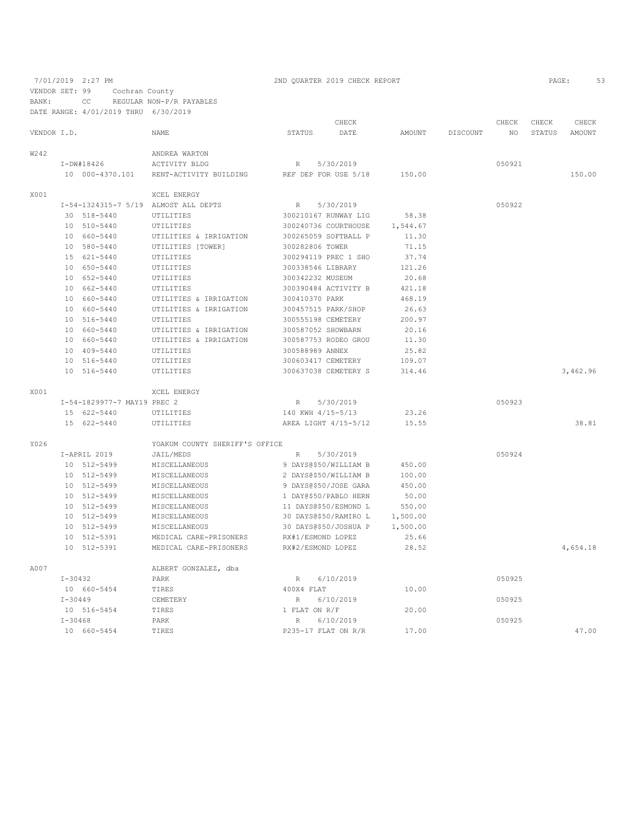7/01/2019 2:27 PM 2ND QUARTER 2019 CHECK REPORT 2019 CHECK REPORT VENDOR SET: 99 Cochran County

BANK: CC REGULAR NON-P/R PAYABLES

DATE RANGE: 4/01/2019 THRU 6/30/2019

|             |             | DAID NANGB. B/UI/ZUIJ IHNU  |                                      |                     |                       |          |          |             |                 |                 |
|-------------|-------------|-----------------------------|--------------------------------------|---------------------|-----------------------|----------|----------|-------------|-----------------|-----------------|
| VENDOR I.D. |             |                             | <b>NAME</b>                          | STATUS              | CHECK<br>DATE         | AMOUNT   | DISCOUNT | CHECK<br>NO | CHECK<br>STATUS | CHECK<br>AMOUNT |
|             |             |                             |                                      |                     |                       |          |          |             |                 |                 |
| W242        |             |                             | ANDREA WARTON                        |                     |                       |          |          |             |                 |                 |
|             |             | $I-DW#18426$                | ACTIVITY BLDG                        | $\mathbb R$         | 5/30/2019             |          |          | 050921      |                 |                 |
|             |             | 10 000-4370.101             | RENT-ACTIVITY BUILDING               |                     | REF DEP FOR USE 5/18  | 150.00   |          |             |                 | 150.00          |
| X001        |             |                             | XCEL ENERGY                          |                     |                       |          |          |             |                 |                 |
|             |             |                             | I-54-1324315-7 5/19 ALMOST ALL DEPTS | R                   | 5/30/2019             |          |          | 050922      |                 |                 |
|             |             | 30 518-5440                 | UTILITIES                            |                     | 300210167 RUNWAY LIG  | 58.38    |          |             |                 |                 |
|             |             | 10 510-5440                 | UTILITIES                            |                     | 300240736 COURTHOUSE  | 1,544.67 |          |             |                 |                 |
|             |             | 10 660-5440                 | UTILITIES & IRRIGATION               |                     | 300265059 SOFTBALL P  | 11.30    |          |             |                 |                 |
|             |             | 10 580-5440                 | UTILITIES [TOWER]                    | 300282806 TOWER     |                       | 71.15    |          |             |                 |                 |
|             |             | 15 621-5440                 | UTILITIES                            |                     | 300294119 PREC 1 SHO  | 37.74    |          |             |                 |                 |
|             |             | 10 650-5440                 | UTILITIES                            | 300338546 LIBRARY   |                       | 121.26   |          |             |                 |                 |
|             |             | 10 652-5440                 | UTILITIES                            | 300342232 MUSEUM    |                       | 20.68    |          |             |                 |                 |
|             |             | 10 662-5440                 | UTILITIES                            |                     | 300390484 ACTIVITY B  | 421.18   |          |             |                 |                 |
|             |             | 10 660-5440                 | UTILITIES & IRRIGATION               | 300410370 PARK      |                       | 468.19   |          |             |                 |                 |
|             |             | 10 660-5440                 | UTILITIES & IRRIGATION               | 300457515 PARK/SHOP |                       | 26.63    |          |             |                 |                 |
|             |             | 10 516-5440                 | UTILITIES                            | 300555198 CEMETERY  |                       | 200.97   |          |             |                 |                 |
|             |             | 10 660-5440                 | UTILITIES & IRRIGATION               | 300587052 SHOWBARN  |                       | 20.16    |          |             |                 |                 |
|             |             | 10 660-5440                 | UTILITIES & IRRIGATION               |                     | 300587753 RODEO GROU  | 11.30    |          |             |                 |                 |
|             |             | 10 409-5440                 | UTILITIES                            | 300588989 ANNEX     |                       | 25.82    |          |             |                 |                 |
|             |             | 10 516-5440                 | UTILITIES                            | 300603417 CEMETERY  |                       | 109.07   |          |             |                 |                 |
|             |             | 10 516-5440                 | UTILITIES                            |                     | 300637038 CEMETERY S  | 314.46   |          |             |                 | 3,462.96        |
| X001        |             |                             | <b>XCEL ENERGY</b>                   |                     |                       |          |          |             |                 |                 |
|             |             | I-54-1829977-7 MAY19 PREC 2 |                                      | R                   | 5/30/2019             |          |          | 050923      |                 |                 |
|             |             | 15 622-5440                 | UTILITIES                            | 140 KWH 4/15-5/13   |                       | 23.26    |          |             |                 |                 |
|             |             | 15 622-5440                 | UTILITIES                            |                     | AREA LIGHT 4/15-5/12  | 15.55    |          |             |                 | 38.81           |
| Y026        |             |                             | YOAKUM COUNTY SHERIFF'S OFFICE       |                     |                       |          |          |             |                 |                 |
|             |             | I-APRIL 2019                | JAIL/MEDS                            | R                   | 5/30/2019             |          |          | 050924      |                 |                 |
|             |             | 10 512-5499                 | MISCELLANEOUS                        |                     | 9 DAYS@\$50/WILLIAM B | 450.00   |          |             |                 |                 |
|             |             | 10 512-5499                 | MISCELLANEOUS                        |                     | 2 DAYS@\$50/WILLIAM B | 100.00   |          |             |                 |                 |
|             |             | 10 512-5499                 | MISCELLANEOUS                        |                     | 9 DAYS@\$50/JOSE GARA | 450.00   |          |             |                 |                 |
|             |             | 10 512-5499                 | MISCELLANEOUS                        |                     | 1 DAY@\$50/PABLO HERN | 50.00    |          |             |                 |                 |
|             |             | 10 512-5499                 | MISCELLANEOUS                        |                     | 11 DAYS@\$50/ESMOND L | 550.00   |          |             |                 |                 |
|             |             | 10 512-5499                 | MISCELLANEOUS                        |                     | 30 DAYS@\$50/RAMIRO L | 1,500.00 |          |             |                 |                 |
|             |             | 10 512-5499                 | MISCELLANEOUS                        |                     | 30 DAYS@\$50/JOSHUA P | 1,500.00 |          |             |                 |                 |
|             |             | 10 512-5391                 | MEDICAL CARE-PRISONERS               | RX#1/ESMOND LOPEZ   |                       | 25.66    |          |             |                 |                 |
|             |             | 10 512-5391                 | MEDICAL CARE-PRISONERS               | RX#2/ESMOND LOPEZ   |                       | 28.52    |          |             |                 | 4,654.18        |
| A007        |             |                             | ALBERT GONZALEZ, dba                 |                     |                       |          |          |             |                 |                 |
|             | $I-30432$   |                             | PARK                                 | R                   | 6/10/2019             |          |          | 050925      |                 |                 |
|             |             | 10 660-5454                 | TIRES                                | 400X4 FLAT          |                       | 10.00    |          |             |                 |                 |
|             | $I-30449$   |                             | CEMETERY                             | R                   | 6/10/2019             |          |          | 050925      |                 |                 |
|             |             | 10 516-5454                 | TIRES                                | 1 FLAT ON R/F       |                       | 20.00    |          |             |                 |                 |
|             | $I - 30468$ |                             | PARK                                 | R                   | 6/10/2019             |          |          | 050925      |                 |                 |
|             |             | 10 660-5454                 | TIRES                                | P235-17 FLAT ON R/R |                       | 17.00    |          |             |                 | 47.00           |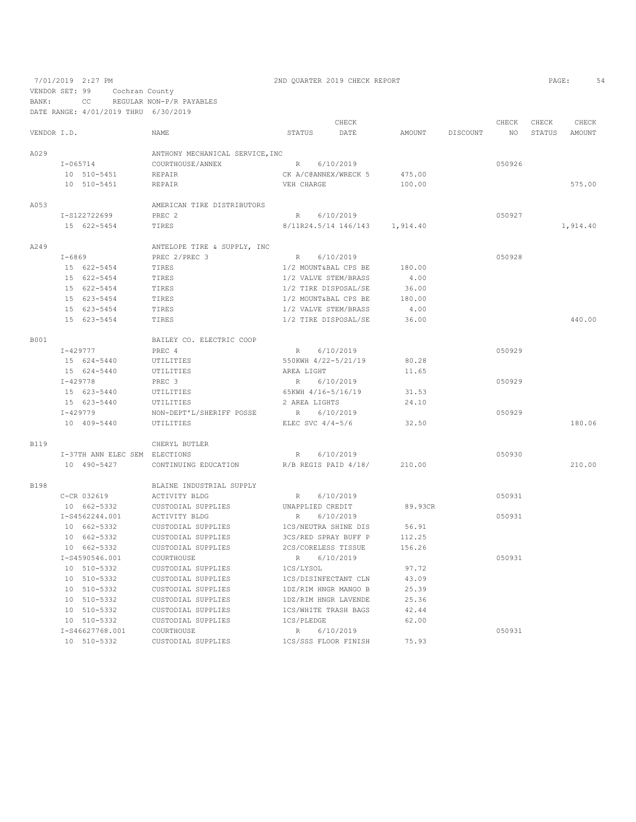7/01/2019 2:27 PM 2ND QUARTER 2019 CHECK REPORT

VENDOR SET: 99 Cochran County BANK: CC REGULAR NON-P/R PAYABLES

DATE RANGE: 4/01/2019 THRU 6/30/2019

|             |              |                               |                                 |                    | CHECK                |          |          | CHECK  | CHECK  | CHECK         |
|-------------|--------------|-------------------------------|---------------------------------|--------------------|----------------------|----------|----------|--------|--------|---------------|
| VENDOR I.D. |              |                               | NAME                            | STATUS             | DATE                 | AMOUNT   | DISCOUNT | NO.    | STATUS | <b>AMOUNT</b> |
| A029        |              |                               | ANTHONY MECHANICAL SERVICE, INC |                    |                      |          |          |        |        |               |
|             |              | $I - 065714$                  | COURTHOUSE/ANNEX                |                    | R 6/10/2019          |          |          | 050926 |        |               |
|             |              | 10 510-5451                   | <b>REPAIR</b>                   |                    | CK A/C@ANNEX/WRECK 5 | 475.00   |          |        |        |               |
|             |              | 10 510-5451                   | <b>REPAIR</b>                   | VEH CHARGE         |                      | 100.00   |          |        |        | 575.00        |
| A053        |              |                               | AMERICAN TIRE DISTRIBUTORS      |                    |                      |          |          |        |        |               |
|             |              | I-S122722699                  | PREC <sub>2</sub>               | $R_{\perp}$        | 6/10/2019            |          |          | 050927 |        |               |
|             |              | 15 622-5454                   | TIRES                           |                    | 8/11R24.5/14 146/143 | 1,914.40 |          |        |        | 1,914.40      |
| A249        |              |                               | ANTELOPE TIRE & SUPPLY, INC     |                    |                      |          |          |        |        |               |
|             | $I - 6869$   |                               | PREC 2/PREC 3                   | $R_{\perp}$        | 6/10/2019            |          |          | 050928 |        |               |
|             |              | 15 622-5454                   | TIRES                           |                    | 1/2 MOUNT&BAL CPS BE | 180.00   |          |        |        |               |
|             |              | 15 622-5454                   | TIRES                           |                    | 1/2 VALVE STEM/BRASS | 4.00     |          |        |        |               |
|             |              | 15 622-5454                   | TIRES                           |                    | 1/2 TIRE DISPOSAL/SE | 36.00    |          |        |        |               |
|             |              | 15 623-5454                   | TIRES                           |                    | 1/2 MOUNT&BAL CPS BE | 180.00   |          |        |        |               |
|             |              | 15 623-5454                   | TIRES                           |                    | 1/2 VALVE STEM/BRASS | 4.00     |          |        |        |               |
|             |              | 15 623-5454                   | TIRES                           |                    | 1/2 TIRE DISPOSAL/SE | 36.00    |          |        |        | 440.00        |
| <b>B001</b> |              |                               | BAILEY CO. ELECTRIC COOP        |                    |                      |          |          |        |        |               |
|             | $I - 429777$ |                               | PREC 4                          | $R_{\parallel}$    | 6/10/2019            |          |          | 050929 |        |               |
|             |              | 15 624-5440                   | UTILITIES                       |                    | 550KWH 4/22-5/21/19  | 80.28    |          |        |        |               |
|             |              | 15 624-5440                   | UTILITIES                       | AREA LIGHT         |                      | 11.65    |          |        |        |               |
|             | $I - 429778$ |                               | PREC <sub>3</sub>               | R                  | 6/10/2019            |          |          | 050929 |        |               |
|             |              | 15 623-5440                   | UTILITIES                       | 65KWH 4/16-5/16/19 |                      | 31.53    |          |        |        |               |
|             |              | 15 623-5440                   | UTILITIES                       | 2 AREA LIGHTS      |                      | 24.10    |          |        |        |               |
|             |              | I-429779                      | NON-DEPT'L/SHERIFF POSSE        | R                  | 6/10/2019            |          |          | 050929 |        |               |
|             |              | 10 409-5440                   | UTILITIES                       | ELEC SVC $4/4-5/6$ |                      | 32.50    |          |        |        | 180.06        |
| <b>B119</b> |              |                               | CHERYL BUTLER                   |                    |                      |          |          |        |        |               |
|             |              | I-37TH ANN ELEC SEM ELECTIONS |                                 | R                  | 6/10/2019            |          |          | 050930 |        |               |
|             |              | 10 490-5427                   | CONTINUING EDUCATION            |                    | R/B REGIS PAID 4/18/ | 210.00   |          |        |        | 210.00        |
| <b>B198</b> |              |                               | BLAINE INDUSTRIAL SUPPLY        |                    |                      |          |          |        |        |               |
|             |              | C-CR 032619                   | ACTIVITY BLDG                   | R                  | 6/10/2019            |          |          | 050931 |        |               |
|             |              | 10 662-5332                   | CUSTODIAL SUPPLIES              | UNAPPLIED CREDIT   |                      | 89.93CR  |          |        |        |               |
|             |              | I-S4562244.001                | ACTIVITY BLDG                   | $\mathbb R$        | 6/10/2019            |          |          | 050931 |        |               |
|             |              | 10 662-5332                   | CUSTODIAL SUPPLIES              |                    | 1CS/NEUTRA SHINE DIS | 56.91    |          |        |        |               |
|             |              | 10 662-5332                   | CUSTODIAL SUPPLIES              |                    | 3CS/RED SPRAY BUFF P | 112.25   |          |        |        |               |
|             |              | 10 662-5332                   | CUSTODIAL SUPPLIES              |                    | 2CS/CORELESS TISSUE  | 156.26   |          |        |        |               |
|             |              | I-S4590546.001                | COURTHOUSE                      | R                  | 6/10/2019            |          |          | 050931 |        |               |
|             |              | 10 510-5332                   | CUSTODIAL SUPPLIES              | 1CS/LYSOL          |                      | 97.72    |          |        |        |               |
|             |              | 10 510-5332                   | CUSTODIAL SUPPLIES              |                    | 1CS/DISINFECTANT CLN | 43.09    |          |        |        |               |
|             |              | 10 510-5332                   | CUSTODIAL SUPPLIES              |                    | 1DZ/RIM HNGR MANGO B | 25.39    |          |        |        |               |
|             |              | 10 510-5332                   | CUSTODIAL SUPPLIES              |                    | 1DZ/RIM HNGR LAVENDE | 25.36    |          |        |        |               |
|             |              | 10 510-5332                   | CUSTODIAL SUPPLIES              |                    | 1CS/WHITE TRASH BAGS | 42.44    |          |        |        |               |
|             |              | 10 510-5332                   | CUSTODIAL SUPPLIES              | 1CS/PLEDGE         |                      | 62.00    |          |        |        |               |
|             |              | I-S46627768.001               | COURTHOUSE                      | R                  | 6/10/2019            |          |          | 050931 |        |               |
|             |              | 10 510-5332                   | CUSTODIAL SUPPLIES              |                    | 1CS/SSS FLOOR FINISH | 75.93    |          |        |        |               |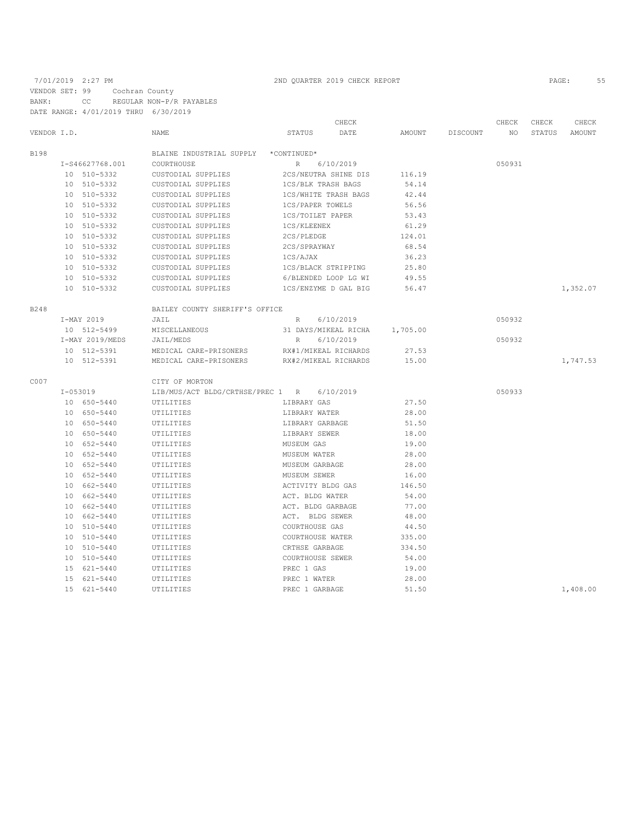# 7/01/2019 2:27 PM 2ND QUARTER 2019 CHECK REPORT 2019 CHECK REPORT VENDOR SET: 99 Cochran County BANK: CC REGULAR NON-P/R PAYABLES DATE RANGE: 4/01/2019 THRU 6/30/2019

|             |                 |                                      |                     | CHECK                |          |          | CHECK  | CHECK  | CHECK    |
|-------------|-----------------|--------------------------------------|---------------------|----------------------|----------|----------|--------|--------|----------|
| VENDOR I.D. |                 | NAME                                 | STATUS              | DATE                 | AMOUNT   | DISCOUNT | NO.    | STATUS | AMOUNT   |
| B198        |                 | BLAINE INDUSTRIAL SUPPLY *CONTINUED* |                     |                      |          |          |        |        |          |
|             | I-S46627768.001 | COURTHOUSE                           | $R_{\rm}$           | 6/10/2019            |          |          | 050931 |        |          |
|             | 10 510-5332     | CUSTODIAL SUPPLIES                   |                     | 2CS/NEUTRA SHINE DIS | 116.19   |          |        |        |          |
|             | 10 510-5332     | CUSTODIAL SUPPLIES                   | 1CS/BLK TRASH BAGS  |                      | 54.14    |          |        |        |          |
|             | 10 510-5332     | CUSTODIAL SUPPLIES                   |                     | 1CS/WHITE TRASH BAGS | 42.44    |          |        |        |          |
|             | 10 510-5332     | CUSTODIAL SUPPLIES                   | 1CS/PAPER TOWELS    |                      | 56.56    |          |        |        |          |
|             | 10 510-5332     | CUSTODIAL SUPPLIES                   | 1CS/TOILET PAPER    |                      | 53.43    |          |        |        |          |
|             | 10 510-5332     | CUSTODIAL SUPPLIES                   | 1CS/KLEENEX         |                      | 61.29    |          |        |        |          |
|             | 10 510-5332     | CUSTODIAL SUPPLIES                   | 2CS/PLEDGE          |                      | 124.01   |          |        |        |          |
|             | 10 510-5332     | CUSTODIAL SUPPLIES                   | 2CS/SPRAYWAY        |                      | 68.54    |          |        |        |          |
|             | 10 510-5332     | CUSTODIAL SUPPLIES                   | 1CS/AJAX            |                      | 36.23    |          |        |        |          |
|             | 10 510-5332     | CUSTODIAL SUPPLIES                   | 1CS/BLACK STRIPPING |                      | 25.80    |          |        |        |          |
|             | 10 510-5332     | CUSTODIAL SUPPLIES                   |                     | 6/BLENDED LOOP LG WI | 49.55    |          |        |        |          |
|             | 10 510-5332     | CUSTODIAL SUPPLIES                   |                     | 1CS/ENZYME D GAL BIG | 56.47    |          |        |        | 1,352.07 |
| B248        |                 | BAILEY COUNTY SHERIFF'S OFFICE       |                     |                      |          |          |        |        |          |
|             | I-MAY 2019      | JAIL                                 | $R_{\rm}$           | 6/10/2019            |          |          | 050932 |        |          |
|             | 10 512-5499     | MISCELLANEOUS                        |                     | 31 DAYS/MIKEAL RICHA | 1,705.00 |          |        |        |          |
|             | I-MAY 2019/MEDS | JAIL/MEDS                            | R                   | 6/10/2019            |          |          | 050932 |        |          |
|             | 10 512-5391     | MEDICAL CARE-PRISONERS               |                     | RX#1/MIKEAL RICHARDS | 27.53    |          |        |        |          |
|             | 10 512-5391     | MEDICAL CARE-PRISONERS               |                     | RX#2/MIKEAL RICHARDS | 15.00    |          |        |        | 1,747.53 |
| C007        |                 | CITY OF MORTON                       |                     |                      |          |          |        |        |          |
|             | $I - 053019$    | LIB/MUS/ACT BLDG/CRTHSE/PREC 1 R     |                     | 6/10/2019            |          |          | 050933 |        |          |
|             | 10 650-5440     | UTILITIES                            | LIBRARY GAS         |                      | 27.50    |          |        |        |          |
|             | 10 650-5440     | UTILITIES                            | LIBRARY WATER       |                      | 28.00    |          |        |        |          |
|             | 10 650-5440     | UTILITIES                            | LIBRARY GARBAGE     |                      | 51.50    |          |        |        |          |
|             | 10 650-5440     | UTILITIES                            | LIBRARY SEWER       |                      | 18.00    |          |        |        |          |
|             | 10 652-5440     | UTILITIES                            | MUSEUM GAS          |                      | 19.00    |          |        |        |          |
|             | 10 652-5440     | UTILITIES                            | MUSEUM WATER        |                      | 28.00    |          |        |        |          |
|             | 10 652-5440     | UTILITIES                            | MUSEUM GARBAGE      |                      | 28.00    |          |        |        |          |
|             | 10 652-5440     | UTILITIES                            | MUSEUM SEWER        |                      | 16.00    |          |        |        |          |
|             | 10 662-5440     | UTILITIES                            | ACTIVITY BLDG GAS   |                      | 146.50   |          |        |        |          |
|             | 10 662-5440     | UTILITIES                            | ACT. BLDG WATER     |                      | 54.00    |          |        |        |          |
|             | 10 662-5440     | UTILITIES                            | ACT. BLDG GARBAGE   |                      | 77.00    |          |        |        |          |
|             | 10 662-5440     | UTILITIES                            | ACT. BLDG SEWER     |                      | 48.00    |          |        |        |          |
|             | 10 510-5440     | UTILITIES                            | COURTHOUSE GAS      |                      | 44.50    |          |        |        |          |
|             | 10 510-5440     | UTILITIES                            | COURTHOUSE WATER    |                      | 335.00   |          |        |        |          |
|             | 10 510-5440     | UTILITIES                            | CRTHSE GARBAGE      |                      | 334.50   |          |        |        |          |
|             | 10 510-5440     | UTILITIES                            | COURTHOUSE SEWER    |                      | 54.00    |          |        |        |          |
|             | 15 621-5440     | UTILITIES                            | PREC 1 GAS          |                      | 19.00    |          |        |        |          |
|             | 15 621-5440     | UTILITIES                            | PREC 1 WATER        |                      | 28.00    |          |        |        |          |
|             | 15 621-5440     | UTILITIES                            | PREC 1 GARBAGE      |                      | 51.50    |          |        |        | 1,408.00 |
|             |                 |                                      |                     |                      |          |          |        |        |          |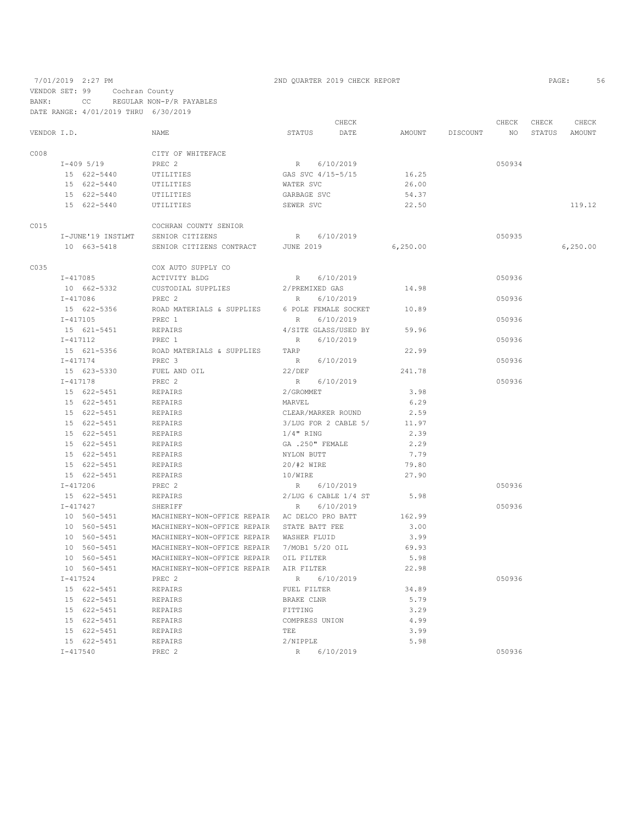7/01/2019 2:27 PM 2ND QUARTER 2019 CHECK REPORT PAGE: 56 VENDOR SET: 99 Cochran County BANK: CC REGULAR NON-P/R PAYABLES

|             |              |                                               | CHECK                    |           |                 | CHECK  | CHECK | CHECK         |
|-------------|--------------|-----------------------------------------------|--------------------------|-----------|-----------------|--------|-------|---------------|
| VENDOR I.D. |              | NAME                                          | STATUS<br>DATE           |           | AMOUNT DISCOUNT | NO NO  |       | STATUS AMOUNT |
| C008        |              | CITY OF WHITEFACE                             |                          |           |                 |        |       |               |
|             | I-409 5/19   | PREC 2                                        | R 6/10/2019              |           |                 | 050934 |       |               |
|             | 15 622-5440  | UTILITIES                                     | GAS SVC 4/15-5/15        | 16.25     |                 |        |       |               |
|             | 15 622-5440  | UTILITIES                                     | WATER SVC                | 26.00     |                 |        |       |               |
|             | 15 622-5440  | UTILITIES                                     | GARBAGE SVC              | 54.37     |                 |        |       |               |
|             | 15 622-5440  | UTILITIES                                     | SEWER SVC                | 22.50     |                 |        |       | 119.12        |
| C015        |              | COCHRAN COUNTY SENIOR                         |                          |           |                 |        |       |               |
|             |              | I-JUNE'19 INSTLMT SENIOR CITIZENS             | R 6/10/2019              |           |                 | 050935 |       |               |
|             | 10 663-5418  | SENIOR CITIZENS CONTRACT JUNE 2019            |                          | 6, 250.00 |                 |        |       | 6, 250.00     |
| C035        |              | COX AUTO SUPPLY CO                            |                          |           |                 |        |       |               |
|             | I-417085     | ACTIVITY BLDG                                 | R 6/10/2019              |           |                 | 050936 |       |               |
|             | 10 662-5332  | CUSTODIAL SUPPLIES                            | 2/PREMIXED GAS           | 14.98     |                 |        |       |               |
|             | I-417086     | PREC 2                                        | R<br>6/10/2019           |           |                 | 050936 |       |               |
|             | 15 622-5356  | ROAD MATERIALS & SUPPLIES                     | 6 POLE FEMALE SOCKET     | 10.89     |                 |        |       |               |
|             | I-417105     | PREC 1                                        | 6/10/2019<br>R           |           |                 | 050936 |       |               |
|             | 15 621-5451  | REPAIRS                                       | 4/SITE GLASS/USED BY     | 59.96     |                 |        |       |               |
|             | I-417112     | PREC 1                                        | 6/10/2019<br>R           |           |                 | 050936 |       |               |
|             | 15 621-5356  | ROAD MATERIALS & SUPPLIES TARP                |                          | 22.99     |                 |        |       |               |
|             | I-417174     | PREC 3                                        | R 6/10/2019              |           |                 | 050936 |       |               |
|             | 15 623-5330  | FUEL AND OIL                                  | 22/DEF                   | 241.78    |                 |        |       |               |
|             | $I - 417178$ | PREC 2                                        | R 6/10/2019              |           |                 | 050936 |       |               |
|             | 15 622-5451  | REPAIRS                                       | 2/GROMMET                | 3.98      |                 |        |       |               |
|             | 15 622-5451  | REPAIRS                                       | MARVEL                   | 6.29      |                 |        |       |               |
|             | 15 622-5451  | REPAIRS                                       | CLEAR/MARKER ROUND       | 2.59      |                 |        |       |               |
|             | 15 622-5451  | REPAIRS                                       | 3/LUG FOR 2 CABLE 5/     | 11.97     |                 |        |       |               |
|             | 15 622-5451  | REPAIRS                                       | $1/4$ " RING             | 2.39      |                 |        |       |               |
|             | 15 622-5451  | REPAIRS                                       | GA .250" FEMALE          | 2.29      |                 |        |       |               |
|             | 15 622-5451  | REPAIRS                                       | NYLON BUTT               | 7.79      |                 |        |       |               |
|             | 15 622-5451  | REPAIRS                                       | 20/#2 WIRE               | 79.80     |                 |        |       |               |
|             | 15 622-5451  | REPAIRS                                       | 10/WIRE                  | 27.90     |                 |        |       |               |
|             | I-417206     | PREC 2                                        | R 6/10/2019              |           |                 | 050936 |       |               |
|             | 15 622-5451  | REPAIRS                                       | $2/LUG$ 6 CABLE $1/4$ ST | 5.98      |                 |        |       |               |
|             | I-417427     | SHERIFF                                       | 6/10/2019<br>R           |           |                 | 050936 |       |               |
|             | 10 560-5451  | MACHINERY-NON-OFFICE REPAIR AC DELCO PRO BATT |                          | 162.99    |                 |        |       |               |
|             | 10 560-5451  | MACHINERY-NON-OFFICE REPAIR STATE BATT FEE    |                          | 3.00      |                 |        |       |               |
|             | 10 560-5451  | MACHINERY-NON-OFFICE REPAIR WASHER FLUID      |                          | 3.99      |                 |        |       |               |
|             | 10 560-5451  | MACHINERY-NON-OFFICE REPAIR 7/MOB1 5/20 OIL   |                          | 69.93     |                 |        |       |               |
|             | 10 560-5451  | MACHINERY-NON-OFFICE REPAIR OIL FILTER        |                          | 5.98      |                 |        |       |               |
|             | 10 560-5451  | MACHINERY-NON-OFFICE REPAIR                   | AIR FILTER               | 22.98     |                 |        |       |               |
|             | $I - 417524$ | PREC <sub>2</sub>                             | R<br>6/10/2019           |           |                 | 050936 |       |               |
|             | 15 622-5451  | REPAIRS                                       | FUEL FILTER              | 34.89     |                 |        |       |               |
|             | 15 622-5451  | <b>REPAIRS</b>                                | BRAKE CLNR               | 5.79      |                 |        |       |               |
|             | 15 622-5451  | REPAIRS                                       | FITTING                  | 3.29      |                 |        |       |               |
|             | 15 622-5451  | REPAIRS                                       | COMPRESS UNION           | 4.99      |                 |        |       |               |
|             | 15 622-5451  | REPAIRS                                       | TEE                      | 3.99      |                 |        |       |               |
|             | 15 622-5451  | REPAIRS                                       | 2/NIPPLE                 | 5.98      |                 |        |       |               |
|             | $I - 417540$ | PREC <sub>2</sub>                             | R<br>6/10/2019           |           |                 | 050936 |       |               |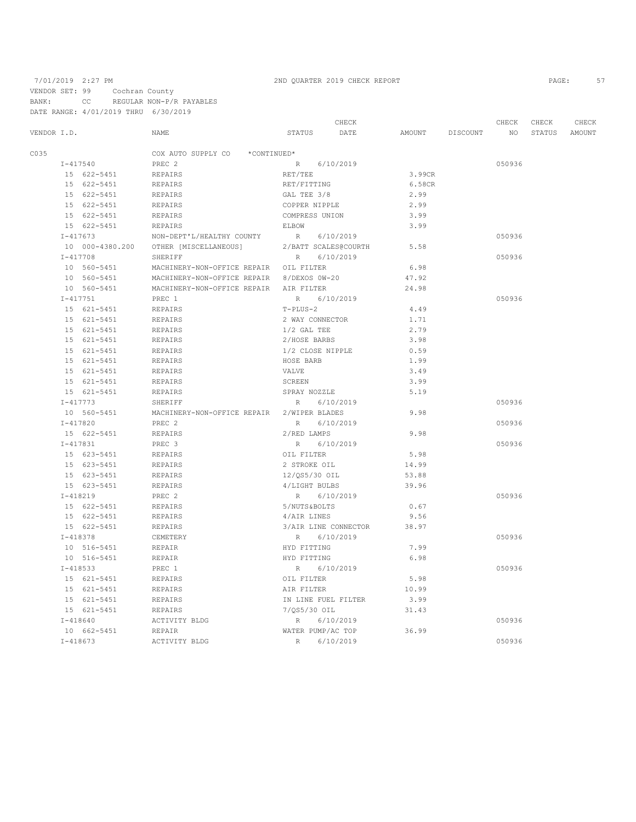VENDOR SET: 99 Cochran County

BANK: CC REGULAR NON-P/R PAYABLES DATE RANGE: 4/01/2019 THRU 6/30/2019

7/01/2019 2:27 PM 2ND QUARTER 2019 CHECK REPORT

|             |              |                 |                                            |                     | CHECK                |        |          | CHECK           | CHECK  | CHECK  |
|-------------|--------------|-----------------|--------------------------------------------|---------------------|----------------------|--------|----------|-----------------|--------|--------|
| VENDOR I.D. |              |                 | NAME                                       | STATUS              | DATE                 | AMOUNT | DISCOUNT | NO <sub>1</sub> | STATUS | AMOUNT |
| C035        |              |                 | COX AUTO SUPPLY CO<br>*CONTINUED*          |                     |                      |        |          |                 |        |        |
|             |              | $I - 417540$    | PREC 2                                     | $R_{\perp}$         | 6/10/2019            |        |          | 050936          |        |        |
|             |              | 15 622-5451     | REPAIRS                                    | RET/TEE             |                      | 3.99CR |          |                 |        |        |
|             |              | 15 622-5451     | REPAIRS                                    | RET/FITTING         |                      | 6.58CR |          |                 |        |        |
|             |              | 15 622-5451     | REPAIRS                                    | GAL TEE 3/8         |                      | 2.99   |          |                 |        |        |
|             |              | 15 622-5451     | REPAIRS                                    | COPPER NIPPLE       |                      | 2.99   |          |                 |        |        |
|             |              | 15 622-5451     | REPAIRS                                    | COMPRESS UNION      |                      | 3.99   |          |                 |        |        |
|             |              | 15 622-5451     | REPAIRS                                    | ELBOW               |                      | 3.99   |          |                 |        |        |
|             | $I - 417673$ |                 | NON-DEPT'L/HEALTHY COUNTY                  | R 6/10/2019         |                      |        |          | 050936          |        |        |
|             |              | 10 000-4380.200 | OTHER [MISCELLANEOUS]                      |                     | 2/BATT SCALES@COURTH | 5.58   |          |                 |        |        |
|             |              | $I - 417708$    | SHERIFF                                    | R                   | 6/10/2019            |        |          | 050936          |        |        |
|             |              | 10 560-5451     | MACHINERY-NON-OFFICE REPAIR OIL FILTER     |                     |                      | 6.98   |          |                 |        |        |
|             |              | 10 560-5451     | MACHINERY-NON-OFFICE REPAIR 8/DEXOS 0W-20  |                     |                      | 47.92  |          |                 |        |        |
|             |              | 10 560-5451     | MACHINERY-NON-OFFICE REPAIR                | AIR FILTER          |                      | 24.98  |          |                 |        |        |
|             | $I - 417751$ |                 | PREC 1                                     | $R_{\parallel}$     | 6/10/2019            |        |          | 050936          |        |        |
|             |              | 15 621-5451     | REPAIRS                                    | $T-PLUS-2$          |                      | 4.49   |          |                 |        |        |
|             |              | 15 621-5451     | REPAIRS                                    | 2 WAY CONNECTOR     |                      | 1.71   |          |                 |        |        |
|             |              | 15 621-5451     | REPAIRS                                    | $1/2$ GAL TEE       |                      | 2.79   |          |                 |        |        |
|             |              | 15 621-5451     | REPAIRS                                    | 2/HOSE BARBS        |                      | 3.98   |          |                 |        |        |
|             |              | 15 621-5451     | REPAIRS                                    | 1/2 CLOSE NIPPLE    |                      | 0.59   |          |                 |        |        |
|             |              | 15 621-5451     | REPAIRS                                    | HOSE BARB           |                      | 1.99   |          |                 |        |        |
|             |              | 15 621-5451     | REPAIRS                                    | VALVE               |                      | 3.49   |          |                 |        |        |
|             |              | 15 621-5451     | REPAIRS                                    | SCREEN              |                      | 3.99   |          |                 |        |        |
|             |              | 15 621-5451     | <b>REPAIRS</b>                             | SPRAY NOZZLE        |                      | 5.19   |          |                 |        |        |
|             |              | $I - 417773$    | SHERIFF                                    | R                   | 6/10/2019            |        |          | 050936          |        |        |
|             |              | 10 560-5451     | MACHINERY-NON-OFFICE REPAIR 2/WIPER BLADES |                     |                      | 9.98   |          |                 |        |        |
|             |              | $I - 417820$    | PREC <sub>2</sub>                          | R                   | 6/10/2019            |        |          | 050936          |        |        |
|             |              | 15 622-5451     | REPAIRS                                    | 2/RED LAMPS         |                      | 9.98   |          |                 |        |        |
|             |              | $I-417831$      | PREC 3                                     | R                   | 6/10/2019            |        |          | 050936          |        |        |
|             |              | 15 623-5451     | REPAIRS                                    | OIL FILTER          |                      | 5.98   |          |                 |        |        |
|             |              | 15 623-5451     | REPAIRS                                    | 2 STROKE OIL        |                      | 14.99  |          |                 |        |        |
|             |              | 15 623-5451     | REPAIRS                                    | 12/QS5/30 OIL       |                      | 53.88  |          |                 |        |        |
|             |              | 15 623-5451     | REPAIRS                                    | 4/LIGHT BULBS       |                      | 39.96  |          |                 |        |        |
|             |              | $I-418219$      | PREC <sub>2</sub>                          | R                   | 6/10/2019            |        |          | 050936          |        |        |
|             |              | 15 622-5451     | REPAIRS                                    | 5/NUTS&BOLTS        |                      | 0.67   |          |                 |        |        |
|             |              | 15 622-5451     | REPAIRS                                    | 4/AIR LINES         |                      | 9.56   |          |                 |        |        |
|             |              | 15 622-5451     | REPAIRS                                    |                     | 3/AIR LINE CONNECTOR | 38.97  |          |                 |        |        |
|             |              | $I - 418378$    | CEMETERY                                   | R                   | 6/10/2019            |        |          | 050936          |        |        |
|             |              | 10 516-5451     | REPAIR                                     | HYD FITTING         |                      | 7.99   |          |                 |        |        |
|             |              | 10 516-5451     | REPAIR                                     | HYD FITTING         |                      | 6.98   |          |                 |        |        |
|             | $I - 418533$ |                 | PREC 1                                     | R                   | 6/10/2019            |        |          | 050936          |        |        |
|             |              | 15 621-5451     | REPAIRS                                    | OIL FILTER          |                      | 5.98   |          |                 |        |        |
|             |              | 15 621-5451     | REPAIRS                                    | AIR FILTER          |                      | 10.99  |          |                 |        |        |
|             |              | 15 621-5451     | REPAIRS                                    | IN LINE FUEL FILTER |                      | 3.99   |          |                 |        |        |
|             |              | 15 621-5451     | REPAIRS                                    | 7/QS5/30 OIL        |                      | 31.43  |          |                 |        |        |
|             |              | $I - 418640$    | ACTIVITY BLDG                              | R                   | 6/10/2019            |        |          | 050936          |        |        |
|             |              | 10 662-5451     | REPAIR                                     | WATER PUMP/AC TOP   |                      | 36.99  |          |                 |        |        |
|             | $I - 418673$ |                 | ACTIVITY BLDG                              | R                   | 6/10/2019            |        |          | 050936          |        |        |
|             |              |                 |                                            |                     |                      |        |          |                 |        |        |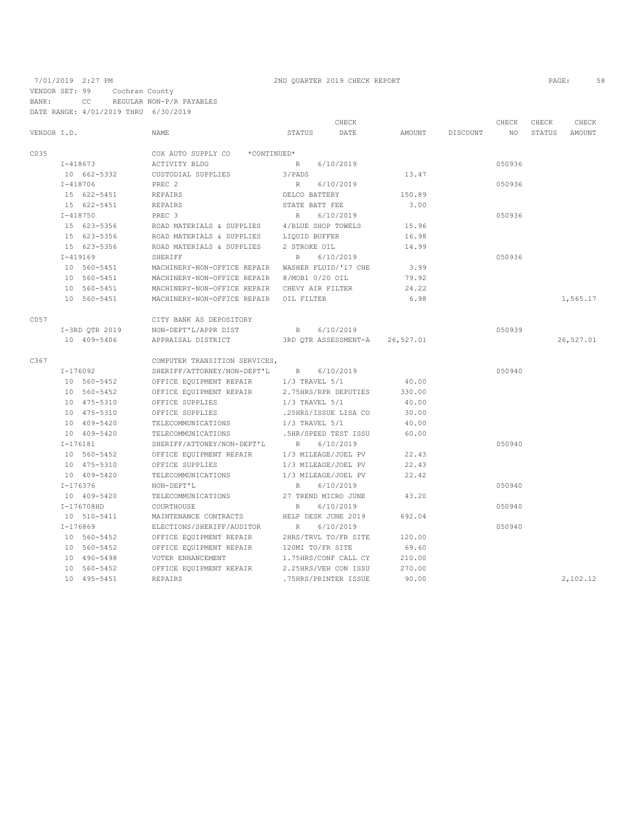### 7/01/2019 2:27 PM 2ND QUARTER 2019 CHECK REPORT PAGE: 58 VENDOR SET: 99 Cochran County BANK: CC REGULAR NON-P/R PAYABLES

DATE RANGE: 4/01/2019 THRU 6/30/2019 CHECK CHECK CHECK CHECK CHECK CHECK CHECK CHECK CHECK CHECK CHECK CHECK CHECK CHECK CHECK CHECK CHECK CHECK CHECK CHECK CHECK CHECK CHECK CHECK CHECK CHECK CHECK CHECK CHECK CHECK CHECK CHECK CHECK CHECK CHECK CHECK CHECK VENDOR I.D. NAME STATUS DATE AMOUNT DISCOUNT NO STATUS AMOUNT  $\begin{array}{ccccccccc} \texttt{CO35} & & & \texttt{COX} & \texttt{AUTO} & \texttt{SUPC} & \texttt{O} & \texttt{*CONTINUED*} \\ & & & & \texttt{I}-418673 & & & \texttt{ACTIVITY} & \texttt{BLDG} & \texttt{P} \end{array}$  I-418673 ACTIVITY BLDG R 6/10/2019 050936 10 662-5332 CUSTODIAL SUPPLIES 3/PADS 13.47 I-418706 PREC 2 R 6/10/2019 050936 15 622–5451 REPAIRS DELCO BATTERY DELCO BATTERY DELCO BATTERY STATE BATT FEE 3.00 I-418750 PREC 3 R 6/10/2019 050936 15 623-5356 ROAD MATERIALS & SUPPLIES 4/BLUE SHOP TOWELS 15.96 15 623-5356 ROAD MATERIALS & SUPPLIES LIQUID BUFFER 16.98 ROAD MATERIALS & SUPPLIES 2 STROKE OIL 14.99 1-419169 SHERIFF R R 6/10/2019<br>10 560-5451 MACHINERY-NON-OFFICE REPAIR WASHER FLUID/'17 CHE 3.99 10 560-5451 MACHINERY-NON-OFFICE REPAIR WASHER FLUID/'17 CHE 3.99 10 560-5451 MACHINERY-NON-OFFICE REPAIR 8/MOB1 0/20 OIL<br>10 560-5451 MACHINERY-NON-OFFICE REPAIR CHEVY AIR FILTER MACHINERY-NON-OFFICE REPAIR CHEVY AIR FILTER 24.22 10 560-5451 MACHINERY-NON-OFFICE REPAIR OIL FILTER 6.98 1,565.17 C057 CITY BANK AS DEPOSITORY I-3RD QTR 2019 NON-DEPT'L/APPR DIST R 6/10/2019 050939 10 409-5406 APPRAISAL DISTRICT 3RD QTR ASSESSMENT-A 26,527.01 26,527.01 C367 COMPUTER TRANSITION SERVICES,<br>
T-176092 SHERTEF/ATTORNEY/NON-DEPT'I. I-176092 SHERIFF/ATTORNEY/NON-DEPT'L R 6/10/2019<br>10 560-5452 OFFICE EQUIPMENT REPAIR 1/3 TRAVEL 5/1 40.00 10 560-5452 OFFICE EQUIPMENT REPAIR 1/3 TRAVEL 5/1 40.00 OFFICE EQUIPMENT REPAIR 10 475-5310 OFFICE SUPPLIES 1/3 TRAVEL 5/1 40.00<br>10 475-5310 OFFICE SUPPLIES 125HRS/ISSUE LISA CO 30.00 10 475-5310 OFFICE SUPPLIES .25HRS/ISSUE LISA CO 30.00 10 409-5420 TELECOMMUNICATIONS 1/3 TRAVEL 5/1 40.00 10 409-5420 TELECOMMUNICATIONS .5HR/SPEED TEST ISSU<br>1-176181 SHERIFF/ATTONEY/NON-DEPT'L R 6/10/2019 I-176181 SHERIFF/ATTONEY/NON-DEPT'L R 6/10/2019<br>10 560-5452 OFFICE EQUIPMENT REPAIR 1/3 MILEAGE/JOEL PV 22.43 10 560-5452 OFFICE EQUIPMENT REPAIR 1/3 MILEAGE/JOEL PV 22.43<br>10 475-5310 OFFICE SUPPLIES 1/3 MILEAGE/JOEL PV 22.43 10 475-5310 OFFICE SUPPLIES 1/3 MILEAGE/JOEL PV 22.43 10 409–5420 TELECOMMUNICATIONS 1/3 MILEAGE/JOEL PV 22.42<br>T-176376 NON-DEPT'L R 6/10/2019 I-176376 NON-DEPT'L R 6/10/2019 050940 10 409-5420 TELECOMMUNICATIONS 27 TREND MICRO JUNE 43.20 I-176708HD COURTHOUSE R 6/10/2019 050940 10 510–5411 MAINTENANCE CONTRACTS HELP DESK JUNE 2019 692.04<br>T-176869 BLECTIONS/SHERIFF/AUDITOR R 6/10/2019 I-176869 ELECTIONS/SHERIFF/AUDITOR R 6/10/2019 050940 10 560-5452 OFFICE EQUIPMENT REPAIR 2HRS/TRVL TO/FR SITE 120.00<br>10 560-5452 OFFICE EQUIPMENT REPAIR 120MI TO/FR SITE 69.60 10 560-5452 OFFICE EQUIPMENT REPAIR 120MI TO/FR SITE 69.60 10 490-5498 VOTER ENHANCEMENT 1.75HRS/CONF CALL CY 210.00 10 560-5452 OFFICE EQUIPMENT REPAIR 2.25HRS/VEH CON ISSU 270.00 102.12 10 495-5457 PRINTER ISSUE 90.00 2,102.12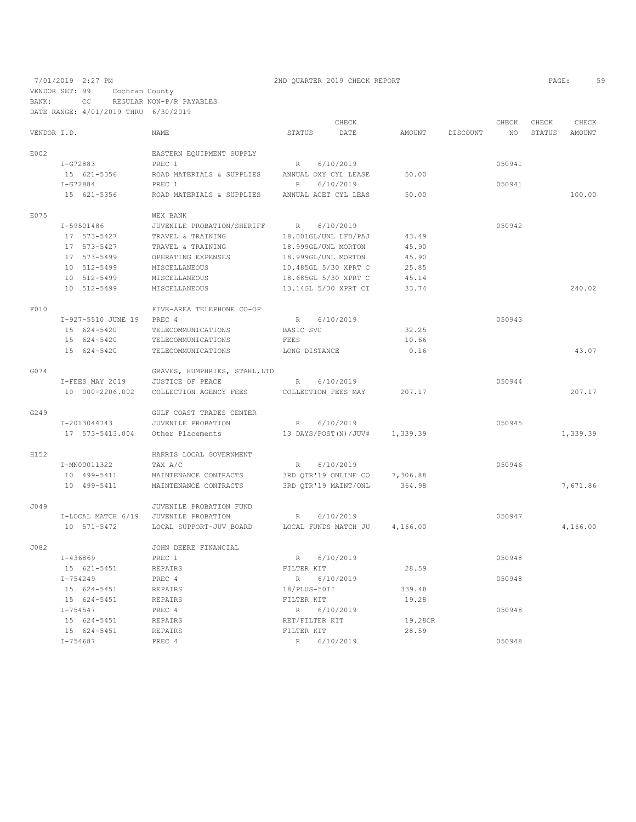VENDOR SET: 99 Cochran County

BANK: CC REGULAR NON-P/R PAYABLES DATE RANGE: 4/01/2019 THRU 6/30/2019

|             |                                   |                               |                          | CHECK                         |          |          | CHECK  | CHECK  | CHECK    |
|-------------|-----------------------------------|-------------------------------|--------------------------|-------------------------------|----------|----------|--------|--------|----------|
| VENDOR I.D. |                                   | NAME                          | STATUS                   | DATE                          | AMOUNT   | DISCOUNT | NO     | STATUS | AMOUNT   |
| E002        |                                   | EASTERN EQUIPMENT SUPPLY      |                          |                               |          |          |        |        |          |
|             | I-G72883                          | PREC 1                        | R 6/10/2019              |                               |          |          | 050941 |        |          |
|             | 15 621-5356                       | ROAD MATERIALS & SUPPLIES     | ANNUAL OXY CYL LEASE     |                               | 50.00    |          |        |        |          |
|             | $I-G72884$                        | PREC 1                        | R                        | 6/10/2019                     |          |          | 050941 |        |          |
|             | 15 621-5356                       | ROAD MATERIALS & SUPPLIES     | ANNUAL ACET CYL LEAS     |                               | 50.00    |          |        |        | 100.00   |
| E075        |                                   | WEX BANK                      |                          |                               |          |          |        |        |          |
|             | I-59501486                        | JUVENILE PROBATION/SHERIFF    | R                        | 6/10/2019                     |          |          | 050942 |        |          |
|             | 17 573-5427                       | TRAVEL & TRAINING             | 18.001GL/UNL LFD/PAJ     |                               | 43.49    |          |        |        |          |
|             | 17 573-5427                       | TRAVEL & TRAINING             | 18.999GL/UNL MORTON      |                               | 45.90    |          |        |        |          |
|             | 17 573-5499                       | OPERATING EXPENSES            | 18.999GL/UNL MORTON      |                               | 45.90    |          |        |        |          |
|             | 10 512-5499                       | MISCELLANEOUS                 | 10.485GL 5/30 XPRT C     |                               | 25.85    |          |        |        |          |
|             | 10 512-5499                       | MISCELLANEOUS                 | 18.685GL 5/30 XPRT C     |                               | 45.14    |          |        |        |          |
|             | 10 512-5499                       | MISCELLANEOUS                 | 13.14GL 5/30 XPRT CI     |                               | 33.74    |          |        |        | 240.02   |
| F010        |                                   | FIVE-AREA TELEPHONE CO-OP     |                          |                               |          |          |        |        |          |
|             |                                   |                               |                          |                               |          |          | 050943 |        |          |
|             | I-927-5510 JUNE 19<br>15 624-5420 | PREC 4<br>TELECOMMUNICATIONS  | $R_{\odot}$<br>BASIC SVC | 6/10/2019                     | 32.25    |          |        |        |          |
|             |                                   |                               | FEES                     |                               |          |          |        |        |          |
|             | 15 624-5420                       | TELECOMMUNICATIONS            |                          |                               | 10.66    |          |        |        |          |
|             | 15 624-5420                       | TELECOMMUNICATIONS            | LONG DISTANCE            |                               | 0.16     |          |        |        | 43.07    |
| G074        |                                   | GRAVES, HUMPHRIES, STAHL, LTD |                          |                               |          |          |        |        |          |
|             | I-FEES MAY 2019                   | JUSTICE OF PEACE              | R                        | 6/10/2019                     |          |          | 050944 |        |          |
|             | 10 000-2206.002                   | COLLECTION AGENCY FEES        | COLLECTION FEES MAY      |                               | 207.17   |          |        |        | 207.17   |
| G249        |                                   | GULF COAST TRADES CENTER      |                          |                               |          |          |        |        |          |
|             | I-2013044743                      | JUVENILE PROBATION            | R                        | 6/10/2019                     |          |          | 050945 |        |          |
|             | 17 573-5413.004                   | Other Placements              | 13 DAYS/POST(N)/JUV#     |                               | 1,339.39 |          |        |        | 1,339.39 |
| H152        |                                   | HARRIS LOCAL GOVERNMENT       |                          |                               |          |          |        |        |          |
|             | I-MN00011322                      | TAX A/C                       | $R_{\perp}$              | 6/10/2019                     |          |          | 050946 |        |          |
|             | 10 499-5411                       | MAINTENANCE CONTRACTS         | 3RD QTR'19 ONLINE CO     |                               | 7,306.88 |          |        |        |          |
|             | 10 499-5411                       | MAINTENANCE CONTRACTS         | 3RD QTR'19 MAINT/ONL     |                               | 364.98   |          |        |        | 7,671.86 |
| J049        |                                   | JUVENILE PROBATION FUND       |                          |                               |          |          |        |        |          |
|             | I-LOCAL MATCH 6/19                | JUVENILE PROBATION            | R                        | 6/10/2019                     |          |          | 050947 |        |          |
|             | 10 571-5472                       | LOCAL SUPPORT-JUV BOARD       |                          | LOCAL FUNDS MATCH JU 4,166.00 |          |          |        |        | 4,166.00 |
| J082        |                                   | JOHN DEERE FINANCIAL          |                          |                               |          |          |        |        |          |
|             | I-436869                          | PREC 1                        | R 6/10/2019              |                               |          |          | 050948 |        |          |
|             | 15 621-5451                       | REPAIRS                       | FILTER KIT               |                               | 28.59    |          |        |        |          |
|             |                                   |                               |                          |                               |          |          |        |        |          |
|             | $I - 754249$                      | PREC 4                        | R                        | 6/10/2019                     |          |          | 050948 |        |          |
|             | 15 624-5451                       | REPAIRS                       | 18/PLUS-50II             |                               | 339.48   |          |        |        |          |
|             | 15 624-5451                       | REPAIRS                       | FILTER KIT               |                               | 19.28    |          |        |        |          |
|             | I-754547                          | PREC 4                        | R 6/10/2019              |                               |          |          | 050948 |        |          |
|             | 15 624-5451                       | REPAIRS                       | RET/FILTER KIT           |                               | 19.28CR  |          |        |        |          |
|             | 15 624-5451                       | REPAIRS                       | FILTER KIT               |                               | 28.59    |          |        |        |          |
|             | I-754687                          | PREC 4                        | R                        | 6/10/2019                     |          |          | 050948 |        |          |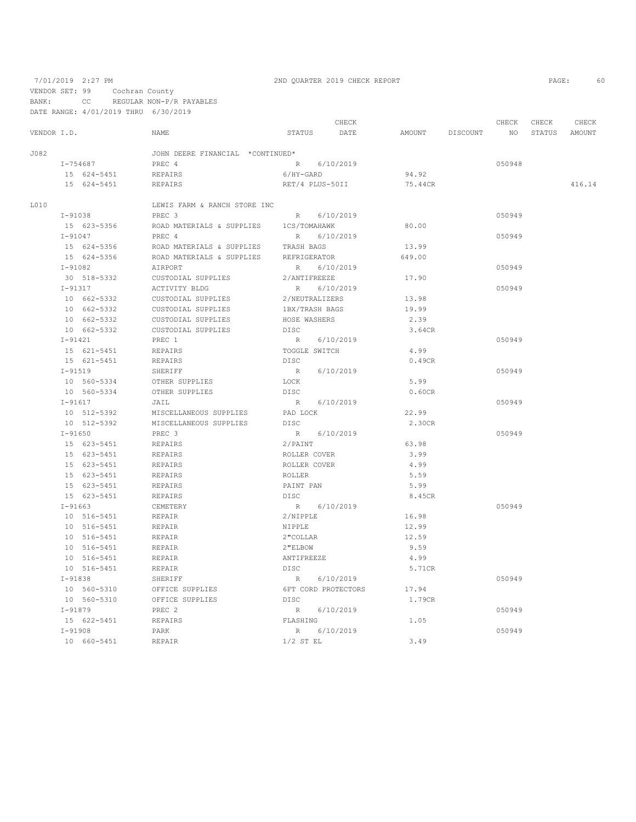VENDOR SET: 99 Cochran County

# 7/01/2019 2:27 PM 2ND QUARTER 2019 CHECK REPORT PAGE: 60

BANK: CC REGULAR NON-P/R PAYABLES DATE RANGE: 4/01/2019 THRU 6/30/2019

|             |             |             |                                  |                 |             | CHECK               |         |          | CHECK           | CHECK | CHECK         |
|-------------|-------------|-------------|----------------------------------|-----------------|-------------|---------------------|---------|----------|-----------------|-------|---------------|
| VENDOR I.D. |             |             | NAME                             | STATUS          |             | DATE                | AMOUNT  | DISCOUNT | NO <sub>1</sub> |       | STATUS AMOUNT |
| J082        |             |             | JOHN DEERE FINANCIAL *CONTINUED* |                 |             |                     |         |          |                 |       |               |
|             | I-754687    |             | PREC 4                           |                 | R 6/10/2019 |                     |         |          | 050948          |       |               |
|             |             | 15 624-5451 | REPAIRS                          | 6/HY-GARD       |             |                     | 94.92   |          |                 |       |               |
|             |             | 15 624-5451 | REPAIRS                          | RET/4 PLUS-50II |             |                     | 75.44CR |          |                 |       | 416.14        |
| L010        |             |             | LEWIS FARM & RANCH STORE INC     |                 |             |                     |         |          |                 |       |               |
|             | $I-91038$   |             | PREC <sub>3</sub>                |                 | R 6/10/2019 |                     |         |          | 050949          |       |               |
|             |             | 15 623-5356 | ROAD MATERIALS & SUPPLIES        | 1CS/TOMAHAWK    |             |                     | 80.00   |          |                 |       |               |
|             | $I - 91047$ |             | PREC 4                           | R               |             | 6/10/2019           |         |          | 050949          |       |               |
|             |             | 15 624-5356 | ROAD MATERIALS & SUPPLIES        | TRASH BAGS      |             |                     | 13.99   |          |                 |       |               |
|             |             | 15 624-5356 | ROAD MATERIALS & SUPPLIES        | REFRIGERATOR    |             |                     | 649.00  |          |                 |       |               |
|             | $I-91082$   |             | AIRPORT                          | R               |             | 6/10/2019           |         |          | 050949          |       |               |
|             |             | 30 518-5332 | CUSTODIAL SUPPLIES               | 2/ANTIFREEZE    |             |                     | 17.90   |          |                 |       |               |
|             | I-91317     |             | ACTIVITY BLDG                    | $R_{\perp}$     |             | 6/10/2019           |         |          | 050949          |       |               |
|             |             | 10 662-5332 | CUSTODIAL SUPPLIES               | 2/NEUTRALIZERS  |             |                     | 13.98   |          |                 |       |               |
|             |             | 10 662-5332 | CUSTODIAL SUPPLIES               | 1BX/TRASH BAGS  |             |                     | 19.99   |          |                 |       |               |
|             |             | 10 662-5332 | CUSTODIAL SUPPLIES               | HOSE WASHERS    |             |                     | 2.39    |          |                 |       |               |
|             |             | 10 662-5332 | CUSTODIAL SUPPLIES               | <b>DISC</b>     |             |                     | 3.64CR  |          |                 |       |               |
|             | $I-91421$   |             | PREC 1                           | R               |             | 6/10/2019           |         |          | 050949          |       |               |
|             |             | 15 621-5451 | REPAIRS                          | TOGGLE SWITCH   |             |                     | 4.99    |          |                 |       |               |
|             |             | 15 621-5451 | REPAIRS                          | DISC            |             |                     | 0.49CR  |          |                 |       |               |
|             | $I-91519$   |             | SHERIFF                          | R               |             | 6/10/2019           |         |          | 050949          |       |               |
|             |             | 10 560-5334 | OTHER SUPPLIES                   | LOCK            |             |                     | 5.99    |          |                 |       |               |
|             |             | 10 560-5334 | OTHER SUPPLIES                   | <b>DISC</b>     |             |                     | 0.60CR  |          |                 |       |               |
|             | $I-91617$   |             | JAIL                             |                 | R 6/10/2019 |                     |         |          | 050949          |       |               |
|             |             | 10 512-5392 | MISCELLANEOUS SUPPLIES           | PAD LOCK        |             |                     | 22.99   |          |                 |       |               |
|             |             | 10 512-5392 | MISCELLANEOUS SUPPLIES           | DISC            |             |                     | 2.30CR  |          |                 |       |               |
|             | $I - 91650$ |             | PREC 3                           |                 | R 6/10/2019 |                     |         |          | 050949          |       |               |
|             |             | 15 623-5451 | REPAIRS                          | 2/PAINT         |             |                     | 63.98   |          |                 |       |               |
|             |             | 15 623-5451 | REPAIRS                          | ROLLER COVER    |             |                     | 3.99    |          |                 |       |               |
|             |             | 15 623-5451 | <b>REPAIRS</b>                   | ROLLER COVER    |             |                     | 4.99    |          |                 |       |               |
|             |             | 15 623-5451 | <b>REPAIRS</b>                   | <b>ROLLER</b>   |             |                     | 5.59    |          |                 |       |               |
|             |             | 15 623-5451 | REPAIRS                          | PAINT PAN       |             |                     | 5.99    |          |                 |       |               |
|             |             | 15 623-5451 | REPAIRS                          | DISC            |             |                     | 8.45CR  |          |                 |       |               |
|             | $I-91663$   |             | CEMETERY                         |                 | R 6/10/2019 |                     |         |          | 050949          |       |               |
|             |             | 10 516-5451 | REPAIR                           | 2/NIPPLE        |             |                     | 16.98   |          |                 |       |               |
|             |             | 10 516-5451 | REPAIR                           | NIPPLE          |             |                     | 12.99   |          |                 |       |               |
|             |             | 10 516-5451 | <b>REPAIR</b>                    | 2"COLLAR        |             |                     | 12.59   |          |                 |       |               |
|             |             | 10 516-5451 | REPAIR                           | 2"ELBOW         |             |                     | 9.59    |          |                 |       |               |
|             |             | 10 516-5451 | REPAIR                           | ANTIFREEZE      |             |                     | 4.99    |          |                 |       |               |
|             |             | 10 516-5451 | REPAIR                           | DISC            |             |                     | 5.71CR  |          |                 |       |               |
|             | $I-91838$   |             | SHERIFF                          |                 | R 6/10/2019 |                     |         |          | 050949          |       |               |
|             |             | 10 560-5310 | OFFICE SUPPLIES                  |                 |             | 6FT CORD PROTECTORS | 17.94   |          |                 |       |               |
|             |             | 10 560-5310 | OFFICE SUPPLIES                  | DISC            |             |                     | 1.79CR  |          |                 |       |               |
|             | $I-91879$   |             | PREC 2                           | R               |             | 6/10/2019           |         |          | 050949          |       |               |
|             |             | 15 622-5451 | REPAIRS                          | FLASHING        |             |                     | 1.05    |          |                 |       |               |
|             | $I-91908$   |             | PARK                             | R               | 6/10/2019   |                     |         |          | 050949          |       |               |
|             |             | 10 660-5451 | REPAIR                           | $1/2$ ST EL     |             |                     | 3.49    |          |                 |       |               |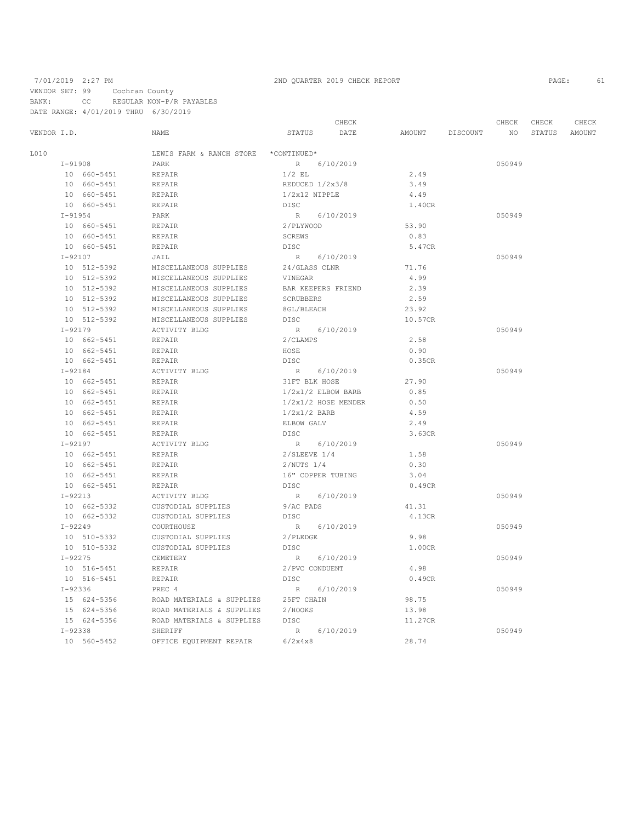### 7/01/2019 2:27 PM 2ND QUARTER 2019 CHECK REPORT PAGE: 61

VENDOR SET: 99 Cochran County

BANK: CC REGULAR NON-P/R PAYABLES DATE RANGE: 4/01/2019 THRU 6/30/2019

CHECK CHECK CHECK CHECK CHECK CHECK CHECK CHECK CHECK CHECK CHECK CHECK CHECK CHECK CHECK CHECK CHECK CHECK CHECK CHECK CHECK CHECK CHECK CHECK CHECK CHECK CHECK CHECK CHECK CHECK CHECK CHECK CHECK CHECK CHECK CHECK CHECK VENDOR I.D. NAME STATUS DATE AMOUNT DISCOUNT NO STATUS AMOUNT L010 LEWIS FARM & RANCH STORE \*CONTINUED\* I-91908 PARK PARK R 6/10/2019 R 6/10/2019 2.49 050949 10 660–5451 REPAIR 1/2 EL 2.49 10 660-5451 REPAIR REDUCED 1/2x3/8 3.49<br>10 660-5451 REPAIR REPAIR 1/2x12 NIPPLE 4.49 10 660-5451 REPAIR 1/2x12 NIPPLE 4.49 10 660-5451 REPAIR<br>T-91954 PARK I-91954 PARK R 6/10/2019 050949 10 660-5451 REPAIR <br>10 660-5451 REPAIR <br>10 660-5451 REPAIR <br>10 660-5451 REPAIR SCREWS SOME 10 660–5451 REPAIR SCREW SCREW SCREW REPAIR SCREWS DISC 10 660-5451 REPAIR DISC 5.47CR I-92107 JAIL R 6/10/2019 050949 10 512–5392 MISCELLANEOUS SUPPLIES 24/GLASS CLNR 71.76 10 512-5392 MISCELLANEOUS SUPPLIES VINEGAR 4.99 10 512-5392 MISCELLANEOUS SUPPLIES BAR KEEPERS FRIEND 2.39 10 512-5392 MISCELLANEOUS SUPPLIES SCRUBBERS 2.59 10 512-5392 MISCELLANEOUS SUPPLIES 8GL/BLEACH 23.92 10 512-5392 MISCELLANEOUS SUPPLI<br>  $I-92179$  ACTIVITY BLDG R 6/10/2019 050949 10 662-5451 REPAIR 2/CLAMPS 2.58 10 662-5451 REPAIR HOSE 0.90 10 662–5451 REPAIR DISC DISC 0.35CR<br>I-92184 ACTIVITY BLDG R 6/10/2019 I-92184 ACTIVITY BLDG R 6/10/2019 050949 10 662-5451 REPAIR 31FT BLK HOSE 27.90  $1/2x1/2$  ELBOW BARB 10  $662 - 5451$  REPAIR  $1/2x1/2$  HOSE MENDER  $0.50$ <br>10  $662 - 5451$  REPAIR  $1/2x1/2$  BARB  $4.59$ REPAIR  $1/2x1/2$  BARB  $4.59$ <br>REPAIR ELBOW GALV  $2.49$  $\begin{tabular}{lllllllllllll} \textbf{10} & 662-5451 & \textbf{REPAIR} & \textbf{ELBOW GALV} & \textbf{2.49} \\ \textbf{10} & 662-5451 & \textbf{REPAIR} & \textbf{DISC} & \textbf{3.63CR} \end{tabular}$ 10 662-5451 REPAIR<br>1-92197 ACTIVITY BLDG I-92197 ACTIVITY BLDG R 6/10/2019 050949 10 662-5451 REPAIR 2/SLEEVE 1/4<br>10 662-5451 REPAIR 2/NIITS 1/4 10 662-5451 REPAIR 2/NUTS 1/4 0.30 REPAIR 16" COPPER TUBING 3.04<br>REPAIR 16" DISC DISC 0.49CR 10 662-5451 REPAIR<br>1-92213 ACTIVITY BLDG R 6/10/2019 11.31 050949<br>9/ACPADS 41.31 10 662-5332 CUSTODIAL SUPPLIES 9/AC PADS 41.31 10 662-5332 CUSTODIAL SUPPLIES DISC  $I-92249$  2.13CR  $R = 6/10/2019$  4.13CR I-92249 COURTHOUSE R 6/10/2019 050949 10 510-5332 CUSTODIAL SUPPLIES 2/PLEDGE 9.98<br>10 510-5332 CUSTODIAL SUPPLIES DISC 1.00CR 10 510 510 5150 CUSTODIAL SUPPLIES DISC<br>10/2019 6/10/2019 I-92275 CEMETERY R 6/10/2019 050949 10 516-5451 REPAIR 2/PVC CONDUENT 4.98 10 516–5451 REPAIR DISC DISC 1–92336 REPAIR I-92336 PREC 4 R 6/10/2019 050949 15 624-5356 ROAD MATERIALS & SUPPLIES 25FT CHAIN 98.75 15 624-5356 ROAD MATERIALS & SUPPLIES 2/HOOKS 13.98 15 624-5356 ROAD MATERIALS & SUPPLIES DISC 11.27CR I-92338 SHERIFF R 6/10/2019 050949 10 560-5452 OFFICE EQUIPMENT REPAIR 6/2x4x8 28.74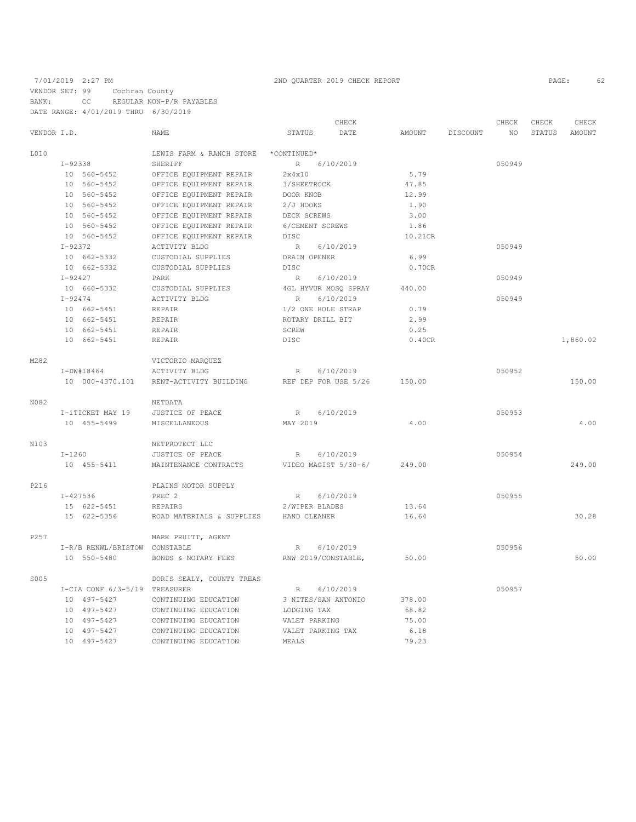# 7/01/2019 2:27 PM 2ND QUARTER 2019 CHECK REPORT 2019 CHECK REPORT VENDOR SET: 99 Cochran County BANK: CC REGULAR NON-P/R PAYABLES DATE RANGE: 4/01/2019 THRU 6/30/2019

|             |              |                               |                           |                      | CHECK                |         |                 | CHECK  | CHECK  | CHECK    |
|-------------|--------------|-------------------------------|---------------------------|----------------------|----------------------|---------|-----------------|--------|--------|----------|
| VENDOR I.D. |              |                               | <b>NAME</b>               | <b>STATUS</b>        | DATE                 | AMOUNT  | <b>DISCOUNT</b> | NO.    | STATUS | AMOUNT   |
| L010        |              |                               | LEWIS FARM & RANCH STORE  | *CONTINUED*          |                      |         |                 |        |        |          |
|             | I-92338      |                               | SHERIFF                   | R                    | 6/10/2019            |         |                 | 050949 |        |          |
|             |              | 10 560-5452                   | OFFICE EQUIPMENT REPAIR   | 2x4x10               |                      | 5.79    |                 |        |        |          |
|             |              | 10 560-5452                   | OFFICE EQUIPMENT REPAIR   | 3/SHEETROCK          |                      | 47.85   |                 |        |        |          |
|             |              | 10 560-5452                   | OFFICE EQUIPMENT REPAIR   | DOOR KNOB            |                      | 12.99   |                 |        |        |          |
|             |              | 10 560-5452                   | OFFICE EQUIPMENT REPAIR   | 2/J HOOKS            |                      | 1.90    |                 |        |        |          |
|             |              | 10 560-5452                   | OFFICE EQUIPMENT REPAIR   | DECK SCREWS          |                      | 3.00    |                 |        |        |          |
|             |              | 10 560-5452                   | OFFICE EQUIPMENT REPAIR   | 6/CEMENT SCREWS      |                      | 1.86    |                 |        |        |          |
|             |              | 10 560-5452                   | OFFICE EQUIPMENT REPAIR   | <b>DISC</b>          |                      | 10.21CR |                 |        |        |          |
|             | $I - 92372$  |                               | ACTIVITY BLDG             | R                    | 6/10/2019            |         |                 | 050949 |        |          |
|             |              | 10 662-5332                   | CUSTODIAL SUPPLIES        | DRAIN OPENER         |                      | 6.99    |                 |        |        |          |
|             |              | 10 662-5332                   | CUSTODIAL SUPPLIES        | DISC                 |                      | 0.70CR  |                 |        |        |          |
|             | $I - 92427$  |                               | PARK                      | R                    | 6/10/2019            |         |                 | 050949 |        |          |
|             |              | 10 660-5332                   | CUSTODIAL SUPPLIES        |                      | 4GL HYVUR MOSQ SPRAY | 440.00  |                 |        |        |          |
|             | $I - 92474$  |                               | ACTIVITY BLDG             | R                    | 6/10/2019            |         |                 | 050949 |        |          |
|             |              | 10 662-5451                   | REPAIR                    | 1/2 ONE HOLE STRAP   |                      | 0.79    |                 |        |        |          |
|             |              | 10 662-5451                   | REPAIR                    | ROTARY DRILL BIT     |                      | 2.99    |                 |        |        |          |
|             |              | 10 662-5451                   | REPAIR                    | SCREW                |                      | 0.25    |                 |        |        |          |
|             |              | 10 662-5451                   | REPAIR                    | DISC                 |                      | 0.40CR  |                 |        |        | 1,860.02 |
| M282        |              |                               | VICTORIO MARQUEZ          |                      |                      |         |                 |        |        |          |
|             |              | $I-DW#18464$                  | ACTIVITY BLDG             | R                    | 6/10/2019            |         |                 | 050952 |        |          |
|             |              | 10 000-4370.101               | RENT-ACTIVITY BUILDING    | REF DEP FOR USE 5/26 |                      | 150.00  |                 |        |        | 150.00   |
| N082        |              |                               | NETDATA                   |                      |                      |         |                 |        |        |          |
|             |              | I-iTICKET MAY 19              | JUSTICE OF PEACE          | R                    | 6/10/2019            |         |                 | 050953 |        |          |
|             |              | 10 455-5499                   | MISCELLANEOUS             | MAY 2019             |                      | 4.00    |                 |        |        | 4.00     |
| N103        |              |                               | NETPROTECT LLC            |                      |                      |         |                 |        |        |          |
|             | $I-1260$     |                               | JUSTICE OF PEACE          | R                    | 6/10/2019            |         |                 | 050954 |        |          |
|             |              | 10 455-5411                   | MAINTENANCE CONTRACTS     |                      | VIDEO MAGIST 5/30-6/ | 249.00  |                 |        |        | 249.00   |
| P216        |              |                               | PLAINS MOTOR SUPPLY       |                      |                      |         |                 |        |        |          |
|             | $I - 427536$ |                               | PREC <sub>2</sub>         | R                    | 6/10/2019            |         |                 | 050955 |        |          |
|             |              | 15 622-5451                   | REPAIRS                   | 2/WIPER BLADES       |                      | 13.64   |                 |        |        |          |
|             |              | 15 622-5356                   | ROAD MATERIALS & SUPPLIES | HAND CLEANER         |                      | 16.64   |                 |        |        | 30.28    |
| P257        |              |                               | MARK PRUITT, AGENT        |                      |                      |         |                 |        |        |          |
|             |              | I-R/B RENWL/BRISTOW CONSTABLE |                           | R                    | 6/10/2019            |         |                 | 050956 |        |          |
|             |              | 10 550-5480                   | BONDS & NOTARY FEES       | RNW 2019/CONSTABLE,  |                      | 50.00   |                 |        |        | 50.00    |
| S005        |              |                               | DORIS SEALY, COUNTY TREAS |                      |                      |         |                 |        |        |          |
|             |              | I-CIA CONF 6/3-5/19 TREASURER |                           | R                    | 6/10/2019            |         |                 | 050957 |        |          |
|             |              | 10 497-5427                   | CONTINUING EDUCATION      | 3 NITES/SAN ANTONIO  |                      | 378.00  |                 |        |        |          |
|             |              | 10 497-5427                   | CONTINUING EDUCATION      | LODGING TAX          |                      | 68.82   |                 |        |        |          |
|             |              | 10 497-5427                   | CONTINUING EDUCATION      | VALET PARKING        |                      | 75.00   |                 |        |        |          |
|             |              | 10 497-5427                   | CONTINUING EDUCATION      | VALET PARKING TAX    |                      | 6.18    |                 |        |        |          |
|             |              | 10 497-5427                   | CONTINUING EDUCATION      | MEALS                |                      | 79.23   |                 |        |        |          |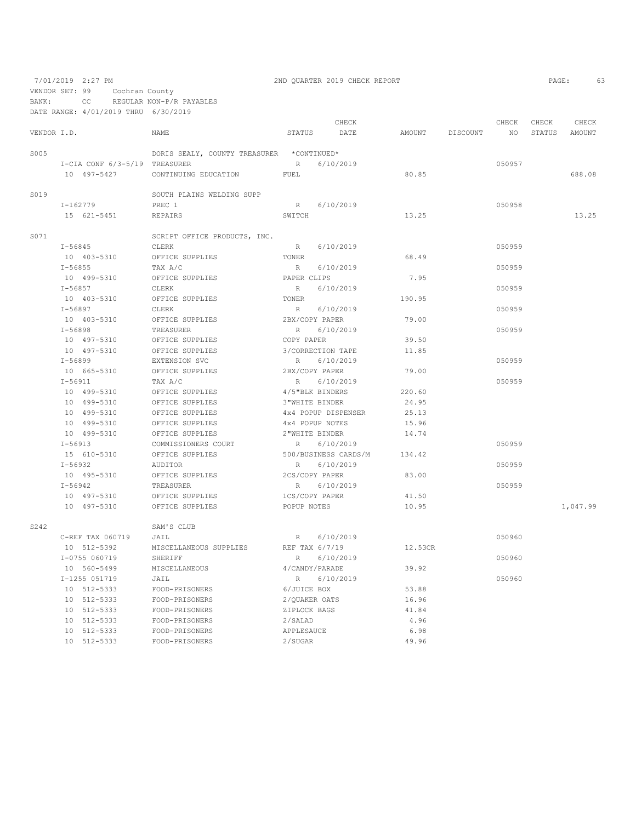VENDOR SET: 99 Cochran County

BANK: CC REGULAR NON-P/R PAYABLES

|             | DATE RANGE: 4/01/2019 THRU 6/30/2019 |                                           |                   |                      |         |                 |             |                 |                 |
|-------------|--------------------------------------|-------------------------------------------|-------------------|----------------------|---------|-----------------|-------------|-----------------|-----------------|
| VENDOR I.D. |                                      | NAME                                      | STATUS            | CHECK<br>DATE        |         | AMOUNT DISCOUNT | CHECK<br>NO | CHECK<br>STATUS | CHECK<br>AMOUNT |
| S005        |                                      | DORIS SEALY, COUNTY TREASURER *CONTINUED* |                   |                      |         |                 |             |                 |                 |
|             | I-CIA CONF 6/3-5/19 TREASURER        |                                           | R                 | 6/10/2019            |         |                 | 050957      |                 |                 |
|             | 10 497-5427                          | CONTINUING EDUCATION                      | FUEL              |                      | 80.85   |                 |             |                 | 688.08          |
| S019        |                                      | SOUTH PLAINS WELDING SUPP                 |                   |                      |         |                 |             |                 |                 |
|             | I-162779                             | PREC 1                                    | R                 | 6/10/2019            |         |                 | 050958      |                 |                 |
|             | 15 621-5451                          | <b>REPAIRS</b>                            | SWITCH            |                      | 13.25   |                 |             |                 | 13.25           |
| S071        |                                      | SCRIPT OFFICE PRODUCTS, INC.              |                   |                      |         |                 |             |                 |                 |
|             | I-56845                              | CLERK                                     | R                 | 6/10/2019            |         |                 | 050959      |                 |                 |
|             | 10 403-5310                          | OFFICE SUPPLIES                           | TONER             |                      | 68.49   |                 |             |                 |                 |
|             | $I - 56855$                          | TAX A/C                                   | R                 | 6/10/2019            |         |                 | 050959      |                 |                 |
|             | 10 499-5310                          | OFFICE SUPPLIES                           | PAPER CLIPS       |                      | 7.95    |                 |             |                 |                 |
|             | $I - 56857$                          | CLERK                                     | R                 | 6/10/2019            |         |                 | 050959      |                 |                 |
|             | 10 403-5310                          | OFFICE SUPPLIES                           | TONER             |                      | 190.95  |                 |             |                 |                 |
|             | $I - 56897$                          | CLERK                                     | R                 | 6/10/2019            |         |                 | 050959      |                 |                 |
|             | 10 403-5310                          | OFFICE SUPPLIES                           | 2BX/COPY PAPER    |                      | 79.00   |                 |             |                 |                 |
|             | $I - 56898$                          | TREASURER                                 | R                 | 6/10/2019            |         |                 | 050959      |                 |                 |
|             | 10 497-5310                          | OFFICE SUPPLIES                           | COPY PAPER        |                      | 39.50   |                 |             |                 |                 |
|             | 10 497-5310                          | OFFICE SUPPLIES                           | 3/CORRECTION TAPE |                      | 11.85   |                 |             |                 |                 |
|             | $I - 56899$                          | EXTENSION SVC                             | R                 | 6/10/2019            |         |                 | 050959      |                 |                 |
|             | 10 665-5310                          | OFFICE SUPPLIES                           | 2BX/COPY PAPER    |                      | 79.00   |                 |             |                 |                 |
|             | $I - 56911$                          | TAX A/C                                   | R                 | 6/10/2019            |         |                 | 050959      |                 |                 |
|             | 10 499-5310                          | OFFICE SUPPLIES                           | 4/5"BLK BINDERS   |                      | 220.60  |                 |             |                 |                 |
|             | 10 499-5310                          | OFFICE SUPPLIES                           | 3"WHITE BINDER    |                      | 24.95   |                 |             |                 |                 |
|             | 10 499-5310                          | OFFICE SUPPLIES                           |                   | 4x4 POPUP DISPENSER  | 25.13   |                 |             |                 |                 |
|             | 10 499-5310                          | OFFICE SUPPLIES                           | 4x4 POPUP NOTES   |                      | 15.96   |                 |             |                 |                 |
|             | 10 499-5310                          | OFFICE SUPPLIES                           | 2"WHITE BINDER    |                      | 14.74   |                 |             |                 |                 |
|             | $I - 56913$                          | COMMISSIONERS COURT                       | R                 | 6/10/2019            |         |                 | 050959      |                 |                 |
|             | 15 610-5310                          | OFFICE SUPPLIES                           |                   | 500/BUSINESS CARDS/M | 134.42  |                 |             |                 |                 |
|             | $I - 56932$                          | AUDITOR                                   | R                 | 6/10/2019            |         |                 | 050959      |                 |                 |
|             | 10 495-5310                          | OFFICE SUPPLIES                           | 2CS/COPY PAPER    |                      | 83.00   |                 |             |                 |                 |
|             | $I - 56942$                          | TREASURER                                 | R                 | 6/10/2019            |         |                 | 050959      |                 |                 |
|             | 10 497-5310                          | OFFICE SUPPLIES                           | 1CS/COPY PAPER    |                      | 41.50   |                 |             |                 |                 |
|             | 10 497-5310                          | OFFICE SUPPLIES                           | POPUP NOTES       |                      | 10.95   |                 |             |                 | 1,047.99        |
| S242        |                                      | SAM'S CLUB                                |                   |                      |         |                 |             |                 |                 |
|             | C-REF TAX 060719                     | JAIL                                      |                   | R 6/10/2019          |         |                 | 050960      |                 |                 |
|             | 10 512-5392                          | MISCELLANEOUS SUPPLIES                    | REF TAX 6/7/19    |                      | 12.53CR |                 |             |                 |                 |
|             | I-0755 060719                        | SHERIFF                                   | R                 | 6/10/2019            |         |                 | 050960      |                 |                 |
|             | 10 560-5499                          | MISCELLANEOUS                             | 4/CANDY/PARADE    |                      | 39.92   |                 |             |                 |                 |
|             | I-1255 051719                        | JAIL                                      | R                 | 6/10/2019            |         |                 | 050960      |                 |                 |
|             | 10 512-5333                          | FOOD-PRISONERS                            | 6/JUICE BOX       |                      | 53.88   |                 |             |                 |                 |
|             | 10 512-5333                          | FOOD-PRISONERS                            | 2/QUAKER OATS     |                      | 16.96   |                 |             |                 |                 |
|             | 10 512-5333                          | FOOD-PRISONERS                            | ZIPLOCK BAGS      |                      | 41.84   |                 |             |                 |                 |
|             | 10 512-5333                          | FOOD-PRISONERS                            | 2/SLAD            |                      | 4.96    |                 |             |                 |                 |
|             | 10 512-5333                          | FOOD-PRISONERS                            | APPLESAUCE        |                      | 6.98    |                 |             |                 |                 |
|             | 10 512-5333                          | FOOD-PRISONERS                            | 2/SUGAR           |                      | 49.96   |                 |             |                 |                 |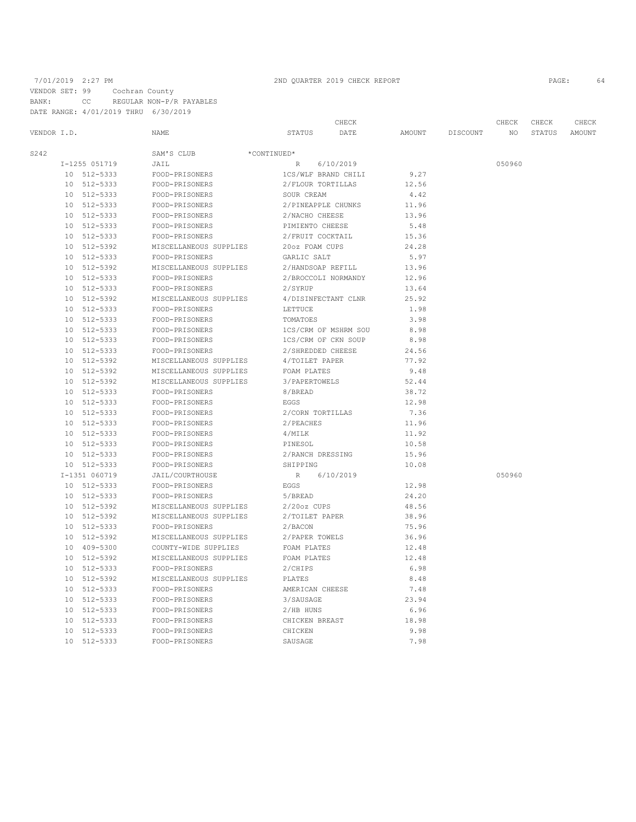# 7/01/2019 2:27 PM 2ND QUARTER 2019 CHECK REPORT PAGE: 64

VENDOR SET: 99 Cochran County BANK: CC REGULAR NON-P/R PAYABLES

DATE RANGE: 4/01/2019 THRU 6/30/2019

|             |    |               |                        | CHECK                             |        |          | CHECK  | CHECK  | CHECK  |
|-------------|----|---------------|------------------------|-----------------------------------|--------|----------|--------|--------|--------|
| VENDOR I.D. |    |               | NAME                   | STATUS<br>DATE                    | AMOUNT | DISCOUNT | NO.    | STATUS | AMOUNT |
| S242        |    |               | SAM'S CLUB             | $^\star \mathtt{CONTINUED}^\star$ |        |          |        |        |        |
|             |    | I-1255 051719 | JAIL                   | R<br>6/10/2019                    |        |          | 050960 |        |        |
|             |    | 10 512-5333   | FOOD-PRISONERS         | 1CS/WLF BRAND CHILI               | 9.27   |          |        |        |        |
|             |    | 10 512-5333   | FOOD-PRISONERS         | 2/FLOUR TORTILLAS                 | 12.56  |          |        |        |        |
|             |    | 10 512-5333   | FOOD-PRISONERS         | SOUR CREAM                        | 4.42   |          |        |        |        |
|             |    | 10 512-5333   | FOOD-PRISONERS         | 2/PINEAPPLE CHUNKS                | 11.96  |          |        |        |        |
|             |    | 10 512-5333   | FOOD-PRISONERS         | 2/NACHO CHEESE                    | 13.96  |          |        |        |        |
|             |    | 10 512-5333   | FOOD-PRISONERS         | PIMIENTO CHEESE                   | 5.48   |          |        |        |        |
|             |    | 10 512-5333   | FOOD-PRISONERS         | 2/FRUIT COCKTAIL                  | 15.36  |          |        |        |        |
|             | 10 | 512-5392      | MISCELLANEOUS SUPPLIES | 20oz FOAM CUPS                    | 24.28  |          |        |        |        |
|             | 10 | 512-5333      | FOOD-PRISONERS         | GARLIC SALT                       | 5.97   |          |        |        |        |
|             |    | 10 512-5392   | MISCELLANEOUS SUPPLIES | 2/HANDSOAP REFILL                 | 13.96  |          |        |        |        |
|             | 10 | 512-5333      | FOOD-PRISONERS         | 2/BROCCOLI NORMANDY               | 12.96  |          |        |        |        |
|             | 10 | 512-5333      | FOOD-PRISONERS         | 2/SYRUP                           | 13.64  |          |        |        |        |
|             |    | 10 512-5392   | MISCELLANEOUS SUPPLIES | 4/DISINFECTANT CLNR               | 25.92  |          |        |        |        |
|             | 10 | 512-5333      | FOOD-PRISONERS         | LETTUCE                           | 1.98   |          |        |        |        |
|             | 10 | 512-5333      | FOOD-PRISONERS         | TOMATOES                          | 3.98   |          |        |        |        |
|             | 10 | 512-5333      | FOOD-PRISONERS         | 1CS/CRM OF MSHRM SOU              | 8.98   |          |        |        |        |
|             |    | 10 512-5333   | FOOD-PRISONERS         | 1CS/CRM OF CKN SOUP               | 8.98   |          |        |        |        |
|             |    | 10 512-5333   | FOOD-PRISONERS         | 2/SHREDDED CHEESE                 | 24.56  |          |        |        |        |
|             |    | 10 512-5392   | MISCELLANEOUS SUPPLIES | 4/TOILET PAPER                    | 77.92  |          |        |        |        |
|             |    | 10 512-5392   | MISCELLANEOUS SUPPLIES | FOAM PLATES                       | 9.48   |          |        |        |        |
|             |    | 10 512-5392   | MISCELLANEOUS SUPPLIES | 3/PAPERTOWELS                     | 52.44  |          |        |        |        |
|             |    | 10 512-5333   | FOOD-PRISONERS         | 8/BREAD                           | 38.72  |          |        |        |        |
|             |    | 10 512-5333   | FOOD-PRISONERS         | EGGS                              | 12.98  |          |        |        |        |
|             | 10 | 512-5333      | FOOD-PRISONERS         | 2/CORN TORTILLAS                  | 7.36   |          |        |        |        |
|             |    | 10 512-5333   | FOOD-PRISONERS         | 2/PEACHES                         | 11.96  |          |        |        |        |
|             |    | 10 512-5333   | FOOD-PRISONERS         | 4/MILK                            | 11.92  |          |        |        |        |
|             | 10 | 512-5333      | FOOD-PRISONERS         | PINESOL                           | 10.58  |          |        |        |        |
|             |    | 10 512-5333   | FOOD-PRISONERS         | 2/RANCH DRESSING                  | 15.96  |          |        |        |        |
|             |    | 10 512-5333   | FOOD-PRISONERS         | SHIPPING                          | 10.08  |          |        |        |        |
|             |    | I-1351 060719 | JAIL/COURTHOUSE        | R<br>6/10/2019                    |        |          | 050960 |        |        |
|             | 10 | 512-5333      | FOOD-PRISONERS         | EGGS                              | 12.98  |          |        |        |        |
|             |    | 10 512-5333   | FOOD-PRISONERS         | 5/BREAD                           | 24.20  |          |        |        |        |
|             | 10 | 512-5392      | MISCELLANEOUS SUPPLIES | $2/20oz$ CUPS                     | 48.56  |          |        |        |        |
|             |    | 10 512-5392   | MISCELLANEOUS SUPPLIES | 2/TOILET PAPER                    | 38.96  |          |        |        |        |
|             |    | 10 512-5333   | FOOD-PRISONERS         | 2/BACON                           | 75.96  |          |        |        |        |
|             |    | 10 512-5392   | MISCELLANEOUS SUPPLIES | 2/PAPER TOWELS                    | 36.96  |          |        |        |        |
|             |    | 10 409-5300   | COUNTY-WIDE SUPPLIES   | FOAM PLATES                       | 12.48  |          |        |        |        |
|             |    | 10 512-5392   | MISCELLANEOUS SUPPLIES | FOAM PLATES                       | 12.48  |          |        |        |        |
|             |    | 10 512-5333   | FOOD-PRISONERS         | 2/CHIPS                           | 6.98   |          |        |        |        |
|             |    | 10 512-5392   | MISCELLANEOUS SUPPLIES | PLATES                            | 8.48   |          |        |        |        |
|             | 10 | 512-5333      | FOOD-PRISONERS         | AMERICAN CHEESE                   | 7.48   |          |        |        |        |
|             | 10 | 512-5333      | FOOD-PRISONERS         | 3/SAUSAGE                         | 23.94  |          |        |        |        |
|             |    | 10 512-5333   | FOOD-PRISONERS         | $2/HB$ HUNS                       | 6.96   |          |        |        |        |
|             | 10 | 512-5333      | FOOD-PRISONERS         | CHICKEN BREAST                    | 18.98  |          |        |        |        |
|             | 10 | 512-5333      | FOOD-PRISONERS         | CHICKEN                           | 9.98   |          |        |        |        |
|             | 10 | 512-5333      | FOOD-PRISONERS         | SAUSAGE                           | 7.98   |          |        |        |        |
|             |    |               |                        |                                   |        |          |        |        |        |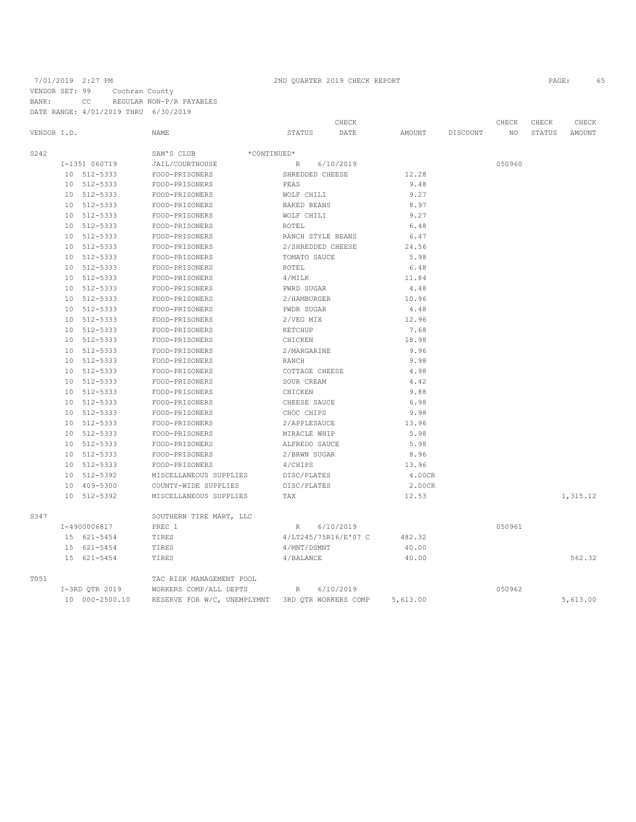# 7/01/2019 2:27 PM 2ND QUARTER 2019 CHECK REPORT VENDOR SET: 99 Cochran County BANK: CC REGULAR NON-P/R PAYABLES DATE RANGE: 4/01/2019 THRU 6/30/2019

|      |             | DAIE NANGE, N/VI/ZVIJ INNU |                             |                   |                      |          |          |        |        |          |
|------|-------------|----------------------------|-----------------------------|-------------------|----------------------|----------|----------|--------|--------|----------|
|      |             |                            |                             |                   | CHECK                |          |          | CHECK  | CHECK  | CHECK    |
|      | VENDOR I.D. |                            | NAME                        | STATUS            | DATE                 | AMOUNT   | DISCOUNT | ΝO     | STATUS | AMOUNT   |
| S242 |             |                            | SAM'S CLUB<br>*CONTINUED*   |                   |                      |          |          |        |        |          |
|      |             | I-1351 060719              | JAIL/COURTHOUSE             | $R_{\perp}$       | 6/10/2019            |          |          | 050960 |        |          |
|      |             | 10 512-5333                | FOOD-PRISONERS              | SHREDDED CHEESE   |                      | 12.28    |          |        |        |          |
|      |             | 10 512-5333                | FOOD-PRISONERS              | PEAS              |                      | 9.48     |          |        |        |          |
|      |             | 10 512-5333                | FOOD-PRISONERS              | WOLF CHILI        |                      | 9.27     |          |        |        |          |
|      |             | 10 512-5333                | FOOD-PRISONERS              | BAKED BEANS       |                      | 8.97     |          |        |        |          |
|      |             | 10 512-5333                | FOOD-PRISONERS              | WOLF CHILI        |                      | 9.27     |          |        |        |          |
|      |             | 10 512-5333                | FOOD-PRISONERS              | ROTEL             |                      | 6.48     |          |        |        |          |
|      |             | 10 512-5333                | FOOD-PRISONERS              | RANCH STYLE BEANS |                      | 6.47     |          |        |        |          |
|      |             | 10 512-5333                | FOOD-PRISONERS              | 2/SHREDDED CHEESE |                      | 24.56    |          |        |        |          |
|      |             | 10 512-5333                | FOOD-PRISONERS              | TOMATO SAUCE      |                      | 5.98     |          |        |        |          |
|      |             | 10 512-5333                | FOOD-PRISONERS              | ROTEL             |                      | 6.48     |          |        |        |          |
|      |             | 10 512-5333                | FOOD-PRISONERS              | 4/MILK            |                      | 11.84    |          |        |        |          |
|      |             | 10 512-5333                | FOOD-PRISONERS              | PWRD SUGAR        |                      | 4.48     |          |        |        |          |
|      |             | 10 512-5333                | FOOD-PRISONERS              | 2/HAMBURGER       |                      | 10.96    |          |        |        |          |
|      |             | 10 512-5333                | FOOD-PRISONERS              | PWDR SUGAR        |                      | 4.48     |          |        |        |          |
|      |             | 10 512-5333                | FOOD-PRISONERS              | 2/VEG MIX         |                      | 12.96    |          |        |        |          |
|      |             | 10 512-5333                | FOOD-PRISONERS              | KETCHUP           |                      | 7.68     |          |        |        |          |
|      |             | 10 512-5333                | FOOD-PRISONERS              | CHICKEN           |                      | 18.98    |          |        |        |          |
|      |             | 10 512-5333                | FOOD-PRISONERS              | 2/MARGARINE       |                      | 9.96     |          |        |        |          |
|      |             | 10 512-5333                | FOOD-PRISONERS              | RANCH             |                      | 9.98     |          |        |        |          |
|      | 10          | 512-5333                   | FOOD-PRISONERS              | COTTAGE CHEESE    |                      | 4.98     |          |        |        |          |
|      |             | 10 512-5333                | FOOD-PRISONERS              | SOUR CREAM        |                      | 4.42     |          |        |        |          |
|      |             | 10 512-5333                | FOOD-PRISONERS              | CHICKEN           |                      | 9.88     |          |        |        |          |
|      |             | 10 512-5333                | FOOD-PRISONERS              | CHEESE SAUCE      |                      | 6.98     |          |        |        |          |
|      |             | 10 512-5333                | FOOD-PRISONERS              | CHOC CHIPS        |                      | 9.98     |          |        |        |          |
|      |             | 10 512-5333                | FOOD-PRISONERS              | 2/APPLESAUCE      |                      | 13.96    |          |        |        |          |
|      |             | 10 512-5333                | FOOD-PRISONERS              | MIRACLE WHIP      |                      | 5.98     |          |        |        |          |
|      |             | 10 512-5333                | FOOD-PRISONERS              | ALFREDO SAUCE     |                      | 5.98     |          |        |        |          |
|      |             | 10 512-5333                | FOOD-PRISONERS              | 2/BRWN SUGAR      |                      | 8.96     |          |        |        |          |
|      | 10          | 512-5333                   | FOOD-PRISONERS              | 4/CHIPS           |                      | 13.96    |          |        |        |          |
|      |             | 10 512-5392                | MISCELLANEOUS SUPPLIES      | DISC/PLATES       |                      | 4.00CR   |          |        |        |          |
|      |             | 10 409-5300                | COUNTY-WIDE SUPPLIES        | DISC/PLATES       |                      | 2.00CR   |          |        |        |          |
|      |             | 10 512-5392                | MISCELLANEOUS SUPPLIES      | TAX               |                      | 12.53    |          |        |        | 1,315.12 |
| S347 |             |                            | SOUTHERN TIRE MART, LLC     |                   |                      |          |          |        |        |          |
|      |             | I-4900006817               | PREC 1                      | $R_{\perp}$       | 6/10/2019            |          |          | 050961 |        |          |
|      |             | 15 621-5454                | TIRES                       |                   | 4/LT245/75R16/E'07 C | 482.32   |          |        |        |          |
|      |             | 15 621-5454                | TIRES                       | 4/MNT/DSMNT       |                      | 40.00    |          |        |        |          |
|      |             | 15 621-5454                | TIRES                       | 4/BALANCE         |                      | 40.00    |          |        |        | 562.32   |
| T051 |             |                            | TAC RISK MANAGEMENT POOL    |                   |                      |          |          |        |        |          |
|      |             | I-3RD QTR 2019             | WORKERS COMP/ALL DEPTS      | $\mathbb R$       | 6/10/2019            |          |          | 050962 |        |          |
|      |             | 10 000-2500.10             | RESERVE FOR W/C, UNEMPLYMNT |                   | 3RD OTR WORKERS COMP | 5,613.00 |          |        |        | 5,613.00 |
|      |             |                            |                             |                   |                      |          |          |        |        |          |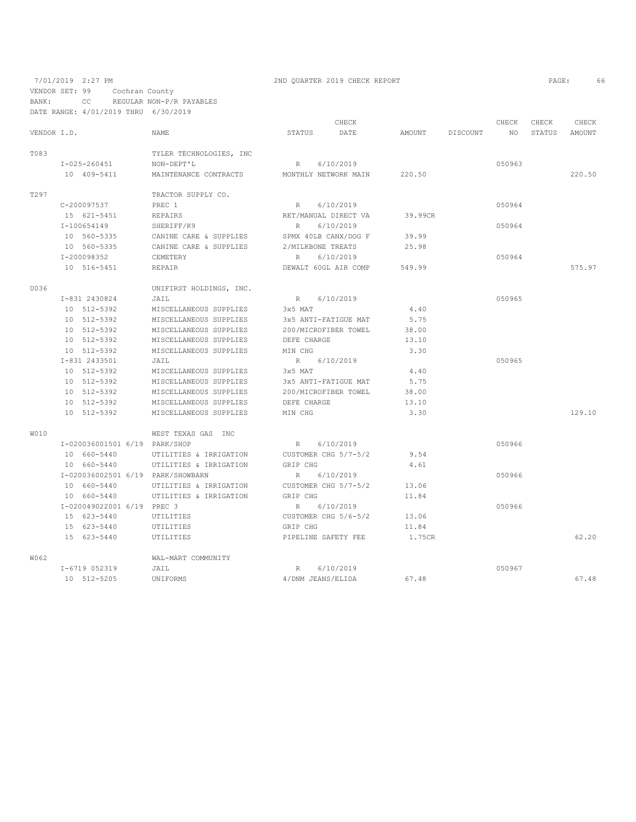7/01/2019 2:27 PM 2ND QUARTER 2019 CHECK REPORT 2019 CHECK REPORT VENDOR SET: 99 Cochran County BANK: CC REGULAR NON-P/R PAYABLES

|             | DATE RANGE: 4/01/2019 THRU        | 6/30/2019               |                     |                      |               |          |        |        |        |
|-------------|-----------------------------------|-------------------------|---------------------|----------------------|---------------|----------|--------|--------|--------|
|             |                                   |                         |                     | CHECK                |               |          | CHECK  | CHECK  | CHECK  |
| VENDOR I.D. |                                   | NAME                    | <b>STATUS</b>       | DATE                 | <b>AMOUNT</b> | DISCOUNT | NO     | STATUS | AMOUNT |
| T083        |                                   | TYLER TECHNOLOGIES, INC |                     |                      |               |          |        |        |        |
|             | $I - 025 - 260451$                | NON-DEPT'L              | R                   | 6/10/2019            |               |          | 050963 |        |        |
|             | 10 409-5411                       | MAINTENANCE CONTRACTS   |                     | MONTHLY NETWORK MAIN | 220.50        |          |        |        | 220.50 |
| T297        |                                   | TRACTOR SUPPLY CO.      |                     |                      |               |          |        |        |        |
|             | C-200097537                       | PREC 1                  | R                   | 6/10/2019            |               |          | 050964 |        |        |
|             | 15 621-5451                       | <b>REPAIRS</b>          |                     | RET/MANUAL DIRECT VA | 39.99CR       |          |        |        |        |
|             | I-100654149                       | SHERIFF/K9              | $\mathbb{R}$        | 6/10/2019            |               |          | 050964 |        |        |
|             | 10 560-5335                       | CANINE CARE & SUPPLIES  |                     | SPMX 40LB CANX/DOG F | 39.99         |          |        |        |        |
|             | 10 560-5335                       | CANINE CARE & SUPPLIES  | 2/MILKBONE TREATS   |                      | 25.98         |          |        |        |        |
|             | I-200098352                       | CEMETERY                | R                   | 6/10/2019            |               |          | 050964 |        |        |
|             | 10 516-5451                       | REPAIR                  |                     | DEWALT 60GL AIR COMP | 549.99        |          |        |        | 575.97 |
| U036        |                                   | UNIFIRST HOLDINGS, INC. |                     |                      |               |          |        |        |        |
|             | I-831 2430824                     | JAIL                    | $R_{\perp}$         | 6/10/2019            |               |          | 050965 |        |        |
|             | 10 512-5392                       | MISCELLANEOUS SUPPLIES  | 3x5 MAT             |                      | 4.40          |          |        |        |        |
|             | 10 512-5392                       | MISCELLANEOUS SUPPLIES  |                     | 3x5 ANTI-FATIGUE MAT | 5.75          |          |        |        |        |
|             | 10 512-5392                       | MISCELLANEOUS SUPPLIES  |                     | 200/MICROFIBER TOWEL | 38.00         |          |        |        |        |
|             | 10 512-5392                       | MISCELLANEOUS SUPPLIES  | DEFE CHARGE         |                      | 13.10         |          |        |        |        |
|             | 10 512-5392                       | MISCELLANEOUS SUPPLIES  | MIN CHG             |                      | 3.30          |          |        |        |        |
|             | I-831 2433501                     | JAIL                    | $R_{\perp}$         | 6/10/2019            |               |          | 050965 |        |        |
|             | 10 512-5392                       | MISCELLANEOUS SUPPLIES  | 3x5 MAT             |                      | 4.40          |          |        |        |        |
|             | 10 512-5392                       | MISCELLANEOUS SUPPLIES  |                     | 3x5 ANTI-FATIGUE MAT | 5.75          |          |        |        |        |
|             | 10 512-5392                       | MISCELLANEOUS SUPPLIES  |                     | 200/MICROFIBER TOWEL | 38.00         |          |        |        |        |
|             | 10 512-5392                       | MISCELLANEOUS SUPPLIES  | DEFE CHARGE         |                      | 13.10         |          |        |        |        |
|             | 10 512-5392                       | MISCELLANEOUS SUPPLIES  | MIN CHG             |                      | 3.30          |          |        |        | 129.10 |
| <b>W010</b> |                                   | WEST TEXAS GAS INC      |                     |                      |               |          |        |        |        |
|             | I-020036001501 6/19 PARK/SHOP     |                         | $R_{\perp}$         | 6/10/2019            |               |          | 050966 |        |        |
|             | 10 660-5440                       | UTILITIES & IRRIGATION  |                     | CUSTOMER CHG 5/7-5/2 | 9.54          |          |        |        |        |
|             | 10 660-5440                       | UTILITIES & IRRIGATION  | GRIP CHG            |                      | 4.61          |          |        |        |        |
|             | I-020036002501 6/19 PARK/SHOWBARN |                         | R                   | 6/10/2019            |               |          | 050966 |        |        |
|             | 10 660-5440                       | UTILITIES & IRRIGATION  |                     | CUSTOMER CHG 5/7-5/2 | 13.06         |          |        |        |        |
|             | 10 660-5440                       | UTILITIES & IRRIGATION  | GRIP CHG            |                      | 11.84         |          |        |        |        |
|             | I-020049022001 6/19 PREC 3        |                         | R                   | 6/10/2019            |               |          | 050966 |        |        |
|             | 15 623-5440                       | UTILITIES               |                     | CUSTOMER CHG 5/6-5/2 | 13.06         |          |        |        |        |
|             | 15 623-5440                       | UTILITIES               | GRIP CHG            |                      | 11.84         |          |        |        |        |
|             | 15 623-5440                       | UTILITIES               | PIPELINE SAFETY FEE |                      | 1.75CR        |          |        |        | 62.20  |
| W062        |                                   | WAL-MART COMMUNITY      |                     |                      |               |          |        |        |        |
|             | I-6719 052319                     | JAIL                    | R                   | 6/10/2019            |               |          | 050967 |        |        |
|             | 10 512-5205                       | <b>UNIFORMS</b>         | 4/DNM JEANS/ELIDA   |                      | 67.48         |          |        |        | 67.48  |
|             |                                   |                         |                     |                      |               |          |        |        |        |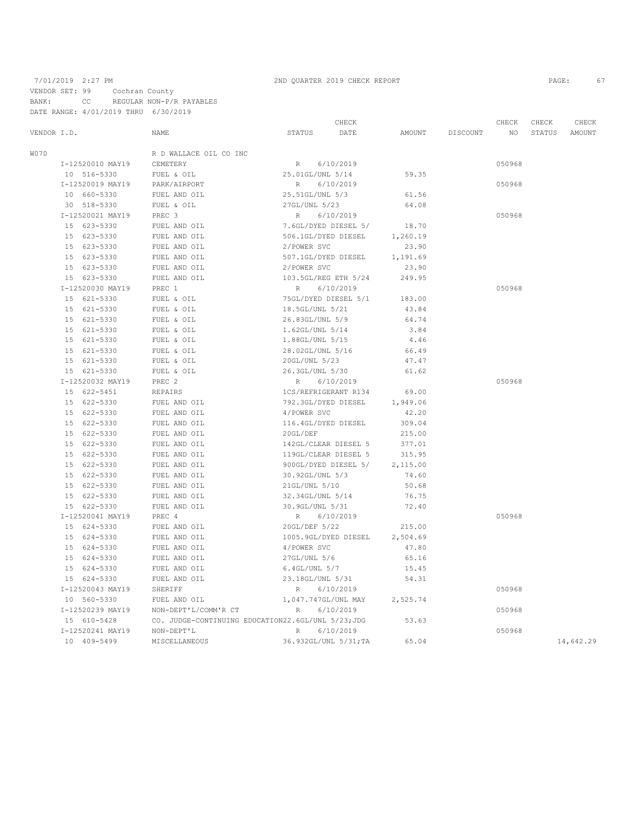# 7/01/2019 2:27 PM 2ND QUARTER 2019 CHECK REPORT 2019 CHECK REPORT VENDOR SET: 99 Cochran County BANK: CC REGULAR NON-P/R PAYABLES DATE RANGE: 4/01/2019 THRU 6/30/2019

|             |                  | CHECK                                              |                      |                       |               | CHECK    | CHECK  | CHECK  |               |
|-------------|------------------|----------------------------------------------------|----------------------|-----------------------|---------------|----------|--------|--------|---------------|
| VENDOR I.D. |                  | NAME                                               | <b>STATUS</b>        | DATE                  | <b>AMOUNT</b> | DISCOUNT | NO     | STATUS | <b>AMOUNT</b> |
| <b>W070</b> |                  | R D WALLACE OIL CO INC                             |                      |                       |               |          |        |        |               |
|             | I-12520010 MAY19 | CEMETERY                                           | R                    | 6/10/2019             |               |          | 050968 |        |               |
|             | 10 516-5330      | FUEL & OIL                                         | 25.01GL/UNL 5/14     |                       | 59.35         |          |        |        |               |
|             | I-12520019 MAY19 | PARK/AIRPORT                                       | R                    | 6/10/2019             |               |          | 050968 |        |               |
|             | 10 660-5330      | FUEL AND OIL                                       | 25.51GL/UNL 5/3      |                       | 61.56         |          |        |        |               |
|             | 30 518-5330      | FUEL & OIL                                         | 27GL/UNL 5/23        |                       | 64.08         |          |        |        |               |
|             | I-12520021 MAY19 | PREC 3                                             | $R_{\parallel}$      | 6/10/2019             |               |          | 050968 |        |               |
|             | 15 623-5330      | FUEL AND OIL                                       |                      | 7.6GL/DYED DIESEL 5/  | 18.70         |          |        |        |               |
|             | 15 623-5330      | FUEL AND OIL                                       | 506.1GL/DYED DIESEL  |                       | 1,260.19      |          |        |        |               |
|             | 15 623-5330      | FUEL AND OIL                                       | 2/POWER SVC          |                       | 23.90         |          |        |        |               |
|             | 15 623-5330      | FUEL AND OIL                                       | 507.1GL/DYED DIESEL  |                       | 1,191.69      |          |        |        |               |
|             | 15 623-5330      | FUEL AND OIL                                       | 2/POWER SVC          |                       | 23.90         |          |        |        |               |
|             | 15 623-5330      | FUEL AND OIL                                       | 103.5GL/REG ETH 5/24 |                       | 249.95        |          |        |        |               |
|             | I-12520030 MAY19 | PREC 1                                             | R                    | 6/10/2019             |               |          | 050968 |        |               |
|             | 15 621-5330      | FUEL & OIL                                         | 75GL/DYED DIESEL 5/1 |                       | 183.00        |          |        |        |               |
|             | 15 621-5330      | FUEL & OIL                                         | 18.5GL/UNL 5/21      |                       | 43.84         |          |        |        |               |
|             | 15 621-5330      | FUEL & OIL                                         | 26.83GL/UNL 5/9      |                       | 64.74         |          |        |        |               |
|             | 15 621-5330      | FUEL & OIL                                         | 1.62GL/UNL 5/14      |                       | 3.84          |          |        |        |               |
|             | 15 621-5330      | FUEL & OIL                                         | 1.88GL/UNL 5/15      |                       | 4.46          |          |        |        |               |
|             | 15 621-5330      | FUEL & OIL                                         | 28.02GL/UNL 5/16     |                       | 66.49         |          |        |        |               |
|             | 15 621-5330      | FUEL & OIL                                         | 20GL/UNL 5/23        |                       | 47.47         |          |        |        |               |
|             | 15 621-5330      | FUEL & OIL                                         | 26.3GL/UNL 5/30      |                       | 61.62         |          |        |        |               |
|             | I-12520032 MAY19 | PREC <sub>2</sub>                                  | R                    | 6/10/2019             |               |          | 050968 |        |               |
|             | 15 622-5451      | <b>REPAIRS</b>                                     | 1CS/REFRIGERANT R134 |                       | 69.00         |          |        |        |               |
|             | 15 622-5330      | FUEL AND OIL                                       | 792.3GL/DYED DIESEL  |                       | 1,949.06      |          |        |        |               |
|             | 15 622-5330      | FUEL AND OIL                                       | 4/POWER SVC          |                       | 42.20         |          |        |        |               |
|             | 15 622-5330      | FUEL AND OIL                                       | 116.4GL/DYED DIESEL  |                       | 309.04        |          |        |        |               |
|             | 15 622-5330      | FUEL AND OIL                                       | 20GL/DEF             |                       | 215.00        |          |        |        |               |
|             | 15 622-5330      | FUEL AND OIL                                       | 142GL/CLEAR DIESEL 5 |                       | 377.01        |          |        |        |               |
|             | 15 622-5330      | FUEL AND OIL                                       | 119GL/CLEAR DIESEL 5 |                       | 315.95        |          |        |        |               |
|             | 15 622-5330      | FUEL AND OIL                                       |                      | 900GL/DYED DIESEL 5/  | 2,115.00      |          |        |        |               |
|             | 15 622-5330      | FUEL AND OIL                                       | 30.92GL/UNL 5/3      |                       | 74.60         |          |        |        |               |
|             | 15 622-5330      | FUEL AND OIL                                       | 21GL/UNL 5/10        |                       | 50.68         |          |        |        |               |
|             | 15 622-5330      | FUEL AND OIL                                       | 32.34GL/UNL 5/14     |                       | 76.75         |          |        |        |               |
|             | 15 622-5330      | FUEL AND OIL                                       | 30.9GL/UNL 5/31      |                       | 72.40         |          |        |        |               |
|             | I-12520041 MAY19 | PREC 4                                             | $R_{\parallel}$      | 6/10/2019             |               |          | 050968 |        |               |
|             | 15 624-5330      | FUEL AND OIL                                       | 20GL/DEF 5/22        |                       | 215.00        |          |        |        |               |
|             | 15 624-5330      | FUEL AND OIL                                       | 1005.9GL/DYED DIESEL |                       | 2,504.69      |          |        |        |               |
|             | 15 624-5330      | FUEL AND OIL                                       | 4/POWER SVC          |                       | 47.80         |          |        |        |               |
|             | 15 624-5330      | FUEL AND OIL                                       | 27GL/UNL 5/6         |                       | 65.16         |          |        |        |               |
|             | 15 624-5330      | FUEL AND OIL                                       | 6.4GL/UNL 5/7        |                       | 15.45         |          |        |        |               |
|             | 15 624-5330      | FUEL AND OIL                                       | 23.18GL/UNL 5/31     |                       | 54.31         |          |        |        |               |
|             | I-12520043 MAY19 | SHERIFF                                            | R                    | 6/10/2019             |               |          | 050968 |        |               |
|             | 10 560-5330      | FUEL AND OIL                                       | 1,047.747GL/UNL MAY  |                       | 2,525.74      |          |        |        |               |
|             | I-12520239 MAY19 | NON-DEPT'L/COMM'R CT                               | R                    | 6/10/2019             |               |          | 050968 |        |               |
|             | 15 610-5428      | CO. JUDGE-CONTINUING EDUCATION22.6GL/UNL 5/23; JDG |                      |                       | 53.63         |          |        |        |               |
|             | I-12520241 MAY19 | NON-DEPT'L                                         | R                    | 6/10/2019             |               |          | 050968 |        |               |
|             | 10 409-5499      | MISCELLANEOUS                                      |                      | 36.932GL/UNL 5/31; TA | 65.04         |          |        |        | 14,642.29     |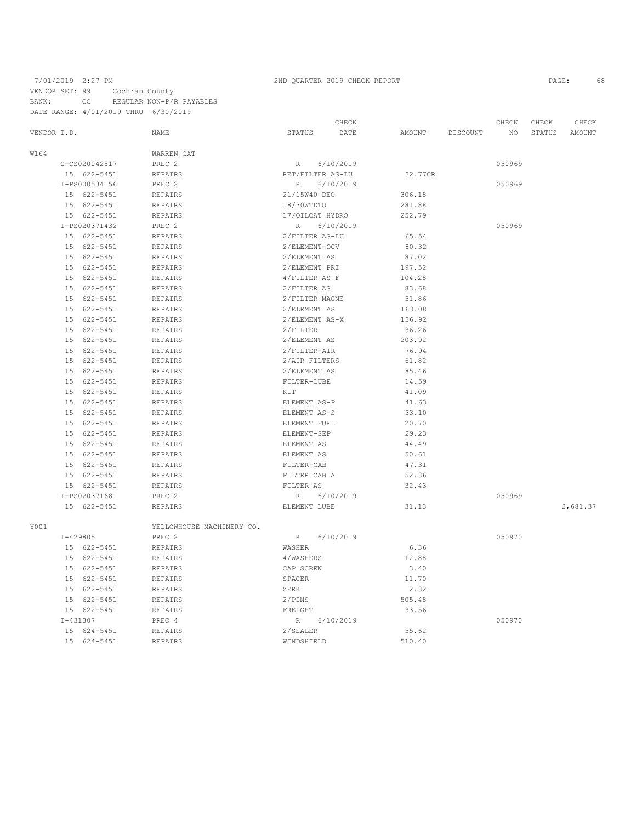# 7/01/2019 2:27 PM 2ND QUARTER 2019 CHECK REPORT 2019 CHECK REPORT VENDOR SET: 99 Cochran County BANK: CC REGULAR NON-P/R PAYABLES DATE RANGE: 4/01/2019 THRU 6/30/2019

|               |                           | CHECK                    |         |          | CHECK  | CHECK  | CHECK    |
|---------------|---------------------------|--------------------------|---------|----------|--------|--------|----------|
| VENDOR I.D.   | <b>NAME</b>               | STATUS<br>DATE           | AMOUNT  | DISCOUNT | NO.    | STATUS | AMOUNT   |
| W164          | WARREN CAT                |                          |         |          |        |        |          |
| C-CS020042517 | PREC 2                    | 6/10/2019<br>R           |         |          | 050969 |        |          |
| 15 622-5451   | <b>REPAIRS</b>            | RET/FILTER AS-LU         | 32.77CR |          |        |        |          |
| I-PS000534156 | PREC <sub>2</sub>         | R<br>6/10/2019           |         |          | 050969 |        |          |
| 15 622-5451   | <b>REPAIRS</b>            | 21/15W40 DEO             | 306.18  |          |        |        |          |
| 15 622-5451   | <b>REPAIRS</b>            | 18/30WTDTO               | 281.88  |          |        |        |          |
| 15 622-5451   | <b>REPAIRS</b>            | 17/OILCAT HYDRO          | 252.79  |          |        |        |          |
| I-PS020371432 | PREC <sub>2</sub>         | R<br>6/10/2019           |         |          | 050969 |        |          |
| 15 622-5451   | REPAIRS                   | 2/FILTER AS-LU           | 65.54   |          |        |        |          |
| 15 622-5451   | REPAIRS                   | 2/ELEMENT-OCV            | 80.32   |          |        |        |          |
| 15 622-5451   | <b>REPAIRS</b>            | 2/ELEMENT AS             | 87.02   |          |        |        |          |
| 15 622-5451   | <b>REPAIRS</b>            | 2/ELEMENT PRI            | 197.52  |          |        |        |          |
| 15 622-5451   | <b>REPAIRS</b>            | 4/FILTER AS F            | 104.28  |          |        |        |          |
| 15 622-5451   | <b>REPAIRS</b>            | 2/FILTER AS              | 83.68   |          |        |        |          |
| 15 622-5451   | <b>REPAIRS</b>            | 2/FILTER MAGNE           | 51.86   |          |        |        |          |
| 15 622-5451   | REPAIRS                   | 2/ELEMENT AS             | 163.08  |          |        |        |          |
| 15 622-5451   | <b>REPAIRS</b>            | 2/ELEMENT AS-X           | 136.92  |          |        |        |          |
| 15 622-5451   | REPAIRS                   | 2/FILTER                 | 36.26   |          |        |        |          |
| 15 622-5451   | REPAIRS                   | 2/ELEMENT AS             | 203.92  |          |        |        |          |
| 15 622-5451   | <b>REPAIRS</b>            | 2/FILTER-AIR             | 76.94   |          |        |        |          |
| 15 622-5451   | <b>REPAIRS</b>            | 2/AIR FILTERS            | 61.82   |          |        |        |          |
| 15 622-5451   | <b>REPAIRS</b>            | 2/ELEMENT AS             | 85.46   |          |        |        |          |
| 15 622-5451   | REPAIRS                   | FILTER-LUBE              | 14.59   |          |        |        |          |
| 15 622-5451   | REPAIRS                   | KIT                      | 41.09   |          |        |        |          |
| 15 622-5451   | REPAIRS                   | ELEMENT AS-P             | 41.63   |          |        |        |          |
| 15 622-5451   | <b>REPAIRS</b>            | ELEMENT AS-S             | 33.10   |          |        |        |          |
| 15 622-5451   | REPAIRS                   | ELEMENT FUEL             | 20.70   |          |        |        |          |
| 15 622-5451   | <b>REPAIRS</b>            | ELEMENT-SEP              | 29.23   |          |        |        |          |
| 15 622-5451   | REPAIRS                   | ELEMENT AS               | 44.49   |          |        |        |          |
| 15 622-5451   | REPAIRS                   | ELEMENT AS               | 50.61   |          |        |        |          |
| 15 622-5451   | <b>REPAIRS</b>            | FILTER-CAB               | 47.31   |          |        |        |          |
| 15 622-5451   | <b>REPAIRS</b>            | FILTER CAB A             | 52.36   |          |        |        |          |
| 15 622-5451   | REPAIRS                   | FILTER AS                | 32.43   |          |        |        |          |
| I-PS020371681 | PREC <sub>2</sub>         | $R_{\perp}$<br>6/10/2019 |         |          | 050969 |        |          |
| 15 622-5451   | <b>REPAIRS</b>            | ELEMENT LUBE             | 31.13   |          |        |        | 2,681.37 |
| Y001          | YELLOWHOUSE MACHINERY CO. |                          |         |          |        |        |          |
| $I - 429805$  | PREC 2                    | 6/10/2019<br>R           |         |          | 050970 |        |          |
| 15 622-5451   | <b>REPAIRS</b>            | WASHER                   | 6.36    |          |        |        |          |
| 15 622-5451   | <b>REPAIRS</b>            | 4/WASHERS                | 12.88   |          |        |        |          |
| 15 622-5451   | <b>REPAIRS</b>            | CAP SCREW                | 3.40    |          |        |        |          |
| 15 622-5451   | <b>REPAIRS</b>            | SPACER                   | 11.70   |          |        |        |          |
| 15 622-5451   | <b>REPAIRS</b>            | ZERK                     | 2.32    |          |        |        |          |
| 15 622-5451   | <b>REPAIRS</b>            | 2/PINS                   | 505.48  |          |        |        |          |
| 15 622-5451   | REPAIRS                   | FREIGHT                  | 33.56   |          |        |        |          |
| $I - 431307$  | PREC 4                    | 6/10/2019<br>R           |         |          | 050970 |        |          |
| 15 624-5451   | <b>REPAIRS</b>            | 2/SEALER                 | 55.62   |          |        |        |          |
| 15 624-5451   | <b>REPAIRS</b>            | WINDSHIELD               | 510.40  |          |        |        |          |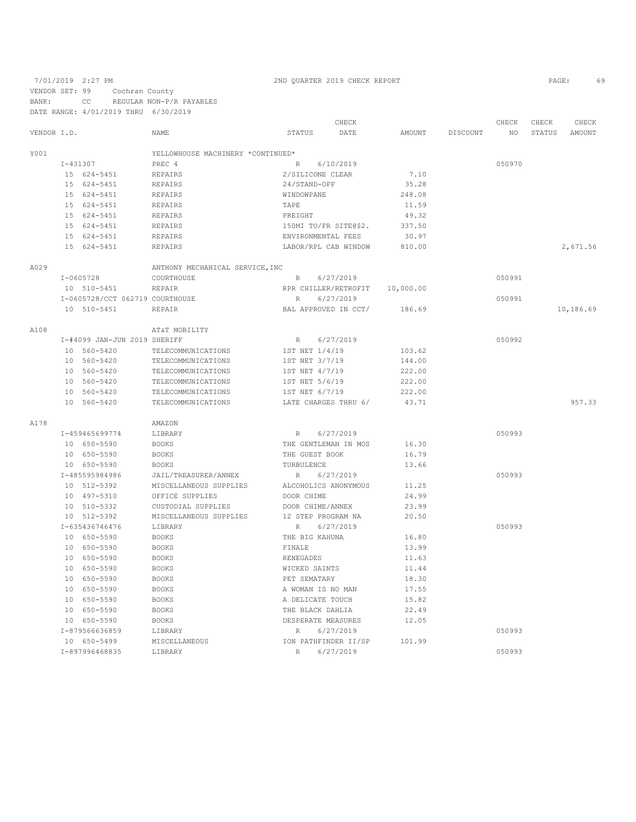VENDOR SET: 99 Cochran County BANK: CC REGULAR NON-P/R PAYABLES DATE RANGE: 4/01/2019 THRU 6/30/2019 CHECK CHECK CHECK CHECK CHECK CHECK CHECK CHECK CHECK CHECK CHECK CHECK CHECK CHECK CHECK CHECK CHECK CHECK CHECK CHECK CHECK CHECK CHECK CHECK CHECK CHECK CHECK CHECK CHECK CHECK CHECK CHECK CHECK CHECK CHECK CHECK CHECK VENDOR I.D. NAME STATUS DATE AMOUNT DISCOUNT NO STATUS AMOUNT <code>YOO1</code> <br> <code>YELLOWHOUSE</code> <code>MACHINERY</code> \*CONTINUED\* <br> <code>PREC $\,$ 4</code> I-431307 PREC 4 R 6/10/2019 050970 15 624-5451 REPAIRS 2/SILICONE CLEAR 7.10 24/STAND-OFF<br>WINDOWPANE 15 624-5451 REPAIRS WINDOWPANE 248.08 15 624-5451 REPAIRS TAPE 11.59 15 624-5451 REPAIRS FREIGHT 49.32 REPAIRS 150MI TO/FR SITE@\$2.<br>150MI REPAIRS 150MI REPAIRS 150MIN REPAIRS 15 624-5451 REPAIRS ENVIRONMENTAL FEES 30.97 1ABOR/RPL CAB WINDOW 810.00 2,671.56 A029 **ANTHONY MECHANICAL SERVICE, INC**<br>T-0605728 **COURTHOUSE** I-0605728 COURTHOUSE R 6/27/2019<br>10 510-5451 REPAIR RERAIR RER CHILLER/RETROFIT 10,000.00 RPR CHILLER/RETROFIT 10,000.00<br>R 6/27/2019 I-0605728/CCT 062719 COURTHOUSE R 6/27/2019 050991 10 510-5451 REPAIR BAL APPROVED IN CCT/ 186.69 10,186.69 A108 AT&T MOBILITY I-#4099 JAN-JUN 2019 SHERIFF R R 6/27/2019<br>10 560-5420 TELECOMMUNICATIONS 1ST NET 1/4/19 103.62 10 560-5420 TELECOMMUNICATIONS 1ST NET 1/4/19 103.62<br>10 560-5420 TELECOMMUNICATIONS 1ST NET 3/7/19 144.00 10 560-5420 TELECOMMUNICATIONS 1ST NET 3/7/19 144.00<br>10 560-5420 TELECOMMUNICATIONS 1ST NET 4/7/19 222.00 10 560-5420 TELECOMMUNICATIONS 1ST NET 4/7/19 222.00<br>10 560-5420 TELECOMMUNICATIONS 1ST NET 5/6/19 222.00 10 560-5420 TELECOMMUNICATIONS 1ST NET 5/6/19 222.00<br>10 560-5420 TELECOMMUNICATIONS 1ST NET 6/7/19 222.00

TELECOMMUNICATIONS

 10 560-5420 TELECOMMUNICATIONS LATE CHARGES THRU 6/ 43.71 957.33 A178 <br>  $I-459465699774$  AMAZON<br>
LIBRARY I-459465699774 LIBRARY R 6/27/2019<br>
10 650-5590 BOOKS THE GENTLEMAN IN MOS 16.30 10 650-5590 BOOKS THE GENTLEMAN IN MOS 16.30 10 650-5590 BOOKS THE GUEST BOOK 16.79 10 650-5590 BOOKS TURBULENCE 13.66 I-485595984986 JAIL/TREASURER/ANNEX R 6/27/2019<br>10 512-5392 MISCELLANEOUS SUPPLIES ALCOHOLICS ANONYMOUS 11.25 10 512-5392 MISCELLANEOUS SUPPLIES ALCOHOLICS ANONYMOUS 11.25<br>10 497-5310 OFFICE SUPPLIES DOOR CHIME 24.99 OFFICE SUPPLIES 10 510-5332 CUSTODIAL SUPPLIES DOOR CHIME/ANNEX 23.99 10 512-5392 MISCELLANEOUS SUPPLIES 12 STEP PROGRAM NA 20.50<br>1-635436746476 LIBRARY R 6/27/2019 I-635436746476 LIBRARY R 6/27/2019<br>
IO 650-5590 BOOKS THE BIG KAHUNA 16.80 16.80 BOOKS THE BIG KAHUNA 16.80 BOOKS BOOKS FINALE 13.99 10 650-5590<br>10.650-5590 10 650-5590 BOOKS RENEGADES 11.63 10 650-5590 BOOKS WICKED SAINTS 11.44 10 650–5590 BOOKS PET SEMATARY<br>10 650–5590 BOOKS A WOMAN IS NO BOOKS A WOMAN IS NO MAN 17.55 10 650-5590 BOOKS A DELICATE TOUCH 15.82 10 650–5590 BOOKS THE BLACK DAHLIA<br>10 650–5590 BOOKS DESPERATE MEASURE 10 650-5590 BOOKS DESPERATE MEASURES 12.05 I-879566636859 LIBRARY R 6/27/2019<br>10 650-5499 MISCELLANEOUS 10N PATHFINDER II/SP 101.99 MISCELLANEOUS 10N PATHFINDER II/SP 101.99 I-897996468835 LIBRARY R 6/27/2019 050993

### 7/01/2019 2:27 PM 2ND QUARTER 2019 CHECK REPORT PAGE: 69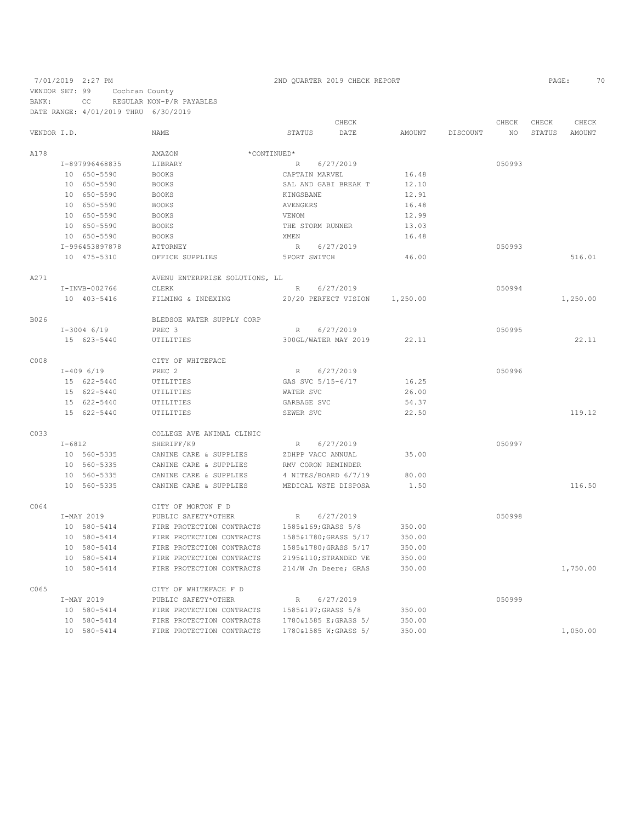7/01/2019 2:27 PM 2ND QUARTER 2019 CHECK REPORT PAGE: 70 VENDOR SET: 99 Cochran County

BANK: CC REGULAR NON-P/R PAYABLES

DATE RANGE: 4/01/2019 THRU 6/30/2019 CHECK CHECK CHECK CHECK CHECK CHECK CHECK CHECK CHECK CHECK CHECK CHECK CHECK CHECK CHECK CHECK CHECK CHECK CHECK CHECK CHECK CHECK CHECK CHECK CHECK CHECK CHECK CHECK CHECK CHECK CHECK STATUS AMOUNT NAME STATUS DATE AMOUNT DISCOUNT A178 **AMAZON AMAZON** \*CONTINUED\* I-897996468835 LIBRARY R 6/27/2019 R 6/27/2019 16.48 050993<br>
10 650–5590 BOOKS CAPTAIN MARVEL 16.48 10 650-5590 BOOKS CAPTAIN MARVEL 16.48 10 650-5590 BOOKS SAL AND GABI BREAK T 12.10 10 650-5590 BOOKS KINGSBANE 12.91 10 650-5590 BOOKS AVENGERS 16.48 10 650-5590 BOOKS<br>10 650-5590 BOOKS ROOKS THE STORM RUNNER 13.03<br>16.48 ENGL MEN 26.48 10 650-5590 BOOKS<br>1-996453897878 ATTORNEY R 6/27/2019 050993 10 475-5310 OFFICE SUPPLIES 5PORT SWITCH 46.00 516.01 A271 AVENU ENTERPRISE SOLUTIONS, LL I-INVB-002766 CLERK R 6/27/2019<br>10 403-5416 FILMING & INDEXING 20/20 PERFECT VISION 1,250.00 10 403-5416 FILMING & INDEXING 20/20 PERFECT VISION 1,250.00 1,250.00 B026 BLEDSOE WATER SUPPLY CORP I-3004 6/19 PREC 3 I-3004 6/19 PREC 3 R 6/27/2019<br>15 623-5440 UTILITIES 300GL/WATER MAY 2019 22.11 15 622.11 622.11 623-5444 PM 2019 22.11 22.11 22.11 C008 CITY OF WHITEFACE<br>T-409 6/19 PREC 2 I-409 6/19 PREC 2 R 6/27/2019<br>15 622-5440 UTILITIES GAS SVC 5/15-6/17 16.25 UTILITIES GAS SVC 5/15-6/17 16.25<br>16.25 16.25 WATER SVC 26.00 15 622-5440 15 622-5440 UTILITIES GARBAGE SVC 54.37<br>15 622-5440 UTILITIES GARBAGE SVC 54.37 15 622-5440 UTILITIES SEWER SVC 22.50 2015 22:50 C033 COLLEGE AVE ANIMAL CLINIC<br>I-6812 SHERIFF/K9 I-6812 SHERIFF/K9 R 6/27/2019<br>10 560-5335 CANINE CARE & SUPPLIES ZDHPP VACCANNUAL 35.00 10 560-5335 CANINE CARE & SUPPLIES ZDHPP VACC ANNUAL 35.00 10 560-5335 CANINE CARE & SUPPLIES RMV CORON REMINDER 10 560-5335 CANINE CARE & SUPPLIES 4 NITES/BOARD 6/7/19 80.00 CANINE CARE & SUPPLIES MEDICAL WSTE DISPOSA 1.50 1.50 116.50 C064 CITY OF MORTON F D I-MAY 2019 PUBLIC SAFETY\*OTHER R 6/27/2019 050998 10 580-5414 FIRE PROTECTION CONTRACTS 1585&169;GRASS 5/8 350.00 10 580-5414 FIRE PROTECTION CONTRACTS 1585&1780;GRASS 5/17 350.00 10 580-5414 FIRE PROTECTION CONTRACTS<br>10 580-5414 FIRE PROTECTION CONTRACTS 10 580-5414 FIRE PROTECTION CONTRACTS 2195&110;STRANDED VE 350.00 FIRE PROTECTION CONTRACTS 214/W Jn Deere: GRAS 350.00 1,000 1,750.00 1,750.00 CO65 CITY OF WHITEFACE F D<br>I-MAY 2019 PUBLIC SAFETY\*OTHER I-MAY 2019 PUBLIC SAFETY\*OTHER R 6/27/2019 050999 10 580-5414 FIRE PROTECTION CONTRACTS 1585&197;GRASS 5/8 350.00<br>10 580-5414 FIRE PROTECTION CONTRACTS 1780&1585 E;GRASS 5/ 350.00<br>10 580-5414 FIRE PROTECTION CONTRACTS 1780&1585 W;GRASS 5/ 350.00 FIRE PROTECTION CONTRACTS 1780&1585 E;GRASS 5/<br>FIRE PROTECTION CONTRACTS 1780&1585 W;GRASS 5/ 10 580-5414 FIRE PROTECTION CONTRACTS 1780&1585 W;GRASS 5/ 350.00 1,050.00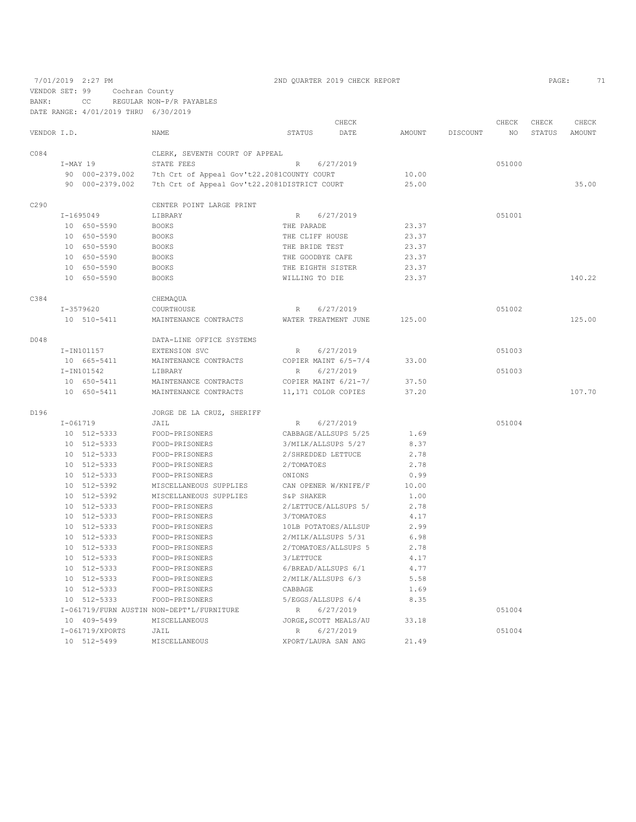VENDOR SET: 99 Cochran County BANK: CC REGULAR NON-P/R PAYABLES

DATE RANGE: 4/01/2019 THRU 6/30/2019

|             |              |                 |                                              |                       | CHECK     |        |          | CHECK  | CHECK  | CHECK         |
|-------------|--------------|-----------------|----------------------------------------------|-----------------------|-----------|--------|----------|--------|--------|---------------|
| VENDOR I.D. |              |                 | <b>NAME</b>                                  | STATUS                | DATE      | AMOUNT | DISCOUNT | NO.    | STATUS | <b>AMOUNT</b> |
| C084        |              |                 | CLERK, SEVENTH COURT OF APPEAL               |                       |           |        |          |        |        |               |
|             | $I-MAY$ 19   |                 | STATE FEES                                   | $\, {\mathbb R}$      | 6/27/2019 |        |          | 051000 |        |               |
|             |              | 90 000-2379.002 | 7th Crt of Appeal Gov't22.2081COUNTY COURT   |                       |           | 10.00  |          |        |        |               |
|             |              | 90 000-2379.002 | 7th Crt of Appeal Gov't22.2081DISTRICT COURT |                       |           | 25.00  |          |        |        | 35.00         |
| C290        |              |                 | CENTER POINT LARGE PRINT                     |                       |           |        |          |        |        |               |
|             |              | $I-1695049$     | LIBRARY                                      | R                     | 6/27/2019 |        |          | 051001 |        |               |
|             |              | 10 650-5590     | <b>BOOKS</b>                                 | THE PARADE            |           | 23.37  |          |        |        |               |
|             |              | 10 650-5590     | <b>BOOKS</b>                                 | THE CLIFF HOUSE       |           | 23.37  |          |        |        |               |
|             |              | 10 650-5590     | <b>BOOKS</b>                                 | THE BRIDE TEST        |           | 23.37  |          |        |        |               |
|             |              | 10 650-5590     | <b>BOOKS</b>                                 | THE GOODBYE CAFE      |           | 23.37  |          |        |        |               |
|             |              | 10 650-5590     | <b>BOOKS</b>                                 | THE EIGHTH SISTER     |           | 23.37  |          |        |        |               |
|             |              | 10 650-5590     | <b>BOOKS</b>                                 | WILLING TO DIE        |           | 23.37  |          |        |        | 140.22        |
| C384        |              |                 | CHEMAQUA                                     |                       |           |        |          |        |        |               |
|             |              | $I-3579620$     | COURTHOUSE                                   | $\mathbb R$           | 6/27/2019 |        |          | 051002 |        |               |
|             |              | 10 510-5411     | MAINTENANCE CONTRACTS                        | WATER TREATMENT JUNE  |           | 125.00 |          |        |        | 125.00        |
| D048        |              |                 | DATA-LINE OFFICE SYSTEMS                     |                       |           |        |          |        |        |               |
|             |              | I-IN101157      | EXTENSION SVC                                | R                     | 6/27/2019 |        |          | 051003 |        |               |
|             | 10 665-5411  |                 | MAINTENANCE CONTRACTS                        | COPIER MAINT 6/5-7/4  |           | 33.00  |          |        |        |               |
|             |              | I-IN101542      | LIBRARY                                      | $\mathbb{R}$          | 6/27/2019 |        |          | 051003 |        |               |
|             |              | 10 650-5411     | MAINTENANCE CONTRACTS                        | COPIER MAINT 6/21-7/  |           | 37.50  |          |        |        |               |
|             |              | 10 650-5411     | MAINTENANCE CONTRACTS                        | 11,171 COLOR COPIES   |           | 37.20  |          |        |        | 107.70        |
| D196        |              |                 | JORGE DE LA CRUZ, SHERIFF                    |                       |           |        |          |        |        |               |
|             | $I - 061719$ |                 | JAIL                                         | R                     | 6/27/2019 |        |          | 051004 |        |               |
|             |              | 10 512-5333     | FOOD-PRISONERS                               | CABBAGE/ALLSUPS 5/25  |           | 1.69   |          |        |        |               |
|             |              | 10 512-5333     | FOOD-PRISONERS                               | 3/MILK/ALLSUPS 5/27   |           | 8.37   |          |        |        |               |
|             |              | 10 512-5333     | FOOD-PRISONERS                               | 2/SHREDDED LETTUCE    |           | 2.78   |          |        |        |               |
|             |              | 10 512-5333     | FOOD-PRISONERS                               | 2/TOMATOES            |           | 2.78   |          |        |        |               |
|             |              | 10 512-5333     | FOOD-PRISONERS                               | ONIONS                |           | 0.99   |          |        |        |               |
|             |              | 10 512-5392     | MISCELLANEOUS SUPPLIES                       | CAN OPENER W/KNIFE/F  |           | 10.00  |          |        |        |               |
|             |              | 10 512-5392     | MISCELLANEOUS SUPPLIES                       | S&P SHAKER            |           | 1.00   |          |        |        |               |
|             |              | 10 512-5333     | FOOD-PRISONERS                               | 2/LETTUCE/ALLSUPS 5/  |           | 2.78   |          |        |        |               |
|             |              | 10 512-5333     | FOOD-PRISONERS                               | 3/TOMATOES            |           | 4.17   |          |        |        |               |
|             |              | 10 512-5333     | FOOD-PRISONERS                               | 10LB POTATOES/ALLSUP  |           | 2.99   |          |        |        |               |
|             |              | 10 512-5333     | FOOD-PRISONERS                               | 2/MILK/ALLSUPS 5/31   |           | 6.98   |          |        |        |               |
|             |              | 10 512-5333     | FOOD-PRISONERS                               | 2/TOMATOES/ALLSUPS 5  |           | 2.78   |          |        |        |               |
|             |              | 10 512-5333     | FOOD-PRISONERS                               | 3/LETTUCE             |           | 4.17   |          |        |        |               |
|             |              | 10 512-5333     | FOOD-PRISONERS                               | 6/BREAD/ALLSUPS 6/1   |           | 4.77   |          |        |        |               |
|             |              | 10 512-5333     | FOOD-PRISONERS                               | 2/MILK/ALLSUPS 6/3    |           | 5.58   |          |        |        |               |
|             |              | 10 512-5333     | FOOD-PRISONERS                               | CABBAGE               |           | 1.69   |          |        |        |               |
|             |              | 10 512-5333     | FOOD-PRISONERS                               | 5/EGGS/ALLSUPS 6/4    |           | 8.35   |          |        |        |               |
|             |              |                 | I-061719/FURN AUSTIN NON-DEPT'L/FURNITURE    | R                     | 6/27/2019 |        |          | 051004 |        |               |
|             |              | 10 409-5499     | MISCELLANEOUS                                | JORGE, SCOTT MEALS/AU |           | 33.18  |          |        |        |               |
|             |              | I-061719/XPORTS | JAIL                                         | $\mathbb{R}$          | 6/27/2019 |        |          | 051004 |        |               |
|             |              | 10 512-5499     | <b>MISCELLANEOUS</b>                         | XPORT/LAURA SAN ANG   |           | 21.49  |          |        |        |               |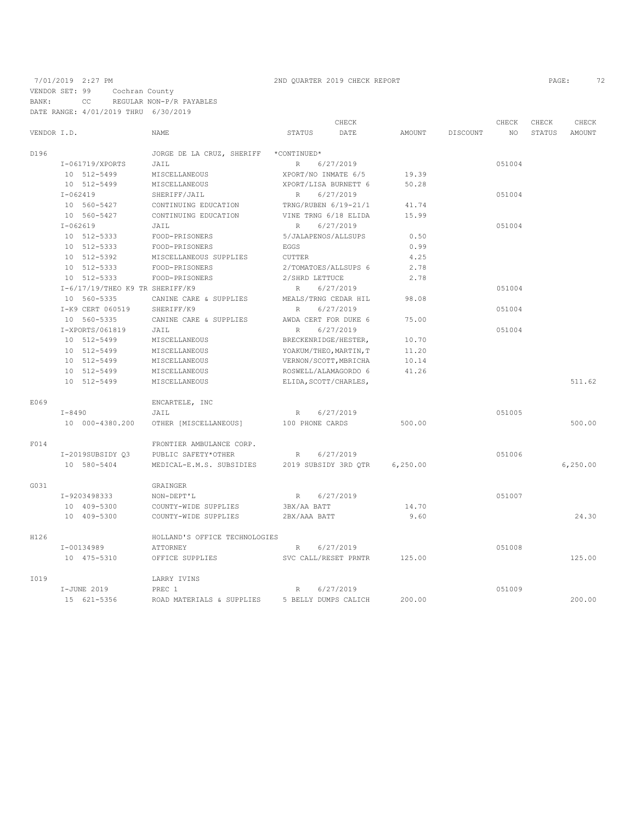VENDOR SET: 99 Cochran County

BANK: CC REGULAR NON-P/R PAYABLES DATE RANGE: 4/01/2019 THRU 6/30/2019

|             |                                 |                                       | CHECK                        |           |          | CHECK  | CHECK  | CHECK    |
|-------------|---------------------------------|---------------------------------------|------------------------------|-----------|----------|--------|--------|----------|
| VENDOR I.D. |                                 | <b>NAME</b>                           | STATUS<br>DATE               | AMOUNT    | DISCOUNT | NO.    | STATUS | AMOUNT   |
| D196        |                                 | JORGE DE LA CRUZ, SHERIFF *CONTINUED* |                              |           |          |        |        |          |
|             | I-061719/XPORTS                 | JAIL                                  | 6/27/2019<br>$R_{\parallel}$ |           |          | 051004 |        |          |
|             | 10 512-5499                     | MISCELLANEOUS                         | XPORT/NO INMATE 6/5          | 19.39     |          |        |        |          |
|             | 10 512-5499                     | MISCELLANEOUS                         | XPORT/LISA BURNETT 6         | 50.28     |          |        |        |          |
|             | $I - 062419$                    | SHERIFF/JAIL                          | 6/27/2019<br>R               |           |          | 051004 |        |          |
|             | 10 560-5427                     | CONTINUING EDUCATION                  | TRNG/RUBEN 6/19-21/1         | 41.74     |          |        |        |          |
|             | 10 560-5427                     | CONTINUING EDUCATION                  | VINE TRNG 6/18 ELIDA         | 15.99     |          |        |        |          |
|             | $I - 062619$                    | JAIL                                  | 6/27/2019<br>R               |           |          | 051004 |        |          |
|             | 10 512-5333                     | FOOD-PRISONERS                        | 5/JALAPENOS/ALLSUPS          | 0.50      |          |        |        |          |
|             | 10 512-5333                     | FOOD-PRISONERS                        | EGGS                         | 0.99      |          |        |        |          |
|             | 10 512-5392                     | MISCELLANEOUS SUPPLIES                | <b>CUTTER</b>                | 4.25      |          |        |        |          |
|             | 10 512-5333                     | FOOD-PRISONERS                        | 2/TOMATOES/ALLSUPS 6         | 2.78      |          |        |        |          |
|             | 10 512-5333                     | FOOD-PRISONERS                        | 2/SHRD LETTUCE               | 2.78      |          |        |        |          |
|             | I-6/17/19/THEO K9 TR SHERIFF/K9 |                                       | 6/27/2019<br>R               |           |          | 051004 |        |          |
|             | 10 560-5335                     | CANINE CARE & SUPPLIES                | MEALS/TRNG CEDAR HIL         | 98.08     |          |        |        |          |
|             | I-K9 CERT 060519                | SHERIFF/K9                            | 6/27/2019<br>R               |           |          | 051004 |        |          |
|             | 10 560-5335                     | CANINE CARE & SUPPLIES                | AWDA CERT FOR DUKE 6         | 75.00     |          |        |        |          |
|             | I-XPORTS/061819                 | JAIL                                  | R<br>6/27/2019               |           |          | 051004 |        |          |
|             | 10 512-5499                     | MISCELLANEOUS                         | BRECKENRIDGE/HESTER,         | 10.70     |          |        |        |          |
|             | 10 512-5499                     | MISCELLANEOUS                         | YOAKUM/THEO, MARTIN, T       | 11.20     |          |        |        |          |
|             | 10 512-5499                     | MISCELLANEOUS                         | VERNON/SCOTT, MBRICHA        | 10.14     |          |        |        |          |
|             | 10 512-5499                     | MISCELLANEOUS                         | ROSWELL/ALAMAGORDO 6         | 41.26     |          |        |        |          |
|             | 10 512-5499                     | MISCELLANEOUS                         | ELIDA, SCOTT/CHARLES,        |           |          |        |        | 511.62   |
| E069        |                                 | ENCARTELE, INC                        |                              |           |          |        |        |          |
|             | $I - 8490$                      | JAIL                                  | 6/27/2019<br>R               |           |          | 051005 |        |          |
|             | 10 000-4380.200                 | OTHER [MISCELLANEOUS]                 | 100 PHONE CARDS              | 500.00    |          |        |        | 500.00   |
| F014        |                                 | FRONTIER AMBULANCE CORP.              |                              |           |          |        |        |          |
|             | I-2019SUBSIDY 03                | PUBLIC SAFETY*OTHER                   | 6/27/2019<br>R               |           |          | 051006 |        |          |
|             | 10 580-5404                     | MEDICAL-E.M.S. SUBSIDIES              | 2019 SUBSIDY 3RD QTR         | 6, 250.00 |          |        |        | 6,250.00 |
| G031        |                                 | GRAINGER                              |                              |           |          |        |        |          |
|             | I-9203498333                    | NON-DEPT'L                            | 6/27/2019<br>R               |           |          | 051007 |        |          |
|             | 10 409-5300                     | COUNTY-WIDE SUPPLIES                  | 3BX/AA BATT                  | 14.70     |          |        |        |          |
|             | 10 409-5300                     | COUNTY-WIDE SUPPLIES                  | 2BX/AAA BATT                 | 9.60      |          |        |        | 24.30    |
| H126        |                                 | HOLLAND'S OFFICE TECHNOLOGIES         |                              |           |          |        |        |          |
|             | I-00134989                      | ATTORNEY                              | 6/27/2019<br>R               |           |          | 051008 |        |          |
|             | 10 475-5310                     | OFFICE SUPPLIES                       | SVC CALL/RESET PRNTR         | 125.00    |          |        |        | 125.00   |
| I019        |                                 | LARRY IVINS                           |                              |           |          |        |        |          |
|             | I-JUNE 2019                     | PREC 1                                | 6/27/2019<br>$R_{\rm}$       |           |          | 051009 |        |          |
|             | 15 621-5356                     | ROAD MATERIALS & SUPPLIES             | 5 BELLY DUMPS CALICH         | 200.00    |          |        |        | 200.00   |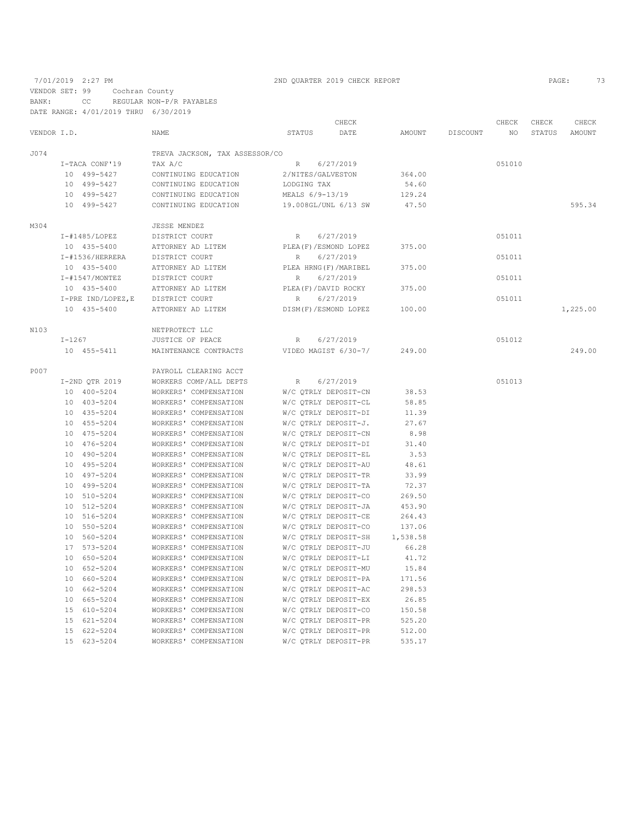VENDOR SET: 99 Cochran County

BANK: CC REGULAR NON-P/R PAYABLES

|             | DATE RANGE: 4/01/2019 THRU 6/30/2019 |                                |                          |          |          |        |        |               |
|-------------|--------------------------------------|--------------------------------|--------------------------|----------|----------|--------|--------|---------------|
|             |                                      |                                | CHECK                    |          |          | CHECK  | CHECK  | CHECK         |
| VENDOR I.D. |                                      | NAME                           | STATUS<br>DATE           | AMOUNT   | DISCOUNT | NO     | STATUS | <b>AMOUNT</b> |
| J074        |                                      | TREVA JACKSON, TAX ASSESSOR/CO |                          |          |          |        |        |               |
|             | I-TACA CONF'19                       | TAX A/C                        | 6/27/2019<br>R           |          |          | 051010 |        |               |
|             | 10 499-5427                          | CONTINUING EDUCATION           | 2/NITES/GALVESTON        | 364.00   |          |        |        |               |
|             | 10 499-5427                          | CONTINUING EDUCATION           | LODGING TAX              | 54.60    |          |        |        |               |
|             | 10 499-5427                          | CONTINUING EDUCATION           | MEALS 6/9-13/19          | 129.24   |          |        |        |               |
|             | 10 499-5427                          | CONTINUING EDUCATION           | 19.008GL/UNL 6/13 SW     | 47.50    |          |        |        | 595.34        |
| M304        |                                      | JESSE MENDEZ                   |                          |          |          |        |        |               |
|             | $I$ -#1485/LOPEZ                     | DISTRICT COURT                 | 6/27/2019<br>R           |          |          | 051011 |        |               |
|             | 10 435-5400                          | ATTORNEY AD LITEM              | PLEA (F) / ESMOND LOPEZ  | 375.00   |          |        |        |               |
|             | I-#1536/HERRERA                      | DISTRICT COURT                 | 6/27/2019<br>R           |          |          | 051011 |        |               |
|             | 10 435-5400                          | ATTORNEY AD LITEM              | PLEA HRNG(F)/MARIBEL     | 375.00   |          |        |        |               |
|             | $I - #1547/MONTEZ$                   | DISTRICT COURT                 | 6/27/2019<br>R           |          |          | 051011 |        |               |
|             | 10 435-5400                          | ATTORNEY AD LITEM              | PLEA(F)/DAVID ROCKY      | 375.00   |          |        |        |               |
|             | I-PRE IND/LOPEZ, E                   | DISTRICT COURT                 | 6/27/2019<br>R           |          |          | 051011 |        |               |
|             | 10 435-5400                          | ATTORNEY AD LITEM              | DISM(F)/ESMOND LOPEZ     | 100.00   |          |        |        | 1,225.00      |
| N103        |                                      | NETPROTECT LLC                 |                          |          |          |        |        |               |
|             | $I-1267$                             | JUSTICE OF PEACE               | 6/27/2019<br>R           |          |          | 051012 |        |               |
|             | 10 455-5411                          | MAINTENANCE CONTRACTS          | VIDEO MAGIST 6/30-7/     | 249.00   |          |        |        | 249.00        |
| P007        |                                      | PAYROLL CLEARING ACCT          |                          |          |          |        |        |               |
|             | I-2ND QTR 2019                       | WORKERS COMP/ALL DEPTS         | 6/27/2019<br>$R_{\perp}$ |          |          | 051013 |        |               |
|             | 10 400-5204                          | WORKERS' COMPENSATION          | W/C QTRLY DEPOSIT-CN     | 38.53    |          |        |        |               |
|             | 10 403-5204                          | WORKERS' COMPENSATION          | W/C QTRLY DEPOSIT-CL     | 58.85    |          |        |        |               |
|             | 10 435-5204                          | WORKERS' COMPENSATION          | W/C QTRLY DEPOSIT-DI     | 11.39    |          |        |        |               |
|             | 10 455-5204                          | WORKERS' COMPENSATION          | W/C QTRLY DEPOSIT-J.     | 27.67    |          |        |        |               |
|             | 10 475-5204                          | WORKERS' COMPENSATION          | W/C QTRLY DEPOSIT-CN     | 8.98     |          |        |        |               |
|             | 10 476-5204                          | WORKERS' COMPENSATION          | W/C OTRLY DEPOSIT-DI     | 31.40    |          |        |        |               |
|             | 10 490-5204                          | WORKERS' COMPENSATION          | W/C QTRLY DEPOSIT-EL     | 3.53     |          |        |        |               |
|             | 10 495-5204                          | WORKERS' COMPENSATION          | W/C QTRLY DEPOSIT-AU     | 48.61    |          |        |        |               |
|             | 10 497-5204                          | WORKERS' COMPENSATION          | W/C QTRLY DEPOSIT-TR     | 33.99    |          |        |        |               |
|             | 10 499-5204                          | WORKERS' COMPENSATION          | W/C QTRLY DEPOSIT-TA     | 72.37    |          |        |        |               |
|             | 10 510-5204                          | WORKERS' COMPENSATION          | W/C QTRLY DEPOSIT-CO     | 269.50   |          |        |        |               |
|             | 10 512-5204                          | WORKERS' COMPENSATION          | W/C QTRLY DEPOSIT-JA     | 453.90   |          |        |        |               |
|             | 10 516-5204                          | WORKERS' COMPENSATION          | W/C QTRLY DEPOSIT-CE     | 264.43   |          |        |        |               |
|             | 10 550-5204                          | WORKERS' COMPENSATION          | W/C QTRLY DEPOSIT-CO     | 137.06   |          |        |        |               |
|             | 10 560-5204                          | WORKERS' COMPENSATION          | W/C OTRLY DEPOSIT-SH     | 1,538.58 |          |        |        |               |
|             | 17 573-5204                          | WORKERS' COMPENSATION          | W/C QTRLY DEPOSIT-JU     | 66.28    |          |        |        |               |
|             | 10 650-5204                          | WORKERS' COMPENSATION          | W/C QTRLY DEPOSIT-LI     | 41.72    |          |        |        |               |
|             | 10 652-5204                          | WORKERS' COMPENSATION          | W/C QTRLY DEPOSIT-MU     | 15.84    |          |        |        |               |
|             | 10 660-5204                          | WORKERS' COMPENSATION          | W/C QTRLY DEPOSIT-PA     | 171.56   |          |        |        |               |
|             | 10 662-5204                          | WORKERS' COMPENSATION          | W/C QTRLY DEPOSIT-AC     | 298.53   |          |        |        |               |
|             | 10 665-5204                          | WORKERS' COMPENSATION          | W/C QTRLY DEPOSIT-EX     | 26.85    |          |        |        |               |
|             | 15 610-5204                          | WORKERS' COMPENSATION          | W/C QTRLY DEPOSIT-CO     | 150.58   |          |        |        |               |
|             | 15 621-5204                          | WORKERS' COMPENSATION          | W/C QTRLY DEPOSIT-PR     | 525.20   |          |        |        |               |
|             | 15 622-5204                          | WORKERS' COMPENSATION          | W/C OTRLY DEPOSIT-PR     | 512.00   |          |        |        |               |
|             | 15 623-5204                          | WORKERS' COMPENSATION          | W/C QTRLY DEPOSIT-PR     | 535.17   |          |        |        |               |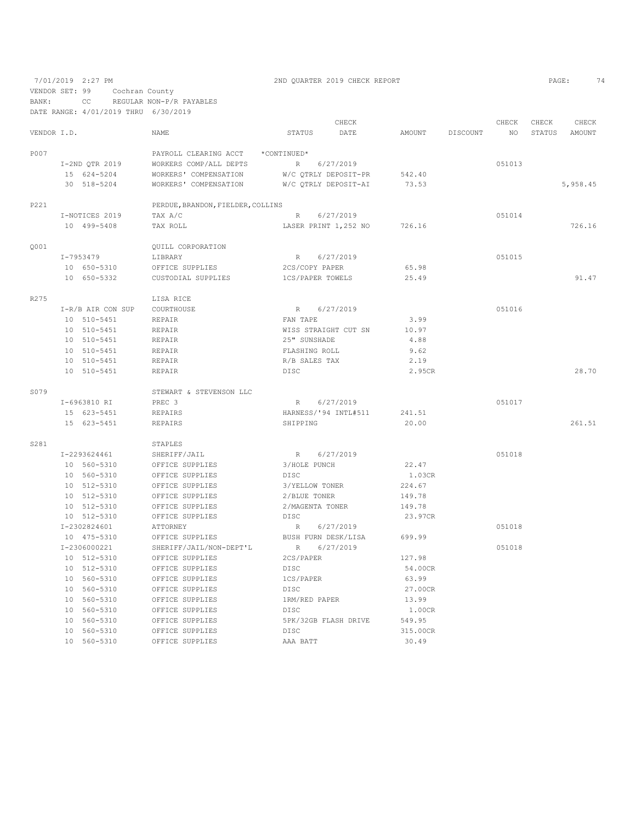VENDOR SET: 99 Cochran County

BANK: CC REGULAR NON-P/R PAYABLES

DATE RANGE: 4/01/2019 THRU 6/30/2019

|             |                   |                                   | CHECK                        |               |          | CHECK  | CHECK  | CHECK    |
|-------------|-------------------|-----------------------------------|------------------------------|---------------|----------|--------|--------|----------|
| VENDOR I.D. |                   | <b>NAME</b>                       | <b>STATUS</b><br>DATE        | <b>AMOUNT</b> | DISCOUNT | NO.    | STATUS | AMOUNT   |
| P007        |                   | PAYROLL CLEARING ACCT             | *CONTINUED*                  |               |          |        |        |          |
|             | I-2ND QTR 2019    | WORKERS COMP/ALL DEPTS            | R<br>6/27/2019               |               |          | 051013 |        |          |
|             | 15 624-5204       | WORKERS' COMPENSATION             | W/C QTRLY DEPOSIT-PR         | 542.40        |          |        |        |          |
|             | 30 518-5204       | WORKERS' COMPENSATION             | W/C OTRLY DEPOSIT-AI         | 73.53         |          |        |        | 5,958.45 |
| P221        |                   | PERDUE, BRANDON, FIELDER, COLLINS |                              |               |          |        |        |          |
|             | I-NOTICES 2019    | TAX A/C                           | 6/27/2019<br>$R_{\parallel}$ |               |          | 051014 |        |          |
|             | 10 499-5408       | TAX ROLL                          | LASER PRINT 1,252 NO         | 726.16        |          |        |        | 726.16   |
| 0001        |                   | OUILL CORPORATION                 |                              |               |          |        |        |          |
|             | I-7953479         | LIBRARY                           | 6/27/2019<br>R               |               |          | 051015 |        |          |
|             | 10 650-5310       | OFFICE SUPPLIES                   | 2CS/COPY PAPER               | 65.98         |          |        |        |          |
|             | 10 650-5332       | CUSTODIAL SUPPLIES                | 1CS/PAPER TOWELS             | 25.49         |          |        |        | 91.47    |
| R275        |                   | LISA RICE                         |                              |               |          |        |        |          |
|             | I-R/B AIR CON SUP | COURTHOUSE                        | 6/27/2019<br>$R_{\perp}$     |               |          | 051016 |        |          |
|             | 10 510-5451       | <b>REPAIR</b>                     | FAN TAPE                     | 3.99          |          |        |        |          |
|             | 10 510-5451       | REPAIR                            | WISS STRAIGHT CUT SN         | 10.97         |          |        |        |          |
|             | 10 510-5451       | REPAIR                            | 25" SUNSHADE                 | 4.88          |          |        |        |          |
|             | 10 510-5451       | REPAIR                            | FLASHING ROLL                | 9.62          |          |        |        |          |
|             | 10 510-5451       | REPAIR                            | R/B SALES TAX                | 2.19          |          |        |        |          |
|             | 10 510-5451       | REPAIR                            | <b>DISC</b>                  | 2.95CR        |          |        |        | 28.70    |
| S079        |                   | STEWART & STEVENSON LLC           |                              |               |          |        |        |          |
|             | I-6963810 RI      | PREC 3                            | 6/27/2019<br>R               |               |          | 051017 |        |          |
|             | 15 623-5451       | <b>REPAIRS</b>                    | HARNESS/'94 INTL#511         | 241.51        |          |        |        |          |
|             | 15 623-5451       | REPAIRS                           | SHIPPING                     | 20.00         |          |        |        | 261.51   |
| S281        |                   | STAPLES                           |                              |               |          |        |        |          |
|             | I-2293624461      | SHERIFF/JAIL                      | R<br>6/27/2019               |               |          | 051018 |        |          |
|             | 10 560-5310       | OFFICE SUPPLIES                   | 3/HOLE PUNCH                 | 22.47         |          |        |        |          |
|             | 10 560-5310       | OFFICE SUPPLIES                   | <b>DISC</b>                  | 1.03CR        |          |        |        |          |
|             | 10 512-5310       | OFFICE SUPPLIES                   | 3/YELLOW TONER               | 224.67        |          |        |        |          |
|             | 10 512-5310       | OFFICE SUPPLIES                   | 2/BLUE TONER                 | 149.78        |          |        |        |          |
|             | 10 512-5310       | OFFICE SUPPLIES                   | 2/MAGENTA TONER              | 149.78        |          |        |        |          |
|             | 10 512-5310       | OFFICE SUPPLIES                   | <b>DISC</b>                  | 23.97CR       |          |        |        |          |
|             | I-2302824601      | ATTORNEY                          | 6/27/2019<br>R               |               |          | 051018 |        |          |
|             | 10 475-5310       | OFFICE SUPPLIES                   | BUSH FURN DESK/LISA          | 699.99        |          |        |        |          |
|             | I-2306000221      | SHERIFF/JAIL/NON-DEPT'L           | 6/27/2019<br>R               |               |          | 051018 |        |          |
|             | 10 512-5310       | OFFICE SUPPLIES                   | 2CS/PAPER                    | 127.98        |          |        |        |          |
|             | 10 512-5310       | OFFICE SUPPLIES                   | <b>DISC</b>                  | 54.00CR       |          |        |        |          |
|             | 10 560-5310       | OFFICE SUPPLIES                   | 1CS/PAPER                    | 63.99         |          |        |        |          |
|             | 10 560-5310       | OFFICE SUPPLIES                   | <b>DISC</b>                  | 27.00CR       |          |        |        |          |
|             | 10 560-5310       | OFFICE SUPPLIES                   | 1RM/RED PAPER                | 13.99         |          |        |        |          |
|             | 10 560-5310       | OFFICE SUPPLIES                   | <b>DISC</b>                  | 1.00CR        |          |        |        |          |
|             | 10 560-5310       | OFFICE SUPPLIES                   | 5PK/32GB FLASH DRIVE         | 549.95        |          |        |        |          |
|             | 10 560-5310       | OFFICE SUPPLIES                   | <b>DISC</b>                  | 315.00CR      |          |        |        |          |
|             | 10 560-5310       | OFFICE SUPPLIES                   | AAA BATT                     | 30.49         |          |        |        |          |

7/01/2019 2:27 PM 2ND QUARTER 2019 CHECK REPORT 2019 CHECK REPORT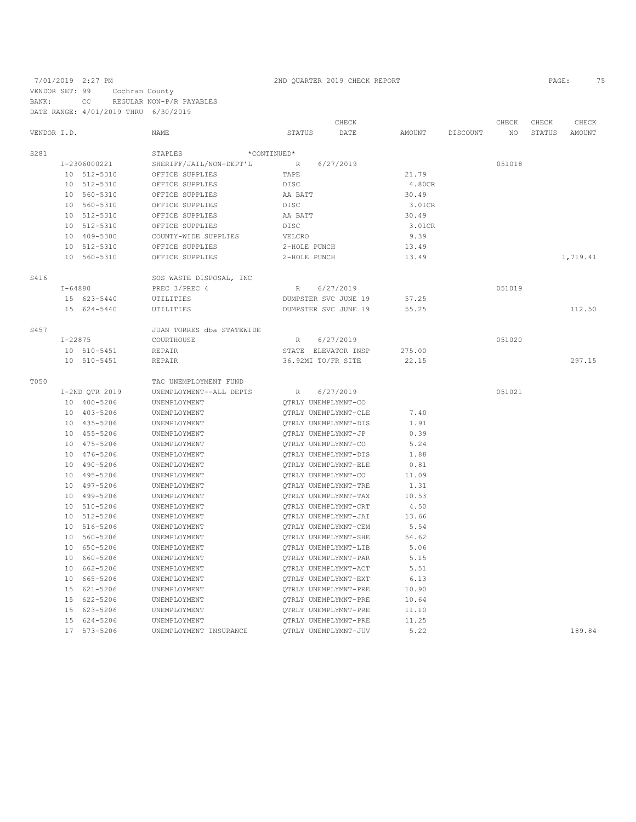7/01/2019 2:27 PM 2ND QUARTER 2019 CHECK REPORT 2019 CHECK REPORT VENDOR SET: 99 Cochran County BANK: CC REGULAR NON-P/R PAYABLES

|             |             | DATE RANGE: 4/01/2019 THRU 6/30/2019 |                           |                 |                      |        |          |        |        |          |
|-------------|-------------|--------------------------------------|---------------------------|-----------------|----------------------|--------|----------|--------|--------|----------|
|             |             |                                      |                           |                 | CHECK                |        |          | CHECK  | CHECK  | CHECK    |
| VENDOR I.D. |             |                                      | <b>NAME</b>               | STATUS          | DATE                 | AMOUNT | DISCOUNT | NO     | STATUS | AMOUNT   |
| S281        |             |                                      | STAPLES<br>*CONTINUED*    |                 |                      |        |          |        |        |          |
|             |             | I-2306000221                         | SHERIFF/JAIL/NON-DEPT'L   | $\mathbb R$     | 6/27/2019            |        |          | 051018 |        |          |
|             |             | 10 512-5310                          | OFFICE SUPPLIES           | TAPE            |                      | 21.79  |          |        |        |          |
|             |             | 10 512-5310                          | OFFICE SUPPLIES           | DISC            |                      | 4.80CR |          |        |        |          |
|             |             | 10 560-5310                          | OFFICE SUPPLIES           | AA BATT         |                      | 30.49  |          |        |        |          |
|             |             | 10 560-5310                          | OFFICE SUPPLIES           | <b>DISC</b>     |                      | 3.01CR |          |        |        |          |
|             |             | 10 512-5310                          | OFFICE SUPPLIES           | AA BATT         |                      | 30.49  |          |        |        |          |
|             |             | 10 512-5310                          | OFFICE SUPPLIES           | DISC            |                      | 3.01CR |          |        |        |          |
|             |             | 10 409-5300                          | COUNTY-WIDE SUPPLIES      | VELCRO          |                      | 9.39   |          |        |        |          |
|             |             | 10 512-5310                          | OFFICE SUPPLIES           | 2-HOLE PUNCH    |                      | 13.49  |          |        |        |          |
|             |             | 10 560-5310                          | OFFICE SUPPLIES           | 2-HOLE PUNCH    |                      | 13.49  |          |        |        | 1,719.41 |
| S416        |             |                                      | SOS WASTE DISPOSAL, INC   |                 |                      |        |          |        |        |          |
|             | $I - 64880$ |                                      | PREC 3/PREC 4             | $R_{\parallel}$ | 6/27/2019            |        |          | 051019 |        |          |
|             |             | 15 623-5440                          | UTILITIES                 |                 | DUMPSTER SVC JUNE 19 | 57.25  |          |        |        |          |
|             |             | 15 624-5440                          | UTILITIES                 |                 | DUMPSTER SVC JUNE 19 | 55.25  |          |        |        | 112.50   |
| S457        |             |                                      | JUAN TORRES dba STATEWIDE |                 |                      |        |          |        |        |          |
|             |             | $I - 22875$                          | COURTHOUSE                | R               | 6/27/2019            |        |          | 051020 |        |          |
|             |             | 10 510-5451                          | REPAIR                    |                 | STATE ELEVATOR INSP  | 275.00 |          |        |        |          |
|             |             | 10 510-5451                          | REPAIR                    |                 | 36.92MI TO/FR SITE   | 22.15  |          |        |        | 297.15   |
|             |             |                                      |                           |                 |                      |        |          |        |        |          |
| T050        |             |                                      | TAC UNEMPLOYMENT FUND     |                 |                      |        |          |        |        |          |
|             |             | I-2ND QTR 2019                       | UNEMPLOYMENT--ALL DEPTS   | R               | 6/27/2019            |        |          | 051021 |        |          |
|             |             | 10 400-5206                          | UNEMPLOYMENT              |                 | QTRLY UNEMPLYMNT-CO  |        |          |        |        |          |
|             |             | 10 403-5206                          | UNEMPLOYMENT              |                 | QTRLY UNEMPLYMNT-CLE | 7.40   |          |        |        |          |
|             |             | 10 435-5206                          | UNEMPLOYMENT              |                 | QTRLY UNEMPLYMNT-DIS | 1.91   |          |        |        |          |
|             |             | 10 455-5206                          | UNEMPLOYMENT              |                 | QTRLY UNEMPLYMNT-JP  | 0.39   |          |        |        |          |
|             |             | 10 475-5206                          | UNEMPLOYMENT              |                 | QTRLY UNEMPLYMNT-CO  | 5.24   |          |        |        |          |
|             |             | 10 476-5206                          | UNEMPLOYMENT              |                 | QTRLY UNEMPLYMNT-DIS | 1.88   |          |        |        |          |
|             |             | 10 490-5206                          | UNEMPLOYMENT              |                 | OTRLY UNEMPLYMNT-ELE | 0.81   |          |        |        |          |
|             |             | 10 495-5206                          | UNEMPLOYMENT              |                 | OTRLY UNEMPLYMNT-CO  | 11.09  |          |        |        |          |
|             |             | 10 497-5206                          | UNEMPLOYMENT              |                 | OTRLY UNEMPLYMNT-TRE | 1.31   |          |        |        |          |
|             |             | 10 499-5206                          | UNEMPLOYMENT              |                 | OTRLY UNEMPLYMNT-TAX | 10.53  |          |        |        |          |
|             |             | 10 510-5206                          | UNEMPLOYMENT              |                 | OTRLY UNEMPLYMNT-CRT | 4.50   |          |        |        |          |
|             |             | 10 512-5206                          | UNEMPLOYMENT              |                 | QTRLY UNEMPLYMNT-JAI | 13.66  |          |        |        |          |
|             |             | 10 516-5206                          | UNEMPLOYMENT              |                 | QTRLY UNEMPLYMNT-CEM | 5.54   |          |        |        |          |
|             |             | 10 560-5206                          | UNEMPLOYMENT              |                 | OTRLY UNEMPLYMNT-SHE | 54.62  |          |        |        |          |
|             |             | 10 650-5206                          | UNEMPLOYMENT              |                 | QTRLY UNEMPLYMNT-LIB | 5.06   |          |        |        |          |
|             |             | 10 660-5206                          | UNEMPLOYMENT              |                 | OTRLY UNEMPLYMNT-PAR | 5.15   |          |        |        |          |
|             |             | 10 662-5206                          | UNEMPLOYMENT              |                 | QTRLY UNEMPLYMNT-ACT | 5.51   |          |        |        |          |
|             |             | 10 665-5206                          | UNEMPLOYMENT              |                 | OTRLY UNEMPLYMNT-EXT | 6.13   |          |        |        |          |
|             |             | 15 621-5206                          | UNEMPLOYMENT              |                 | QTRLY UNEMPLYMNT-PRE | 10.90  |          |        |        |          |
|             |             | 15 622-5206                          | UNEMPLOYMENT              |                 | QTRLY UNEMPLYMNT-PRE | 10.64  |          |        |        |          |
|             |             | 15 623-5206                          | UNEMPLOYMENT              |                 | QTRLY UNEMPLYMNT-PRE | 11.10  |          |        |        |          |
|             |             | 15 624-5206                          | UNEMPLOYMENT              |                 | QTRLY UNEMPLYMNT-PRE | 11.25  |          |        |        |          |
|             |             | 17 573-5206                          | UNEMPLOYMENT INSURANCE    |                 | OTRLY UNEMPLYMNT-JUV | 5.22   |          |        |        | 189.84   |
|             |             |                                      |                           |                 |                      |        |          |        |        |          |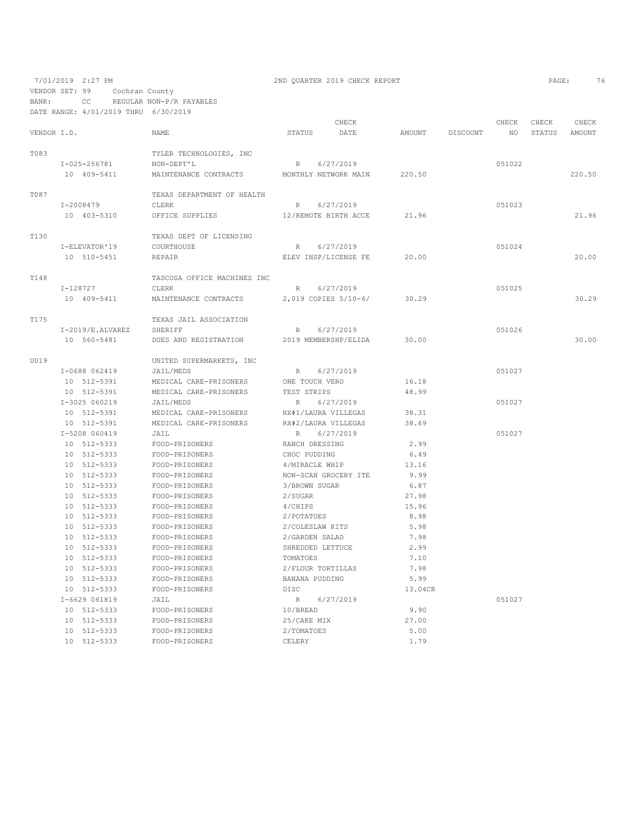VENDOR SET: 99 Cochran County

BANK: CC REGULAR NON-P/R PAYABLES DATE RANGE: 4/01/2019 THRU 6/30/2019

|             |                      |                             |                     | CHECK                |         |          | CHECK  | CHECK  | CHECK  |
|-------------|----------------------|-----------------------------|---------------------|----------------------|---------|----------|--------|--------|--------|
| VENDOR I.D. |                      | <b>NAME</b>                 | STATUS              | DATE                 | AMOUNT  | DISCOUNT | NO.    | STATUS | AMOUNT |
| T083        |                      | TYLER TECHNOLOGIES, INC     |                     |                      |         |          |        |        |        |
|             | I-025-256781         | NON-DEPT'L                  | R                   | 6/27/2019            |         |          | 051022 |        |        |
|             | 10 409-5411          | MAINTENANCE CONTRACTS       |                     | MONTHLY NETWORK MAIN | 220.50  |          |        |        | 220.50 |
| T087        |                      | TEXAS DEPARTMENT OF HEALTH  |                     |                      |         |          |        |        |        |
|             | I-2008479            | CLERK                       | R                   | 6/27/2019            |         |          | 051023 |        |        |
|             | 10 403-5310          | OFFICE SUPPLIES             |                     | 12/REMOTE BIRTH ACCE | 21.96   |          |        |        | 21.96  |
|             |                      |                             |                     |                      |         |          |        |        |        |
| <b>T130</b> |                      | TEXAS DEPT OF LICENSING     |                     |                      |         |          |        |        |        |
|             | I-ELEVATOR'19        | COURTHOUSE                  | $R_{\perp}$         | 6/27/2019            |         |          | 051024 |        |        |
|             | 10 510-5451          | REPAIR                      |                     | ELEV INSP/LICENSE FE | 20.00   |          |        |        | 20.00  |
| <b>T148</b> |                      | TASCOSA OFFICE MACHINES INC |                     |                      |         |          |        |        |        |
|             | I-128727             | CLERK                       | $R_{\perp}$         | 6/27/2019            |         |          | 051025 |        |        |
|             | 10 409-5411          | MAINTENANCE CONTRACTS       |                     | 2,019 COPIES 5/10-6/ | 30.29   |          |        |        | 30.29  |
| T175        |                      | TEXAS JAIL ASSOCIATION      |                     |                      |         |          |        |        |        |
|             | $I-2019/E$ . ALVAREZ | SHERIFF                     | $R_{\parallel}$     | 6/27/2019            |         |          | 051026 |        |        |
|             | 10 560-5481          | DUES AND REGISTRATION       |                     | 2019 MEMBERSHP/ELIDA | 30.00   |          |        |        | 30.00  |
|             |                      |                             |                     |                      |         |          |        |        |        |
| U019        |                      | UNITED SUPERMARKETS, INC    |                     |                      |         |          |        |        |        |
|             | I-0688 062419        | JAIL/MEDS                   | R                   | 6/27/2019            |         |          | 051027 |        |        |
|             | 10 512-5391          | MEDICAL CARE-PRISONERS      | ONE TOUCH VERO      |                      | 16.18   |          |        |        |        |
|             | 10 512-5391          | MEDICAL CARE-PRISONERS      | TEST STRIPS         |                      | 48.99   |          |        |        |        |
|             | I-3025 060219        | JAIL/MEDS                   | R                   | 6/27/2019            |         |          | 051027 |        |        |
|             | 10 512-5391          | MEDICAL CARE-PRISONERS      | RX#1/LAURA VILLEGAS |                      | 38.31   |          |        |        |        |
|             | 10 512-5391          | MEDICAL CARE-PRISONERS      | RX#2/LAURA VILLEGAS |                      | 38.69   |          |        |        |        |
|             | I-5208 060419        | JAIL                        | R                   | 6/27/2019            |         |          | 051027 |        |        |
|             | 10 512-5333          | FOOD-PRISONERS              | RANCH DRESSING      |                      | 2.99    |          |        |        |        |
|             | 10 512-5333          | FOOD-PRISONERS              | CHOC PUDDING        |                      | 6.49    |          |        |        |        |
|             | 10 512-5333          | FOOD-PRISONERS              | 4/MIRACLE WHIP      |                      | 13.16   |          |        |        |        |
|             | 10 512-5333          | FOOD-PRISONERS              |                     | NON-SCAN GROCERY ITE | 9.99    |          |        |        |        |
|             | 10 512-5333          | FOOD-PRISONERS              | 3/BROWN SUGAR       |                      | 6.87    |          |        |        |        |
|             | 10 512-5333          | FOOD-PRISONERS              | 2/SUGAR             |                      | 27.98   |          |        |        |        |
|             | 10 512-5333          | FOOD-PRISONERS              | 4/CHIPS             |                      | 15.96   |          |        |        |        |
|             | 10 512-5333          | FOOD-PRISONERS              | 2/POTATOES          |                      | 8.98    |          |        |        |        |
|             | 10 512-5333          | FOOD-PRISONERS              | 2/COLESLAW KITS     |                      | 5.98    |          |        |        |        |
|             | 10 512-5333          | FOOD-PRISONERS              | 2/GARDEN SALAD      |                      | 7.98    |          |        |        |        |
|             | 10 512-5333          | FOOD-PRISONERS              | SHREDDED LETTUCE    |                      | 2.99    |          |        |        |        |
|             | 10 512-5333          | FOOD-PRISONERS              | TOMATOES            |                      | 7.10    |          |        |        |        |
|             | 10 512-5333          | FOOD-PRISONERS              | 2/FLOUR TORTILLAS   |                      | 7.98    |          |        |        |        |
|             | 10 512-5333          | FOOD-PRISONERS              | BANANA PUDDING      |                      | 5.99    |          |        |        |        |
|             | 10 512-5333          | FOOD-PRISONERS              | <b>DISC</b>         |                      | 13.04CR |          |        |        |        |
|             | I-6629 061819        | JAIL                        | R                   | 6/27/2019            |         |          | 051027 |        |        |
|             | 10 512-5333          | FOOD-PRISONERS              | 10/BREAD            |                      | 9.90    |          |        |        |        |
|             | 10 512-5333          | FOOD-PRISONERS              | 25/CAKE MIX         |                      | 27.00   |          |        |        |        |
|             | 10 512-5333          | FOOD-PRISONERS              | 2/TOMATOES          |                      | 5.00    |          |        |        |        |
|             | 10 512-5333          | FOOD-PRISONERS              | CELERY              |                      | 1.79    |          |        |        |        |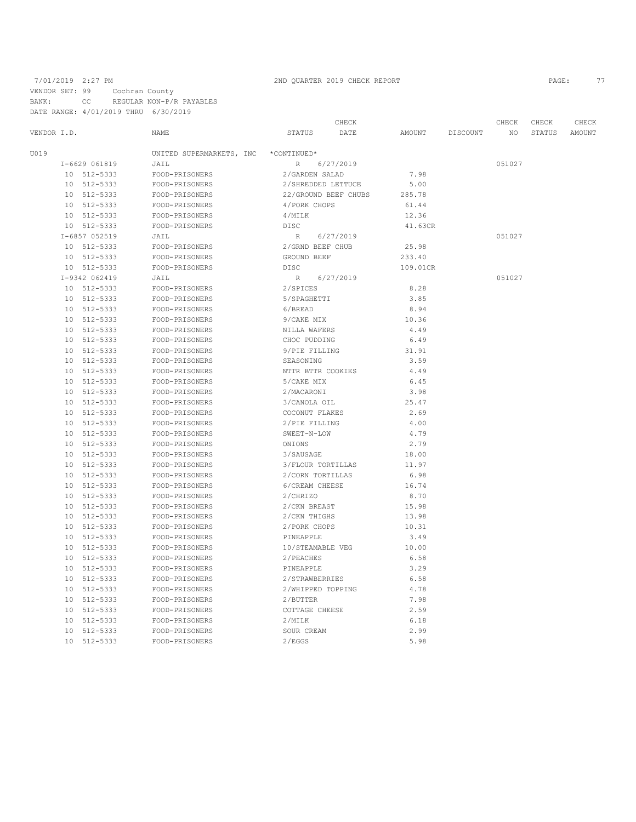VENDOR SET: 99 Cochran County

BANK: CC REGULAR NON-P/R PAYABLES DATE RANGE: 4/01/2019 THRU 6/30/2019

|                 |                      |                                  |                        | CHECK     |              |          | CHECK  | CHECK  | CHECK  |
|-----------------|----------------------|----------------------------------|------------------------|-----------|--------------|----------|--------|--------|--------|
| VENDOR I.D.     |                      | NAME                             | STATUS                 | DATE      | AMOUNT       | DISCOUNT | NO     | STATUS | AMOUNT |
| U019            |                      | UNITED SUPERMARKETS, INC         | *CONTINUED*            |           |              |          |        |        |        |
| I-6629 061819   |                      | JAIL                             | $\, {\mathbb R}$       | 6/27/2019 |              |          | 051027 |        |        |
|                 | 10 512-5333          | FOOD-PRISONERS                   | 2/GARDEN SALAD         |           | 7.98         |          |        |        |        |
| 10              | 512-5333             | FOOD-PRISONERS                   | 2/SHREDDED LETTUCE     |           | 5.00         |          |        |        |        |
| 10              | 512-5333             | FOOD-PRISONERS                   | 22/GROUND BEEF CHUBS   |           | 285.78       |          |        |        |        |
| 10              | 512-5333             | FOOD-PRISONERS                   | 4/PORK CHOPS           |           | 61.44        |          |        |        |        |
|                 | 10 512-5333          | FOOD-PRISONERS                   | 4/MILK                 |           | 12.36        |          |        |        |        |
|                 | 10 512-5333          | FOOD-PRISONERS                   | DISC                   |           | 41.63CR      |          |        |        |        |
| I-6857 052519   |                      | JAIL                             | R                      | 6/27/2019 |              |          | 051027 |        |        |
|                 | 10 512-5333          | FOOD-PRISONERS                   | 2/GRND BEEF CHUB       |           | 25.98        |          |        |        |        |
| 10              | 512-5333             | FOOD-PRISONERS                   | GROUND BEEF            |           | 233.40       |          |        |        |        |
|                 | 10 512-5333          | FOOD-PRISONERS                   | DISC                   |           | 109.01CR     |          |        |        |        |
| I-9342 062419   |                      | JAIL                             | R                      | 6/27/2019 |              |          | 051027 |        |        |
|                 | 10 512-5333          | FOOD-PRISONERS                   | 2/SPICES               |           | 8.28         |          |        |        |        |
| 10              | 512-5333             | FOOD-PRISONERS                   | 5/SPAGHETTI            |           | 3.85         |          |        |        |        |
| 10              | 512-5333             | FOOD-PRISONERS                   | 6/BREAD                |           | 8.94         |          |        |        |        |
| 10              | 512-5333             | FOOD-PRISONERS                   | 9/CAKE MIX             |           | 10.36        |          |        |        |        |
| 10 <sub>1</sub> | 512-5333             | FOOD-PRISONERS                   | NILLA WAFERS           |           | 4.49         |          |        |        |        |
| 10              | 512-5333             | FOOD-PRISONERS                   | CHOC PUDDING           |           | 6.49         |          |        |        |        |
| 10              | 512-5333             | FOOD-PRISONERS                   | 9/PIE FILLING          |           | 31.91        |          |        |        |        |
| 10              | 512-5333             | FOOD-PRISONERS                   | SEASONING              |           | 3.59         |          |        |        |        |
| 10              | 512-5333             | FOOD-PRISONERS                   | NTTR BTTR COOKIES      |           | 4.49         |          |        |        |        |
| 10              | 512-5333             | FOOD-PRISONERS                   | 5/CAKE MIX             |           | 6.45         |          |        |        |        |
| 10              | 512-5333             | FOOD-PRISONERS                   | 2/MACARONI             |           | 3.98         |          |        |        |        |
| 10              | 512-5333             | FOOD-PRISONERS                   | 3/CANOLA OIL           |           | 25.47        |          |        |        |        |
| 10              | 512-5333             | FOOD-PRISONERS                   | COCONUT FLAKES         |           | 2.69         |          |        |        |        |
| 10              | 512-5333             | FOOD-PRISONERS                   | 2/PIE FILLING          |           | 4.00         |          |        |        |        |
| 10              | 512-5333             | FOOD-PRISONERS                   | SWEET-N-LOW            |           | 4.79         |          |        |        |        |
| 10              | 512-5333             | FOOD-PRISONERS                   | ONIONS                 |           | 2.79         |          |        |        |        |
| 10              | 512-5333             | FOOD-PRISONERS                   | 3/SAUSAGE              |           | 18.00        |          |        |        |        |
| 10              | 512-5333             | FOOD-PRISONERS                   | 3/FLOUR TORTILLAS      |           | 11.97        |          |        |        |        |
| 10              | 512-5333             | FOOD-PRISONERS                   | 2/CORN TORTILLAS       |           | 6.98         |          |        |        |        |
| 10              | 512-5333             | FOOD-PRISONERS                   | 6/CREAM CHEESE         |           | 16.74        |          |        |        |        |
| 10              | 512-5333             | FOOD-PRISONERS                   | 2/CHRIZO               |           | 8.70         |          |        |        |        |
| 10              | 512-5333             | FOOD-PRISONERS                   | 2/CKN BREAST           |           | 15.98        |          |        |        |        |
| 10              | 512-5333             | FOOD-PRISONERS                   | 2/CKN THIGHS           |           | 13.98        |          |        |        |        |
| 10              | 512-5333             | FOOD-PRISONERS                   | 2/PORK CHOPS           |           | 10.31        |          |        |        |        |
| 10              | 512-5333             | FOOD-PRISONERS                   | PINEAPPLE              |           | 3.49         |          |        |        |        |
| 10              | 512-5333             | FOOD-PRISONERS                   | 10/STEAMABLE VEG       |           | 10.00        |          |        |        |        |
| 10              | 512-5333<br>512-5333 | FOOD-PRISONERS                   | 2/PEACHES<br>PINEAPPLE |           | 6.58<br>3.29 |          |        |        |        |
| 10<br>10        | 512-5333             | FOOD-PRISONERS                   | 2/STRAWBERRIES         |           | 6.58         |          |        |        |        |
| 10              | 512-5333             | FOOD-PRISONERS<br>FOOD-PRISONERS | 2/WHIPPED TOPPING      |           | 4.78         |          |        |        |        |
| 10              | 512-5333             | FOOD-PRISONERS                   | 2/BUTTER               |           | 7.98         |          |        |        |        |
| 10              | 512-5333             | FOOD-PRISONERS                   | COTTAGE CHEESE         |           | 2.59         |          |        |        |        |
| 10              | 512-5333             | FOOD-PRISONERS                   | 2/MILK                 |           | 6.18         |          |        |        |        |
| 10              | 512-5333             | FOOD-PRISONERS                   | SOUR CREAM             |           | 2.99         |          |        |        |        |
|                 | 10 512-5333          | FOOD-PRISONERS                   | 2/EGGS                 |           | 5.98         |          |        |        |        |
|                 |                      |                                  |                        |           |              |          |        |        |        |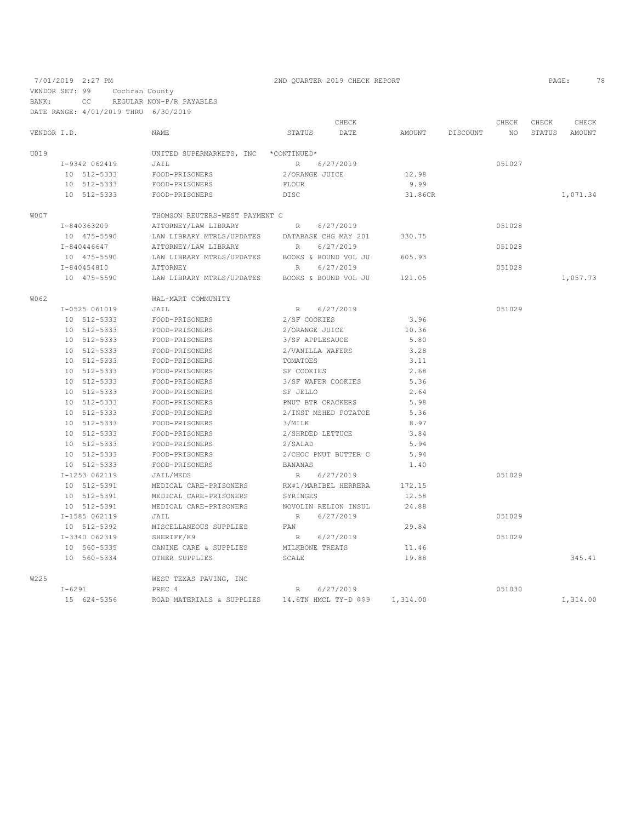VENDOR SET: 99 Cochran County

BANK: CC REGULAR NON-P/R PAYABLES

DATE RANGE: 4/01/2019 THRU 6/30/2019

|             |               |                                | CHECK                        |               |          | CHECK  | CHECK         | CHECK    |
|-------------|---------------|--------------------------------|------------------------------|---------------|----------|--------|---------------|----------|
| VENDOR I.D. |               | NAME                           | STATUS<br>DATE               | <b>AMOUNT</b> | DISCOUNT | NO     | <b>STATUS</b> | AMOUNT   |
| U019        |               | UNITED SUPERMARKETS, INC       | *CONTINUED*                  |               |          |        |               |          |
|             | I-9342 062419 | JAIL                           | $R_{\parallel}$<br>6/27/2019 |               |          | 051027 |               |          |
|             | 10 512-5333   | FOOD-PRISONERS                 | 2/ORANGE JUICE               | 12.98         |          |        |               |          |
|             | 10 512-5333   | FOOD-PRISONERS                 | <b>FLOUR</b>                 | 9.99          |          |        |               |          |
|             | 10 512-5333   | FOOD-PRISONERS                 | DISC                         | 31.86CR       |          |        |               | 1,071.34 |
| W007        |               | THOMSON REUTERS-WEST PAYMENT C |                              |               |          |        |               |          |
|             | I-840363209   | ATTORNEY/LAW LIBRARY           | 6/27/2019<br>$R_{\rm}$       |               |          | 051028 |               |          |
|             | 10 475-5590   | LAW LIBRARY MTRLS/UPDATES      | DATABASE CHG MAY 201         | 330.75        |          |        |               |          |
|             | I-840446647   | ATTORNEY/LAW LIBRARY           | 6/27/2019<br>R               |               |          | 051028 |               |          |
|             | 10 475-5590   | LAW LIBRARY MTRLS/UPDATES      | BOOKS & BOUND VOL JU         | 605.93        |          |        |               |          |
|             | I-840454810   | ATTORNEY                       | 6/27/2019<br>$\mathbb R$     |               |          | 051028 |               |          |
|             | 10 475-5590   | LAW LIBRARY MTRLS/UPDATES      | BOOKS & BOUND VOL JU         | 121.05        |          |        |               | 1,057.73 |
| W062        |               | WAL-MART COMMUNITY             |                              |               |          |        |               |          |
|             | I-0525 061019 | JAIL                           | R<br>6/27/2019               |               |          | 051029 |               |          |
|             | 10 512-5333   | FOOD-PRISONERS                 | 2/SF COOKIES                 | 3.96          |          |        |               |          |
|             | 10 512-5333   | FOOD-PRISONERS                 | 2/ORANGE JUICE               | 10.36         |          |        |               |          |
|             | 10 512-5333   | FOOD-PRISONERS                 | 3/SF APPLESAUCE              | 5.80          |          |        |               |          |
|             | 10 512-5333   | FOOD-PRISONERS                 | 2/VANILLA WAFERS             | 3.28          |          |        |               |          |
|             | 10 512-5333   | FOOD-PRISONERS                 | TOMATOES                     | 3.11          |          |        |               |          |
|             | 10 512-5333   | FOOD-PRISONERS                 | SF COOKIES                   | 2.68          |          |        |               |          |
|             | 10 512-5333   | FOOD-PRISONERS                 | 3/SF WAFER COOKIES           | 5.36          |          |        |               |          |
|             | 10 512-5333   | FOOD-PRISONERS                 | SF JELLO                     | 2.64          |          |        |               |          |
|             | 10 512-5333   | FOOD-PRISONERS                 | PNUT BTR CRACKERS            | 5.98          |          |        |               |          |
|             | 10 512-5333   | FOOD-PRISONERS                 | 2/INST MSHED POTATOE         | 5.36          |          |        |               |          |
|             | 10 512-5333   | FOOD-PRISONERS                 | 3/MILK                       | 8.97          |          |        |               |          |
|             | 10 512-5333   | FOOD-PRISONERS                 | 2/SHRDED LETTUCE             | 3.84          |          |        |               |          |
|             | 10 512-5333   | FOOD-PRISONERS                 | 2/SALAD                      | 5.94          |          |        |               |          |
|             | 10 512-5333   | FOOD-PRISONERS                 | 2/CHOC PNUT BUTTER C         | 5.94          |          |        |               |          |
|             | 10 512-5333   | FOOD-PRISONERS                 | <b>BANANAS</b>               | 1.40          |          |        |               |          |
|             | I-1253 062119 | JAIL/MEDS                      | 6/27/2019<br>R               |               |          | 051029 |               |          |
|             | 10 512-5391   | MEDICAL CARE-PRISONERS         | RX#1/MARIBEL HERRERA         | 172.15        |          |        |               |          |
|             | 10 512-5391   | MEDICAL CARE-PRISONERS         | SYRINGES                     | 12.58         |          |        |               |          |
|             | 10 512-5391   | MEDICAL CARE-PRISONERS         | NOVOLIN RELION INSUL         | 24.88         |          |        |               |          |
|             | I-1585 062119 | JAIL                           | R<br>6/27/2019               |               |          | 051029 |               |          |
|             | 10 512-5392   | MISCELLANEOUS SUPPLIES         | FAN                          | 29.84         |          |        |               |          |
|             | I-3340 062319 | SHERIFF/K9                     | 6/27/2019<br>R               |               |          | 051029 |               |          |
|             | 10 560-5335   | CANINE CARE & SUPPLIES         | MILKBONE TREATS              | 11.46         |          |        |               |          |
|             | 10 560-5334   | OTHER SUPPLIES                 | SCALE                        | 19.88         |          |        |               | 345.41   |
| W225        |               | WEST TEXAS PAVING, INC         |                              |               |          |        |               |          |
|             | $I - 6291$    | PREC 4                         | 6/27/2019<br>R               |               |          | 051030 |               |          |
|             | 15 624-5356   | ROAD MATERIALS & SUPPLIES      | 14.6TN HMCL TY-D @\$9        | 1,314.00      |          |        |               | 1,314.00 |

7/01/2019 2:27 PM 2ND QUARTER 2019 CHECK REPORT 2019 CHECK REPORT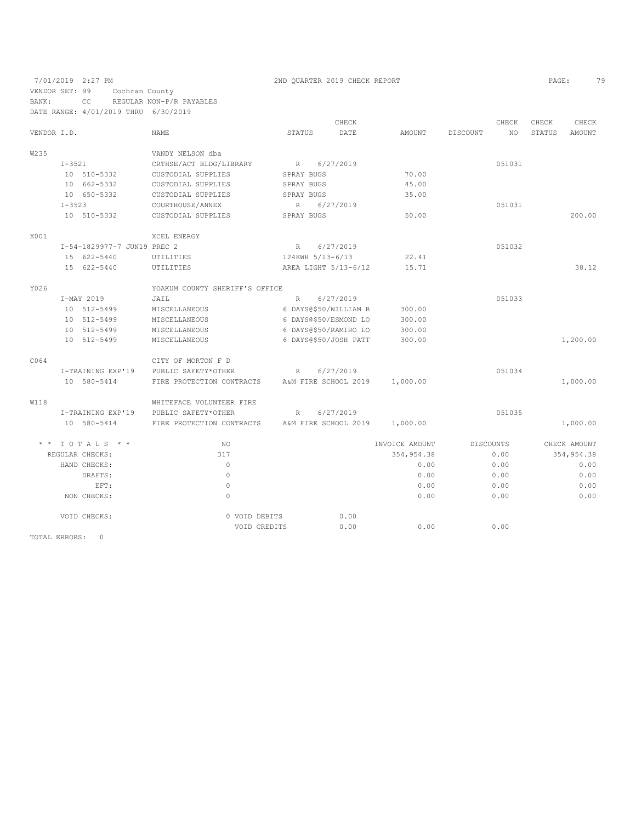|               |            |                             |                                |               |                  | CHECK                 |                |          | CHECK            | CHECK         | CHECK         |
|---------------|------------|-----------------------------|--------------------------------|---------------|------------------|-----------------------|----------------|----------|------------------|---------------|---------------|
| VENDOR I.D.   |            |                             | <b>NAME</b>                    | <b>STATUS</b> |                  | DATE                  | <b>AMOUNT</b>  | DISCOUNT | NO               | <b>STATUS</b> | <b>AMOUNT</b> |
| W235          |            |                             | VANDY NELSON dba               |               |                  |                       |                |          |                  |               |               |
|               | $I - 3521$ |                             | CRTHSE/ACT BLDG/LIBRARY        | $R_{\rm}$     |                  | 6/27/2019             |                |          | 051031           |               |               |
|               |            | 10 510-5332                 | CUSTODIAL SUPPLIES             |               | SPRAY BUGS       |                       | 70.00          |          |                  |               |               |
|               |            | 10 662-5332                 | CUSTODIAL SUPPLIES             |               | SPRAY BUGS       |                       | 45.00          |          |                  |               |               |
|               |            | 10 650-5332                 | CUSTODIAL SUPPLIES             |               | SPRAY BUGS       |                       | 35.00          |          |                  |               |               |
|               | $I - 3523$ |                             | COURTHOUSE/ANNEX               | $\mathbb R$   |                  | 6/27/2019             |                |          | 051031           |               |               |
|               |            | 10 510-5332                 | CUSTODIAL SUPPLIES             |               | SPRAY BUGS       |                       | 50.00          |          |                  |               | 200.00        |
| X001          |            |                             | XCEL ENERGY                    |               |                  |                       |                |          |                  |               |               |
|               |            | I-54-1829977-7 JUN19 PREC 2 |                                | R             |                  | 6/27/2019             |                |          | 051032           |               |               |
|               |            | 15 622-5440                 | UTILITIES                      |               | 124KWH 5/13-6/13 |                       | 22.41          |          |                  |               |               |
|               |            | 15 622-5440                 | UTILITIES                      |               |                  | AREA LIGHT 5/13-6/12  | 15.71          |          |                  |               | 38.12         |
| Y026          |            |                             | YOAKUM COUNTY SHERIFF'S OFFICE |               |                  |                       |                |          |                  |               |               |
|               |            | I-MAY 2019                  | JAIL                           | $\mathbb{R}$  |                  | 6/27/2019             |                |          | 051033           |               |               |
|               |            | 10 512-5499                 | MISCELLANEOUS                  |               |                  | 6 DAYS@\$50/WILLIAM B | 300.00         |          |                  |               |               |
|               |            | 10 512-5499                 | MISCELLANEOUS                  |               |                  | 6 DAYS@\$50/ESMOND LO | 300.00         |          |                  |               |               |
|               |            | 10 512-5499                 | MISCELLANEOUS                  |               |                  | 6 DAYS@\$50/RAMIRO LO | 300.00         |          |                  |               |               |
|               |            | 10 512-5499                 | MISCELLANEOUS                  |               |                  | 6 DAYS@\$50/JOSH PATT | 300.00         |          |                  |               | 1,200.00      |
| C064          |            |                             | CITY OF MORTON F D             |               |                  |                       |                |          |                  |               |               |
|               |            | I-TRAINING EXP'19           | PUBLIC SAFETY*OTHER            | $\mathbb{R}$  |                  | 6/27/2019             |                |          | 051034           |               |               |
|               |            | 10 580-5414                 | FIRE PROTECTION CONTRACTS      |               |                  | A&M FIRE SCHOOL 2019  | 1,000.00       |          |                  |               | 1,000.00      |
| <b>W118</b>   |            |                             | WHITEFACE VOLUNTEER FIRE       |               |                  |                       |                |          |                  |               |               |
|               |            | I-TRAINING EXP'19           | PUBLIC SAFETY*OTHER            | $\mathbb{R}$  |                  | 6/27/2019             |                |          | 051035           |               |               |
|               |            | 10 580-5414                 | FIRE PROTECTION CONTRACTS      |               |                  | A&M FIRE SCHOOL 2019  | 1,000.00       |          |                  |               | 1,000.00      |
|               |            | $*$ * TOTALS * *            | NO.                            |               |                  |                       | INVOICE AMOUNT |          | <b>DISCOUNTS</b> |               | CHECK AMOUNT  |
|               |            | REGULAR CHECKS:             | 317                            |               |                  |                       | 354, 954.38    |          | 0.00             |               | 354,954.38    |
|               |            | HAND CHECKS:                | $\Omega$                       |               |                  |                       | 0.00           |          | 0.00             |               | 0.00          |
|               |            | DRAFTS:                     | $\circ$                        |               |                  |                       | 0.00           |          | 0.00             |               | 0.00          |
|               |            | EFT:                        | $\mathbb O$                    |               |                  |                       | 0.00           |          | 0.00             |               | 0.00          |
|               |            | NON CHECKS:                 | $\circ$                        |               |                  |                       | 0.00           |          | 0.00             |               | 0.00          |
|               |            | VOID CHECKS:                | 0 VOID DEBITS                  |               |                  | 0.00                  |                |          |                  |               |               |
|               |            |                             | VOID CREDITS                   |               |                  | 0.00                  | 0.00           |          | 0.00             |               |               |
| TOTAL ERRORS: |            | $\Omega$                    |                                |               |                  |                       |                |          |                  |               |               |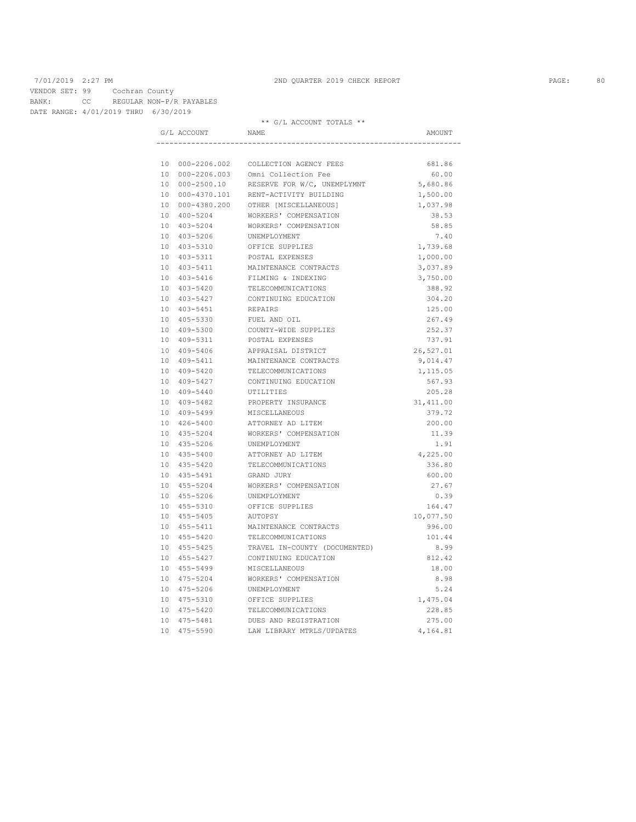VENDOR SET: 99 Cochran County BANK: CC REGULAR NON-P/R PAYABLES DATE RANGE: 4/01/2019 THRU 6/30/2019

\*\* G/L ACCOUNT TOTALS \*\*

| G/L ACCOUNT     | NAME                                   | AMOUNT     |
|-----------------|----------------------------------------|------------|
|                 |                                        |            |
|                 | 10 000-2206.002 COLLECTION AGENCY FEES | 681.86     |
|                 | 10 000-2206.003 Omni Collection Fee    | 60.00      |
| 10 000-2500.10  | RESERVE FOR W/C, UNEMPLYMNT            | 5,680.86   |
|                 | 10 000-4370.101 RENT-ACTIVITY BUILDING | 1,500.00   |
| 10 000-4380.200 | OTHER [MISCELLANEOUS]                  | 1,037.98   |
| 10 400-5204     | WORKERS' COMPENSATION                  | 38.53      |
| 10 403-5204     | WORKERS' COMPENSATION                  | 58.85      |
| 10 403-5206     | UNEMPLOYMENT                           | 7.40       |
| 10 403-5310     | OFFICE SUPPLIES                        | 1,739.68   |
| 10 403-5311     | POSTAL EXPENSES                        | 1,000.00   |
| 10 403-5411     | MAINTENANCE CONTRACTS                  | 3,037.89   |
| 10 403-5416     | FILMING & INDEXING                     | 3,750.00   |
| 10 403-5420     | TELECOMMUNICATIONS                     | 388.92     |
| 10 403-5427     | CONTINUING EDUCATION                   | 304.20     |
| 10 403-5451     | <b>REPATRS</b>                         | 125.00     |
| 10 405-5330     | FUEL AND OIL                           | 267.49     |
| 10 409-5300     | COUNTY-WIDE SUPPLIES                   | 252.37     |
| 10 409-5311     | POSTAL EXPENSES                        | 737.91     |
| 10 409-5406     | APPRAISAL DISTRICT                     | 26,527.01  |
| 10 409-5411     | MAINTENANCE CONTRACTS                  | 9,014.47   |
| 10 409-5420     | TELECOMMUNICATIONS                     | 1,115.05   |
| 10 409-5427     | CONTINUING EDUCATION                   | 567.93     |
| 10 409-5440     | UTILITIES                              | 205.28     |
| 10 409-5482     | PROPERTY INSURANCE                     | 31, 411.00 |
| 10 409-5499     | MISCELLANEOUS                          | 379.72     |
| 10 426-5400     | ATTORNEY AD LITEM                      | 200.00     |
| 10 435-5204     | WORKERS' COMPENSATION                  | 11.39      |
| 10 435-5206     | UNEMPLOYMENT                           | 1.91       |
| 10 435-5400     | ATTORNEY AD LITEM                      | 4,225.00   |
| 10 435-5420     | TELECOMMUNICATIONS                     | 336.80     |
| 10 435-5491     | GRAND JURY                             | 600.00     |
| 10 455-5204     | WORKERS' COMPENSATION                  | 27.67      |
| 10 455-5206     | UNEMPLOYMENT                           | 0.39       |
| 10 455-5310     | OFFICE SUPPLIES                        | 164.47     |
| 10 455-5405     | AUTOPSY                                | 10,077.50  |
| 10 455-5411     | MAINTENANCE CONTRACTS                  | 996.00     |
| 10 455-5420     | TELECOMMUNICATIONS                     | 101.44     |
| 10 455-5425     | TRAVEL IN-COUNTY (DOCUMENTED)          | 8.99       |
| 10 455-5427     | CONTINUING EDUCATION                   | 812.42     |
| 10 455-5499     | MISCELLANEOUS                          | 18.00      |
| 10 475-5204     | WORKERS' COMPENSATION                  | 8.98       |
| 10 475-5206     | UNEMPLOYMENT                           | 5.24       |
| 10 475-5310     | OFFICE SUPPLIES                        | 1,475.04   |
| 10 475-5420     | TELECOMMUNICATIONS                     | 228.85     |
| 10 475-5481     | DUES AND REGISTRATION                  | 275.00     |
| 10 475-5590     | LAW LIBRARY MTRLS/UPDATES              | 4,164.81   |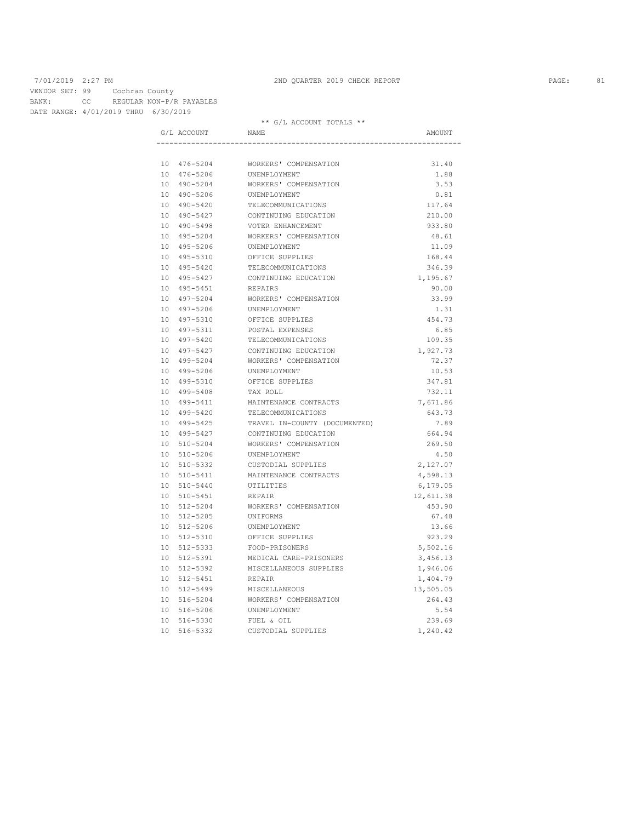VENDOR SET: 99 Cochran County BANK: CC REGULAR NON-P/R PAYABLES

\*\* G/L ACCOUNT TOTALS \*\*

|  | G/L ACCOUNT | NAME                          | AMOUNT    |
|--|-------------|-------------------------------|-----------|
|  |             |                               |           |
|  | 10 476-5204 | WORKERS' COMPENSATION         | 31.40     |
|  | 10 476-5206 | UNEMPLOYMENT                  | 1.88      |
|  | 10 490-5204 | WORKERS' COMPENSATION         | 3.53      |
|  | 10 490-5206 | UNEMPLOYMENT                  | 0.81      |
|  | 10 490-5420 | TELECOMMUNICATIONS            | 117.64    |
|  | 10 490-5427 | CONTINUING EDUCATION          | 210.00    |
|  | 10 490-5498 | VOTER ENHANCEMENT             | 933.80    |
|  | 10 495-5204 | WORKERS' COMPENSATION         | 48.61     |
|  | 10 495-5206 | UNEMPLOYMENT                  | 11.09     |
|  | 10 495-5310 | OFFICE SUPPLIES               | 168.44    |
|  | 10 495-5420 | TELECOMMUNICATIONS            | 346.39    |
|  | 10 495-5427 | CONTINUING EDUCATION          | 1,195.67  |
|  | 10 495-5451 | REPAIRS                       | 90.00     |
|  | 10 497-5204 | WORKERS' COMPENSATION         | 33.99     |
|  | 10 497-5206 | UNEMPLOYMENT                  | 1.31      |
|  | 10 497-5310 | OFFICE SUPPLIES               | 454.73    |
|  | 10 497-5311 | POSTAL EXPENSES               | 6.85      |
|  | 10 497-5420 | TELECOMMUNICATIONS            | 109.35    |
|  | 10 497-5427 | CONTINUING EDUCATION          | 1,927.73  |
|  | 10 499-5204 | WORKERS' COMPENSATION         | 72.37     |
|  | 10 499-5206 | UNEMPLOYMENT                  | 10.53     |
|  | 10 499-5310 | OFFICE SUPPLIES               | 347.81    |
|  | 10 499-5408 | TAX ROLL                      | 732.11    |
|  | 10 499-5411 | MAINTENANCE CONTRACTS         | 7,671.86  |
|  | 10 499-5420 | TELECOMMUNICATIONS            | 643.73    |
|  | 10 499-5425 | TRAVEL IN-COUNTY (DOCUMENTED) | 7.89      |
|  | 10 499-5427 | CONTINUING EDUCATION          | 664.94    |
|  | 10 510-5204 | WORKERS' COMPENSATION         | 269.50    |
|  | 10 510-5206 | UNEMPLOYMENT                  | 4.50      |
|  | 10 510-5332 | CUSTODIAL SUPPLIES            | 2,127.07  |
|  | 10 510-5411 | MAINTENANCE CONTRACTS         | 4,598.13  |
|  | 10 510-5440 | UTILITIES                     | 6,179.05  |
|  | 10 510-5451 | REPAIR                        | 12,611.38 |
|  | 10 512-5204 | WORKERS' COMPENSATION         | 453.90    |
|  | 10 512-5205 | UNIFORMS                      | 67.48     |
|  | 10 512-5206 | UNEMPLOYMENT                  | 13.66     |
|  | 10 512-5310 | OFFICE SUPPLIES               | 923.29    |
|  | 10 512-5333 | FOOD-PRISONERS                | 5,502.16  |
|  | 10 512-5391 | MEDICAL CARE-PRISONERS        | 3,456.13  |
|  | 10 512-5392 | MISCELLANEOUS SUPPLIES        | 1,946.06  |
|  | 10 512-5451 | REPAIR                        | 1,404.79  |
|  | 10 512-5499 | MISCELLANEOUS                 | 13,505.05 |
|  | 10 516-5204 | WORKERS' COMPENSATION         | 264.43    |
|  | 10 516-5206 | UNEMPLOYMENT                  | 5.54      |
|  | 10 516-5330 | FUEL & OIL                    | 239.69    |
|  | 10 516-5332 | CUSTODIAL SUPPLIES            | 1,240.42  |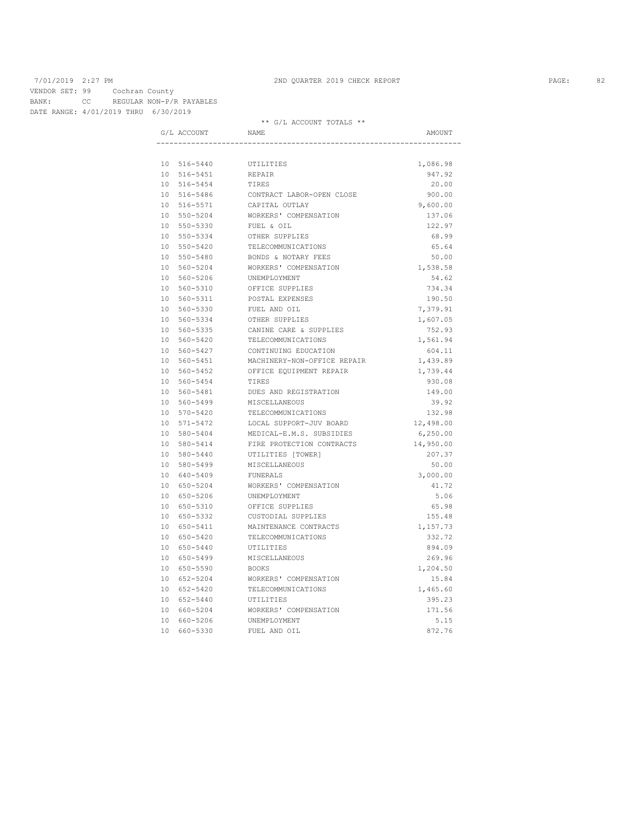VENDOR SET: 99 Cochran County BANK: CC REGULAR NON-P/R PAYABLES

| DATE RANGE: 4/01/2019 THRU 6/30/2019 |             |                             |           |
|--------------------------------------|-------------|-----------------------------|-----------|
|                                      |             | ** G/L ACCOUNT TOTALS **    |           |
|                                      | G/L ACCOUNT | NAMF.                       | AMOUNT    |
|                                      |             |                             |           |
|                                      | 10 516-5440 | UTILITIES                   | 1,086.98  |
|                                      | 10 516-5451 | REPAIR                      | 947.92    |
|                                      | 10 516-5454 | TIRES                       | 20.00     |
|                                      | 10 516-5486 | CONTRACT LABOR-OPEN CLOSE   | 900.00    |
|                                      | 10 516-5571 | CAPITAL OUTLAY              | 9,600.00  |
|                                      | 10 550-5204 | WORKERS' COMPENSATION       | 137.06    |
|                                      | 10 550-5330 | FUEL & OIL                  | 122.97    |
|                                      | 10 550-5334 | OTHER SUPPLIES              | 68.99     |
|                                      | 10 550-5420 | TELECOMMUNICATIONS          | 65.64     |
|                                      | 10 550-5480 | BONDS & NOTARY FEES         | 50.00     |
|                                      | 10 560-5204 | WORKERS' COMPENSATION       | 1,538.58  |
|                                      | 10 560-5206 | UNEMPLOYMENT                | 54.62     |
|                                      | 10 560-5310 | OFFICE SUPPLIES             | 734.34    |
|                                      | 10 560-5311 | POSTAL EXPENSES             | 190.50    |
|                                      | 10 560-5330 | FUEL AND OIL                | 7,379.91  |
|                                      | 10 560-5334 | OTHER SUPPLIES              | 1,607.05  |
|                                      | 10 560-5335 | CANINE CARE & SUPPLIES      | 752.93    |
|                                      | 10 560-5420 | TELECOMMUNICATIONS          | 1,561.94  |
|                                      | 10 560-5427 | CONTINUING EDUCATION        | 604.11    |
|                                      | 10 560-5451 | MACHINERY-NON-OFFICE REPAIR | 1,439.89  |
|                                      | 10 560-5452 | OFFICE EQUIPMENT REPAIR     | 1,739.44  |
|                                      | 10 560-5454 | TIRES                       | 930.08    |
|                                      | 10 560-5481 | DUES AND REGISTRATION       | 149.00    |
|                                      | 10 560-5499 | MISCELLANEOUS               | 39.92     |
|                                      | 10 570-5420 | TELECOMMUNICATIONS          | 132.98    |
|                                      | 10 571-5472 | LOCAL SUPPORT-JUV BOARD     | 12,498.00 |
|                                      | 10 580-5404 | MEDICAL-E.M.S. SUBSIDIES    | 6,250.00  |
|                                      | 10 580-5414 | FIRE PROTECTION CONTRACTS   | 14,950.00 |
|                                      | 10 580-5440 | UTILITIES [TOWER]           | 207.37    |
|                                      | 10 580-5499 | MISCELLANEOUS               | 50.00     |
|                                      | 10 640-5409 | FUNERALS                    | 3,000.00  |
|                                      | 10 650-5204 | WORKERS' COMPENSATION       | 41.72     |
|                                      | 10 650-5206 | UNEMPLOYMENT                | 5.06      |
|                                      | 10 650-5310 | OFFICE SUPPLIES             | 65.98     |
|                                      | 10 650-5332 | CUSTODIAL SUPPLIES          | 155.48    |
|                                      | 10 650-5411 | MAINTENANCE CONTRACTS       | 1,157.73  |
|                                      | 10 650-5420 | TELECOMMUNICATIONS          | 332.72    |
|                                      | 10 650-5440 | UTILITIES                   | 894.09    |
|                                      | 10 650-5499 | MISCELLANEOUS               | 269.96    |
|                                      | 10 650-5590 | BOOKS                       | 1,204.50  |
|                                      | 10 652-5204 | WORKERS' COMPENSATION       | 15.84     |
|                                      | 10 652-5420 | TELECOMMUNICATIONS          | 1,465.60  |
|                                      | 10 652-5440 | UTILITIES                   | 395.23    |
|                                      | 10 660-5204 | WORKERS' COMPENSATION       | 171.56    |
|                                      | 10 660-5206 | UNEMPLOYMENT                | 5.15      |
|                                      |             | 10 660-5330 FUEL AND OIL    | 872.76    |
|                                      |             |                             |           |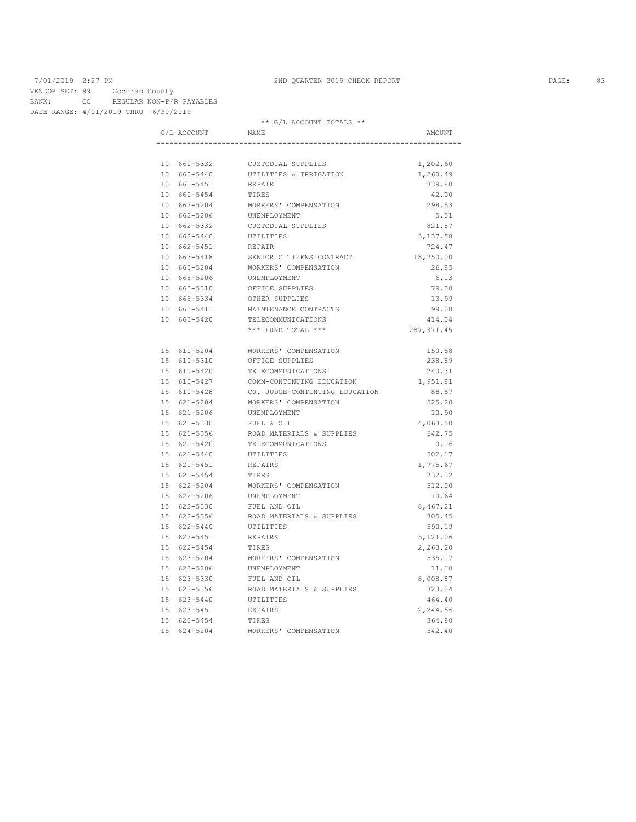VENDOR SET: 99 Cochran County BANK: CC REGULAR NON-P/R PAYABLES

DATE RANGE: 4/01/2019 THRU 6/30/2019

\*\* G/L ACCOUNT TOTALS \*\*

|  | G/L ACCOUNT                | NAME                                     | AMOUNT           |
|--|----------------------------|------------------------------------------|------------------|
|  |                            |                                          |                  |
|  | 10 660-5332                | CUSTODIAL SUPPLIES                       | 1,202.60         |
|  | 10 660-5440                | UTILITIES & IRRIGATION                   | 1,260.49         |
|  | 10 660-5451                | REPAIR                                   | 339.80           |
|  | 10 660-5454                | TIRES                                    | 42.00            |
|  | 10 662-5204                | WORKERS' COMPENSATION                    | 298.53           |
|  | 10 662-5206                | UNEMPLOYMENT                             | 5.51             |
|  | 10 662-5332                | CUSTODIAL SUPPLIES                       | 821.87           |
|  | 10 662-5440                | UTILITIES                                | 3,137.58         |
|  | 10 662-5451                | REPAIR                                   | 724.47           |
|  | 10 663-5418                | SENIOR CITIZENS CONTRACT                 | 18,750.00        |
|  | 10 665-5204                | WORKERS' COMPENSATION                    | 26.85            |
|  | 10 665-5206                | UNEMPLOYMENT                             | 6.13             |
|  | 10 665-5310                | OFFICE SUPPLIES                          | 79.00            |
|  | 10 665-5334                | OTHER SUPPLIES                           | 13.99            |
|  | 10 665-5411                | MAINTENANCE CONTRACTS                    | 99.00            |
|  | 10 665-5420                | TELECOMMUNICATIONS                       | 414.04           |
|  |                            | *** FUND TOTAL ***                       | 287, 371.45      |
|  |                            |                                          |                  |
|  | 15 610-5204<br>15 610-5310 | WORKERS' COMPENSATION<br>OFFICE SUPPLIES | 150.58<br>238.89 |
|  | 15 610-5420                | TELECOMMUNICATIONS                       | 240.31           |
|  | 15 610-5427                | COMM-CONTINUING EDUCATION                | 1,951.81         |
|  | 15 610-5428                | CO. JUDGE-CONTINUING EDUCATION           | 88.87            |
|  | 15 621-5204                | WORKERS' COMPENSATION                    | 525.20           |
|  | 15 621-5206                | UNEMPLOYMENT                             | 10.90            |
|  | 15 621-5330                | FUEL & OIL                               | 4,063.50         |
|  | 15 621-5356                | ROAD MATERIALS & SUPPLIES                | 642.75           |
|  | 15 621-5420                | TELECOMMUNICATIONS                       | 0.16             |
|  | 15 621-5440                | UTILITIES                                | 502.17           |
|  | 15 621-5451                | REPAIRS                                  | 1,775.67         |
|  | 15 621-5454                | TIRES                                    | 732.32           |
|  | 15 622-5204                | WORKERS' COMPENSATION                    | 512.00           |
|  | 15 622-5206                | UNEMPLOYMENT                             | 10.64            |
|  | 15 622-5330                | FUEL AND OIL                             | 8,467.21         |
|  | 15 622-5356                | ROAD MATERIALS & SUPPLIES                | 305.45           |
|  | 15 622-5440                | UTILITIES                                | 590.19           |
|  | 15 622-5451                | REPAIRS                                  | 5,121.06         |
|  | 15 622-5454                | TIRES                                    | 2,263.20         |
|  | 15 623-5204                | WORKERS' COMPENSATION                    | 535.17           |
|  | 15 623-5206                | UNEMPLOYMENT                             | 11.10            |
|  | 15 623-5330                | FUEL AND OIL                             | 8,008.87         |
|  | 15 623-5356                | ROAD MATERIALS & SUPPLIES                | 323.04           |
|  | 15 623-5440                | UTILITIES                                | 464.40           |
|  | 15 623-5451                | REPAIRS                                  | 2,244.56         |
|  | 15 623-5454                | TIRES                                    | 364.80           |
|  | 15 624-5204                | WORKERS' COMPENSATION                    | 542.40           |
|  |                            |                                          |                  |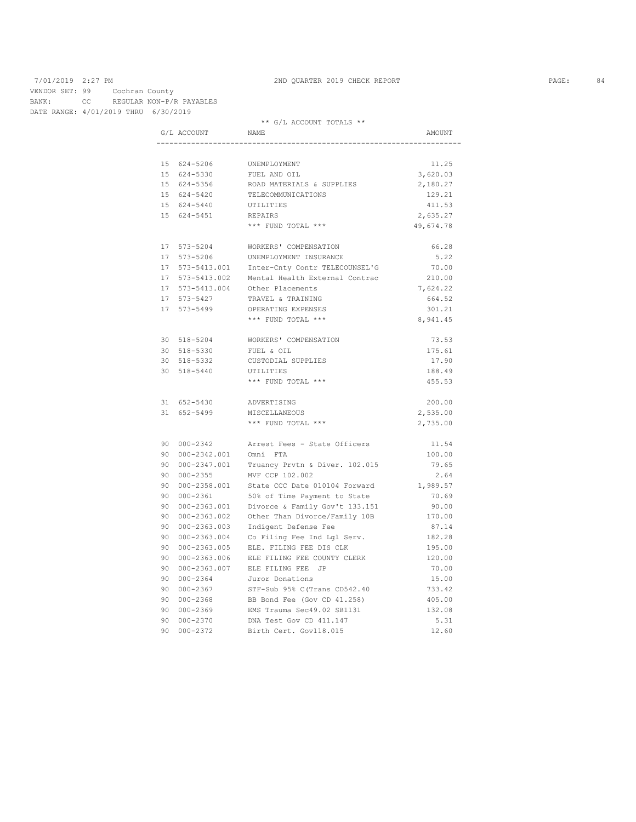VENDOR SET: 99 Cochran County BANK: CC REGULAR NON-P/R PAYABLES

DATE RANGE: 4/01/2019 THRU 6/30/2019

|  |                  | ** G/L ACCOUNT TOTALS **                               |           |
|--|------------------|--------------------------------------------------------|-----------|
|  | G/L ACCOUNT NAME |                                                        | AMOUNT    |
|  |                  |                                                        |           |
|  | 15 624-5206      | UNEMPLOYMENT                                           | 11.25     |
|  | 15 624-5330      | FUEL AND OIL                                           | 3,620.03  |
|  | 15 624-5356      | ROAD MATERIALS & SUPPLIES                              | 2,180.27  |
|  | 15 624-5420      | TELECOMMUNICATIONS                                     | 129.21    |
|  | 15 624-5440      | UTILITIES                                              | 411.53    |
|  | 15 624-5451      | REPAIRS                                                | 2,635.27  |
|  |                  | *** FUND TOTAL ***                                     | 49,674.78 |
|  | 17 573-5204      | WORKERS' COMPENSATION                                  | 66.28     |
|  |                  | 17 573-5206 UNEMPLOYMENT INSURANCE                     | 5.22      |
|  |                  | 17 573-5413.001 Inter-Cnty Contr TELECOUNSEL'G         | 70.00     |
|  |                  | 17 573-5413.002 Mental Health External Contrac         | 210.00    |
|  |                  | 17 573-5413.004 Other Placements                       | 7,624.22  |
|  | 17 573-5427      | TRAVEL & TRAINING                                      | 664.52    |
|  | 17 573-5499      | OPERATING EXPENSES                                     | 301.21    |
|  |                  | *** FUND TOTAL ***                                     | 8,941.45  |
|  |                  |                                                        |           |
|  |                  | 30 518-5204 WORKERS' COMPENSATION                      | 73.53     |
|  | 30 518-5330      | FUEL & OIL                                             | 175.61    |
|  | 30 518-5332      | CUSTODIAL SUPPLIES                                     | 17.90     |
|  | 30 518-5440      | UTILITIES                                              | 188.49    |
|  |                  | *** FUND TOTAL ***                                     | 455.53    |
|  | 31 652-5430      | ADVERTISING                                            | 200.00    |
|  | 31 652-5499      | MISCELLANEOUS                                          | 2,535.00  |
|  |                  | *** FUND TOTAL ***                                     | 2,735.00  |
|  |                  |                                                        |           |
|  |                  | 90 000-2342 Arrest Fees - State Officers               | 11.54     |
|  | 90 000-2342.001  | Omni FTA                                               | 100.00    |
|  |                  | 90 000-2347.001 Truancy Prvtn & Diver. 102.015         | 79.65     |
|  |                  | 90 000-2355 MVF CCP 102.002                            | 2.64      |
|  |                  | 90 000-2358.001 State CCC Date 010104 Forward 1,989.57 |           |
|  | 90 000-2361      | 50% of Time Payment to State                           | 70.69     |
|  |                  | 90 000-2363.001 Divorce & Family Gov't 133.151         | 90.00     |
|  |                  | 90 000-2363.002 Other Than Divorce/Family 10B          | 170.00    |
|  |                  | 90 000-2363.003 Indigent Defense Fee                   | 87.14     |
|  |                  | 90 000-2363.004 Co Filing Fee Ind Lgl Serv.            | 182.28    |
|  |                  | 90 000-2363.005 ELE. FILING FEE DIS CLK                | 195.00    |
|  |                  | 90 000-2363.006 ELE FILING FEE COUNTY CLERK            | 120.00    |
|  |                  | 90 000-2363.007 ELE FILING FEE JP                      | 70.00     |
|  | 90 000-2364      | Juror Donations                                        | 15.00     |
|  | 90 000-2367      | STF-Sub 95% C(Trans CD542.40                           | 733.42    |
|  | 90 000-2368      | BB Bond Fee (Gov CD 41.258)                            | 405.00    |
|  | 90 000-2369      | EMS Trauma Sec49.02 SB1131                             | 132.08    |
|  | 90 000-2370      | DNA Test Gov CD 411.147                                | 5.31      |
|  | 90 000-2372      | Birth Cert. Gov118.015                                 | 12.60     |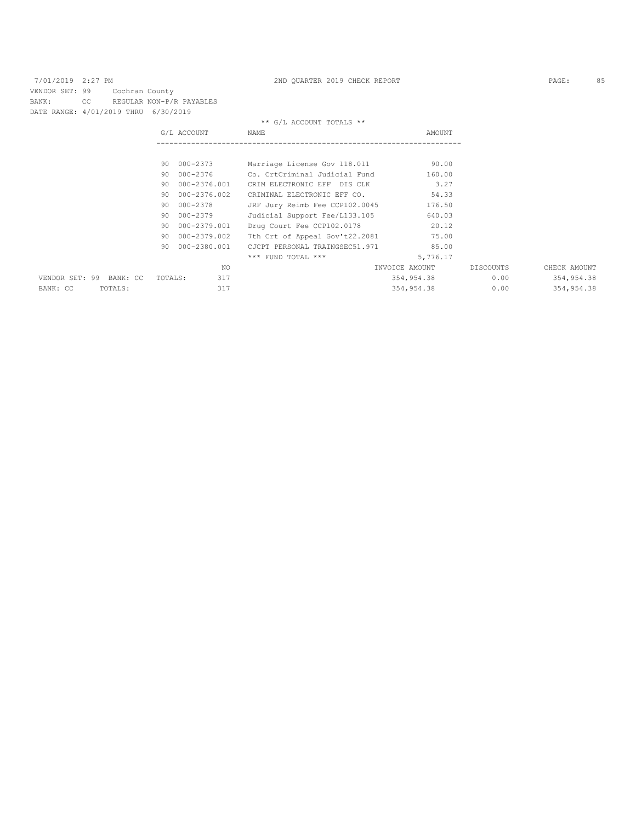| 7/01/2019 2:27 PM                    |     |                |         |                          | 2ND OUARTER 2019 CHECK REPORT  |                |           | PAGE:        | 85 |
|--------------------------------------|-----|----------------|---------|--------------------------|--------------------------------|----------------|-----------|--------------|----|
| VENDOR SET: 99                       |     | Cochran County |         |                          |                                |                |           |              |    |
| BANK:                                | CC. |                |         | REGULAR NON-P/R PAYABLES |                                |                |           |              |    |
| DATE RANGE: 4/01/2019 THRU 6/30/2019 |     |                |         |                          |                                |                |           |              |    |
|                                      |     |                |         |                          | ** G/L ACCOUNT TOTALS **       |                |           |              |    |
|                                      |     |                |         | G/L ACCOUNT              | <b>NAME</b>                    | AMOUNT         |           |              |    |
|                                      |     |                |         |                          |                                |                |           |              |    |
|                                      |     |                |         |                          |                                |                |           |              |    |
|                                      |     |                |         | 90 000-2373              | Marriage License Gov 118.011   | 90.00          |           |              |    |
|                                      |     |                |         | 90 000-2376              | Co. CrtCriminal Judicial Fund  | 160.00         |           |              |    |
|                                      |     |                | 90      | 000-2376.001             | CRIM ELECTRONIC EFF DIS CLK    | 3.27           |           |              |    |
|                                      |     |                | 90      | 000-2376.002             | CRIMINAL ELECTRONIC EFF CO.    | 54.33          |           |              |    |
|                                      |     |                | 90      | 000-2378                 | JRF Jury Reimb Fee CCP102.0045 | 176.50         |           |              |    |
|                                      |     |                | 90      | 000-2379                 | Judicial Support Fee/L133.105  | 640.03         |           |              |    |
|                                      |     |                | 90      | 000-2379.001             | Drug Court Fee CCP102.0178     | 20.12          |           |              |    |
|                                      |     |                | 90.     | 000-2379.002             | 7th Crt of Appeal Gov't22.2081 | 75.00          |           |              |    |
|                                      |     |                | 90      | 000-2380.001             | CJCPT PERSONAL TRAINGSEC51.971 | 85.00          |           |              |    |
|                                      |     |                |         |                          | $***$ FUND TOTAL $***$         | 5,776.17       |           |              |    |
|                                      |     |                |         | NO.                      |                                | INVOICE AMOUNT | DISCOUNTS | CHECK AMOUNT |    |
| VENDOR SET: 99 BANK: CC              |     |                | TOTALS: | 317                      |                                | 354,954.38     | 0.00      | 354,954.38   |    |
| BANK: CC                             |     | TOTALS:        |         | 317                      |                                | 354,954,38     | 0.00      | 354,954.38   |    |
|                                      |     |                |         |                          |                                |                |           |              |    |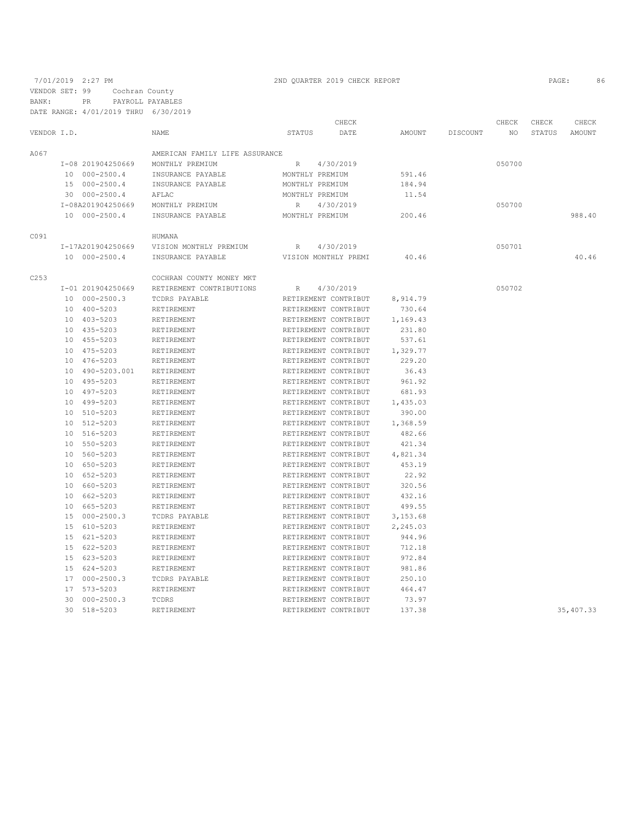7/01/2019 2:27 PM 2ND QUARTER 2019 CHECK REPORT 2019 CHECK REPORT VENDOR SET: 99 Cochran County BANK: PR PAYROLL PAYABLES

|             | DATE RANGE: 4/01/2019 THRU 6/30/2019 |                                |                 |                      |          |          |        |        |             |
|-------------|--------------------------------------|--------------------------------|-----------------|----------------------|----------|----------|--------|--------|-------------|
|             |                                      |                                |                 | CHECK                |          |          | CHECK  | CHECK  | CHECK       |
| VENDOR I.D. |                                      | NAME                           | STATUS          | DATE                 | AMOUNT   | DISCOUNT | NO     | STATUS | AMOUNT      |
| A067        |                                      | AMERICAN FAMILY LIFE ASSURANCE |                 |                      |          |          |        |        |             |
|             | I-08 201904250669                    | MONTHLY PREMIUM                | R               | 4/30/2019            |          |          | 050700 |        |             |
|             | 10 000-2500.4                        | INSURANCE PAYABLE              | MONTHLY PREMIUM |                      | 591.46   |          |        |        |             |
|             | 15 000-2500.4                        | INSURANCE PAYABLE              | MONTHLY PREMIUM |                      | 184.94   |          |        |        |             |
|             | 30 000-2500.4                        | AFLAC                          | MONTHLY PREMIUM |                      | 11.54    |          |        |        |             |
|             | I-08A201904250669                    | MONTHLY PREMIUM                | R               | 4/30/2019            |          |          | 050700 |        |             |
|             | 10 000-2500.4                        | INSURANCE PAYABLE              | MONTHLY PREMIUM |                      | 200.46   |          |        |        | 988.40      |
| C091        |                                      | HUMANA                         |                 |                      |          |          |        |        |             |
|             | I-17A201904250669                    | VISION MONTHLY PREMIUM         | R               | 4/30/2019            |          |          | 050701 |        |             |
|             | 10 000-2500.4                        | INSURANCE PAYABLE              |                 | VISION MONTHLY PREMI | 40.46    |          |        |        | 40.46       |
| C253        |                                      | COCHRAN COUNTY MONEY MKT       |                 |                      |          |          |        |        |             |
|             | I-01 201904250669                    | RETIREMENT CONTRIBUTIONS       | R               | 4/30/2019            |          |          | 050702 |        |             |
|             | 10 000-2500.3                        | TCDRS PAYABLE                  |                 | RETIREMENT CONTRIBUT | 8,914.79 |          |        |        |             |
|             | 10 400-5203                          | RETIREMENT                     |                 | RETIREMENT CONTRIBUT | 730.64   |          |        |        |             |
|             | 10 403-5203                          | RETIREMENT                     |                 | RETIREMENT CONTRIBUT | 1,169.43 |          |        |        |             |
|             | 10 435-5203                          | RETIREMENT                     |                 | RETIREMENT CONTRIBUT | 231.80   |          |        |        |             |
|             | 10 455-5203                          | RETIREMENT                     |                 | RETIREMENT CONTRIBUT | 537.61   |          |        |        |             |
|             | 10 475-5203                          | RETIREMENT                     |                 | RETIREMENT CONTRIBUT | 1,329.77 |          |        |        |             |
|             | 10 476-5203                          | RETIREMENT                     |                 | RETIREMENT CONTRIBUT | 229.20   |          |        |        |             |
|             | 10 490-5203.001                      | RETIREMENT                     |                 | RETIREMENT CONTRIBUT | 36.43    |          |        |        |             |
|             | 10 495-5203                          | RETIREMENT                     |                 | RETIREMENT CONTRIBUT | 961.92   |          |        |        |             |
|             | 10 497-5203                          | RETIREMENT                     |                 | RETIREMENT CONTRIBUT | 681.93   |          |        |        |             |
|             | 10 499-5203                          | RETIREMENT                     |                 | RETIREMENT CONTRIBUT | 1,435.03 |          |        |        |             |
|             | 10 510-5203                          | RETIREMENT                     |                 | RETIREMENT CONTRIBUT | 390.00   |          |        |        |             |
|             | 10 512-5203                          | RETIREMENT                     |                 | RETIREMENT CONTRIBUT | 1,368.59 |          |        |        |             |
|             | 10 516-5203                          | RETIREMENT                     |                 | RETIREMENT CONTRIBUT | 482.66   |          |        |        |             |
|             | 10 550-5203                          | RETIREMENT                     |                 | RETIREMENT CONTRIBUT | 421.34   |          |        |        |             |
|             | 10 560-5203                          | RETIREMENT                     |                 | RETIREMENT CONTRIBUT | 4,821.34 |          |        |        |             |
|             | 10 650-5203                          | RETIREMENT                     |                 | RETIREMENT CONTRIBUT | 453.19   |          |        |        |             |
|             | 10 652-5203                          | RETIREMENT                     |                 | RETIREMENT CONTRIBUT | 22.92    |          |        |        |             |
|             | 10 660-5203                          | RETIREMENT                     |                 | RETIREMENT CONTRIBUT | 320.56   |          |        |        |             |
|             | 10 662-5203                          | RETIREMENT                     |                 | RETIREMENT CONTRIBUT | 432.16   |          |        |        |             |
|             | 10 665-5203                          | RETIREMENT                     |                 | RETIREMENT CONTRIBUT | 499.55   |          |        |        |             |
|             | 15 000-2500.3                        | TCDRS PAYABLE                  |                 | RETIREMENT CONTRIBUT | 3,153.68 |          |        |        |             |
|             | 15 610-5203                          | RETIREMENT                     |                 | RETIREMENT CONTRIBUT | 2,245.03 |          |        |        |             |
|             | 15 621-5203                          | RETIREMENT                     |                 | RETIREMENT CONTRIBUT | 944.96   |          |        |        |             |
|             | 15 622-5203                          | RETIREMENT                     |                 | RETIREMENT CONTRIBUT | 712.18   |          |        |        |             |
|             | 15 623-5203                          | RETIREMENT                     |                 | RETIREMENT CONTRIBUT | 972.84   |          |        |        |             |
|             | 15 624-5203                          | RETIREMENT                     |                 | RETIREMENT CONTRIBUT | 981.86   |          |        |        |             |
|             | 17 000-2500.3                        | TCDRS PAYABLE                  |                 | RETIREMENT CONTRIBUT | 250.10   |          |        |        |             |
|             | 17 573-5203                          | RETIREMENT                     |                 | RETIREMENT CONTRIBUT | 464.47   |          |        |        |             |
|             | 30 000-2500.3                        | TCDRS                          |                 | RETIREMENT CONTRIBUT | 73.97    |          |        |        |             |
|             | 30 518-5203                          | RETIREMENT                     |                 | RETIREMENT CONTRIBUT | 137.38   |          |        |        | 35, 407. 33 |
|             |                                      |                                |                 |                      |          |          |        |        |             |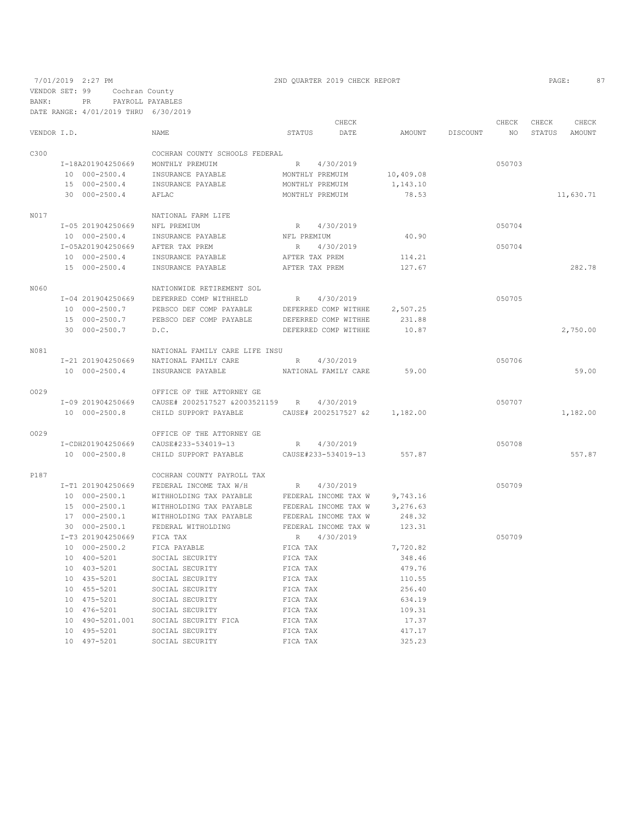|             |                   |                                      |                 | CHECK                |           |          | CHECK  | CHECK  | CHECK     |
|-------------|-------------------|--------------------------------------|-----------------|----------------------|-----------|----------|--------|--------|-----------|
| VENDOR I.D. |                   | NAME                                 | STATUS          | DATE                 | AMOUNT    | DISCOUNT | NO     | STATUS | AMOUNT    |
| C300        |                   | COCHRAN COUNTY SCHOOLS FEDERAL       |                 |                      |           |          |        |        |           |
|             | I-18A201904250669 | MONTHLY PREMUIM                      | R               | 4/30/2019            |           |          | 050703 |        |           |
|             | 10 000-2500.4     | INSURANCE PAYABLE                    | MONTHLY PREMUIM |                      | 10,409.08 |          |        |        |           |
|             | 15 000-2500.4     | INSURANCE PAYABLE                    | MONTHLY PREMUIM |                      | 1,143.10  |          |        |        |           |
|             | 30 000-2500.4     | AFLAC                                | MONTHLY PREMUIM |                      | 78.53     |          |        |        | 11,630.71 |
| N017        |                   | NATIONAL FARM LIFE                   |                 |                      |           |          |        |        |           |
|             | I-05 201904250669 | NFL PREMIUM                          |                 | R 4/30/2019          |           |          | 050704 |        |           |
|             | 10 000-2500.4     | INSURANCE PAYABLE                    | NFL PREMIUM     |                      | 40.90     |          |        |        |           |
|             | I-05A201904250669 | AFTER TAX PREM                       | R               | 4/30/2019            |           |          | 050704 |        |           |
|             | 10 000-2500.4     | INSURANCE PAYABLE                    | AFTER TAX PREM  |                      | 114.21    |          |        |        |           |
|             | 15 000-2500.4     | INSURANCE PAYABLE                    | AFTER TAX PREM  |                      | 127.67    |          |        |        | 282.78    |
| N060        |                   | NATIONWIDE RETIREMENT SOL            |                 |                      |           |          |        |        |           |
|             | I-04 201904250669 | DEFERRED COMP WITHHELD               | R               | 4/30/2019            |           |          | 050705 |        |           |
|             | 10 000-2500.7     | PEBSCO DEF COMP PAYABLE              |                 | DEFERRED COMP WITHHE | 2,507.25  |          |        |        |           |
|             | 15 000-2500.7     | PEBSCO DEF COMP PAYABLE              |                 | DEFERRED COMP WITHHE | 231.88    |          |        |        |           |
|             | 30 000-2500.7     | D.C.                                 |                 | DEFERRED COMP WITHHE | 10.87     |          |        |        | 2,750.00  |
|             |                   |                                      |                 |                      |           |          |        |        |           |
| N081        |                   | NATIONAL FAMILY CARE LIFE INSU       |                 |                      |           |          |        |        |           |
|             | I-21 201904250669 | NATIONAL FAMILY CARE                 | R               | 4/30/2019            |           |          | 050706 |        |           |
|             | 10 000-2500.4     | INSURANCE PAYABLE                    |                 | NATIONAL FAMILY CARE | 59.00     |          |        |        | 59.00     |
| 0029        |                   | OFFICE OF THE ATTORNEY GE            |                 |                      |           |          |        |        |           |
|             | I-09 201904250669 | CAUSE# 2002517527 &2003521159 R      |                 | 4/30/2019            |           |          | 050707 |        |           |
|             | 10 000-2500.8     | CHILD SUPPORT PAYABLE                |                 | CAUSE# 2002517527 &2 | 1,182.00  |          |        |        | 1,182.00  |
| 0029        |                   | OFFICE OF THE ATTORNEY GE            |                 |                      |           |          |        |        |           |
|             | I-CDH201904250669 | CAUSE#233-534019-13                  |                 | R 4/30/2019          |           |          | 050708 |        |           |
|             | 10 000-2500.8     | CHILD SUPPORT PAYABLE                |                 | CAUSE#233-534019-13  | 557.87    |          |        |        | 557.87    |
| P187        |                   | COCHRAN COUNTY PAYROLL TAX           |                 |                      |           |          |        |        |           |
|             | I-T1 201904250669 | FEDERAL INCOME TAX W/H               | R               | 4/30/2019            |           |          | 050709 |        |           |
|             | 10 000-2500.1     | WITHHOLDING TAX PAYABLE              |                 | FEDERAL INCOME TAX W | 9,743.16  |          |        |        |           |
|             | 15 000-2500.1     | WITHHOLDING TAX PAYABLE              |                 | FEDERAL INCOME TAX W | 3,276.63  |          |        |        |           |
|             | 17 000-2500.1     | WITHHOLDING TAX PAYABLE              |                 | FEDERAL INCOME TAX W | 248.32    |          |        |        |           |
|             | 30 000-2500.1     | FEDERAL WITHOLDING                   |                 | FEDERAL INCOME TAX W | 123.31    |          |        |        |           |
|             | I-T3 201904250669 | FICA TAX                             | R               | 4/30/2019            |           |          | 050709 |        |           |
|             | 10 000-2500.2     | FICA PAYABLE                         | FICA TAX        |                      | 7,720.82  |          |        |        |           |
|             | 10 400-5201       | SOCIAL SECURITY                      | FICA TAX        |                      | 348.46    |          |        |        |           |
|             | 10 403-5201       | SOCIAL SECURITY                      | FICA TAX        |                      | 479.76    |          |        |        |           |
|             | 10 435-5201       | SOCIAL SECURITY                      | FICA TAX        |                      | 110.55    |          |        |        |           |
|             | 10 455-5201       | SOCIAL SECURITY                      | FICA TAX        |                      | 256.40    |          |        |        |           |
|             | 10 475-5201       | SOCIAL SECURITY                      | FICA TAX        |                      | 634.19    |          |        |        |           |
|             | 10 476-5201       | SOCIAL SECURITY                      | FICA TAX        |                      | 109.31    |          |        |        |           |
|             |                   | 10 490-5201.001 SOCIAL SECURITY FICA | FICA TAX        |                      | 17.37     |          |        |        |           |
|             | 10 495-5201       | SOCIAL SECURITY                      | FICA TAX        |                      | 417.17    |          |        |        |           |
|             |                   |                                      |                 |                      |           |          |        |        |           |

10 497-5201 SOCIAL SECURITY FICA TAX 325.23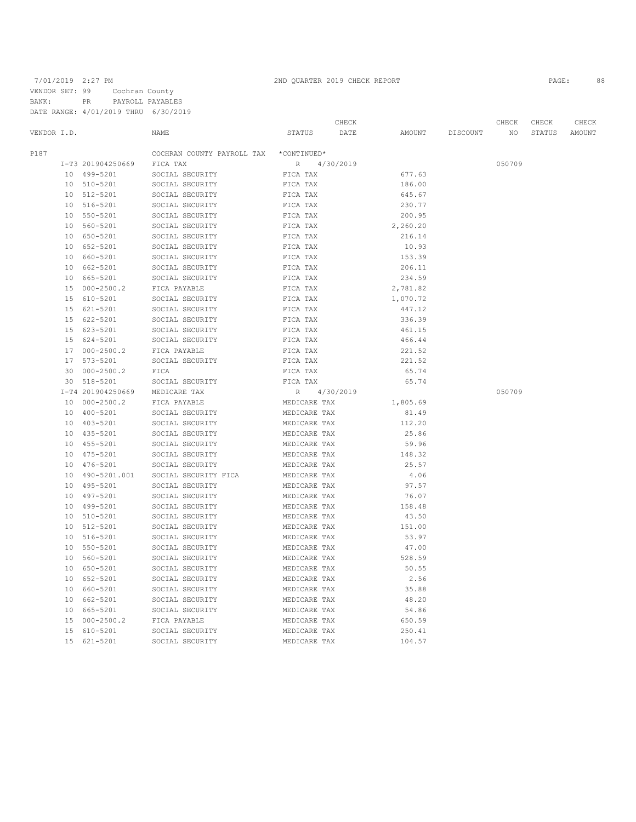|                 |                   |                            |              | CHECK     |          |          | CHECK  | CHECK  | CHECK  |
|-----------------|-------------------|----------------------------|--------------|-----------|----------|----------|--------|--------|--------|
| VENDOR I.D.     |                   | NAME                       | STATUS       | DATE      | AMOUNT   | DISCOUNT | NO.    | STATUS | AMOUNT |
| P187            |                   | COCHRAN COUNTY PAYROLL TAX | *CONTINUED*  |           |          |          |        |        |        |
|                 | I-T3 201904250669 | FICA TAX                   | $\mathbb R$  | 4/30/2019 |          |          | 050709 |        |        |
|                 | 10 499-5201       | SOCIAL SECURITY            | FICA TAX     |           | 677.63   |          |        |        |        |
|                 | 10 510-5201       | SOCIAL SECURITY            | FICA TAX     |           | 186.00   |          |        |        |        |
|                 | 10 512-5201       | SOCIAL SECURITY            | FICA TAX     |           | 645.67   |          |        |        |        |
|                 | 10 516-5201       | SOCIAL SECURITY            | FICA TAX     |           | 230.77   |          |        |        |        |
| 10              | 550-5201          | SOCIAL SECURITY            | FICA TAX     |           | 200.95   |          |        |        |        |
| 10              | 560-5201          | SOCIAL SECURITY            | FICA TAX     |           | 2,260.20 |          |        |        |        |
| 10              | 650-5201          | SOCIAL SECURITY            | FICA TAX     |           | 216.14   |          |        |        |        |
|                 | 10 652-5201       | SOCIAL SECURITY            | FICA TAX     |           | 10.93    |          |        |        |        |
|                 | 10 660-5201       | SOCIAL SECURITY            | FICA TAX     |           | 153.39   |          |        |        |        |
|                 | 10 662-5201       | SOCIAL SECURITY            | FICA TAX     |           | 206.11   |          |        |        |        |
| 10              | 665-5201          | SOCIAL SECURITY            | FICA TAX     |           | 234.59   |          |        |        |        |
| 15              | $000 - 2500.2$    | FICA PAYABLE               | FICA TAX     |           | 2,781.82 |          |        |        |        |
| 15              | 610-5201          | SOCIAL SECURITY            | FICA TAX     |           | 1,070.72 |          |        |        |        |
| 15              | 621-5201          | SOCIAL SECURITY            | FICA TAX     |           | 447.12   |          |        |        |        |
|                 | 15 622-5201       | SOCIAL SECURITY            | FICA TAX     |           | 336.39   |          |        |        |        |
| 15              | 623-5201          | SOCIAL SECURITY            | FICA TAX     |           | 461.15   |          |        |        |        |
|                 | 15 624-5201       | SOCIAL SECURITY            | FICA TAX     |           | 466.44   |          |        |        |        |
|                 | 17 000-2500.2     | FICA PAYABLE               | FICA TAX     |           | 221.52   |          |        |        |        |
|                 | 17 573-5201       | SOCIAL SECURITY            | FICA TAX     |           | 221.52   |          |        |        |        |
|                 | 30 000-2500.2     | FICA                       | FICA TAX     |           | 65.74    |          |        |        |        |
|                 | 30 518-5201       | SOCIAL SECURITY            | FICA TAX     |           | 65.74    |          |        |        |        |
|                 | I-T4 201904250669 | MEDICARE TAX               | R            | 4/30/2019 |          |          | 050709 |        |        |
|                 | 10 000-2500.2     | FICA PAYABLE               | MEDICARE TAX |           | 1,805.69 |          |        |        |        |
| 10              | 400-5201          | SOCIAL SECURITY            | MEDICARE TAX |           | 81.49    |          |        |        |        |
| 10 <sup>1</sup> | 403-5201          | SOCIAL SECURITY            | MEDICARE TAX |           | 112.20   |          |        |        |        |
|                 | 10 435-5201       | SOCIAL SECURITY            | MEDICARE TAX |           | 25.86    |          |        |        |        |
| 10              | 455-5201          | SOCIAL SECURITY            | MEDICARE TAX |           | 59.96    |          |        |        |        |
|                 | 10 475-5201       | SOCIAL SECURITY            | MEDICARE TAX |           | 148.32   |          |        |        |        |
| 10              | 476-5201          | SOCIAL SECURITY            | MEDICARE TAX |           | 25.57    |          |        |        |        |
|                 | 10 490-5201.001   | SOCIAL SECURITY FICA       | MEDICARE TAX |           | 4.06     |          |        |        |        |
| 10 <sup>°</sup> | 495-5201          | SOCIAL SECURITY            | MEDICARE TAX |           | 97.57    |          |        |        |        |
|                 | 10 497-5201       | SOCIAL SECURITY            | MEDICARE TAX |           | 76.07    |          |        |        |        |
| 10 <sup>°</sup> | 499-5201          | SOCIAL SECURITY            | MEDICARE TAX |           | 158.48   |          |        |        |        |
| 10              | 510-5201          | SOCIAL SECURITY            | MEDICARE TAX |           | 43.50    |          |        |        |        |
| 10              | 512-5201          | SOCIAL SECURITY            | MEDICARE TAX |           | 151.00   |          |        |        |        |
| 10              | 516-5201          | SOCIAL SECURITY            | MEDICARE TAX |           | 53.97    |          |        |        |        |
| 10              | 550-5201          | SOCIAL SECURITY            | MEDICARE TAX |           | 47.00    |          |        |        |        |
| 10              | 560-5201          | SOCIAL SECURITY            | MEDICARE TAX |           | 528.59   |          |        |        |        |
| 10              | 650-5201          | SOCIAL SECURITY            | MEDICARE TAX |           | 50.55    |          |        |        |        |
|                 | 10 652-5201       | SOCIAL SECURITY            | MEDICARE TAX |           | 2.56     |          |        |        |        |
|                 | 10 660-5201       | SOCIAL SECURITY            | MEDICARE TAX |           | 35.88    |          |        |        |        |
|                 | 10 662-5201       | SOCIAL SECURITY            | MEDICARE TAX |           | 48.20    |          |        |        |        |
| 10              | 665-5201          | SOCIAL SECURITY            | MEDICARE TAX |           | 54.86    |          |        |        |        |
| 15              | $000 - 2500.2$    | FICA PAYABLE               | MEDICARE TAX |           | 650.59   |          |        |        |        |
| 15              | $610 - 5201$      | SOCIAL SECURITY            | MEDICARE TAX |           | 250.41   |          |        |        |        |
| 1.5             | $621 - 5201$      | SOCIAL SECURITY            | MEDICARE TAX |           | 104.57   |          |        |        |        |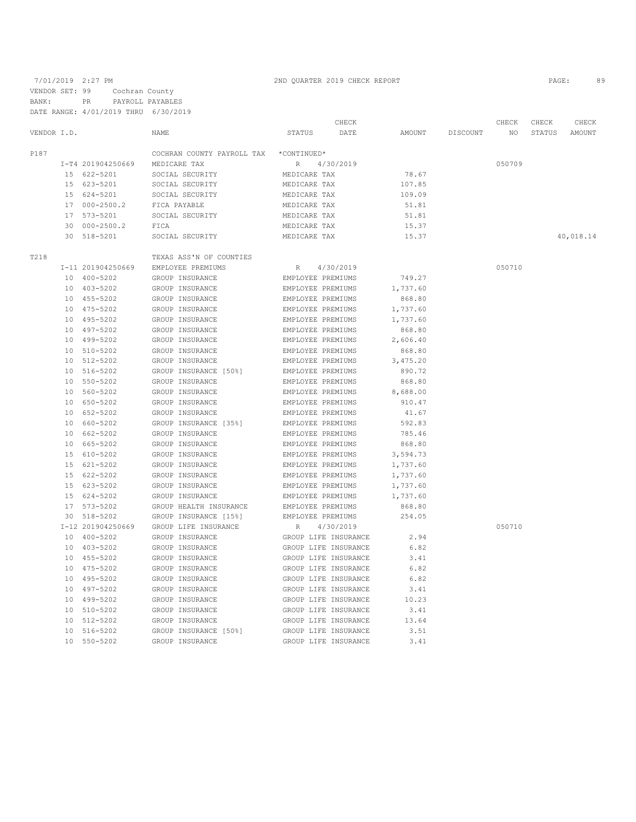|             |    |                   |                            |                      | CHECK                |          |          | CHECK  | CHECK  | CHECK     |
|-------------|----|-------------------|----------------------------|----------------------|----------------------|----------|----------|--------|--------|-----------|
| VENDOR I.D. |    |                   | NAME                       | <b>STATUS</b>        | DATE                 | AMOUNT   | DISCOUNT | NO.    | STATUS | AMOUNT    |
| P187        |    |                   | COCHRAN COUNTY PAYROLL TAX | *CONTINUED*          |                      |          |          |        |        |           |
|             |    | I-T4 201904250669 | MEDICARE TAX               | $R_{\perp}$          | 4/30/2019            |          |          | 050709 |        |           |
|             |    | 15 622-5201       | SOCIAL SECURITY            | MEDICARE TAX         |                      | 78.67    |          |        |        |           |
|             |    | 15 623-5201       | SOCIAL SECURITY            | MEDICARE TAX         |                      | 107.85   |          |        |        |           |
|             |    | 15 624-5201       | SOCIAL SECURITY            | MEDICARE TAX         |                      | 109.09   |          |        |        |           |
|             |    | 17 000-2500.2     | FICA PAYABLE               | MEDICARE TAX         |                      | 51.81    |          |        |        |           |
|             |    | 17 573-5201       | SOCIAL SECURITY            | MEDICARE TAX         |                      | 51.81    |          |        |        |           |
|             |    | 30 000-2500.2     | FICA                       | MEDICARE TAX         |                      | 15.37    |          |        |        |           |
|             |    | 30 518-5201       | SOCIAL SECURITY            | MEDICARE TAX         |                      | 15.37    |          |        |        | 40,018.14 |
| T218        |    |                   | TEXAS ASS'N OF COUNTIES    |                      |                      |          |          |        |        |           |
|             |    | I-11 201904250669 | EMPLOYEE PREMIUMS          | R                    | 4/30/2019            |          |          | 050710 |        |           |
|             |    | 10 400-5202       | GROUP INSURANCE            | EMPLOYEE PREMIUMS    |                      | 749.27   |          |        |        |           |
|             |    | 10 403-5202       | GROUP INSURANCE            | EMPLOYEE PREMIUMS    |                      | 1,737.60 |          |        |        |           |
|             |    | 10 455-5202       | GROUP INSURANCE            | EMPLOYEE PREMIUMS    |                      | 868.80   |          |        |        |           |
|             |    | 10 475-5202       | GROUP INSURANCE            | EMPLOYEE PREMIUMS    |                      | 1,737.60 |          |        |        |           |
|             |    | 10 495-5202       | GROUP INSURANCE            | EMPLOYEE PREMIUMS    |                      | 1,737.60 |          |        |        |           |
|             | 10 | 497-5202          | GROUP INSURANCE            | EMPLOYEE PREMIUMS    |                      | 868.80   |          |        |        |           |
|             |    | 10 499-5202       | GROUP INSURANCE            | EMPLOYEE PREMIUMS    |                      | 2,606.40 |          |        |        |           |
|             |    | 10 510-5202       | GROUP INSURANCE            | EMPLOYEE PREMIUMS    |                      | 868.80   |          |        |        |           |
|             |    | 10 512-5202       | GROUP INSURANCE            | EMPLOYEE PREMIUMS    |                      | 3,475.20 |          |        |        |           |
|             |    | 10 516-5202       | GROUP INSURANCE [50%]      | EMPLOYEE PREMIUMS    |                      | 890.72   |          |        |        |           |
|             |    | 10 550-5202       | GROUP INSURANCE            | EMPLOYEE PREMIUMS    |                      | 868.80   |          |        |        |           |
|             |    | 10 560-5202       | GROUP INSURANCE            | EMPLOYEE PREMIUMS    |                      | 8,688.00 |          |        |        |           |
|             |    | 10 650-5202       | GROUP INSURANCE            | EMPLOYEE PREMIUMS    |                      | 910.47   |          |        |        |           |
|             |    | 10 652-5202       | GROUP INSURANCE            | EMPLOYEE PREMIUMS    |                      | 41.67    |          |        |        |           |
|             |    | 10 660-5202       | GROUP INSURANCE [35%]      | EMPLOYEE PREMIUMS    |                      | 592.83   |          |        |        |           |
|             |    | 10 662-5202       | GROUP INSURANCE            | EMPLOYEE PREMIUMS    |                      | 785.46   |          |        |        |           |
|             |    | 10 665-5202       | GROUP INSURANCE            | EMPLOYEE PREMIUMS    |                      | 868.80   |          |        |        |           |
|             |    | 15 610-5202       | GROUP INSURANCE            | EMPLOYEE PREMIUMS    |                      | 3,594.73 |          |        |        |           |
|             |    | 15 621-5202       | GROUP INSURANCE            | EMPLOYEE PREMIUMS    |                      | 1,737.60 |          |        |        |           |
|             |    | 15 622-5202       | GROUP INSURANCE            | EMPLOYEE PREMIUMS    |                      | 1,737.60 |          |        |        |           |
|             |    | 15 623-5202       | GROUP INSURANCE            | EMPLOYEE PREMIUMS    |                      | 1,737.60 |          |        |        |           |
|             |    | 15 624-5202       | GROUP INSURANCE            | EMPLOYEE PREMIUMS    |                      | 1,737.60 |          |        |        |           |
|             |    | 17 573-5202       | GROUP HEALTH INSURANCE     | EMPLOYEE PREMIUMS    |                      | 868.80   |          |        |        |           |
|             |    | 30 518-5202       | GROUP INSURANCE [15%]      | EMPLOYEE PREMIUMS    |                      | 254.05   |          |        |        |           |
|             |    | I-12 201904250669 | GROUP LIFE INSURANCE       | R                    | 4/30/2019            |          |          | 050710 |        |           |
|             |    | 10 400-5202       | GROUP INSURANCE            | GROUP LIFE INSURANCE |                      | 2.94     |          |        |        |           |
|             |    | 10 403-5202       | GROUP INSURANCE            | GROUP LIFE INSURANCE |                      | 6.82     |          |        |        |           |
|             |    | 10 455-5202       | GROUP INSURANCE            | GROUP LIFE INSURANCE |                      | 3.41     |          |        |        |           |
|             |    | 10 475-5202       | GROUP INSURANCE            |                      | GROUP LIFE INSURANCE | 6.82     |          |        |        |           |
|             |    | 10 495-5202       | GROUP INSURANCE            |                      | GROUP LIFE INSURANCE | 6.82     |          |        |        |           |
|             |    | 10 497-5202       | GROUP INSURANCE            |                      | GROUP LIFE INSURANCE | 3.41     |          |        |        |           |
|             |    | 10 499-5202       | GROUP INSURANCE            |                      | GROUP LIFE INSURANCE | 10.23    |          |        |        |           |
|             |    | 10 510-5202       | GROUP INSURANCE            | GROUP LIFE INSURANCE |                      | 3.41     |          |        |        |           |
|             | 10 | 512-5202          | GROUP INSURANCE            |                      | GROUP LIFE INSURANCE | 13.64    |          |        |        |           |
|             | 10 | 516-5202          | GROUP INSURANCE [50%]      |                      | GROUP LIFE INSURANCE | 3.51     |          |        |        |           |
|             |    | 10 550-5202       | GROUP INSURANCE            |                      | GROUP LIFE INSURANCE | 3.41     |          |        |        |           |
|             |    |                   |                            |                      |                      |          |          |        |        |           |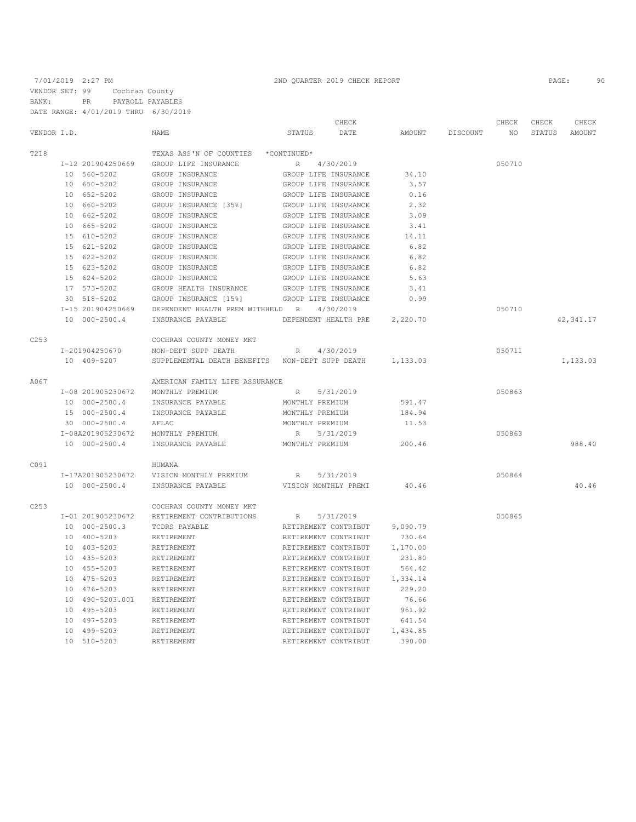|             |                   |                                     | CHECK                                           |          |          | CHECK  | CHECK  | CHECK      |
|-------------|-------------------|-------------------------------------|-------------------------------------------------|----------|----------|--------|--------|------------|
| VENDOR I.D. |                   | NAME                                | STATUS<br>DATE                                  | AMOUNT   | DISCOUNT | NO.    | STATUS | AMOUNT     |
| T218        |                   | TEXAS ASS'N OF COUNTIES *CONTINUED* |                                                 |          |          |        |        |            |
|             | I-12 201904250669 | GROUP LIFE INSURANCE                | 4/30/2019<br>$R_{\perp}$                        |          |          | 050710 |        |            |
|             | 10 560-5202       | GROUP INSURANCE                     | GROUP LIFE INSURANCE                            | 34.10    |          |        |        |            |
|             | 10 650-5202       | GROUP INSURANCE                     | GROUP LIFE INSURANCE                            | 3.57     |          |        |        |            |
|             | 10 652-5202       | GROUP INSURANCE                     | GROUP LIFE INSURANCE                            | 0.16     |          |        |        |            |
|             | 10 660-5202       | GROUP INSURANCE [35%]               | GROUP LIFE INSURANCE                            | 2.32     |          |        |        |            |
|             | 10 662-5202       | GROUP INSURANCE                     | GROUP LIFE INSURANCE                            | 3.09     |          |        |        |            |
|             | 10 665-5202       | GROUP INSURANCE                     | GROUP LIFE INSURANCE                            | 3.41     |          |        |        |            |
|             | 15 610-5202       | GROUP INSURANCE                     | GROUP LIFE INSURANCE                            | 14.11    |          |        |        |            |
|             | 15 621-5202       | GROUP INSURANCE                     | GROUP LIFE INSURANCE                            | 6.82     |          |        |        |            |
|             | 15 622-5202       | GROUP INSURANCE                     | GROUP LIFE INSURANCE                            | 6.82     |          |        |        |            |
|             | 15 623-5202       | GROUP INSURANCE                     | GROUP LIFE INSURANCE                            | 6.82     |          |        |        |            |
|             | 15 624-5202       | GROUP INSURANCE                     | GROUP LIFE INSURANCE                            | 5.63     |          |        |        |            |
|             | 17 573-5202       | GROUP HEALTH INSURANCE              | GROUP LIFE INSURANCE                            | 3.41     |          |        |        |            |
|             | 30 518-5202       | GROUP INSURANCE [15%]               | GROUP LIFE INSURANCE                            | 0.99     |          |        |        |            |
|             | I-15 201904250669 | DEPENDENT HEALTH PREM WITHHELD R    | 4/30/2019                                       |          |          | 050710 |        |            |
|             | 10 000-2500.4     | INSURANCE PAYABLE                   | DEPENDENT HEALTH PRE                            | 2,220.70 |          |        |        | 42, 341.17 |
| C253        |                   | COCHRAN COUNTY MONEY MKT            |                                                 |          |          |        |        |            |
|             | I-201904250670    | NON-DEPT SUPP DEATH                 | 4/30/2019<br>R                                  |          |          | 050711 |        |            |
|             | 10 409-5207       |                                     | SUPPLEMENTAL DEATH BENEFITS NON-DEPT SUPP DEATH | 1,133.03 |          |        |        | 1,133.03   |
| A067        |                   | AMERICAN FAMILY LIFE ASSURANCE      |                                                 |          |          |        |        |            |
|             | I-08 201905230672 | MONTHLY PREMIUM                     | 5/31/2019<br>$R_{\parallel}$                    |          |          | 050863 |        |            |
|             | 10 000-2500.4     | INSURANCE PAYABLE                   | MONTHLY PREMIUM                                 | 591.47   |          |        |        |            |
|             | 15 000-2500.4     | INSURANCE PAYABLE                   | MONTHLY PREMIUM                                 | 184.94   |          |        |        |            |
|             | 30 000-2500.4     | AFLAC                               | MONTHLY PREMIUM                                 | 11.53    |          |        |        |            |
|             | I-08A201905230672 | MONTHLY PREMIUM                     | 5/31/2019<br>R                                  |          |          | 050863 |        |            |
|             | 10 000-2500.4     | INSURANCE PAYABLE                   | MONTHLY PREMIUM                                 | 200.46   |          |        |        | 988.40     |
| C091        |                   | HUMANA                              |                                                 |          |          |        |        |            |
|             | I-17A201905230672 | VISION MONTHLY PREMIUM              | 5/31/2019<br>R                                  |          |          | 050864 |        |            |
|             | 10 000-2500.4     | INSURANCE PAYABLE                   | VISION MONTHLY PREMI                            | 40.46    |          |        |        | 40.46      |
| C253        |                   | COCHRAN COUNTY MONEY MKT            |                                                 |          |          |        |        |            |
|             | I-01 201905230672 | RETIREMENT CONTRIBUTIONS            | 5/31/2019<br>R                                  |          |          | 050865 |        |            |
|             | 10 000-2500.3     | TCDRS PAYABLE                       | RETIREMENT CONTRIBUT                            | 9,090.79 |          |        |        |            |
|             | 10 400-5203       | RETIREMENT                          | RETIREMENT CONTRIBUT                            | 730.64   |          |        |        |            |
|             | 10 403-5203       | RETIREMENT                          | RETIREMENT CONTRIBUT                            | 1,170.00 |          |        |        |            |
|             | 10 435-5203       | RETIREMENT                          | RETIREMENT CONTRIBUT                            | 231.80   |          |        |        |            |
|             | 10 455-5203       | RETIREMENT                          | RETIREMENT CONTRIBUT                            | 564.42   |          |        |        |            |
|             | 10 475-5203       | RETIREMENT                          | RETIREMENT CONTRIBUT                            | 1,334.14 |          |        |        |            |
|             | 10 476-5203       | RETIREMENT                          | RETIREMENT CONTRIBUT                            | 229.20   |          |        |        |            |
|             | 10 490-5203.001   | RETIREMENT                          | RETIREMENT CONTRIBUT                            | 76.66    |          |        |        |            |
|             | 10 495-5203       | RETIREMENT                          | RETIREMENT CONTRIBUT                            | 961.92   |          |        |        |            |
|             | 10 497-5203       | RETIREMENT                          | RETIREMENT CONTRIBUT                            | 641.54   |          |        |        |            |
|             | 10 499-5203       | RETIREMENT                          | RETIREMENT CONTRIBUT                            | 1,434.85 |          |        |        |            |

10 510-5203 RETIREMENT RETIREMENT CONTRIBUT 390.00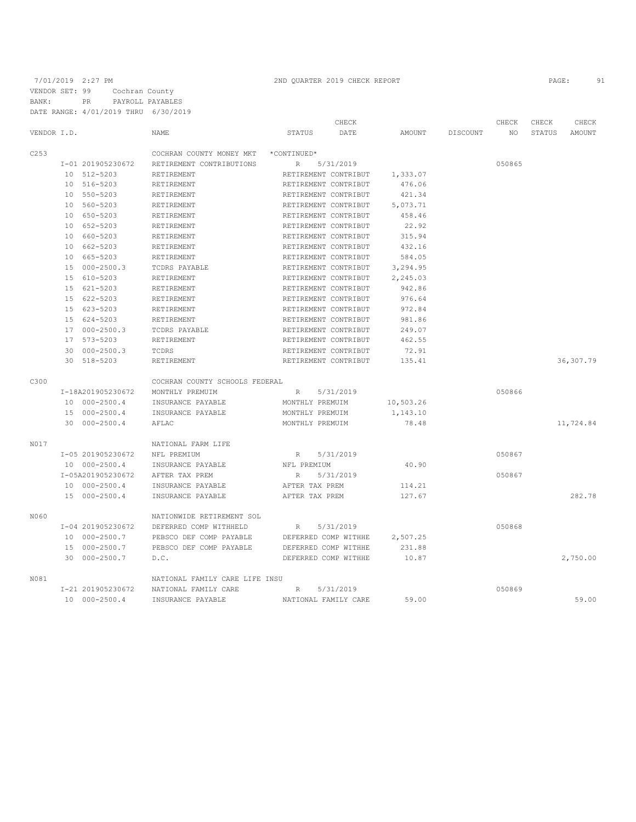|             |                   |                                |                      | CHECK     |           |          | CHECK  | CHECK  | CHECK      |
|-------------|-------------------|--------------------------------|----------------------|-----------|-----------|----------|--------|--------|------------|
| VENDOR I.D. |                   | NAME                           | STATUS               | DATE      | AMOUNT    | DISCOUNT | NO     | STATUS | AMOUNT     |
| C253        |                   | COCHRAN COUNTY MONEY MKT       | *CONTINUED*          |           |           |          |        |        |            |
|             | I-01 201905230672 | RETIREMENT CONTRIBUTIONS       | $R_{\rm}$            | 5/31/2019 |           |          | 050865 |        |            |
|             | 10 512-5203       | RETIREMENT                     | RETIREMENT CONTRIBUT |           | 1,333.07  |          |        |        |            |
|             | 10 516-5203       | RETIREMENT                     | RETIREMENT CONTRIBUT |           | 476.06    |          |        |        |            |
|             | 10 550-5203       | RETIREMENT                     | RETIREMENT CONTRIBUT |           | 421.34    |          |        |        |            |
|             | 10 560-5203       | RETIREMENT                     | RETIREMENT CONTRIBUT |           | 5,073.71  |          |        |        |            |
|             | 10 650-5203       | RETIREMENT                     | RETIREMENT CONTRIBUT |           | 458.46    |          |        |        |            |
|             | 10 652-5203       | RETIREMENT                     | RETIREMENT CONTRIBUT |           | 22.92     |          |        |        |            |
|             | 10 660-5203       | RETIREMENT                     | RETIREMENT CONTRIBUT |           | 315.94    |          |        |        |            |
|             | 10 662-5203       | RETIREMENT                     | RETIREMENT CONTRIBUT |           | 432.16    |          |        |        |            |
|             | 10 665-5203       | RETIREMENT                     | RETIREMENT CONTRIBUT |           | 584.05    |          |        |        |            |
|             | 15 000-2500.3     | TCDRS PAYABLE                  | RETIREMENT CONTRIBUT |           | 3,294.95  |          |        |        |            |
|             | 15 610-5203       | RETIREMENT                     | RETIREMENT CONTRIBUT |           | 2,245.03  |          |        |        |            |
|             | 15 621-5203       | RETIREMENT                     | RETIREMENT CONTRIBUT |           | 942.86    |          |        |        |            |
|             | 15 622-5203       | RETIREMENT                     | RETIREMENT CONTRIBUT |           | 976.64    |          |        |        |            |
|             | 15 623-5203       | RETIREMENT                     | RETIREMENT CONTRIBUT |           | 972.84    |          |        |        |            |
|             | 15 624-5203       | RETIREMENT                     | RETIREMENT CONTRIBUT |           | 981.86    |          |        |        |            |
|             | 17 000-2500.3     | TCDRS PAYABLE                  | RETIREMENT CONTRIBUT |           | 249.07    |          |        |        |            |
|             | 17 573-5203       | RETIREMENT                     | RETIREMENT CONTRIBUT |           | 462.55    |          |        |        |            |
|             | 30 000-2500.3     | TCDRS                          | RETIREMENT CONTRIBUT |           | 72.91     |          |        |        |            |
|             | 30 518-5203       | RETIREMENT                     | RETIREMENT CONTRIBUT |           | 135.41    |          |        |        | 36, 307.79 |
| C300        |                   | COCHRAN COUNTY SCHOOLS FEDERAL |                      |           |           |          |        |        |            |
|             | I-18A201905230672 | MONTHLY PREMUIM                | $R_{\rm}$            | 5/31/2019 |           |          | 050866 |        |            |
|             | 10 000-2500.4     | INSURANCE PAYABLE              | MONTHLY PREMUIM      |           | 10,503.26 |          |        |        |            |
|             | 15 000-2500.4     | INSURANCE PAYABLE              | MONTHLY PREMUIM      |           | 1,143.10  |          |        |        |            |
|             | 30 000-2500.4     | AFLAC                          | MONTHLY PREMUIM      |           | 78.48     |          |        |        | 11,724.84  |
| N017        |                   | NATIONAL FARM LIFE             |                      |           |           |          |        |        |            |
|             | I-05 201905230672 | NFL PREMIUM                    | R                    | 5/31/2019 |           |          | 050867 |        |            |
|             | 10 000-2500.4     | INSURANCE PAYABLE              | NFL PREMIUM          |           | 40.90     |          |        |        |            |
|             | I-05A201905230672 | AFTER TAX PREM                 | R                    | 5/31/2019 |           |          | 050867 |        |            |
|             | 10 000-2500.4     | INSURANCE PAYABLE              | AFTER TAX PREM       |           | 114.21    |          |        |        |            |
|             | 15 000-2500.4     | INSURANCE PAYABLE              | AFTER TAX PREM       |           | 127.67    |          |        |        | 282.78     |
| N060        |                   | NATIONWIDE RETIREMENT SOL      |                      |           |           |          |        |        |            |
|             | I-04 201905230672 | DEFERRED COMP WITHHELD         | R                    | 5/31/2019 |           |          | 050868 |        |            |
|             | 10 000-2500.7     | PEBSCO DEF COMP PAYABLE        | DEFERRED COMP WITHHE |           | 2,507.25  |          |        |        |            |
|             | 15 000-2500.7     | PEBSCO DEF COMP PAYABLE        | DEFERRED COMP WITHHE |           | 231.88    |          |        |        |            |
|             | 30 000-2500.7     | D.C.                           | DEFERRED COMP WITHHE |           | 10.87     |          |        |        | 2,750.00   |
| N081        |                   | NATIONAL FAMILY CARE LIFE INSU |                      |           |           |          |        |        |            |
|             | I-21 201905230672 | NATIONAL FAMILY CARE           | $\mathbb{R}$         | 5/31/2019 |           |          | 050869 |        |            |
|             | 10 000-2500.4     | INSURANCE PAYABLE              | NATIONAL FAMILY CARE |           | 59.00     |          |        |        | 59.00      |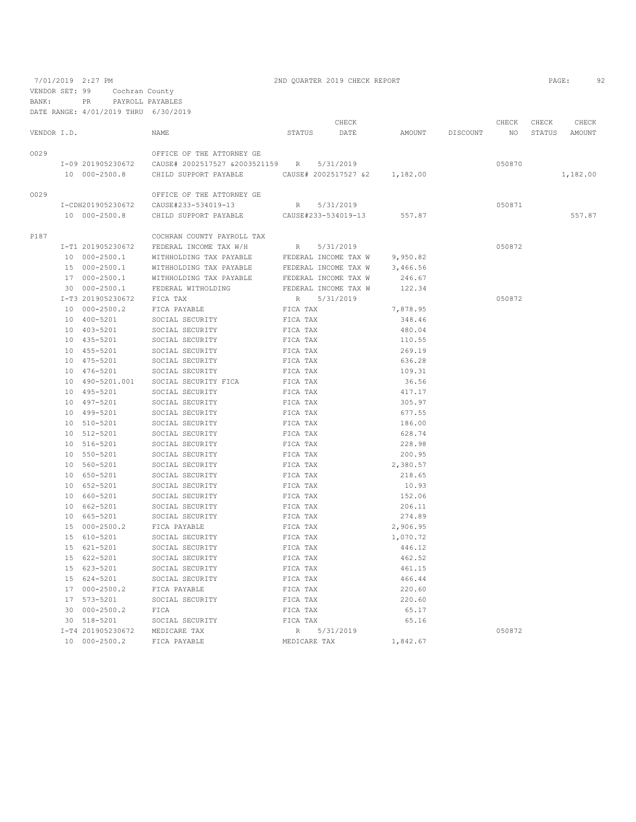7/01/2019 2:27 PM 2ND QUARTER 2019 CHECK REPORT PAGE: 92 VENDOR SET: 99 Cochran County BANK: PR PAYROLL PAYABLES

|             |                                |                                                                                          |          | CHECK                |                 | CHECK CHECK     | CHECK         |
|-------------|--------------------------------|------------------------------------------------------------------------------------------|----------|----------------------|-----------------|-----------------|---------------|
| VENDOR I.D. |                                | NAME                                                                                     |          | STATUS DATE          | AMOUNT DISCOUNT | NO <sub>1</sub> | STATUS AMOUNT |
| 0029        |                                | OFFICE OF THE ATTORNEY GE                                                                |          |                      |                 |                 |               |
|             |                                |                                                                                          |          | 5/31/2019            |                 | 050870          |               |
|             | 10 000-2500.8                  | CHILD SUPPORT PAYABLE CAUSE# 2002517527 &2 1,182.00                                      |          |                      |                 |                 | 1,182.00      |
| 0029        |                                | OFFICE OF THE ATTORNEY GE                                                                |          |                      |                 |                 |               |
|             |                                |                                                                                          |          | R 5/31/2019          |                 | 050871          |               |
|             | 10 000-2500.8                  | CHILD SUPPORT PAYABLE CAUSE#233-534019-13                                                |          |                      | 557.87          |                 | 557.87        |
| P187        |                                | COCHRAN COUNTY PAYROLL TAX                                                               |          |                      |                 |                 |               |
|             |                                |                                                                                          |          |                      |                 | 050872          |               |
|             |                                | I-T1 201905230672 FEDERAL INCOME TAX W/H<br>WITHHOLDING TAX PAYABLE FEDERAL INCOME TAX W |          | R 5/31/2019          |                 |                 |               |
|             | 10 000-2500.1                  |                                                                                          |          |                      | 9,950.82        |                 |               |
|             | 15 000-2500.1                  | WITHHOLDING TAX PAYABLE                                                                  |          | FEDERAL INCOME TAX W | 3,466.56        |                 |               |
|             | 17 000-2500.1                  | WITHHOLDING TAX PAYABLE                                                                  |          | FEDERAL INCOME TAX W | 246.67          |                 |               |
|             | 30 000-2500.1                  | FEDERAL WITHOLDING                                                                       |          | FEDERAL INCOME TAX W | 122.34          |                 |               |
|             | I-T3 201905230672 FICA TAX     |                                                                                          |          | R 5/31/2019          |                 | 050872          |               |
|             | 10 000-2500.2                  | FICA PAYABLE                                                                             | FICA TAX |                      | 7,878.95        |                 |               |
|             | 10 400-5201                    | SOCIAL SECURITY                                                                          | FICA TAX |                      | 348.46          |                 |               |
|             | 10 403-5201                    | SOCIAL SECURITY                                                                          | FICA TAX |                      | 480.04          |                 |               |
|             | 10 435-5201                    | SOCIAL SECURITY                                                                          | FICA TAX |                      | 110.55          |                 |               |
|             | 10 455-5201                    | SOCIAL SECURITY                                                                          | FICA TAX |                      | 269.19          |                 |               |
|             | 10 475-5201                    | SOCIAL SECURITY                                                                          | FICA TAX |                      | 636.28          |                 |               |
|             |                                | 10 476-5201 SOCIAL SECURITY                                                              | FICA TAX |                      | 109.31          |                 |               |
|             |                                | 10 490-5201.001 SOCIAL SECURITY FICA                                                     | FICA TAX |                      | 36.56           |                 |               |
|             | 10 495-5201                    | SOCIAL SECURITY                                                                          | FICA TAX |                      | 417.17          |                 |               |
|             | 10 497-5201                    | SOCIAL SECURITY                                                                          | FICA TAX |                      | 305.97          |                 |               |
|             | 10 499-5201                    | SOCIAL SECURITY                                                                          | FICA TAX |                      | 677.55          |                 |               |
|             | 10 510-5201                    | SOCIAL SECURITY                                                                          | FICA TAX |                      | 186.00          |                 |               |
|             | 10 512-5201                    | SOCIAL SECURITY                                                                          | FICA TAX |                      | 628.74          |                 |               |
|             | 10 516-5201                    | SOCIAL SECURITY                                                                          | FICA TAX |                      | 228.98          |                 |               |
|             | 10 550-5201                    | SOCIAL SECURITY                                                                          | FICA TAX |                      | 200.95          |                 |               |
|             | 10 560-5201                    | SOCIAL SECURITY                                                                          | FICA TAX |                      | 2,380.57        |                 |               |
|             | 10 650-5201                    | SOCIAL SECURITY                                                                          | FICA TAX |                      | 218.65          |                 |               |
|             | 10 652-5201                    | SOCIAL SECURITY                                                                          | FICA TAX |                      | 10.93           |                 |               |
|             | 10 660-5201                    | SOCIAL SECURITY                                                                          | FICA TAX |                      | 152.06          |                 |               |
|             | 10 662-5201                    | SOCIAL SECURITY                                                                          | FICA TAX |                      | 206.11          |                 |               |
|             | 10 665-5201                    | SOCIAL SECURITY                                                                          | FICA TAX |                      | 274.89          |                 |               |
|             | 15 000-2500.2                  | FICA PAYABLE                                                                             | FICA TAX |                      | 2,906.95        |                 |               |
|             | 15 610-5201                    | SOCIAL SECURITY                                                                          | FICA TAX |                      | 1,070.72        |                 |               |
|             | 15 621-5201                    | SOCIAL SECURITY                                                                          | FICA TAX |                      | 446.12          |                 |               |
|             | 15 622-5201                    | SOCIAL SECURITY                                                                          | FICA TAX |                      | 462.52          |                 |               |
|             | 15 623-5201                    | SOCIAL SECURITY                                                                          | FICA TAX |                      | 461.15          |                 |               |
|             | 15 624-5201                    | SOCIAL SECURITY                                                                          | FICA TAX |                      | 466.44          |                 |               |
|             | 17 000-2500.2                  | FICA PAYABLE                                                                             | FICA TAX |                      | 220.60          |                 |               |
|             | 17 573-5201                    | SOCIAL SECURITY                                                                          | FICA TAX |                      | 220.60          |                 |               |
|             | 30 000-2500.2                  | FICA                                                                                     | FICA TAX |                      | 65.17           |                 |               |
|             |                                | 30 518-5201 SOCIAL SECURITY                                                              | FICA TAX |                      | 65.16           |                 |               |
|             | I-T4 201905230672 MEDICARE TAX |                                                                                          |          | R 5/31/2019          |                 | 050872          |               |
|             | 10 000-2500.2                  |                                                                                          |          | MEDICARE TAX         | 1,842.67        |                 |               |
|             |                                | FICA PAYABLE                                                                             |          |                      |                 |                 |               |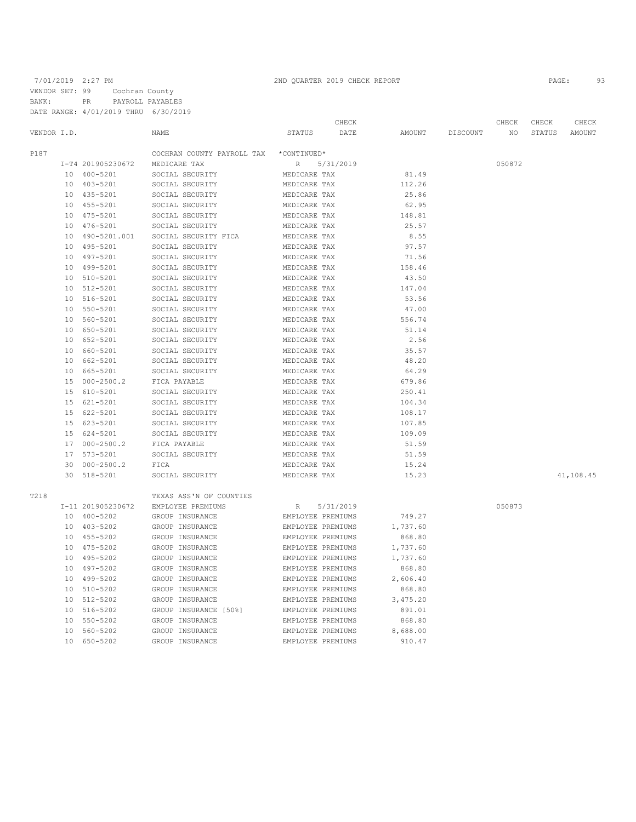|             |                 |                   |                            |                   | CHECK     |               |          | CHECK  | CHECK  | CHECK     |
|-------------|-----------------|-------------------|----------------------------|-------------------|-----------|---------------|----------|--------|--------|-----------|
| VENDOR I.D. |                 |                   | NAME                       | <b>STATUS</b>     | DATE      | <b>AMOUNT</b> | DISCOUNT | NO.    | STATUS | AMOUNT    |
| P187        |                 |                   | COCHRAN COUNTY PAYROLL TAX | *CONTINUED*       |           |               |          |        |        |           |
|             |                 | I-T4 201905230672 | MEDICARE TAX               | R                 | 5/31/2019 |               |          | 050872 |        |           |
|             |                 | 10 400-5201       | SOCIAL SECURITY            | MEDICARE TAX      |           | 81.49         |          |        |        |           |
|             |                 | 10 403-5201       | SOCIAL SECURITY            | MEDICARE TAX      |           | 112.26        |          |        |        |           |
|             |                 | 10 435-5201       | SOCIAL SECURITY            | MEDICARE TAX      |           | 25.86         |          |        |        |           |
|             |                 | 10 455-5201       | SOCIAL SECURITY            | MEDICARE TAX      |           | 62.95         |          |        |        |           |
|             |                 | 10 475-5201       | SOCIAL SECURITY            | MEDICARE TAX      |           | 148.81        |          |        |        |           |
|             |                 | 10 476-5201       | SOCIAL SECURITY            | MEDICARE TAX      |           | 25.57         |          |        |        |           |
|             |                 | 10 490-5201.001   | SOCIAL SECURITY FICA       | MEDICARE TAX      |           | 8.55          |          |        |        |           |
|             |                 | 10 495-5201       | SOCIAL SECURITY            | MEDICARE TAX      |           | 97.57         |          |        |        |           |
|             |                 | 10 497-5201       | SOCIAL SECURITY            | MEDICARE TAX      |           | 71.56         |          |        |        |           |
|             |                 | 10 499-5201       | SOCIAL SECURITY            | MEDICARE TAX      |           | 158.46        |          |        |        |           |
|             | 10 <sup>°</sup> | 510-5201          | SOCIAL SECURITY            | MEDICARE TAX      |           | 43.50         |          |        |        |           |
|             |                 | 10 512-5201       | SOCIAL SECURITY            | MEDICARE TAX      |           | 147.04        |          |        |        |           |
|             |                 | 10 516-5201       | SOCIAL SECURITY            | MEDICARE TAX      |           | 53.56         |          |        |        |           |
|             |                 | 10 550-5201       | SOCIAL SECURITY            | MEDICARE TAX      |           | 47.00         |          |        |        |           |
|             |                 | 10 560-5201       | SOCIAL SECURITY            | MEDICARE TAX      |           | 556.74        |          |        |        |           |
|             |                 | 10 650-5201       | SOCIAL SECURITY            | MEDICARE TAX      |           | 51.14         |          |        |        |           |
|             |                 | 10 652-5201       | SOCIAL SECURITY            | MEDICARE TAX      |           | 2.56          |          |        |        |           |
|             | 10              | 660-5201          | SOCIAL SECURITY            | MEDICARE TAX      |           | 35.57         |          |        |        |           |
|             |                 | 10 662-5201       | SOCIAL SECURITY            | MEDICARE TAX      |           | 48.20         |          |        |        |           |
|             |                 | 10 665-5201       | SOCIAL SECURITY            | MEDICARE TAX      |           | 64.29         |          |        |        |           |
|             |                 | 15 000-2500.2     | FICA PAYABLE               | MEDICARE TAX      |           | 679.86        |          |        |        |           |
|             |                 | 15 610-5201       | SOCIAL SECURITY            | MEDICARE TAX      |           | 250.41        |          |        |        |           |
|             |                 | 15 621-5201       | SOCIAL SECURITY            | MEDICARE TAX      |           | 104.34        |          |        |        |           |
|             |                 | 15 622-5201       | SOCIAL SECURITY            | MEDICARE TAX      |           | 108.17        |          |        |        |           |
|             |                 | 15 623-5201       | SOCIAL SECURITY            | MEDICARE TAX      |           | 107.85        |          |        |        |           |
|             |                 | 15 624-5201       | SOCIAL SECURITY            | MEDICARE TAX      |           | 109.09        |          |        |        |           |
|             |                 | 17 000-2500.2     | FICA PAYABLE               | MEDICARE TAX      |           | 51.59         |          |        |        |           |
|             |                 | 17 573-5201       | SOCIAL SECURITY            | MEDICARE TAX      |           | 51.59         |          |        |        |           |
|             |                 | 30 000-2500.2     | FICA                       | MEDICARE TAX      |           | 15.24         |          |        |        |           |
|             |                 | 30 518-5201       | SOCIAL SECURITY            | MEDICARE TAX      |           | 15.23         |          |        |        | 41,108.45 |
| T218        |                 |                   | TEXAS ASS'N OF COUNTIES    |                   |           |               |          |        |        |           |
|             |                 | I-11 201905230672 | EMPLOYEE PREMIUMS          | R                 | 5/31/2019 |               |          | 050873 |        |           |
|             |                 | 10 400-5202       | GROUP INSURANCE            | EMPLOYEE PREMIUMS |           | 749.27        |          |        |        |           |
|             |                 | 10 403-5202       | GROUP INSURANCE            | EMPLOYEE PREMIUMS |           | 1,737.60      |          |        |        |           |
|             |                 | 10 455-5202       | GROUP INSURANCE            | EMPLOYEE PREMIUMS |           | 868.80        |          |        |        |           |
|             |                 | 10 475-5202       | GROUP INSURANCE            | EMPLOYEE PREMIUMS |           | 1,737.60      |          |        |        |           |
|             |                 | 10 495-5202       | GROUP INSURANCE            | EMPLOYEE PREMIUMS |           | 1,737.60      |          |        |        |           |
|             |                 | 10 497-5202       | GROUP INSURANCE            | EMPLOYEE PREMIUMS |           | 868.80        |          |        |        |           |
|             |                 | 10 499-5202       | GROUP INSURANCE            | EMPLOYEE PREMIUMS |           | 2,606.40      |          |        |        |           |
|             |                 | 10 510-5202       | GROUP INSURANCE            | EMPLOYEE PREMIUMS |           | 868.80        |          |        |        |           |
|             |                 | 10 512-5202       | GROUP INSURANCE            | EMPLOYEE PREMIUMS |           | 3,475.20      |          |        |        |           |
|             |                 | 10 516-5202       | GROUP INSURANCE [50%]      | EMPLOYEE PREMIUMS |           | 891.01        |          |        |        |           |
|             |                 | 10 550-5202       | GROUP INSURANCE            | EMPLOYEE PREMIUMS |           | 868.80        |          |        |        |           |
|             |                 | 10 560-5202       | GROUP INSURANCE            | EMPLOYEE PREMIUMS |           | 8,688.00      |          |        |        |           |
|             |                 | 10 650-5202       | GROUP INSURANCE            | EMPLOYEE PREMIUMS |           | 910.47        |          |        |        |           |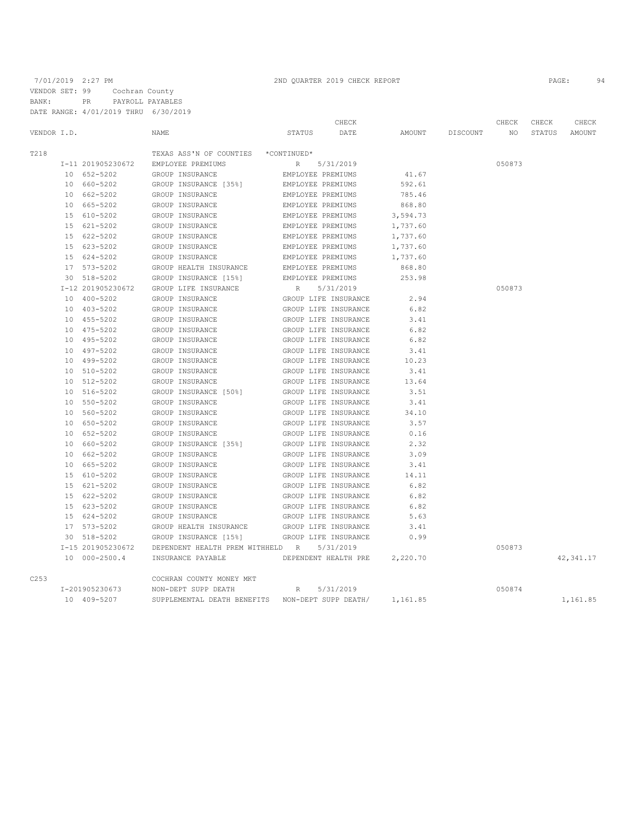|             | DATE RANGE: 4/01/2019 THRU 6/30/2019 |                                                  |                                        |          |          |        |        |            |
|-------------|--------------------------------------|--------------------------------------------------|----------------------------------------|----------|----------|--------|--------|------------|
|             |                                      |                                                  | CHECK                                  |          |          | CHECK  | CHECK  | CHECK      |
| VENDOR I.D. |                                      | <b>NAME</b>                                      | STATUS<br>DATE                         | AMOUNT   | DISCOUNT | NO.    | STATUS | AMOUNT     |
| T218        |                                      | TEXAS ASS'N OF COUNTIES *CONTINUED*              |                                        |          |          |        |        |            |
|             | I-11 201905230672                    | EMPLOYEE PREMIUMS                                | $R_{\odot}$<br>5/31/2019               |          |          | 050873 |        |            |
|             | 10 652-5202                          | GROUP INSURANCE                                  | EMPLOYEE PREMIUMS                      | 41.67    |          |        |        |            |
|             | 10 660-5202                          | GROUP INSURANCE [35%]                            | EMPLOYEE PREMIUMS                      | 592.61   |          |        |        |            |
|             | 10 662-5202                          | GROUP INSURANCE                                  | EMPLOYEE PREMIUMS                      | 785.46   |          |        |        |            |
|             | 10 665-5202                          | GROUP INSURANCE                                  | EMPLOYEE PREMIUMS                      | 868.80   |          |        |        |            |
|             | 15 610-5202                          |                                                  |                                        |          |          |        |        |            |
|             | 15 621-5202                          | GROUP INSURANCE                                  | EMPLOYEE PREMIUMS                      | 3,594.73 |          |        |        |            |
|             | 15 622-5202                          | GROUP INSURANCE                                  | EMPLOYEE PREMIUMS<br>EMPLOYEE PREMIUMS | 1,737.60 |          |        |        |            |
|             | 15 623-5202                          | GROUP INSURANCE<br>GROUP INSURANCE               | EMPLOYEE PREMIUMS                      | 1,737.60 |          |        |        |            |
|             |                                      |                                                  |                                        | 1,737.60 |          |        |        |            |
|             | 15 624-5202                          | GROUP INSURANCE                                  | EMPLOYEE PREMIUMS                      | 1,737.60 |          |        |        |            |
|             | 17 573-5202                          | GROUP HEALTH INSURANCE                           | EMPLOYEE PREMIUMS                      | 868.80   |          |        |        |            |
|             | 30 518-5202                          | GROUP INSURANCE [15%]                            | EMPLOYEE PREMIUMS                      | 253.98   |          |        |        |            |
|             | I-12 201905230672                    | GROUP LIFE INSURANCE                             | R<br>5/31/2019                         |          |          | 050873 |        |            |
|             | 10 400-5202                          | GROUP INSURANCE                                  | GROUP LIFE INSURANCE                   | 2.94     |          |        |        |            |
|             | 10 403-5202                          | GROUP INSURANCE                                  | GROUP LIFE INSURANCE                   | 6.82     |          |        |        |            |
|             | 10 455-5202                          | GROUP INSURANCE                                  | GROUP LIFE INSURANCE                   | 3.41     |          |        |        |            |
|             | 10 475-5202                          | GROUP INSURANCE                                  | GROUP LIFE INSURANCE                   | 6.82     |          |        |        |            |
|             | 10 495-5202                          | GROUP INSURANCE                                  | GROUP LIFE INSURANCE                   | 6.82     |          |        |        |            |
|             | 10 497-5202                          | GROUP INSURANCE                                  | GROUP LIFE INSURANCE                   | 3.41     |          |        |        |            |
|             | 10 499-5202                          | GROUP INSURANCE                                  | GROUP LIFE INSURANCE                   | 10.23    |          |        |        |            |
|             | 10 510-5202                          | GROUP INSURANCE                                  | GROUP LIFE INSURANCE                   | 3.41     |          |        |        |            |
|             | 10 512-5202                          | GROUP INSURANCE                                  | GROUP LIFE INSURANCE                   | 13.64    |          |        |        |            |
|             | 10 516-5202                          | GROUP INSURANCE [50%]                            | GROUP LIFE INSURANCE                   | 3.51     |          |        |        |            |
|             | 10 550-5202                          | GROUP INSURANCE                                  | GROUP LIFE INSURANCE                   | 3.41     |          |        |        |            |
|             | 10 560-5202                          | GROUP INSURANCE                                  | GROUP LIFE INSURANCE                   | 34.10    |          |        |        |            |
|             | 10 650-5202                          | GROUP INSURANCE                                  | GROUP LIFE INSURANCE                   | 3.57     |          |        |        |            |
|             | 10 652-5202                          | GROUP INSURANCE                                  | GROUP LIFE INSURANCE                   | 0.16     |          |        |        |            |
|             | 10 660-5202                          | GROUP INSURANCE [35%]                            | GROUP LIFE INSURANCE                   | 2.32     |          |        |        |            |
|             | 10 662-5202                          | GROUP INSURANCE                                  | GROUP LIFE INSURANCE                   | 3.09     |          |        |        |            |
|             | 10 665-5202                          | GROUP INSURANCE                                  | GROUP LIFE INSURANCE                   | 3.41     |          |        |        |            |
|             | 15 610-5202                          | GROUP INSURANCE                                  | GROUP LIFE INSURANCE                   | 14.11    |          |        |        |            |
|             | 15 621-5202                          | GROUP INSURANCE                                  | GROUP LIFE INSURANCE                   | 6.82     |          |        |        |            |
|             | 15 622-5202                          | GROUP INSURANCE                                  | GROUP LIFE INSURANCE                   | 6.82     |          |        |        |            |
|             | 15 623-5202                          | GROUP INSURANCE                                  | GROUP LIFE INSURANCE                   | 6.82     |          |        |        |            |
|             | 15 624-5202                          | GROUP INSURANCE                                  | GROUP LIFE INSURANCE                   | 5.63     |          |        |        |            |
|             | 17 573-5202                          | GROUP HEALTH INSURANCE                           | GROUP LIFE INSURANCE                   | 3.41     |          |        |        |            |
|             | 30 518-5202                          | GROUP INSURANCE [15%]                            | GROUP LIFE INSURANCE                   | 0.99     |          |        |        |            |
|             | I-15 201905230672                    | DEPENDENT HEALTH PREM WITHHELD R                 | 5/31/2019                              |          |          | 050873 |        |            |
|             | 10 000-2500.4                        | INSURANCE PAYABLE                                | DEPENDENT HEALTH PRE                   | 2,220.70 |          |        |        | 42, 341.17 |
| C253        |                                      | COCHRAN COUNTY MONEY MKT                         |                                        |          |          |        |        |            |
|             | I-201905230673                       | NON-DEPT SUPP DEATH                              | 5/31/2019<br>R                         |          |          | 050874 |        |            |
|             | 10 409-5207                          | SUPPLEMENTAL DEATH BENEFITS NON-DEPT SUPP DEATH/ |                                        | 1,161.85 |          |        |        | 1.161.85   |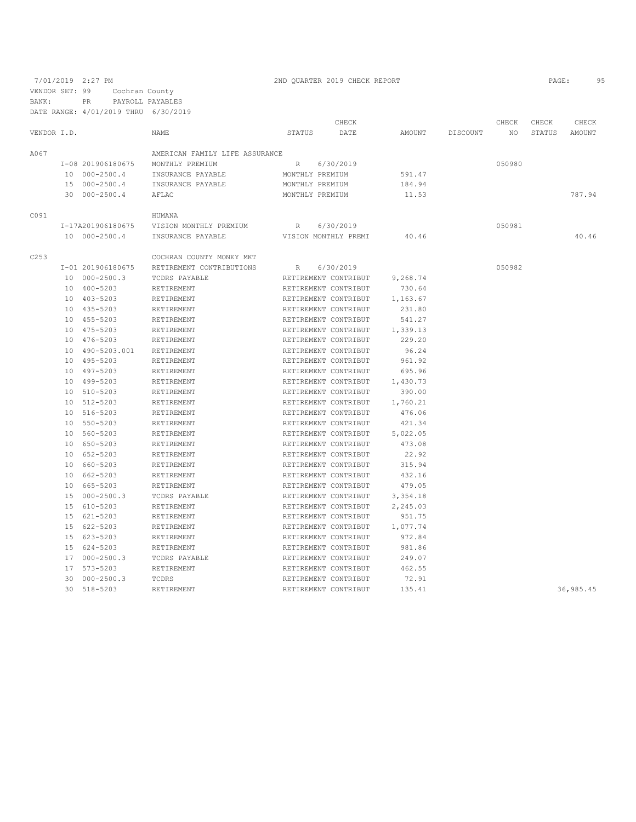7/01/2019 2:27 PM 2ND QUARTER 2019 CHECK REPORT 2019 CHECK REPORT VENDOR SET: 99 Cochran County BANK: PR PAYROLL PAYABLES

|             |    |                   |                                |             | CHECK                |          |          | CHECK  | CHECK  | CHECK      |
|-------------|----|-------------------|--------------------------------|-------------|----------------------|----------|----------|--------|--------|------------|
| VENDOR I.D. |    |                   | NAME                           | STATUS      | DATE                 | AMOUNT   | DISCOUNT | NO.    | STATUS | AMOUNT     |
| A067        |    |                   | AMERICAN FAMILY LIFE ASSURANCE |             |                      |          |          |        |        |            |
|             |    | I-08 201906180675 | MONTHLY PREMIUM                | R           | 6/30/2019            |          |          | 050980 |        |            |
|             |    | 10 000-2500.4     | INSURANCE PAYABLE              |             | MONTHLY PREMIUM      | 591.47   |          |        |        |            |
|             |    | 15 000-2500.4     | INSURANCE PAYABLE              |             | MONTHLY PREMIUM      | 184.94   |          |        |        |            |
|             |    | 30 000-2500.4     | AFLAC                          |             | MONTHLY PREMIUM      | 11.53    |          |        |        | 787.94     |
| C091        |    |                   | HUMANA                         |             |                      |          |          |        |        |            |
|             |    | I-17A201906180675 | VISION MONTHLY PREMIUM         | R           | 6/30/2019            |          |          | 050981 |        |            |
|             |    | 10 000-2500.4     | INSURANCE PAYABLE              |             | VISION MONTHLY PREMI | 40.46    |          |        |        | 40.46      |
| C253        |    |                   | COCHRAN COUNTY MONEY MKT       |             |                      |          |          |        |        |            |
|             |    | I-01 201906180675 | RETIREMENT CONTRIBUTIONS       | $R_{\odot}$ | 6/30/2019            |          |          | 050982 |        |            |
|             |    | 10 000-2500.3     | TCDRS PAYABLE                  |             | RETIREMENT CONTRIBUT | 9,268.74 |          |        |        |            |
|             |    | 10 400-5203       | RETIREMENT                     |             | RETIREMENT CONTRIBUT | 730.64   |          |        |        |            |
|             |    | 10 403-5203       | RETIREMENT                     |             | RETIREMENT CONTRIBUT | 1,163.67 |          |        |        |            |
|             |    | 10 435-5203       | RETIREMENT                     |             | RETIREMENT CONTRIBUT | 231.80   |          |        |        |            |
|             |    | 10 455-5203       | RETIREMENT                     |             | RETIREMENT CONTRIBUT | 541.27   |          |        |        |            |
|             |    | 10 475-5203       | RETIREMENT                     |             | RETIREMENT CONTRIBUT | 1,339.13 |          |        |        |            |
|             |    | 10 476-5203       | RETIREMENT                     |             | RETIREMENT CONTRIBUT | 229.20   |          |        |        |            |
|             |    | 10 490-5203.001   | RETIREMENT                     |             | RETIREMENT CONTRIBUT | 96.24    |          |        |        |            |
|             |    | 10 495-5203       | RETIREMENT                     |             | RETIREMENT CONTRIBUT | 961.92   |          |        |        |            |
|             |    | 10 497-5203       | RETIREMENT                     |             | RETIREMENT CONTRIBUT | 695.96   |          |        |        |            |
|             |    | 10 499-5203       | RETIREMENT                     |             | RETIREMENT CONTRIBUT | 1,430.73 |          |        |        |            |
|             |    | 10 510-5203       | RETIREMENT                     |             | RETIREMENT CONTRIBUT | 390.00   |          |        |        |            |
|             |    | 10 512-5203       | RETIREMENT                     |             | RETIREMENT CONTRIBUT | 1,760.21 |          |        |        |            |
|             |    | 10 516-5203       | RETIREMENT                     |             | RETIREMENT CONTRIBUT | 476.06   |          |        |        |            |
|             |    | 10 550-5203       | RETIREMENT                     |             | RETIREMENT CONTRIBUT | 421.34   |          |        |        |            |
|             |    | 10 560-5203       | RETIREMENT                     |             | RETIREMENT CONTRIBUT | 5,022.05 |          |        |        |            |
|             |    | 10 650-5203       | RETIREMENT                     |             | RETIREMENT CONTRIBUT | 473.08   |          |        |        |            |
|             |    | 10 652-5203       | RETIREMENT                     |             | RETIREMENT CONTRIBUT | 22.92    |          |        |        |            |
|             |    | 10 660-5203       | RETIREMENT                     |             | RETIREMENT CONTRIBUT | 315.94   |          |        |        |            |
|             |    | 10 662-5203       | RETIREMENT                     |             | RETIREMENT CONTRIBUT | 432.16   |          |        |        |            |
|             |    | 10 665-5203       | RETIREMENT                     |             | RETIREMENT CONTRIBUT | 479.05   |          |        |        |            |
|             |    | 15 000-2500.3     | TCDRS PAYABLE                  |             | RETIREMENT CONTRIBUT | 3,354.18 |          |        |        |            |
|             |    | 15 610-5203       | RETIREMENT                     |             | RETIREMENT CONTRIBUT | 2,245.03 |          |        |        |            |
|             |    | 15 621-5203       | RETIREMENT                     |             | RETIREMENT CONTRIBUT | 951.75   |          |        |        |            |
|             |    | 15 622-5203       | RETIREMENT                     |             | RETIREMENT CONTRIBUT | 1,077.74 |          |        |        |            |
|             |    | 15 623-5203       | RETIREMENT                     |             | RETIREMENT CONTRIBUT | 972.84   |          |        |        |            |
|             |    | 15 624-5203       | RETIREMENT                     |             | RETIREMENT CONTRIBUT | 981.86   |          |        |        |            |
|             |    | 17 000-2500.3     | TCDRS PAYABLE                  |             | RETIREMENT CONTRIBUT | 249.07   |          |        |        |            |
|             |    | 17 573-5203       | RETIREMENT                     |             | RETIREMENT CONTRIBUT | 462.55   |          |        |        |            |
|             | 30 | $000 - 2500.3$    | TCDRS                          |             | RETIREMENT CONTRIBUT | 72.91    |          |        |        |            |
|             |    | 30 518-5203       | RETIREMENT                     |             | RETIREMENT CONTRIBUT | 135.41   |          |        |        | 36, 985.45 |
|             |    |                   |                                |             |                      |          |          |        |        |            |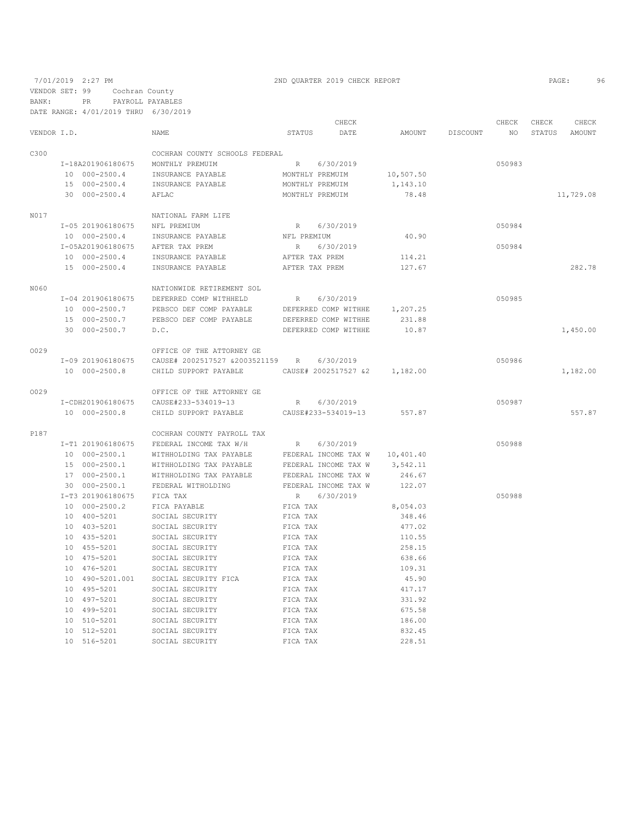|             |                   |                                |                 | CHECK                |           |          | CHECK  | CHECK  | CHECK     |
|-------------|-------------------|--------------------------------|-----------------|----------------------|-----------|----------|--------|--------|-----------|
| VENDOR I.D. |                   | NAME                           | STATUS          | DATE                 | AMOUNT    | DISCOUNT | NO.    | STATUS | AMOUNT    |
| C300        |                   | COCHRAN COUNTY SCHOOLS FEDERAL |                 |                      |           |          |        |        |           |
|             | I-18A201906180675 | MONTHLY PREMUIM                | R               | 6/30/2019            |           |          | 050983 |        |           |
|             | 10 000-2500.4     | INSURANCE PAYABLE              | MONTHLY PREMUIM |                      | 10,507.50 |          |        |        |           |
|             | 15 000-2500.4     | INSURANCE PAYABLE              | MONTHLY PREMUIM |                      | 1,143.10  |          |        |        |           |
|             | 30 000-2500.4     | AFLAC                          | MONTHLY PREMUIM |                      | 78.48     |          |        |        | 11,729.08 |
|             |                   |                                |                 |                      |           |          |        |        |           |
| N017        |                   | NATIONAL FARM LIFE             |                 |                      |           |          |        |        |           |
|             | I-05 201906180675 | NFL PREMIUM                    | R               | 6/30/2019            |           |          | 050984 |        |           |
|             | 10 000-2500.4     | INSURANCE PAYABLE              | NFL PREMIUM     |                      | 40.90     |          |        |        |           |
|             | I-05A201906180675 | AFTER TAX PREM                 | R               | 6/30/2019            |           |          | 050984 |        |           |
|             | 10 000-2500.4     | INSURANCE PAYABLE              | AFTER TAX PREM  |                      | 114.21    |          |        |        |           |
|             | 15 000-2500.4     | INSURANCE PAYABLE              | AFTER TAX PREM  |                      | 127.67    |          |        |        | 282.78    |
| N060        |                   | NATIONWIDE RETIREMENT SOL      |                 |                      |           |          |        |        |           |
|             | I-04 201906180675 | DEFERRED COMP WITHHELD         | R               | 6/30/2019            |           |          | 050985 |        |           |
|             | 10 000-2500.7     | PEBSCO DEF COMP PAYABLE        |                 | DEFERRED COMP WITHHE | 1,207.25  |          |        |        |           |
|             | 15 000-2500.7     | PEBSCO DEF COMP PAYABLE        |                 | DEFERRED COMP WITHHE | 231.88    |          |        |        |           |
|             | 30 000-2500.7     | D.C.                           |                 | DEFERRED COMP WITHHE | 10.87     |          |        |        | 1,450.00  |
| 0029        |                   | OFFICE OF THE ATTORNEY GE      |                 |                      |           |          |        |        |           |
|             | I-09 201906180675 | CAUSE# 2002517527 &2003521159  | R               | 6/30/2019            |           |          | 050986 |        |           |
|             | 10 000-2500.8     | CHILD SUPPORT PAYABLE          |                 | CAUSE# 2002517527 &2 | 1,182.00  |          |        |        | 1,182.00  |
| 0029        |                   |                                |                 |                      |           |          |        |        |           |
|             |                   | OFFICE OF THE ATTORNEY GE      |                 |                      |           |          |        |        |           |
|             | I-CDH201906180675 | CAUSE#233-534019-13            | R               | 6/30/2019            |           |          | 050987 |        |           |
|             | 10 000-2500.8     | CHILD SUPPORT PAYABLE          |                 | CAUSE#233-534019-13  | 557.87    |          |        |        | 557.87    |
| P187        |                   | COCHRAN COUNTY PAYROLL TAX     |                 |                      |           |          |        |        |           |
|             | I-T1 201906180675 | FEDERAL INCOME TAX W/H         | R               | 6/30/2019            |           |          | 050988 |        |           |
|             | 10 000-2500.1     | WITHHOLDING TAX PAYABLE        |                 | FEDERAL INCOME TAX W | 10,401.40 |          |        |        |           |
|             | 15 000-2500.1     | WITHHOLDING TAX PAYABLE        |                 | FEDERAL INCOME TAX W | 3,542.11  |          |        |        |           |
|             | 17 000-2500.1     | WITHHOLDING TAX PAYABLE        |                 | FEDERAL INCOME TAX W | 246.67    |          |        |        |           |
|             | 30 000-2500.1     | FEDERAL WITHOLDING             |                 | FEDERAL INCOME TAX W | 122.07    |          |        |        |           |
|             | I-T3 201906180675 | FICA TAX                       | R               | 6/30/2019            |           |          | 050988 |        |           |
|             | 10 000-2500.2     | FICA PAYABLE                   | FICA TAX        |                      | 8,054.03  |          |        |        |           |
|             | 10 400-5201       | SOCIAL SECURITY                | FICA TAX        |                      | 348.46    |          |        |        |           |
|             | 10 403-5201       | SOCIAL SECURITY                | FICA TAX        |                      | 477.02    |          |        |        |           |
|             | 10 435-5201       | SOCIAL SECURITY                | FICA TAX        |                      | 110.55    |          |        |        |           |
|             | $10 455 - 5201$   | SOCIAL SECURITY                | FICA TAX        |                      | 258.15    |          |        |        |           |
|             | 10 475-5201       | SOCIAL SECURITY                | FICA TAX        |                      | 638.66    |          |        |        |           |
|             | 10 476-5201       | SOCIAL SECURITY                | FICA TAX        |                      | 109.31    |          |        |        |           |
|             | 10 490-5201.001   | SOCIAL SECURITY FICA           | FICA TAX        |                      | 45.90     |          |        |        |           |
|             | 10 495-5201       | SOCIAL SECURITY                | FICA TAX        |                      | 417.17    |          |        |        |           |
|             | 10 497-5201       | SOCIAL SECURITY                | FICA TAX        |                      | 331.92    |          |        |        |           |
|             | 10 499-5201       | SOCIAL SECURITY                | FICA TAX        |                      | 675.58    |          |        |        |           |
|             | 10 510-5201       | SOCIAL SECURITY                | FICA TAX        |                      | 186.00    |          |        |        |           |
|             | 10 512-5201       | SOCIAL SECURITY                | FICA TAX        |                      | 832.45    |          |        |        |           |
|             | 10 516-5201       | SOCIAL SECURITY                | FICA TAX        |                      | 228.51    |          |        |        |           |
|             |                   |                                |                 |                      |           |          |        |        |           |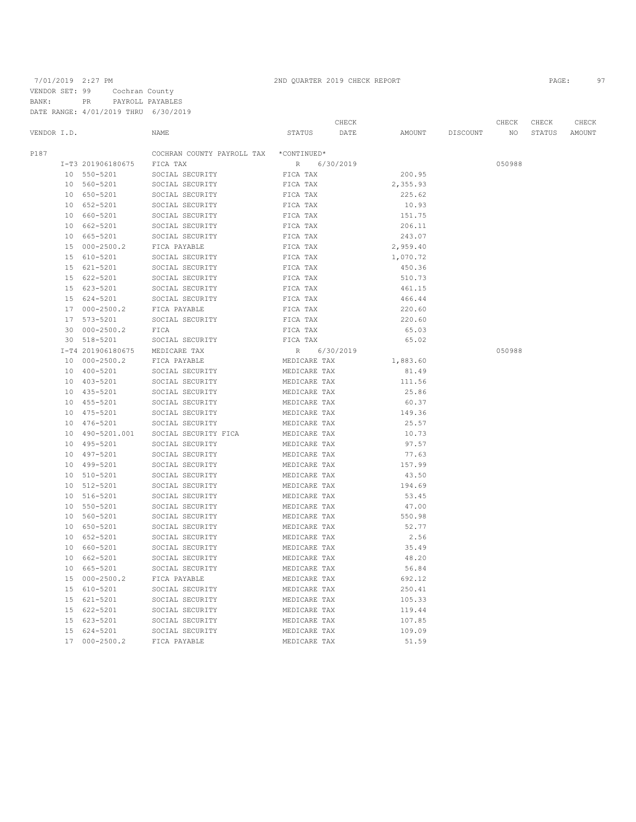|                 |                   |                            |                 | CHECK     |          |          | CHECK  | CHECK  | CHECK  |
|-----------------|-------------------|----------------------------|-----------------|-----------|----------|----------|--------|--------|--------|
| VENDOR I.D.     |                   | NAME                       | STATUS          | DATE      | AMOUNT   | DISCOUNT | NO     | STATUS | AMOUNT |
| P187            |                   | COCHRAN COUNTY PAYROLL TAX | *CONTINUED*     |           |          |          |        |        |        |
|                 | I-T3 201906180675 | FICA TAX                   | $R_{\parallel}$ | 6/30/2019 |          |          | 050988 |        |        |
|                 | 10 550-5201       | SOCIAL SECURITY            | FICA TAX        |           | 200.95   |          |        |        |        |
|                 | 10 560-5201       | SOCIAL SECURITY            | FICA TAX        |           | 2,355.93 |          |        |        |        |
|                 | 10 650-5201       | SOCIAL SECURITY            | FICA TAX        |           | 225.62   |          |        |        |        |
|                 | 10 652-5201       | SOCIAL SECURITY            | FICA TAX        |           | 10.93    |          |        |        |        |
|                 | 10 660-5201       | SOCIAL SECURITY            | FICA TAX        |           | 151.75   |          |        |        |        |
|                 | 10 662-5201       | SOCIAL SECURITY            | FICA TAX        |           | 206.11   |          |        |        |        |
| 10 <sup>°</sup> | 665-5201          | SOCIAL SECURITY            | FICA TAX        |           | 243.07   |          |        |        |        |
| 15              | $000 - 2500.2$    | FICA PAYABLE               | FICA TAX        |           | 2,959.40 |          |        |        |        |
| 15              | 610-5201          | SOCIAL SECURITY            | FICA TAX        |           | 1,070.72 |          |        |        |        |
|                 | 15 621-5201       | SOCIAL SECURITY            | FICA TAX        |           | 450.36   |          |        |        |        |
|                 | 15 622-5201       | SOCIAL SECURITY            | FICA TAX        |           | 510.73   |          |        |        |        |
|                 | 15 623-5201       | SOCIAL SECURITY            | FICA TAX        |           | 461.15   |          |        |        |        |
| 15              | 624-5201          | SOCIAL SECURITY            | FICA TAX        |           | 466.44   |          |        |        |        |
|                 | 17 000-2500.2     | FICA PAYABLE               | FICA TAX        |           | 220.60   |          |        |        |        |
| 17              | 573-5201          | SOCIAL SECURITY            | FICA TAX        |           | 220.60   |          |        |        |        |
| 30              | $000 - 2500.2$    | FICA                       | FICA TAX        |           | 65.03    |          |        |        |        |
| 30              | 518-5201          | SOCIAL SECURITY            | FICA TAX        |           | 65.02    |          |        |        |        |
|                 | I-T4 201906180675 | MEDICARE TAX               | $\mathbb R$     | 6/30/2019 |          |          | 050988 |        |        |
| 10              | $000 - 2500.2$    | FICA PAYABLE               | MEDICARE TAX    |           | 1,883.60 |          |        |        |        |
| 10              | 400-5201          | SOCIAL SECURITY            | MEDICARE TAX    |           | 81.49    |          |        |        |        |
|                 | 10 403-5201       | SOCIAL SECURITY            | MEDICARE TAX    |           | 111.56   |          |        |        |        |
|                 | 10 435-5201       | SOCIAL SECURITY            | MEDICARE TAX    |           | 25.86    |          |        |        |        |
|                 | 10 455-5201       | SOCIAL SECURITY            | MEDICARE TAX    |           | 60.37    |          |        |        |        |
|                 | 10 475-5201       | SOCIAL SECURITY            | MEDICARE TAX    |           | 149.36   |          |        |        |        |
|                 | 10 476-5201       | SOCIAL SECURITY            | MEDICARE TAX    |           | 25.57    |          |        |        |        |
| 10              | 490-5201.001      | SOCIAL SECURITY FICA       | MEDICARE TAX    |           | 10.73    |          |        |        |        |
|                 | 10 495-5201       | SOCIAL SECURITY            | MEDICARE TAX    |           | 97.57    |          |        |        |        |
| 10              | 497-5201          | SOCIAL SECURITY            | MEDICARE TAX    |           | 77.63    |          |        |        |        |
| 10 <sup>°</sup> | 499-5201          | SOCIAL SECURITY            | MEDICARE TAX    |           | 157.99   |          |        |        |        |
| 10              | 510-5201          | SOCIAL SECURITY            | MEDICARE TAX    |           | 43.50    |          |        |        |        |
| 10              | 512-5201          | SOCIAL SECURITY            | MEDICARE TAX    |           | 194.69   |          |        |        |        |
| 10              | 516-5201          | SOCIAL SECURITY            | MEDICARE TAX    |           | 53.45    |          |        |        |        |
| 10              | 550-5201          | SOCIAL SECURITY            | MEDICARE TAX    |           | 47.00    |          |        |        |        |
|                 | 10 560-5201       | SOCIAL SECURITY            | MEDICARE TAX    |           | 550.98   |          |        |        |        |
|                 | 10 650-5201       | SOCIAL SECURITY            | MEDICARE TAX    |           | 52.77    |          |        |        |        |
|                 | 10 652-5201       | SOCIAL SECURITY            | MEDICARE TAX    |           | 2.56     |          |        |        |        |
| 10              | 660-5201          | SOCIAL SECURITY            | MEDICARE TAX    |           | 35.49    |          |        |        |        |
|                 | 10 662-5201       | SOCIAL SECURITY            | MEDICARE TAX    |           | 48.20    |          |        |        |        |
| 10              | 665-5201          | SOCIAL SECURITY            | MEDICARE TAX    |           | 56.84    |          |        |        |        |
| 15              | $000 - 2500.2$    | FICA PAYABLE               | MEDICARE TAX    |           | 692.12   |          |        |        |        |
|                 | 15 610-5201       | SOCIAL SECURITY            | MEDICARE TAX    |           | 250.41   |          |        |        |        |
| 15              | 621-5201          | SOCIAL SECURITY            | MEDICARE TAX    |           | 105.33   |          |        |        |        |
| 15              | 622-5201          | SOCIAL SECURITY            | MEDICARE TAX    |           | 119.44   |          |        |        |        |
| 15              | 623-5201          | SOCIAL SECURITY            | MEDICARE TAX    |           | 107.85   |          |        |        |        |
| 15              | $624 - 5201$      | SOCIAL SECURITY            | MEDICARE TAX    |           | 109.09   |          |        |        |        |
| 17              | $000 - 2500.2$    | FICA PAYABLE               | MEDICARE TAX    |           | 51.59    |          |        |        |        |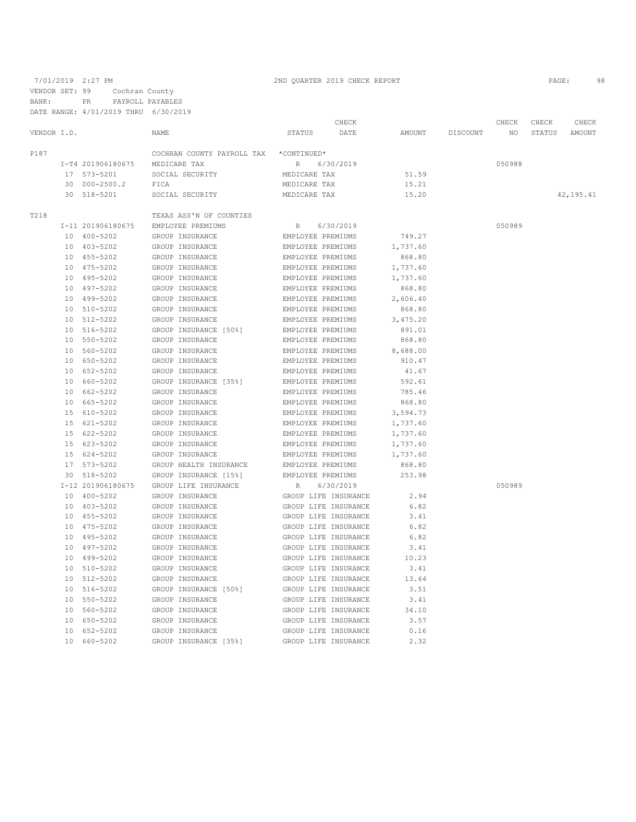VENDOR SET: 99 Cochran County BANK: PR PAYROLL PAYABLES

DATE RANGE: 4/01/2019 THRU 6/30/2019

|             |    |                   |                                        |                   | CHECK                |          |          | CHECK  | CHECK  | CHECK       |
|-------------|----|-------------------|----------------------------------------|-------------------|----------------------|----------|----------|--------|--------|-------------|
| VENDOR I.D. |    |                   | NAME                                   | STATUS            | DATE                 | AMOUNT   | DISCOUNT | NO     | STATUS | AMOUNT      |
| P187        |    |                   | COCHRAN COUNTY PAYROLL TAX *CONTINUED* |                   |                      |          |          |        |        |             |
|             |    | I-T4 201906180675 | MEDICARE TAX                           | R                 | 6/30/2019            |          |          | 050988 |        |             |
|             |    | 17 573-5201       | SOCIAL SECURITY                        | MEDICARE TAX      |                      | 51.59    |          |        |        |             |
|             |    | 30 000-2500.2     | FICA                                   | MEDICARE TAX      |                      | 15.21    |          |        |        |             |
|             |    | 30 518-5201       | SOCIAL SECURITY                        | MEDICARE TAX      |                      | 15.20    |          |        |        | 42, 195, 41 |
| T218        |    |                   | TEXAS ASS'N OF COUNTIES                |                   |                      |          |          |        |        |             |
|             |    | I-11 201906180675 | EMPLOYEE PREMIUMS                      | R                 | 6/30/2019            |          |          | 050989 |        |             |
|             |    | 10 400-5202       | GROUP INSURANCE                        | EMPLOYEE PREMIUMS |                      | 749.27   |          |        |        |             |
|             |    | 10 403-5202       | GROUP INSURANCE                        | EMPLOYEE PREMIUMS |                      | 1,737.60 |          |        |        |             |
|             |    | 10 455-5202       | GROUP INSURANCE                        | EMPLOYEE PREMIUMS |                      | 868.80   |          |        |        |             |
|             |    | 10 475-5202       | GROUP INSURANCE                        | EMPLOYEE PREMIUMS |                      | 1,737.60 |          |        |        |             |
|             |    | 10 495-5202       | GROUP INSURANCE                        | EMPLOYEE PREMIUMS |                      | 1,737.60 |          |        |        |             |
|             |    | 10 497-5202       | GROUP INSURANCE                        | EMPLOYEE PREMIUMS |                      | 868.80   |          |        |        |             |
|             |    | 10 499-5202       | GROUP INSURANCE                        | EMPLOYEE PREMIUMS |                      | 2,606.40 |          |        |        |             |
|             |    | 10 510-5202       | GROUP INSURANCE                        | EMPLOYEE PREMIUMS |                      | 868.80   |          |        |        |             |
|             |    | 10 512-5202       | GROUP INSURANCE                        | EMPLOYEE PREMIUMS |                      | 3,475.20 |          |        |        |             |
|             |    | 10 516-5202       | GROUP INSURANCE [50%]                  | EMPLOYEE PREMIUMS |                      | 891.01   |          |        |        |             |
|             |    | 10 550-5202       | GROUP INSURANCE                        | EMPLOYEE PREMIUMS |                      | 868.80   |          |        |        |             |
|             |    | 10 560-5202       | GROUP INSURANCE                        | EMPLOYEE PREMIUMS |                      | 8,688.00 |          |        |        |             |
|             |    | 10 650-5202       | GROUP INSURANCE                        | EMPLOYEE PREMIUMS |                      | 910.47   |          |        |        |             |
|             |    | 10 652-5202       | GROUP INSURANCE                        | EMPLOYEE PREMIUMS |                      | 41.67    |          |        |        |             |
|             |    | 10 660-5202       | GROUP INSURANCE [35%]                  | EMPLOYEE PREMIUMS |                      | 592.61   |          |        |        |             |
|             |    | 10 662-5202       | GROUP INSURANCE                        | EMPLOYEE PREMIUMS |                      | 785.46   |          |        |        |             |
|             |    | 10 665-5202       | GROUP INSURANCE                        | EMPLOYEE PREMIUMS |                      | 868.80   |          |        |        |             |
|             |    |                   |                                        |                   |                      |          |          |        |        |             |
|             |    | 15 610-5202       | GROUP INSURANCE                        | EMPLOYEE PREMIUMS |                      | 3,594.73 |          |        |        |             |
|             |    | 15 621-5202       | GROUP INSURANCE                        | EMPLOYEE PREMIUMS |                      | 1,737.60 |          |        |        |             |
|             |    | 15 622-5202       | GROUP INSURANCE                        | EMPLOYEE PREMIUMS |                      | 1,737.60 |          |        |        |             |
|             |    | 15 623-5202       | GROUP INSURANCE                        | EMPLOYEE PREMIUMS |                      | 1,737.60 |          |        |        |             |
|             |    | 15 624-5202       | GROUP INSURANCE                        | EMPLOYEE PREMIUMS |                      | 1,737.60 |          |        |        |             |
|             |    | 17 573-5202       | GROUP HEALTH INSURANCE                 | EMPLOYEE PREMIUMS |                      | 868.80   |          |        |        |             |
|             |    | 30 518-5202       | GROUP INSURANCE [15%]                  | EMPLOYEE PREMIUMS |                      | 253.98   |          |        |        |             |
|             |    | I-12 201906180675 | GROUP LIFE INSURANCE                   | R                 | 6/30/2019            |          |          | 050989 |        |             |
|             |    | 10 400-5202       | GROUP INSURANCE                        |                   | GROUP LIFE INSURANCE | 2.94     |          |        |        |             |
|             |    | 10 403-5202       | GROUP INSURANCE                        |                   | GROUP LIFE INSURANCE | 6.82     |          |        |        |             |
|             |    | 10 455-5202       | GROUP INSURANCE                        |                   | GROUP LIFE INSURANCE | 3.41     |          |        |        |             |
|             |    | 10 475-5202       | GROUP INSURANCE                        |                   | GROUP LIFE INSURANCE | 6.82     |          |        |        |             |
|             |    | 10 495-5202       | GROUP INSURANCE                        |                   | GROUP LIFE INSURANCE | 6.82     |          |        |        |             |
|             |    | 10 497-5202       | GROUP INSURANCE                        |                   | GROUP LIFE INSURANCE | 3.41     |          |        |        |             |
|             |    | 10 499-5202       | GROUP INSURANCE                        |                   | GROUP LIFE INSURANCE | 10.23    |          |        |        |             |
|             |    | 10 510-5202       | GROUP INSURANCE                        |                   | GROUP LIFE INSURANCE | 3.41     |          |        |        |             |
|             |    | 10 512-5202       | GROUP INSURANCE                        |                   | GROUP LIFE INSURANCE | 13.64    |          |        |        |             |
|             |    | 10 516-5202       | GROUP INSURANCE [50%]                  |                   | GROUP LIFE INSURANCE | 3.51     |          |        |        |             |
|             |    | 10 550-5202       | GROUP INSURANCE                        |                   | GROUP LIFE INSURANCE | 3.41     |          |        |        |             |
|             |    | 10 560-5202       | GROUP INSURANCE                        |                   | GROUP LIFE INSURANCE | 34.10    |          |        |        |             |
|             | 10 | 650-5202          | GROUP INSURANCE                        |                   | GROUP LIFE INSURANCE | 3.57     |          |        |        |             |
|             | 10 | 652-5202          | GROUP INSURANCE                        |                   | GROUP LIFE INSURANCE | 0.16     |          |        |        |             |
|             |    | 10 660-5202       | GROUP INSURANCE [35%]                  |                   | GROUP LIFE INSURANCE | 2.32     |          |        |        |             |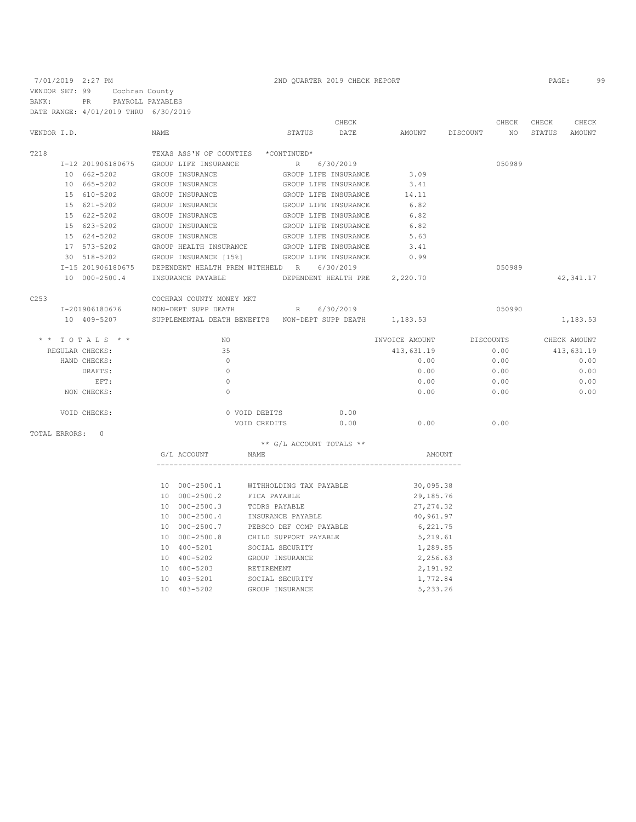|                                 |                                     | CHECK                                                        |                | CHECK           | CHECK<br>CHECK   |
|---------------------------------|-------------------------------------|--------------------------------------------------------------|----------------|-----------------|------------------|
| VENDOR I.D.                     | <b>NAME</b>                         | STATUS<br>DATE                                               | AMOUNT         | DISCOUNT<br>NO. | STATUS<br>AMOUNT |
| T218                            | TEXAS ASS'N OF COUNTIES *CONTINUED* |                                                              |                |                 |                  |
| I-12 201906180675               | GROUP LIFE INSURANCE                | R 6/30/2019                                                  |                | 050989          |                  |
| 10 662-5202                     | GROUP INSURANCE                     | GROUP LIFE INSURANCE                                         | 3.09           |                 |                  |
| 10 665-5202                     | GROUP INSURANCE                     | GROUP LIFE INSURANCE                                         | 3.41           |                 |                  |
| 15 610-5202                     | GROUP INSURANCE                     | GROUP LIFE INSURANCE                                         | 14.11          |                 |                  |
| 15 621-5202                     | GROUP INSURANCE                     | GROUP LIFE INSURANCE                                         | 6.82           |                 |                  |
| 15 622-5202                     | GROUP INSURANCE                     | GROUP LIFE INSURANCE                                         | 6.82           |                 |                  |
| 15 623-5202                     | GROUP INSURANCE                     | GROUP LIFE INSURANCE                                         | 6.82           |                 |                  |
| 15 624-5202                     | GROUP INSURANCE                     | GROUP LIFE INSURANCE                                         | 5.63           |                 |                  |
| 17 573-5202                     | GROUP HEALTH INSURANCE              | GROUP LIFE INSURANCE                                         | 3.41           |                 |                  |
| 30 518-5202                     |                                     | GROUP INSURANCE [15%] GROUP LIFE INSURANCE                   | 0.99           |                 |                  |
| I-15 201906180675               |                                     | DEPENDENT HEALTH PREM WITHHELD R 6/30/2019                   |                | 050989          |                  |
| 10 000-2500.4                   | INSURANCE PAYABLE                   | DEPENDENT HEALTH PRE                                         | 2,220.70       |                 | 42, 341.17       |
| C253                            | COCHRAN COUNTY MONEY MKT            |                                                              |                |                 |                  |
| I-201906180676                  | NON-DEPT SUPP DEATH                 | R 6/30/2019                                                  |                | 050990          |                  |
| 10 409-5207                     |                                     | SUPPLEMENTAL DEATH BENEFITS   NON-DEPT SUPP DEATH   1,183.53 |                |                 | 1,183.53         |
| * * TOTALS * *                  | NO                                  |                                                              | INVOICE AMOUNT | DISCOUNTS       | CHECK AMOUNT     |
| REGULAR CHECKS:                 | 35                                  |                                                              | 413,631.19     | 0.00            | 413,631.19       |
| HAND CHECKS:                    | $\circ$                             |                                                              | 0.00           | 0.00            | 0.00             |
| DRAFTS:                         | $\Omega$                            |                                                              | 0.00           | 0.00            | 0.00             |
| EFT:                            | $\circ$                             |                                                              | 0.00           | 0.00            | 0.00             |
| NON CHECKS:                     | $\Omega$                            |                                                              | 0.00           | 0.00            | 0.00             |
| VOID CHECKS:                    |                                     | 0 VOID DEBITS<br>0.00                                        |                |                 |                  |
|                                 |                                     | 0.00<br>VOID CREDITS                                         | 0.00           | 0.00            |                  |
| TOTAL ERRORS:<br>$\overline{0}$ |                                     |                                                              |                |                 |                  |
|                                 |                                     | ** G/L ACCOUNT TOTALS **                                     |                |                 |                  |
|                                 | G/L ACCOUNT                         | NAME                                                         | AMOUNT         |                 |                  |
|                                 |                                     |                                                              |                |                 |                  |
|                                 |                                     | 10 000-2500.1 WITHHOLDING TAX PAYABLE                        | 30,095.38      |                 |                  |
|                                 | 10 000-2500.2                       | FICA PAYABLE                                                 | 29,185.76      |                 |                  |
|                                 | 10 000-2500.3                       | TCDRS PAYABLE                                                | 27, 274.32     |                 |                  |
|                                 | 10 000-2500.4                       | INSURANCE PAYABLE                                            | 40,961.97      |                 |                  |
|                                 | 10 000-2500.7                       | PEBSCO DEF COMP PAYABLE                                      | 6,221.75       |                 |                  |
|                                 | 10 000-2500.8                       | CHILD SUPPORT PAYABLE                                        | 5,219.61       |                 |                  |
|                                 | 10 400-5201                         | SOCIAL SECURITY                                              | 1,289.85       |                 |                  |
|                                 | 10 400-5202                         | GROUP INSURANCE                                              | 2,256.63       |                 |                  |
|                                 | 10 400-5203                         | RETIREMENT                                                   | 2,191.92       |                 |                  |
|                                 | 10 403-5201                         | SOCIAL SECURITY                                              | 1,772.84       |                 |                  |
|                                 | 10 403-5202                         | GROUP INSURANCE                                              | 5,233.26       |                 |                  |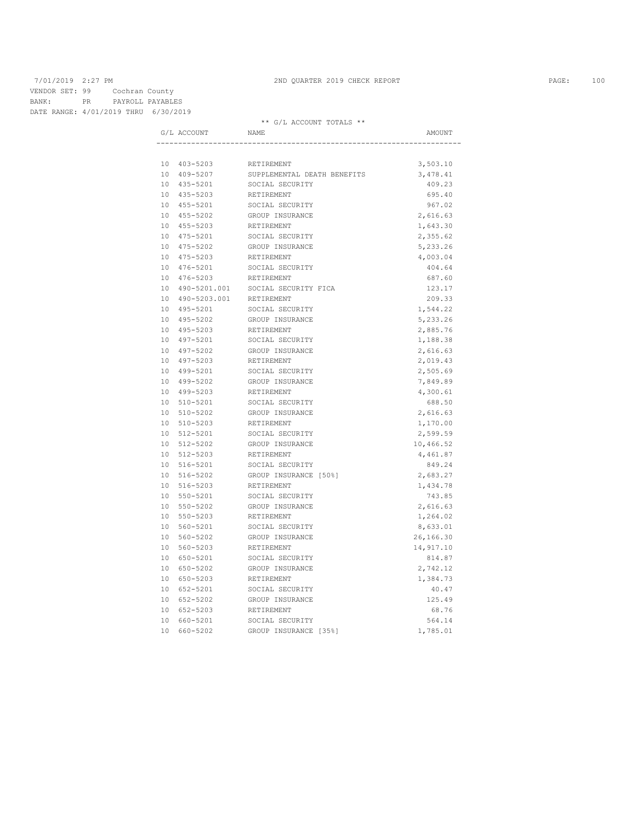\*\* G/L ACCOUNT TOTALS \*\*

| 10 403-5203<br>RETIREMENT<br>10 409-5207<br>SUPPLEMENTAL DEATH BENEFITS | 3,503.10<br>3,478.41<br>409.23<br>695.40<br>967.02 |
|-------------------------------------------------------------------------|----------------------------------------------------|
|                                                                         |                                                    |
|                                                                         |                                                    |
|                                                                         |                                                    |
| 10 435-5201<br>SOCIAL SECURITY                                          |                                                    |
| 10 435-5203<br>RETIREMENT                                               |                                                    |
| 10 455-5201<br>SOCIAL SECURITY                                          |                                                    |
| GROUP INSURANCE<br>10 455-5202                                          | 2,616.63                                           |
| 10 455-5203<br>RETIREMENT                                               | 1,643.30                                           |
| 10 475-5201<br>SOCIAL SECURITY                                          | 2,355.62                                           |
| 10 475-5202<br>GROUP INSURANCE                                          | 5,233.26                                           |
| 10 475-5203<br><b>RETIREMENT</b>                                        | 4,003.04                                           |
| 10 476-5201<br>SOCIAL SECURITY                                          | 404.64                                             |
| 10 476-5203<br>RETIREMENT                                               | 687.60                                             |
| 10 490-5201.001<br>SOCIAL SECURITY FICA                                 | 123.17                                             |
| 10 490-5203.001 RETIREMENT                                              | 209.33                                             |
| 10 495-5201<br>SOCIAL SECURITY                                          | 1,544.22                                           |
| 10 495-5202<br>GROUP INSURANCE                                          | 5,233.26                                           |
| 10 495-5203<br>RETIREMENT                                               | 2,885.76                                           |
| 10 497-5201<br>SOCIAL SECURITY                                          | 1,188.38                                           |
| 10 497-5202<br>GROUP INSURANCE                                          | 2,616.63                                           |
| 10 497-5203<br>RETIREMENT                                               | 2,019.43                                           |
| 10 499-5201<br>SOCIAL SECURITY                                          | 2,505.69                                           |
| 10 499-5202<br>GROUP INSURANCE                                          | 7,849.89                                           |
| 10 499-5203<br>RETIREMENT                                               | 4,300.61                                           |
| 10 510-5201<br>SOCIAL SECURITY                                          | 688.50                                             |
| 10 510-5202<br>GROUP INSURANCE                                          | 2,616.63                                           |
| 10 510-5203<br>RETIREMENT                                               | 1,170.00                                           |
| 10 512-5201<br>SOCIAL SECURITY                                          | 2,599.59                                           |
| GROUP INSURANCE<br>10 512-5202                                          | 10,466.52                                          |
| 10 512-5203<br>RETIREMENT                                               | 4,461.87                                           |
| 10 516-5201<br>SOCIAL SECURITY                                          | 849.24                                             |
| 10 516-5202<br>GROUP INSURANCE [50%]                                    | 2,683.27                                           |
| 10 516-5203<br>RETIREMENT                                               | 1,434.78                                           |
| 10 550-5201<br>SOCIAL SECURITY                                          | 743.85                                             |
| 10 550-5202<br>GROUP INSURANCE                                          | 2,616.63                                           |
| 10 550-5203<br>RETIREMENT                                               | 1,264.02                                           |
| 10 560-5201<br>SOCIAL SECURITY                                          | 8,633.01                                           |
| 10 560-5202<br>GROUP INSURANCE                                          | 26,166.30                                          |
| 10 560-5203<br>RETIREMENT                                               | 14,917.10                                          |
| 10 650-5201<br>SOCIAL SECURITY                                          | 814.87                                             |
| 10 650-5202<br>GROUP INSURANCE                                          | 2,742.12                                           |
| 10 650-5203<br>RETIREMENT                                               | 1,384.73                                           |
| 10 652-5201<br>SOCIAL SECURITY                                          | 40.47                                              |
| 10 652-5202<br>GROUP INSURANCE                                          | 125.49                                             |
| 10 652-5203<br>RETIREMENT                                               | 68.76                                              |
| 10 660-5201<br>SOCIAL SECURITY                                          | 564.14                                             |
| 10 660-5202<br>GROUP INSURANCE [35%]                                    | 1,785.01                                           |
|                                                                         |                                                    |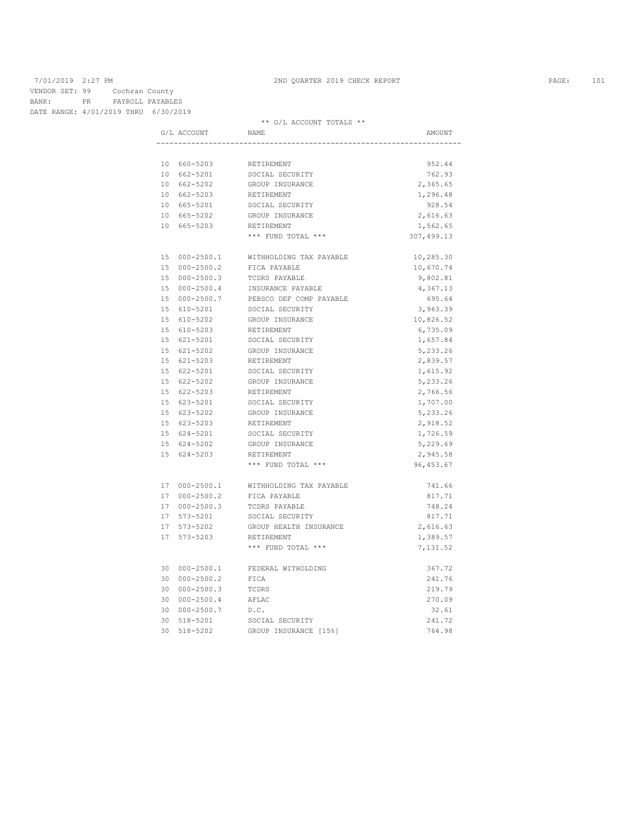\*\* G/L ACCOUNT TOTALS \*\*

|  | G/L ACCOUNT                | NAME                                  | AMOUNT           |
|--|----------------------------|---------------------------------------|------------------|
|  |                            |                                       |                  |
|  | 10 660-5203                | RETIREMENT                            | 952.44           |
|  | 10 662-5201                | SOCIAL SECURITY                       | 762.93           |
|  | 10 662-5202                | GROUP INSURANCE                       | 2,365.65         |
|  | 10 662-5203                | RETIREMENT                            | 1,296.48         |
|  | 10 665-5201                | SOCIAL SECURITY                       | 928.54           |
|  | 10 665-5202                | GROUP INSURANCE                       | 2,616.63         |
|  | 10 665-5203                | RETIREMENT                            | 1,562.65         |
|  |                            | *** FUND TOTAL ***                    | 307,499.13       |
|  | 15 000-2500.1              | WITHHOLDING TAX PAYABLE               | 10,285.30        |
|  | 15 000-2500.2              | FICA PAYABLE                          | 10,670.74        |
|  | 15 000-2500.3              | TCDRS PAYABLE                         | 9,802.81         |
|  | 15 000-2500.4              | INSURANCE PAYABLE                     | 4,367.13         |
|  | 15 000-2500.7              | PEBSCO DEF COMP PAYABLE               | 695.64           |
|  | 15 610-5201                | SOCIAL SECURITY                       | 3,963.39         |
|  | 15 610-5202                | GROUP INSURANCE                       | 10,826.52        |
|  | 15 610-5203                | RETIREMENT                            | 6,735.09         |
|  | 15 621-5201                | SOCIAL SECURITY                       | 1,657.84         |
|  | 15 621-5202                | GROUP INSURANCE                       | 5,233.26         |
|  | 15 621-5203                | RETIREMENT                            | 2,839.57         |
|  | 15 622-5201                | SOCIAL SECURITY                       | 1,615.92         |
|  | 15 622-5202                | GROUP INSURANCE                       | 5,233.26         |
|  | 15 622-5203                | RETIREMENT                            | 2,766.56         |
|  | 15 623-5201                | SOCIAL SECURITY                       | 1,707.00         |
|  | 15 623-5202                | GROUP INSURANCE                       | 5,233.26         |
|  | 15 623-5203                | RETIREMENT                            | 2,918.52         |
|  | 15 624-5201                | SOCIAL SECURITY                       | 1,726.59         |
|  | 15 624-5202                | GROUP INSURANCE                       | 5,229.69         |
|  | 15 624-5203                | RETIREMENT                            | 2,945.58         |
|  |                            | *** FUND TOTAL ***                    | 96, 453.67       |
|  |                            | 17 000-2500.1 WITHHOLDING TAX PAYABLE | 741.66           |
|  | 17 000-2500.2              | FICA PAYABLE                          | 817.71           |
|  | 17 000-2500.3              | TCDRS PAYABLE                         | 748.24           |
|  | 17 573-5201                | SOCIAL SECURITY                       | 817.71           |
|  | 17 573-5202                | GROUP HEALTH INSURANCE                | 2,616.63         |
|  | 17 573-5203                | RETIREMENT                            | 1,389.57         |
|  |                            | *** FUND TOTAL ***                    | 7,131.52         |
|  |                            |                                       |                  |
|  | 30 000-2500.1              | FEDERAL WITHOLDING                    | 367.72           |
|  | 30 000-2500.2              | FICA                                  | 241.76           |
|  | 30 000-2500.3              | TCDRS                                 | 219.79           |
|  | 30 000-2500.4              | AFLAC                                 | 270.09           |
|  | 30 000-2500.7              | D.C.                                  | 32.61            |
|  | 30 518-5201<br>30 518-5202 | SOCIAL SECURITY                       | 241.72<br>764.98 |
|  |                            | GROUP INSURANCE [15%]                 |                  |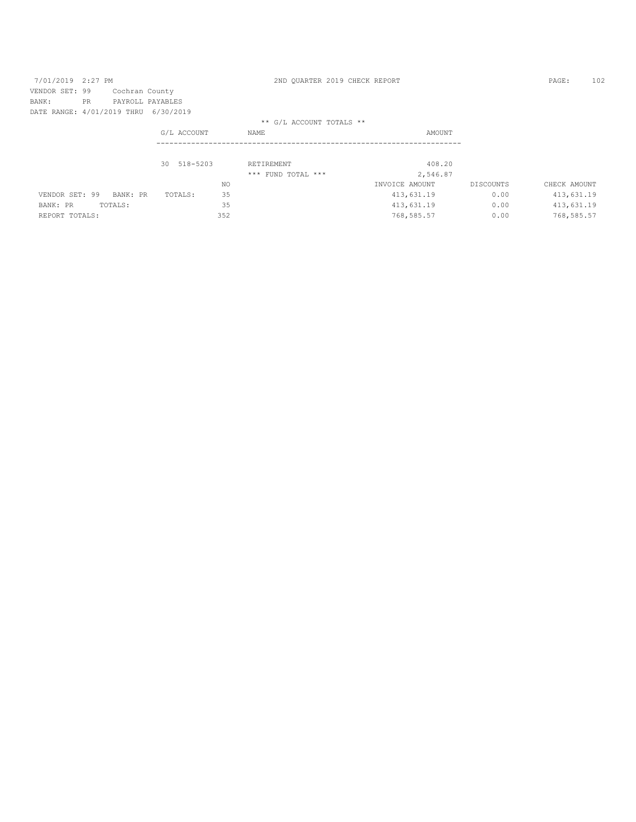| 7/01/2019 2:27 PM                    |           |                |                  |     | 2ND OUARTER 2019 CHECK REPORT |                |           | PAGE:        | 102 |
|--------------------------------------|-----------|----------------|------------------|-----|-------------------------------|----------------|-----------|--------------|-----|
| VENDOR SET: 99                       |           | Cochran County |                  |     |                               |                |           |              |     |
| BANK:                                | <b>PR</b> |                | PAYROLL PAYABLES |     |                               |                |           |              |     |
| DATE RANGE: 4/01/2019 THRU 6/30/2019 |           |                |                  |     |                               |                |           |              |     |
|                                      |           |                |                  |     | ** G/L ACCOUNT TOTALS **      |                |           |              |     |
|                                      |           |                | G/L ACCOUNT      |     | NAME                          | AMOUNT         |           |              |     |
|                                      |           |                |                  |     |                               |                |           |              |     |
|                                      |           |                |                  |     |                               |                |           |              |     |
|                                      |           |                | 30 518-5203      |     | RETIREMENT                    | 408.20         |           |              |     |
|                                      |           |                |                  |     | *** FUND TOTAL ***            | 2,546.87       |           |              |     |
|                                      |           |                |                  | NO. |                               | INVOICE AMOUNT | DISCOUNTS | CHECK AMOUNT |     |
| VENDOR SET: 99                       |           | BANK: PR       | TOTALS:          | 35  |                               | 413,631.19     | 0.00      | 413,631.19   |     |
| BANK: PR                             |           | TOTALS:        |                  | 35  |                               | 413,631.19     | 0.00      | 413,631.19   |     |
| REPORT TOTALS:                       |           |                |                  | 352 |                               | 768,585.57     | 0.00      | 768,585.57   |     |
|                                      |           |                |                  |     |                               |                |           |              |     |